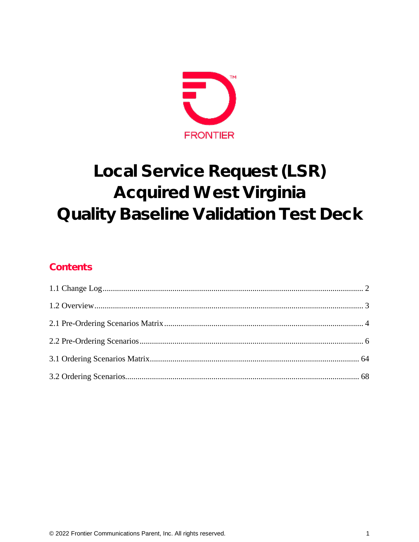

# Local Service Request (LSR) **Acquired West Virginia Quality Baseline Validation Test Deck**

### Contents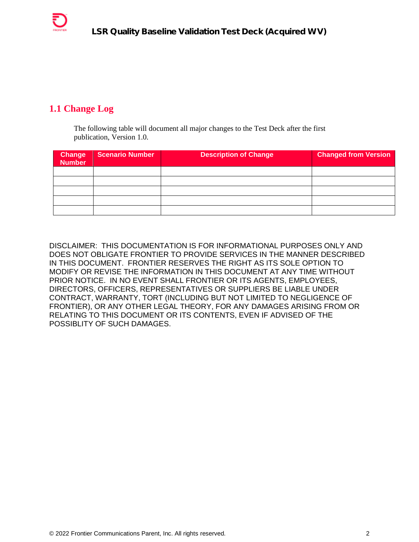### <span id="page-1-0"></span>**1.1 Change Log**

The following table will document all major changes to the Test Deck after the first publication, Version 1.0.

| <b>Change</b><br><b>Number</b> | <b>Scenario Number</b> | <b>Description of Change</b> | <b>Changed from Version</b> |
|--------------------------------|------------------------|------------------------------|-----------------------------|
|                                |                        |                              |                             |
|                                |                        |                              |                             |
|                                |                        |                              |                             |
|                                |                        |                              |                             |
|                                |                        |                              |                             |

DISCLAIMER: THIS DOCUMENTATION IS FOR INFORMATIONAL PURPOSES ONLY AND DOES NOT OBLIGATE FRONTIER TO PROVIDE SERVICES IN THE MANNER DESCRIBED IN THIS DOCUMENT. FRONTIER RESERVES THE RIGHT AS ITS SOLE OPTION TO MODIFY OR REVISE THE INFORMATION IN THIS DOCUMENT AT ANY TIME WITHOUT PRIOR NOTICE. IN NO EVENT SHALL FRONTIER OR ITS AGENTS, EMPLOYEES, DIRECTORS, OFFICERS, REPRESENTATIVES OR SUPPLIERS BE LIABLE UNDER CONTRACT, WARRANTY, TORT (INCLUDING BUT NOT LIMITED TO NEGLIGENCE OF FRONTIER), OR ANY OTHER LEGAL THEORY, FOR ANY DAMAGES ARISING FROM OR RELATING TO THIS DOCUMENT OR ITS CONTENTS, EVEN IF ADVISED OF THE POSSIBLITY OF SUCH DAMAGES.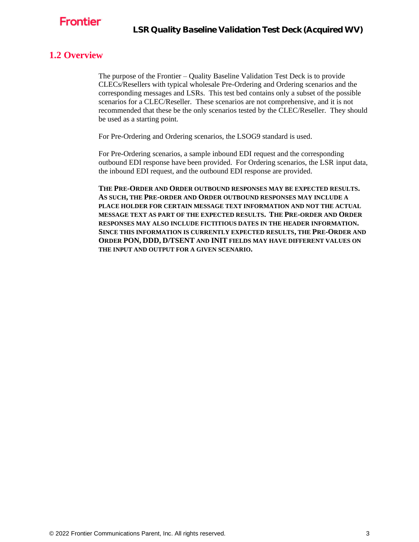

#### <span id="page-2-0"></span>**1.2 Overview**

The purpose of the Frontier – Quality Baseline Validation Test Deck is to provide CLECs/Resellers with typical wholesale Pre-Ordering and Ordering scenarios and the corresponding messages and LSRs. This test bed contains only a subset of the possible scenarios for a CLEC/Reseller. These scenarios are not comprehensive, and it is not recommended that these be the only scenarios tested by the CLEC/Reseller. They should be used as a starting point.

For Pre-Ordering and Ordering scenarios, the LSOG9 standard is used.

For Pre-Ordering scenarios, a sample inbound EDI request and the corresponding outbound EDI response have been provided. For Ordering scenarios, the LSR input data, the inbound EDI request, and the outbound EDI response are provided.

**THE PRE-ORDER AND ORDER OUTBOUND RESPONSES MAY BE EXPECTED RESULTS. AS SUCH, THE PRE-ORDER AND ORDER OUTBOUND RESPONSES MAY INCLUDE A PLACE HOLDER FOR CERTAIN MESSAGE TEXT INFORMATION AND NOT THE ACTUAL MESSAGE TEXT AS PART OF THE EXPECTED RESULTS. THE PRE-ORDER AND ORDER RESPONSES MAY ALSO INCLUDE FICTITIOUS DATES IN THE HEADER INFORMATION. SINCE THIS INFORMATION IS CURRENTLY EXPECTED RESULTS, THE PRE-ORDER AND ORDER PON, DDD, D/TSENT AND INIT FIELDS MAY HAVE DIFFERENT VALUES ON THE INPUT AND OUTPUT FOR A GIVEN SCENARIO.**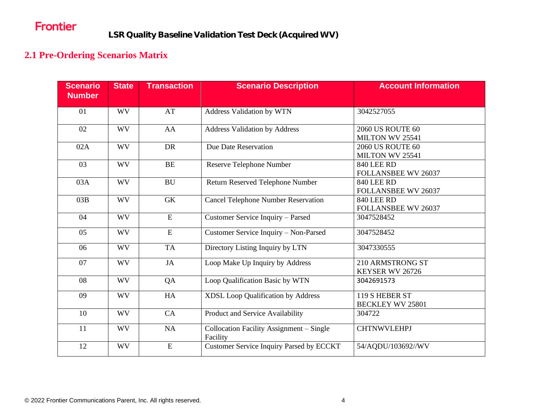# Frontier

## **2.1 Pre-Ordering Scenarios Matrix**

<span id="page-3-0"></span>

| <b>Scenario</b><br><b>Number</b> | <b>State</b> | <b>Transaction</b> | <b>Scenario Description</b>                          | <b>Account Information</b>                 |
|----------------------------------|--------------|--------------------|------------------------------------------------------|--------------------------------------------|
| 01                               | <b>WV</b>    | AT                 | Address Validation by WTN                            | 3042527055                                 |
| 02                               | <b>WV</b>    | AA                 | <b>Address Validation by Address</b>                 | <b>2060 US ROUTE 60</b><br>MILTON WV 25541 |
| 02A                              | <b>WV</b>    | <b>DR</b>          | Due Date Reservation                                 | <b>2060 US ROUTE 60</b><br>MILTON WV 25541 |
| 03                               | <b>WV</b>    | BE                 | Reserve Telephone Number                             | <b>840 LEE RD</b><br>FOLLANSBEE WV 26037   |
| 03A                              | <b>WV</b>    | <b>BU</b>          | Return Reserved Telephone Number                     | <b>840 LEE RD</b><br>FOLLANSBEE WV 26037   |
| 03B                              | <b>WV</b>    | <b>GK</b>          | <b>Cancel Telephone Number Reservation</b>           | <b>840 LEE RD</b><br>FOLLANSBEE WV 26037   |
| 04                               | <b>WV</b>    | ${\bf E}$          | Customer Service Inquiry - Parsed                    | 3047528452                                 |
| 05                               | <b>WV</b>    | ${\bf E}$          | Customer Service Inquiry - Non-Parsed                | 3047528452                                 |
| 06                               | <b>WV</b>    | <b>TA</b>          | Directory Listing Inquiry by LTN                     | 3047330555                                 |
| 07                               | <b>WV</b>    | JA                 | Loop Make Up Inquiry by Address                      | 210 ARMSTRONG ST<br>KEYSER WV 26726        |
| 08                               | <b>WV</b>    | QA                 | Loop Qualification Basic by WTN                      | 3042691573                                 |
| 09                               | <b>WV</b>    | HA                 | XDSL Loop Qualification by Address                   | 119 S HEBER ST<br><b>BECKLEY WV 25801</b>  |
| 10                               | <b>WV</b>    | CA                 | Product and Service Availability                     | 304722                                     |
| 11                               | <b>WV</b>    | NA                 | Collocation Facility Assignment - Single<br>Facility | <b>CHTNWVLEHPJ</b>                         |
| 12                               | <b>WV</b>    | $\mathbf E$        | <b>Customer Service Inquiry Parsed by ECCKT</b>      | 54/AQDU/103692//WV                         |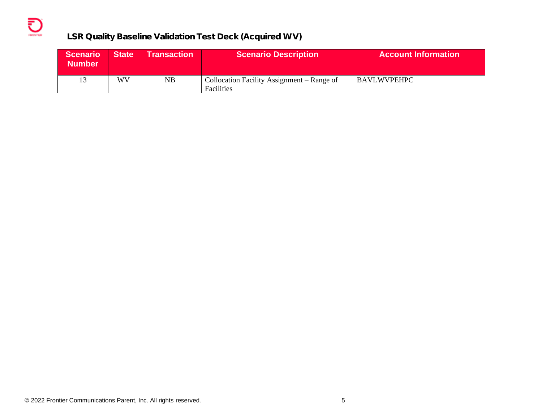### **LSR Quality Baseline Validation Test Deck (Acquired WV)**

| <b>Scenario</b><br><b>Number</b> | <b>State</b> | <b>Transaction</b> | <b>Scenario Description</b>                              | <b>Account Information</b> |
|----------------------------------|--------------|--------------------|----------------------------------------------------------|----------------------------|
| 13                               | WV           | NB.                | Collocation Facility Assignment – Range of<br>Facilities | BAVLWVPEHPC                |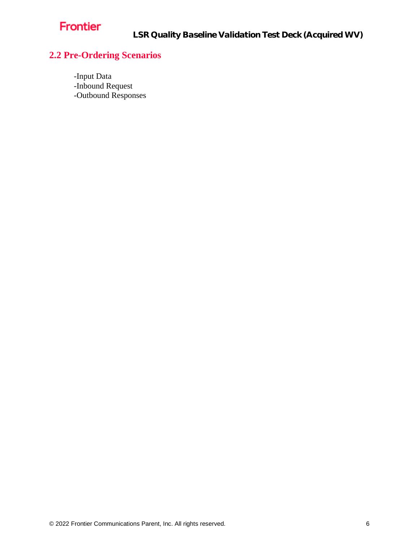# Frontier

LSR Quality Baseline Validation Test Deck (Acquired WV)

# <span id="page-5-0"></span>**2.2 Pre-Ordering Scenarios**

-Input Data -Inbound Request -Outbound Responses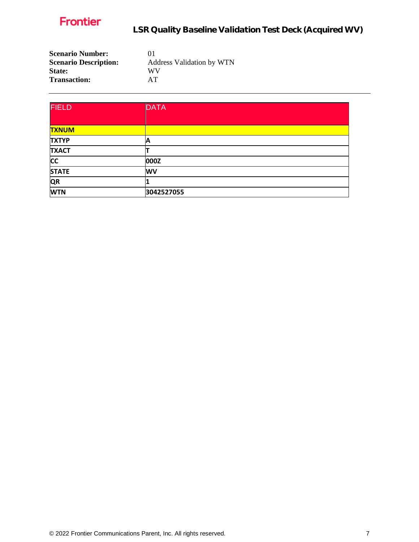

LSR Quality Baseline Validation Test Deck (Acquired WV)

| <b>Scenario Number:</b>      | $^{01}$                          |
|------------------------------|----------------------------------|
| <b>Scenario Description:</b> | <b>Address Validation by WTN</b> |
| State:                       | WV                               |
| <b>Transaction:</b>          | AT                               |

| <b>FIELD</b> | <b>DATA</b> |
|--------------|-------------|
|              |             |
| <b>TXNUM</b> |             |
| <b>TXTYP</b> | A           |
| <b>TXACT</b> |             |
| <b>CC</b>    | 000Z        |
| <b>STATE</b> | <b>WV</b>   |
| <b>QR</b>    |             |
| <b>WTN</b>   | 3042527055  |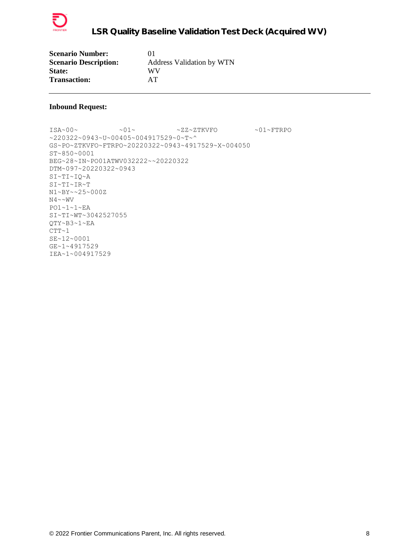

| <b>Scenario Number:</b>      | $^{01}$                          |
|------------------------------|----------------------------------|
| <b>Scenario Description:</b> | <b>Address Validation by WTN</b> |
| <b>State:</b>                | WV                               |
| <b>Transaction:</b>          | AТ                               |

 $ISA~00~\sim$   $~01~\sim$   $~01~\sim$   $~2Z~2$ TKVFO  $~01~\sim$  FTRPO ~220322~0943~U~00405~004917529~0~T~^ GS~PO~ZTKVFO~FTRPO~20220322~0943~4917529~X~004050 ST~850~0001 BEG~28~IN~PO01ATWV032222~~20220322 DTM~097~20220322~0943 SI~TI~IQ~A SI~TI~IR~T N1~BY~~25~000Z  $N4 \sim NV$ PO1~1~1~EA SI~TI~WT~3042527055 QTY~B3~1~EA  $CTT~1$ SE~12~0001 GE~1~4917529 IEA~1~004917529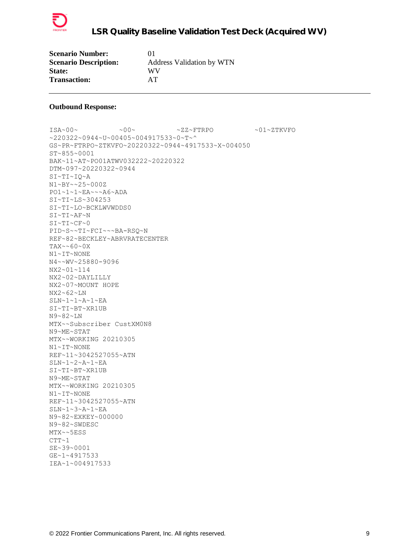

| <b>Scenario Number:</b>      | $^{01}$                          |
|------------------------------|----------------------------------|
| <b>Scenario Description:</b> | <b>Address Validation by WTN</b> |
| <b>State:</b>                | WV                               |
| <b>Transaction:</b>          | AT                               |

ISA~00~ ~00~ ~ZZ~FTRPO ~01~ZTKVFO ~220322~0944~U~00405~004917533~0~T~^ GS~PR~FTRPO~ZTKVFO~20220322~0944~4917533~X~004050 ST~855~0001 BAK~11~AT~PO01ATWV032222~20220322 DTM~097~20220322~0944 SI~TI~IQ~A N1~BY~~25~000Z PO1~1~1~EA~~~A6~ADA SI~TI~LS~304253 SI~TI~LO~BCKLWVWDDS0 SI~TI~AF~N SI~TI~CF~0 PID~S~~TI~FCI~~~BA-RSQ~N REF~82~BECKLEY~ABRVRATECENTER TAX~~60~0X N1~IT~NONE N4~~WV~25880-9096 NX2~01~114 NX2~02~DAYLILLY NX2~07~MOUNT HOPE NX2~62~LN SLN~1~1~A~1~EA SI~TI~BT~XR1UB N9~82~LN MTX~~Subscriber CustXM0N8 N9~ME~STAT MTX~~WORKING 20210305 N1~IT~NONE REF~11~3042527055~ATN SLN~1~2~A~1~EA SI~TI~BT~XR1UB N9~ME~STAT MTX~~WORKING 20210305 N1~IT~NONE REF~11~3042527055~ATN SLN~1~3~A~1~EA N9~82~EXKEY~000000 N9~82~SWDESC MTX~~5ESS  $CTT~1$ SE~39~0001 GE~1~4917533 IEA~1~004917533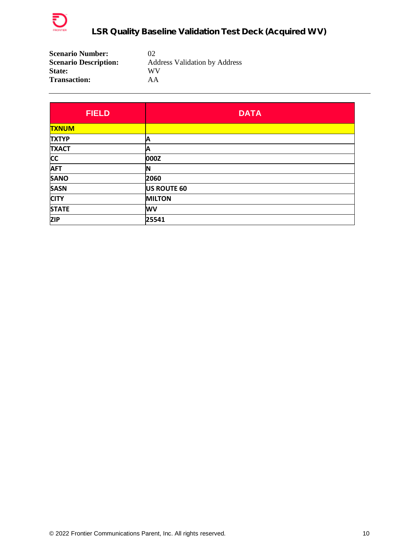

| <b>Scenario Number:</b>      | $\Omega$                             |
|------------------------------|--------------------------------------|
| <b>Scenario Description:</b> | <b>Address Validation by Address</b> |
| <b>State:</b>                | WV                                   |
| <b>Transaction:</b>          | ΑA                                   |

| <b>FIELD</b> | <b>DATA</b>   |
|--------------|---------------|
| <b>TXNUM</b> |               |
| <b>TXTYP</b> | A             |
| <b>TXACT</b> | Α             |
| <b>CC</b>    | 000Z          |
| <b>AFT</b>   | ΙN            |
| <b>SANO</b>  | 2060          |
| <b>SASN</b>  | US ROUTE 60   |
| <b>CITY</b>  | <b>MILTON</b> |
| <b>STATE</b> | <b>WV</b>     |
| <b>ZIP</b>   | 25541         |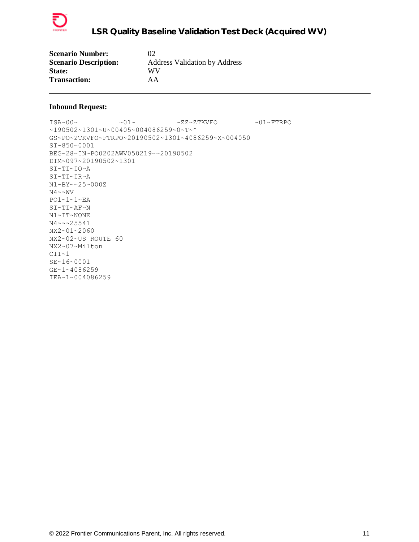

| <b>Scenario Number:</b>      | 02                                   |
|------------------------------|--------------------------------------|
| <b>Scenario Description:</b> | <b>Address Validation by Address</b> |
| <b>State:</b>                | WV                                   |
| <b>Transaction:</b>          | AA                                   |

 $\verb|ISA~00~|~\verb|V5A~00~|~\verb|V5A~00~|~\verb|V5A~00~|~\verb|V5A~00~|~\verb|V5A~00~|~\verb|V5A~00~|~\verb|V5A~00~|~\verb|V5A~00~|~\verb|V5A~00~|~\verb|V5A~00~|~\verb|V5A~00~|~\verb|V5A~00~|~\verb|V5A~00~|~\verb|V5A~00~|~\verb|V5A~00~|~\verb|V5A~00~|~\verb|V5A~00~|~\verb|V5A$ ~190502~1301~U~00405~004086259~0~T~^ GS~PO~ZTKVFO~FTRPO~20190502~1301~4086259~X~004050 ST~850~0001 BEG~28~IN~PO0202AWV050219~~20190502 DTM~097~20190502~1301 SI~TI~IQ~A SI~TI~IR~A N1~BY~~25~000Z  $N4 \sim NV$ PO1~1~1~EA SI~TI~AF~N N1~IT~NONE N4~~~25541 NX2~01~2060 NX2~02~US ROUTE 60 NX2~07~Milton  $CTT~1$ SE~16~0001 GE~1~4086259 IEA~1~004086259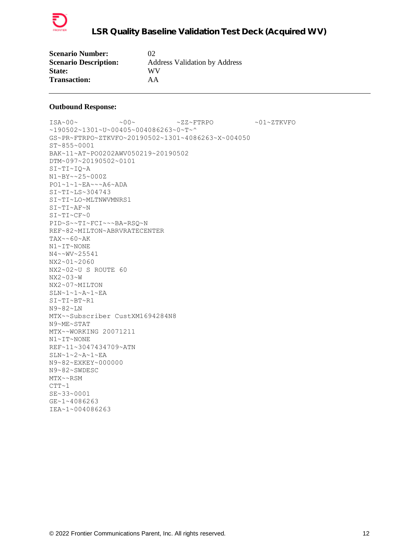

| <b>Scenario Number:</b>      | 02                                   |
|------------------------------|--------------------------------------|
| <b>Scenario Description:</b> | <b>Address Validation by Address</b> |
| <b>State:</b>                | WV                                   |
| <b>Transaction:</b>          | AA                                   |

 $\sim 00\sim \qquad \qquad \sim 00\sim \qquad \qquad \sim {\tt ZZ} \sim {\tt FTRPO} \qquad \qquad \sim 01\sim {\tt ZTKVFO}$ ~190502~1301~U~00405~004086263~0~T~^ GS~PR~FTRPO~ZTKVFO~20190502~1301~4086263~X~004050 ST~855~0001 BAK~11~AT~PO0202AWV050219~20190502 DTM~097~20190502~0101 SI~TI~IQ~A N1~BY~~25~000Z PO1~1~1~EA~~~A6~ADA SI~TI~LS~304743 SI~TI~LO~MLTNWVMNRS1 SI~TI~AF~N SI~TI~CF~0 PID~S~~TI~FCI~~~BA-RSQ~N REF~82~MILTON~ABRVRATECENTER  $TAX~0.60~K$ N1~IT~NONE N4~~WV~25541 NX2~01~2060 NX2~02~U S ROUTE 60 NX2~03~W NX2~07~MILTON SLN~1~1~A~1~EA SI~TI~BT~R1 N9~82~LN MTX~~Subscriber CustXM1694284N8 N9~ME~STAT MTX~~WORKING 20071211 N1~IT~NONE REF~11~3047434709~ATN SLN~1~2~A~1~EA N9~82~EXKEY~000000 N9~82~SWDESC MTX~~RSM  $CTT~1$ SE~33~0001 GE~1~4086263 IEA~1~004086263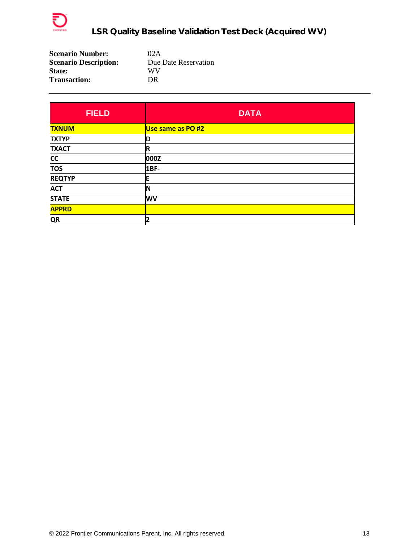

| <b>Scenario Number:</b>      | 02A                  |
|------------------------------|----------------------|
| <b>Scenario Description:</b> | Due Date Reservation |
| <b>State:</b>                | WV                   |
| <b>Transaction:</b>          | DR.                  |

| <b>FIELD</b>  | <b>DATA</b>       |
|---------------|-------------------|
| <b>TXNUM</b>  | Use same as PO #2 |
| <b>TXTYP</b>  | D                 |
| <b>TXACT</b>  | $\mathbf R$       |
| <b>CC</b>     | 000Z              |
| <b>TOS</b>    | $1BF-$            |
| <b>REQTYP</b> | Е                 |
| <b>ACT</b>    | N                 |
| <b>STATE</b>  | <b>WV</b>         |
| <b>APPRD</b>  |                   |
| <b>QR</b>     | $\mathbf{2}$      |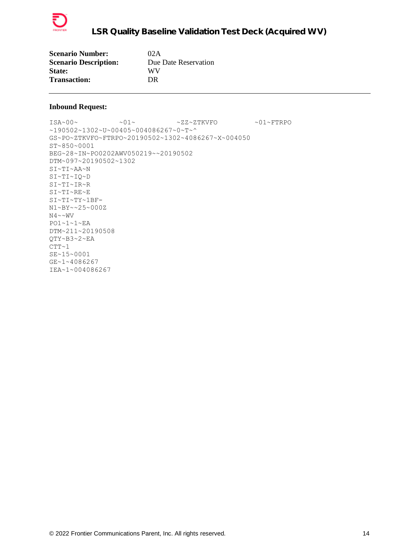

| <b>Scenario Number:</b>      | 02A                  |
|------------------------------|----------------------|
| <b>Scenario Description:</b> | Due Date Reservation |
| <b>State:</b>                | WV                   |
| <b>Transaction:</b>          | DR                   |

 $\sim 01 \sim \text{N} \sim 01 \sim \text{N} \sim 2 \, \text{N} \sim 2 \, \text{N} \sim 01 \sim \text{F} \cdot \text{R} \cdot \text{N}$ ~190502~1302~U~00405~004086267~0~T~^ GS~PO~ZTKVFO~FTRPO~20190502~1302~4086267~X~004050 ST~850~0001 BEG~28~IN~PO0202AWV050219~~20190502 DTM~097~20190502~1302 SI~TI~AA~N SI~TI~IQ~D SI~TI~IR~R SI~TI~RE~E SI~TI~TY~1BF-N1~BY~~25~000Z  $N4 \sim WV$ PO1~1~1~EA DTM~211~20190508 QTY~B3~2~EA  $CTT~1$ SE~15~0001 GE~1~4086267 IEA~1~004086267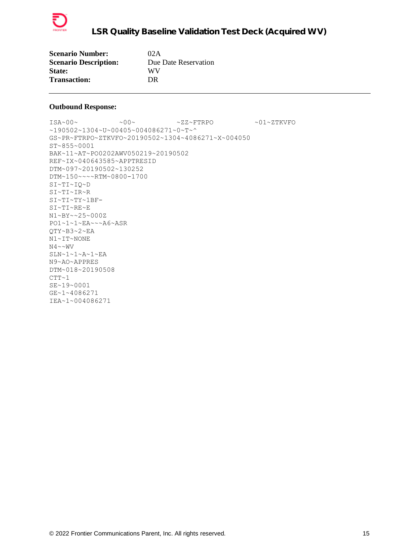

| <b>Scenario Number:</b>      | 02A                  |
|------------------------------|----------------------|
| <b>Scenario Description:</b> | Due Date Reservation |
| State:                       | WV                   |
| <b>Transaction:</b>          | DR                   |

ISA~00~ ~00~ ~ZZ~FTRPO ~01~ZTKVFO ~190502~1304~U~00405~004086271~0~T~^ GS~PR~FTRPO~ZTKVFO~20190502~1304~4086271~X~004050 ST~855~0001 BAK~11~AT~PO0202AWV050219~20190502 REF~IX~040643585~APPTRESID DTM~097~20190502~130252 DTM~150~~~~RTM~0800-1700 SI~TI~IQ~D SI~TI~IR~R SI~TI~TY~1BF-SI~TI~RE~E N1~BY~~25~000Z PO1~1~1~EA~~~A6~ASR QTY~B3~2~EA N1~IT~NONE  $N4 \sim WV$ SLN~1~1~A~1~EA N9~AO~APPRES DTM~018~20190508  $CTT~1$ SE~19~0001 GE~1~4086271 IEA~1~004086271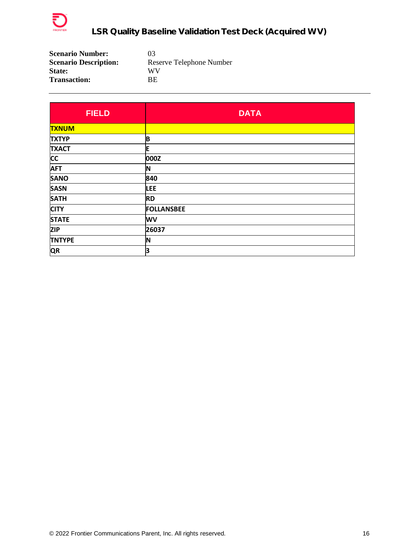

| <b>Scenario Number:</b>      | 03                       |
|------------------------------|--------------------------|
| <b>Scenario Description:</b> | Reserve Telephone Number |
| <b>State:</b>                | WV                       |
| <b>Transaction:</b>          | RF.                      |

| <b>FIELD</b>  | <b>DATA</b>       |
|---------------|-------------------|
| <b>TXNUM</b>  |                   |
| <b>TXTYP</b>  | B                 |
| <b>TXACT</b>  | E                 |
| <b>CC</b>     | 000Z              |
| <b>AFT</b>    | N                 |
| <b>SANO</b>   | 840               |
| <b>SASN</b>   | <b>LEE</b>        |
| <b>SATH</b>   | <b>RD</b>         |
| <b>CITY</b>   | <b>FOLLANSBEE</b> |
| <b>STATE</b>  | <b>WV</b>         |
| <b>ZIP</b>    | 26037             |
| <b>TNTYPE</b> | ΙN                |
| <b>QR</b>     | 3                 |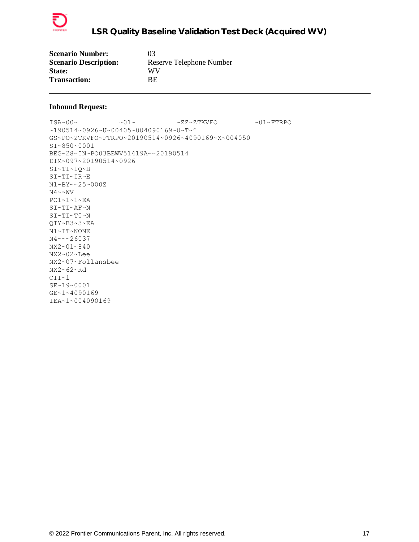

| <b>Scenario Number:</b>      | 03                       |
|------------------------------|--------------------------|
| <b>Scenario Description:</b> | Reserve Telephone Number |
| <b>State:</b>                | WV                       |
| <b>Transaction:</b>          | BE.                      |

ISA~00~ ~01~ ~ZZ~ZTKVFO ~01~FTRPO ~190514~0926~U~00405~004090169~0~T~^ GS~PO~ZTKVFO~FTRPO~20190514~0926~4090169~X~004050 ST~850~0001 BEG~28~IN~PO03BEWV51419A~~20190514 DTM~097~20190514~0926 SI~TI~IQ~B SI~TI~IR~E N1~BY~~25~000Z N4~~WV PO1~1~1~EA SI~TI~AF~N SI~TI~T0~N QTY~B3~3~EA N1~IT~NONE N4~~~26037 NX2~01~840 NX2~02~Lee NX2~07~Follansbee NX2~62~Rd  $CTT~1$ SE~19~0001 GE~1~4090169 IEA~1~004090169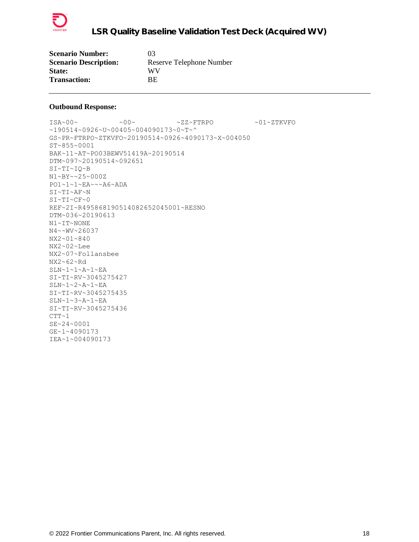

| <b>Scenario Number:</b>      | 03                       |
|------------------------------|--------------------------|
| <b>Scenario Description:</b> | Reserve Telephone Number |
| <b>State:</b>                | WV                       |
| <b>Transaction:</b>          | BE.                      |

 $\sim 00\sim \qquad \qquad \sim 00\sim \qquad \qquad \sim {\tt ZZ~\sim FTRPO} \qquad \qquad \sim 01\sim {\tt ZTKVFO}$ ~190514~0926~U~00405~004090173~0~T~^ GS~PR~FTRPO~ZTKVFO~20190514~0926~4090173~X~004050 ST~855~0001 BAK~11~AT~PO03BEWV51419A~20190514 DTM~097~20190514~092651 SI~TI~IQ~B N1~BY~~25~000Z PO1~1~1~EA~~~A6~ADA SI~TI~AF~N SI~TI~CF~0 REF~2I~R495868190514082652045001~RESNO DTM~036~20190613 N1~IT~NONE N4~~WV~26037 NX2~01~840 NX2~02~Lee NX2~07~Follansbee NX2~62~Rd  $SLN~1~1~$ ~ $A~1~$ SI~TI~RV~3045275427 SLN~1~2~A~1~EA SI~TI~RV~3045275435 SLN~1~3~A~1~EA SI~TI~RV~3045275436  $CTT~1$ SE~24~0001 GE~1~4090173 IEA~1~004090173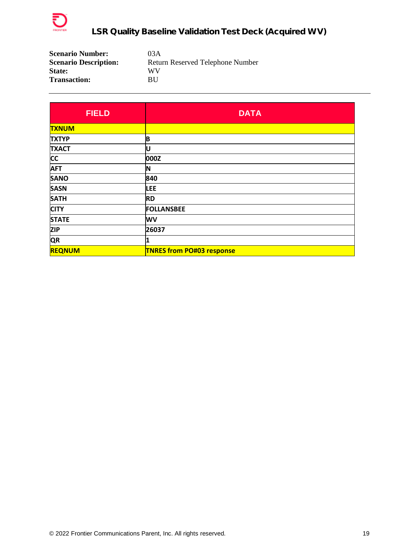

| <b>Scenario Number:</b>      | 03A                              |
|------------------------------|----------------------------------|
| <b>Scenario Description:</b> | Return Reserved Telephone Number |
| <b>State:</b>                | WV                               |
| <b>Transaction:</b>          | ВU                               |

| <b>FIELD</b>  | <b>DATA</b>                      |  |
|---------------|----------------------------------|--|
| <b>TXNUM</b>  |                                  |  |
| <b>TXTYP</b>  | B                                |  |
| <b>TXACT</b>  | IU                               |  |
| <b>CC</b>     | 000Z                             |  |
| <b>AFT</b>    | N                                |  |
| <b>SANO</b>   | 840                              |  |
| <b>SASN</b>   | <b>LEE</b>                       |  |
| <b>SATH</b>   | <b>RD</b>                        |  |
| <b>CITY</b>   | <b>FOLLANSBEE</b>                |  |
| <b>STATE</b>  | <b>WV</b>                        |  |
| <b>ZIP</b>    | 26037                            |  |
| <b>QR</b>     |                                  |  |
| <b>REQNUM</b> | <b>TNRES from PO#03 response</b> |  |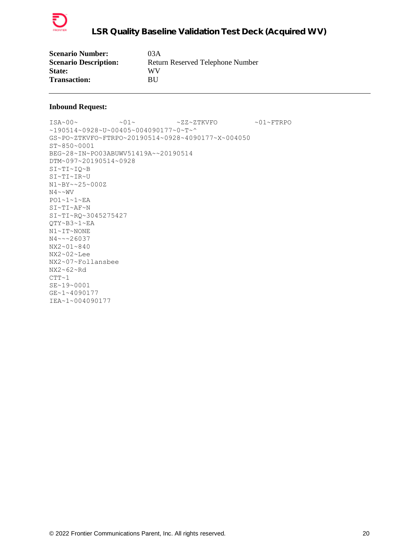

| <b>Scenario Number:</b>      | 03 A                             |
|------------------------------|----------------------------------|
| <b>Scenario Description:</b> | Return Reserved Telephone Number |
| <b>State:</b>                | WV                               |
| <b>Transaction:</b>          | BU                               |

ISA~00~ ~01~ ~ZZ~ZTKVFO ~01~FTRPO ~190514~0928~U~00405~004090177~0~T~^ GS~PO~ZTKVFO~FTRPO~20190514~0928~4090177~X~004050 ST~850~0001 BEG~28~IN~PO03ABUWV51419A~~20190514 DTM~097~20190514~0928 SI~TI~IQ~B SI~TI~IR~U N1~BY~~25~000Z N4~~WV PO1~1~1~EA SI~TI~AF~N SI~TI~RQ~3045275427 QTY~B3~1~EA N1~IT~NONE N4~~~26037 NX2~01~840 NX2~02~Lee NX2~07~Follansbee NX2~62~Rd  $CTT~1$ SE~19~0001 GE~1~4090177 IEA~1~004090177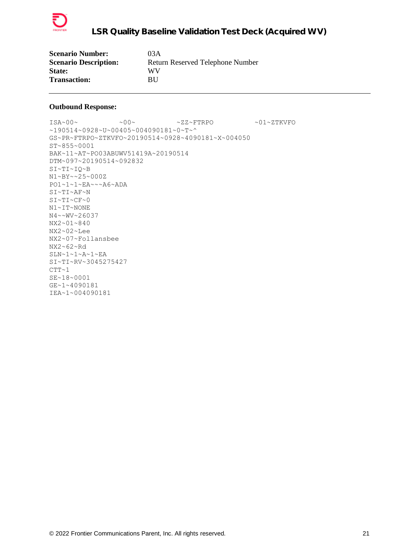

| <b>Scenario Number:</b>      | 03A                              |
|------------------------------|----------------------------------|
| <b>Scenario Description:</b> | Return Reserved Telephone Number |
| <b>State:</b>                | WV                               |
| <b>Transaction:</b>          | BU                               |

ISA~00~ ~00~ ~ZZ~FTRPO ~01~ZTKVFO ~190514~0928~U~00405~004090181~0~T~^ GS~PR~FTRPO~ZTKVFO~20190514~0928~4090181~X~004050 ST~855~0001 BAK~11~AT~PO03ABUWV51419A~20190514 DTM~097~20190514~092832 SI~TI~IQ~B N1~BY~~25~000Z PO1~1~1~EA~~~A6~ADA SI~TI~AF~N  $S$ I~TI~C $F$ ~0 N1~IT~NONE N4~~WV~26037 NX2~01~840 NX2~02~Lee NX2~07~Follansbee NX2~62~Rd SLN~1~1~A~1~EA SI~TI~RV~3045275427  $CTT~1$ SE~18~0001 GE~1~4090181 IEA~1~004090181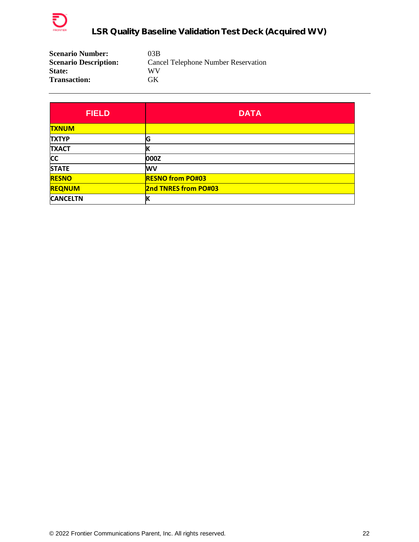

| <b>Scenario Number:</b>      | 03B                                 |
|------------------------------|-------------------------------------|
| <b>Scenario Description:</b> | Cancel Telephone Number Reservation |
| <b>State:</b>                | WV                                  |
| <b>Transaction:</b>          | GK                                  |

| <b>FIELD</b>    | <b>DATA</b>                 |  |
|-----------------|-----------------------------|--|
| <b>TXNUM</b>    |                             |  |
| <b>TXTYP</b>    | G                           |  |
| <b>TXACT</b>    |                             |  |
| <b>CC</b>       | 000Z                        |  |
| <b>STATE</b>    | <b>WV</b>                   |  |
| <b>RESNO</b>    | <b>RESNO from PO#03</b>     |  |
| <b>REQNUM</b>   | <b>2nd TNRES from PO#03</b> |  |
| <b>CANCELTN</b> |                             |  |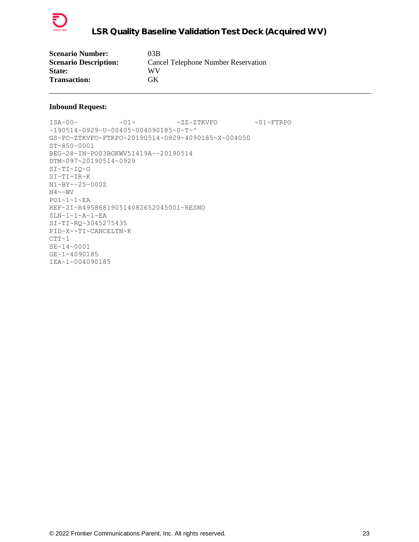

| <b>Scenario Number:</b>      | 03B                                        |
|------------------------------|--------------------------------------------|
| <b>Scenario Description:</b> | <b>Cancel Telephone Number Reservation</b> |
| <b>State:</b>                | WV                                         |
| <b>Transaction:</b>          | GK                                         |

 $\sim 01 \sim \text{N} \sim 01 \sim \text{N} \sim 2 \, \text{N} \sim 2 \, \text{N} \sim 01 \sim \text{F} \cdot \text{R} \cdot \text{N}$ ~190514~0929~U~00405~004090185~0~T~^ GS~PO~ZTKVFO~FTRPO~20190514~0929~4090185~X~004050 ST~850~0001 BEG~28~IN~PO03BGKWV51419A~~20190514 DTM~097~20190514~0929 SI~TI~IQ~G SI~TI~IR~K N1~BY~~25~000Z N4~~WV PO1~1~1~EA REF~2I~R495868190514082652045001~RESNO SLN~1~1~A~1~EA SI~TI~RQ~3045275435 PID~X~~TI~CANCELTN~K  $CTT~1$ SE~14~0001 GE~1~4090185 IEA~1~004090185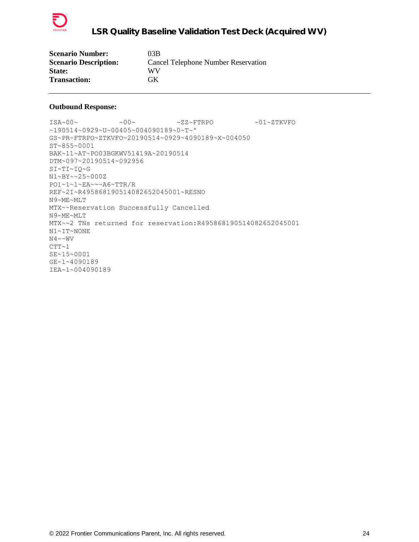

| <b>Scenario Number:</b>      | 03B                                        |
|------------------------------|--------------------------------------------|
| <b>Scenario Description:</b> | <b>Cancel Telephone Number Reservation</b> |
| <b>State:</b>                | WV                                         |
| <b>Transaction:</b>          | GK                                         |

ISA~00~ ~00~ ~ZZ~FTRPO ~01~ZTKVFO ~190514~0929~U~00405~004090189~0~T~^ GS~PR~FTRPO~ZTKVFO~20190514~0929~4090189~X~004050 ST~855~0001 BAK~11~AT~PO03BGKWV51419A~20190514 DTM~097~20190514~092956 SI~TI~IQ~G N1~BY~~25~000Z PO1~1~1~EA~~~A6~TTR/R REF~2I~R495868190514082652045001~RESNO N9~ME~MLT MTX~~Reservation Successfully Cancelled N9~ME~MLT MTX~~2 TNs returned for reservation:R495868190514082652045001 N1~IT~NONE N4~~WV  $CTT~1$ SE~15~0001 GE~1~4090189 IEA~1~004090189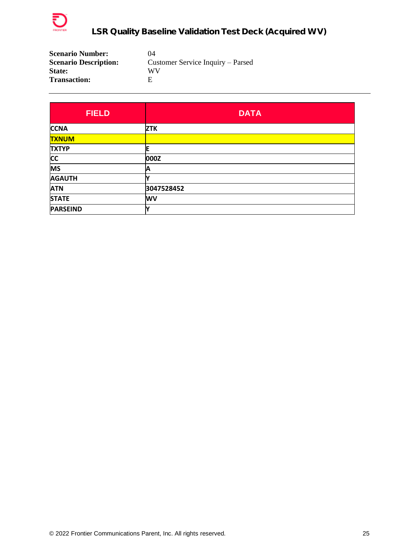

| <b>Scenario Number:</b>      | 04                                |
|------------------------------|-----------------------------------|
| <b>Scenario Description:</b> | Customer Service Inquiry – Parsed |
| <b>State:</b>                | WV                                |
| <b>Transaction:</b>          | F                                 |

| <b>FIELD</b>    | <b>DATA</b> |
|-----------------|-------------|
| <b>CCNA</b>     | <b>ZTK</b>  |
| <b>TXNUM</b>    |             |
| <b>TXTYP</b>    |             |
| <b>CC</b>       | 000Z        |
| <b>MS</b>       | Α           |
| <b>AGAUTH</b>   |             |
| <b>ATN</b>      | 3047528452  |
| <b>STATE</b>    | <b>WV</b>   |
| <b>PARSEIND</b> | v           |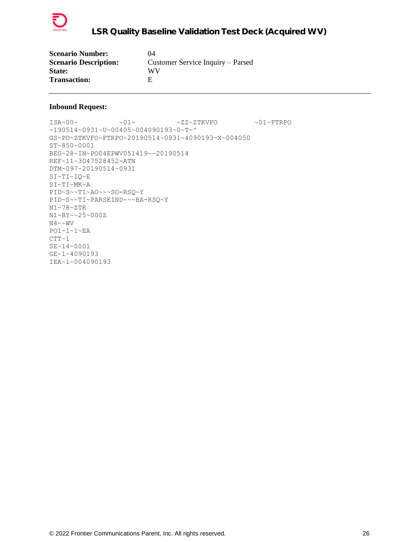

| <b>Scenario Number:</b>      | 04                                |
|------------------------------|-----------------------------------|
| <b>Scenario Description:</b> | Customer Service Inquiry – Parsed |
| <b>State:</b>                | WV                                |
| <b>Transaction:</b>          | F                                 |

```
\verb|ISA~00~|~\verb|V5A~00~|~\verb|V5A~00~|~\verb|V5A~00~|~\verb|V5A~00~|~\verb|V5A~00~|~\verb|V5A~00~|~\verb|V5A~00~|~\verb|V5A~00~|~\verb|V5A~00~|~\verb|V5A~00~|~\verb|V5A~00~|~\verb|V5A~00~|~\verb|V5A~00~|~\verb|V5A~00~|~\verb|V5A~00~|~\verb|V5A~00~|~\verb|V5A~00~|~\verb|V5A~190514~0931~U~00405~004090193~0~T~^
GS~PO~ZTKVFO~FTRPO~20190514~0931~4090193~X~004050
ST~850~0001
BEG~28~IN~PO04EPWV051419~~20190514
REF~11~3047528452~ATN
DTM~097~20190514~0931
SI~TI~IQ~E
SI~TI~MK~A
PID~S~~TI~AO~~~SO-RSQ~Y
PID~S~~TI~PARSEIND~~~BA-RSQ~Y
N1~78~ZTK
N1~BY~~25~000Z
N4 \sim WVPO1~1~1~EA
CTT~1SE~14~0001
GE~1~4090193
IEA~1~004090193
```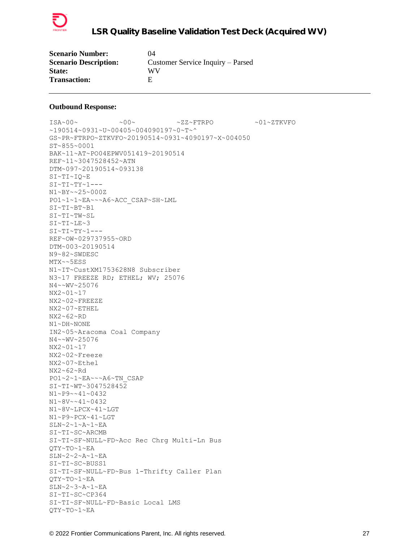

| <b>Scenario Number:</b>      | 04                                |
|------------------------------|-----------------------------------|
| <b>Scenario Description:</b> | Customer Service Inquiry – Parsed |
| <b>State:</b>                | WV                                |
| <b>Transaction:</b>          | н                                 |

ISA~00~ ~00~ ~ZZ~FTRPO ~01~ZTKVFO ~190514~0931~U~00405~004090197~0~T~^ GS~PR~FTRPO~ZTKVFO~20190514~0931~4090197~X~004050 ST~855~0001 BAK~11~AT~PO04EPWV051419~20190514 REF~11~3047528452~ATN DTM~097~20190514~093138 SI~TI~IQ~E  $SI~TI~TY~1--$ N1~BY~~25~000Z PO1~1~1~EA~~~A6~ACC\_CSAP~SH~LML SI~TI~BT~B1 SI~TI~TW~SL SI~TI~LE~3  $SI~TI~TY~1--$ REF~OW~029737955~ORD DTM~003~20190514 N9~82~SWDESC MTX~~5ESS N1~IT~CustXM1753628N8 Subscriber N3~17 FREEZE RD; ETHEL; WV; 25076 N4~~WV~25076 NX2~01~17 NX2~02~FREEZE NX2~07~ETHEL NX2~62~RD N1~DH~NONE IN2~05~Aracoma Coal Company N4~~WV~25076 NX2~01~17 NX2~02~Freeze NX2~07~Ethel NX2~62~Rd PO1~2~1~EA~~~A6~TN\_CSAP SI~TI~WT~3047528452 N1~P9~~41~0432 N1~8V~~41~0432 N1~8V~LPCX~41~LGT N1~P9~PCX~41~LGT SLN~2~1~A~1~EA SI~TI~SC~ARCMB SI~TI~SF~NULL~FD~Acc Rec Chrg Multi-Ln Bus QTY~TO~1~EA SLN~2~2~A~1~EA SI~TI~SC~BUSS1 SI~TI~SF~NULL~FD~Bus 1-Thrifty Caller Plan QTY~TO~1~EA SLN~2~3~A~1~EA SI~TI~SC~CP364 SI~TI~SF~NULL~FD~Basic Local LMS QTY~TO~1~EA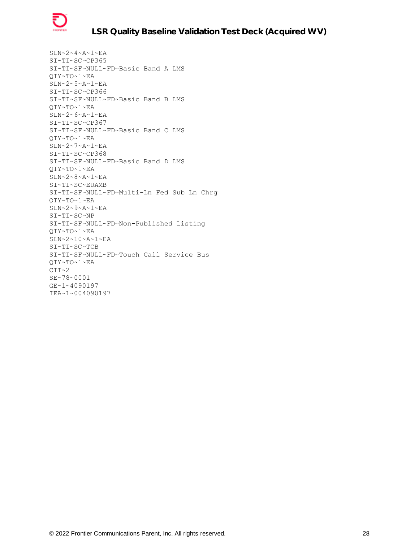

SLN~2~4~A~1~EA SI~TI~SC~CP365 SI~TI~SF~NULL~FD~Basic Band A LMS QTY~TO~1~EA SLN~2~5~A~1~EA SI~TI~SC~CP366 SI~TI~SF~NULL~FD~Basic Band B LMS QTY~TO~1~EA SLN~2~6~A~1~EA SI~TI~SC~CP367 SI~TI~SF~NULL~FD~Basic Band C LMS QTY~TO~1~EA SLN~2~7~A~1~EA SI~TI~SC~CP368 SI~TI~SF~NULL~FD~Basic Band D LMS QTY~TO~1~EA SLN~2~8~A~1~EA SI~TI~SC~EUAMB SI~TI~SF~NULL~FD~Multi-Ln Fed Sub Ln Chrg QTY~TO~1~EA SLN~2~9~A~1~EA SI~TI~SC~NP SI~TI~SF~NULL~FD~Non-Published Listing QTY~TO~1~EA SLN~2~10~A~1~EA SI~TI~SC~TCB SI~TI~SF~NULL~FD~Touch Call Service Bus QTY~TO~1~EA  $CTT~2$ SE~78~0001 GE~1~4090197 IEA~1~004090197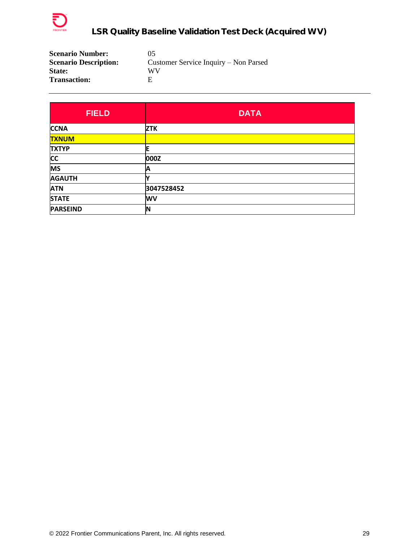

| <b>Scenario Number:</b>      | 05                                    |
|------------------------------|---------------------------------------|
| <b>Scenario Description:</b> | Customer Service Inquiry – Non Parsed |
| <b>State:</b>                | WV                                    |
| <b>Transaction:</b>          | F                                     |

| <b>FIELD</b>    | <b>DATA</b> |  |
|-----------------|-------------|--|
| <b>CCNA</b>     | <b>ZTK</b>  |  |
| <b>TXNUM</b>    |             |  |
| <b>TXTYP</b>    |             |  |
| <b>CC</b>       | 000Z        |  |
| <b>MS</b>       | А           |  |
| <b>AGAUTH</b>   |             |  |
| <b>ATN</b>      | 3047528452  |  |
| <b>STATE</b>    | <b>WV</b>   |  |
| <b>PARSEIND</b> | ΙN          |  |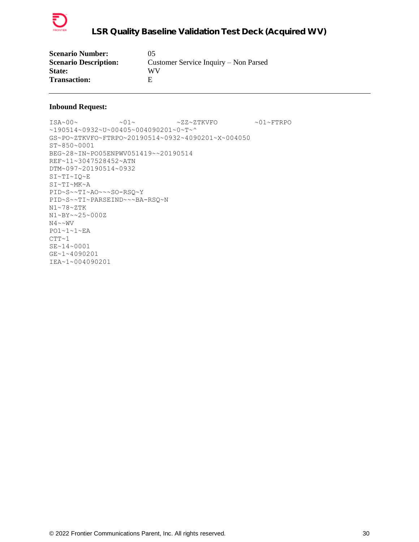

| <b>Scenario Number:</b>      | 05                                    |
|------------------------------|---------------------------------------|
| <b>Scenario Description:</b> | Customer Service Inquiry – Non Parsed |
| <b>State:</b>                | WV                                    |
| <b>Transaction:</b>          | н                                     |

```
\verb|ISA~00~|~\verb|V5A~00~|~\verb|V5A~00~|~\verb|V5A~00~|~\verb|V5A~00~|~\verb|V5A~00~|~\verb|V5A~00~|~\verb|V5A~00~|~\verb|V5A~00~|~\verb|V5A~00~|~\verb|V5A~00~|~\verb|V5A~00~|~\verb|V5A~00~|~\verb|V5A~00~|~\verb|V5A~00~|~\verb|V5A~00~|~\verb|V5A~00~|~\verb|V5A~00~|~\verb|V5A~190514~0932~U~00405~004090201~0~T~^
GS~PO~ZTKVFO~FTRPO~20190514~0932~4090201~X~004050
ST~850~0001
BEG~28~IN~PO05ENPWV051419~~20190514
REF~11~3047528452~ATN
DTM~097~20190514~0932
SI~TI~IQ~E
SI~TI~MK~A
PID~S~~TI~AO~~~SO-RSQ~Y
PID~S~~TI~PARSEIND~~~BA-RSQ~N
N1~78~ZTK
N1~BY~~25~000Z
N4 \sim WVPO1~1~1~EA
CTT~1SE~14~0001
GE~1~4090201
IEA~1~004090201
```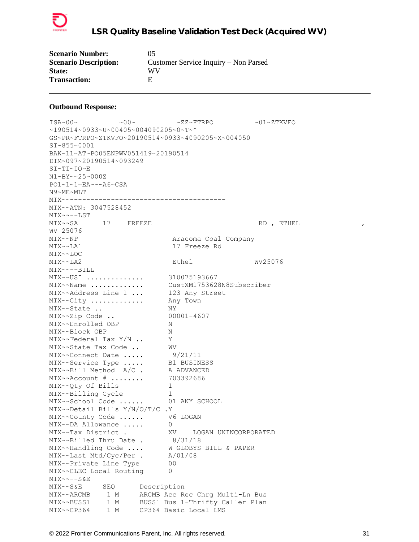

| <b>Scenario Number:</b>      | 05                                    |
|------------------------------|---------------------------------------|
| <b>Scenario Description:</b> | Customer Service Inquiry – Non Parsed |
| <b>State:</b>                | WV                                    |
| <b>Transaction:</b>          | F                                     |

 $\sim 00 \sim \qquad \qquad -00 \sim \qquad \qquad -01 \sim 27 \times 20 \sim \qquad \qquad -01 \sim 27 \times 20 \sim$ ~190514~0933~U~00405~004090205~0~T~^ GS~PR~FTRPO~ZTKVFO~20190514~0933~4090205~X~004050 ST~855~0001 BAK~11~AT~PO05ENPWV051419~20190514 DTM~097~20190514~093249 SI~TI~IQ~E N1~BY~~25~000Z PO1~1~1~EA~~~A6~CSA N9~ME~MLT MTX~~-------------------------------------- MTX~~ATN: 3047528452 MTX~~--LST MTX~~SA 17 FREEZE RD, ETHEL , WV 25076 MTX~~NP Aracoma Coal Company MTX~~LA1 17 Freeze Rd MTX~~LOC MTX~~LA2 Ethel WV25076 MTX~~--BILL MTX~~USI .............. 310075193667 MTX~~Name ............. CustXM1753628N8Subscriber MTX~~Address Line 1 ... 123 Any Street MTX~~City ............. Any Town MTX~~State .. NY MTX~~Zip Code .. 00001-4607 MTX~~Enrolled OBP N MTX~~Block OBP N MTX~~Federal Tax Y/N .. Y MTX~~State Tax Code .. WV MTX~~Connect Date ..... 9/21/11 MTX~~Service Type ..... B1 BUSINESS MTX~~Bill Method A/C . A ADVANCED MTX~~Account # ........ 703392686 MTX~~Qty Of Bills 1 MTX~~Billing Cycle 1 MTX~~School Code ...... 01 ANY SCHOOL MTX~~Detail Bills Y/N/O/T/C .Y MTX~~County Code ...... V6 LOGAN MTX~~DA Allowance ..... 0 MTX~~Tax District . XV LOGAN UNINCORPORATED MTX~~Billed Thru Date . 8/31/18 MTX~~Handling Code .... W GLOBYS BILL & PAPER MTX~~Last Mtd/Cyc/Per . A/01/08 MTX~~Private Line Type 00 MTX~~CLEC Local Routing 0 MTX~~--S&E MTX~~S&E SEQ Description MTX~~ARCMB 1 M ARCMB Acc Rec Chrg Multi-Ln Bus MTX~~BUSS1 1 M BUSS1 Bus 1-Thrifty Caller Plan MTX~~CP364 1 M CP364 Basic Local LMS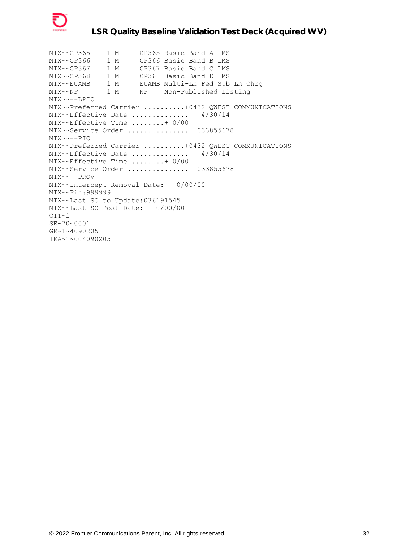

MTX~~CP365 1 M CP365 Basic Band A LMS MTX~~CP366 1 M CP366 Basic Band B LMS MTX~~CP367 1 M CP367 Basic Band C LMS MTX~~CP368 1 M CP368 Basic Band D LMS MTX~~EUAMB 1 M EUAMB Multi-Ln Fed Sub Ln Chrg MTX~~NP 1 M NP Non-Published Listing MTX~~--LPIC MTX~~Preferred Carrier ..........+0432 QWEST COMMUNICATIONS MTX~~Effective Date .............. + 4/30/14 MTX~~Effective Time ........+ 0/00 MTX~~Service Order ................ +033855678 MTX~~--PIC MTX~~Preferred Carrier ..........+0432 QWEST COMMUNICATIONS MTX~~Effective Date .............. + 4/30/14 MTX~~Effective Time ........+ 0/00 MTX~~Service Order ................ +033855678 MTX~~--PROV MTX~~Intercept Removal Date: 0/00/00 MTX~~Pin:999999 MTX~~Last SO to Update:036191545 MTX~~Last SO Post Date: 0/00/00  $CTT~1$ SE~70~0001 GE~1~4090205 IEA~1~004090205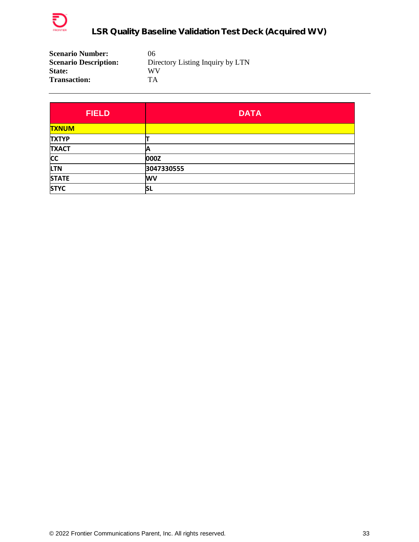

| <b>Scenario Number:</b>      | 06                               |
|------------------------------|----------------------------------|
| <b>Scenario Description:</b> | Directory Listing Inquiry by LTN |
| <b>State:</b>                | WV                               |
| <b>Transaction:</b>          | TА                               |

| <b>FIELD</b> | <b>DATA</b> |
|--------------|-------------|
| <b>TXNUM</b> |             |
| <b>TXTYP</b> |             |
| <b>TXACT</b> | IA          |
| <b>CC</b>    | 000Z        |
| <b>LTN</b>   | 3047330555  |
| <b>STATE</b> | <b>WV</b>   |
| <b>STYC</b>  | ΙSL         |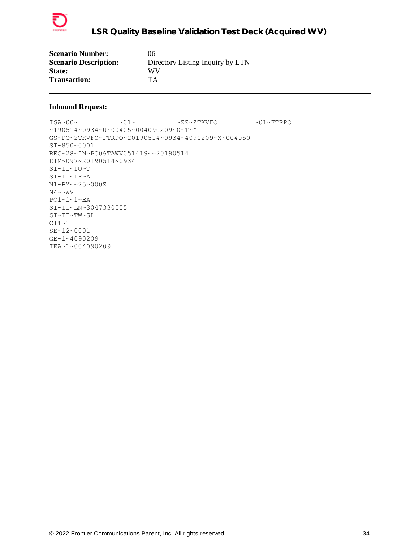

| <b>Scenario Number:</b>      | 06                               |
|------------------------------|----------------------------------|
| <b>Scenario Description:</b> | Directory Listing Inquiry by LTN |
| <b>State:</b>                | WV                               |
| <b>Transaction:</b>          | <b>TA</b>                        |

 $\verb|ISA~00~|~\verb|V5A~00~|~\verb|V5A~00~|~\verb|V5A~00~|~\verb|V5A~00~|~\verb|V5A~00~|~\verb|V5A~00~|~\verb|V5A~00~|~\verb|V5A~00~|~\verb|V5A~00~|~\verb|V5A~00~|~\verb|V5A~00~|~\verb|V5A~00~|~\verb|V5A~00~|~\verb|V5A~00~|~\verb|V5A~00~|~\verb|V5A~00~|~\verb|V5A~00~|~\verb|V5A$ ~190514~0934~U~00405~004090209~0~T~^ GS~PO~ZTKVFO~FTRPO~20190514~0934~4090209~X~004050 ST~850~0001 BEG~28~IN~PO06TAWV051419~~20190514 DTM~097~20190514~0934 SI~TI~IQ~T SI~TI~IR~A N1~BY~~25~000Z  $N4 \sim NV$ PO1~1~1~EA SI~TI~LN~3047330555 SI~TI~TW~SL  $CTT~1$ SE~12~0001 GE~1~4090209 IEA~1~004090209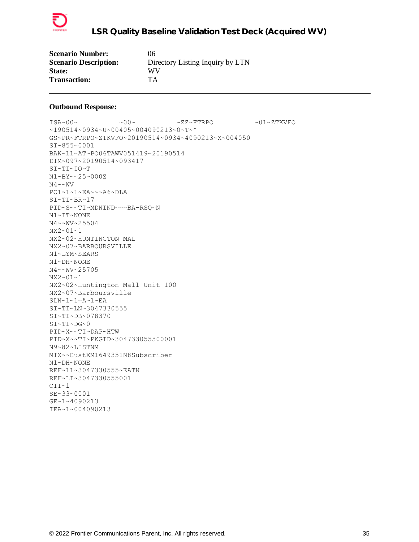

| <b>Scenario Number:</b>      | 06                               |
|------------------------------|----------------------------------|
| <b>Scenario Description:</b> | Directory Listing Inquiry by LTN |
| <b>State:</b>                | WV                               |
| <b>Transaction:</b>          | TA                               |

ISA~00~ ~00~ ~ZZ~FTRPO ~01~ZTKVFO ~190514~0934~U~00405~004090213~0~T~^ GS~PR~FTRPO~ZTKVFO~20190514~0934~4090213~X~004050 ST~855~0001 BAK~11~AT~PO06TAWV051419~20190514 DTM~097~20190514~093417 SI~TI~IQ~T N1~BY~~25~000Z  $N4 \sim WV$ PO1~1~1~EA~~~A6~DLA SI~TI~BR~17 PID~S~~TI~MDNIND~~~BA-RSQ~N N1~IT~NONE N4~~WV~25504 NX2~01~1 NX2~02~HUNTINGTON MAL NX2~07~BARBOURSVILLE N1~LYM~SEARS N1~DH~NONE N4~~WV~25705 NX2~01~1 NX2~02~Huntington Mall Unit 100 NX2~07~Barboursville SLN~1~1~A~1~EA SI~TI~LN~3047330555 SI~TI~DB~078370 SI~TI~DG~0 PID~X~~TI~DAP~HTW PID~X~~TI~PKGID~304733055500001 N9~82~LISTNM MTX~~CustXM1649351N8Subscriber N1~DH~NONE REF~11~3047330555~EATN REF~LI~3047330555001  $CTT-1$ SE~33~0001 GE~1~4090213 IEA~1~004090213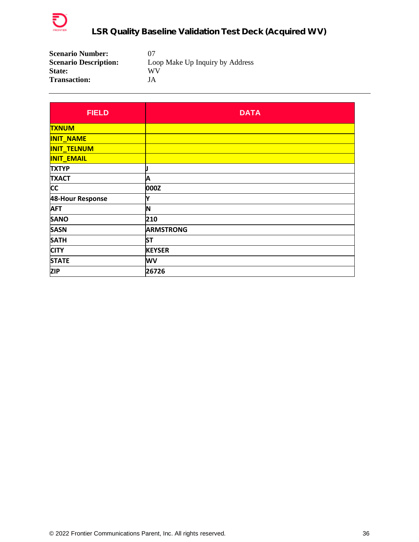

| <b>Scenario Number:</b>      | 07                              |
|------------------------------|---------------------------------|
| <b>Scenario Description:</b> | Loop Make Up Inquiry by Address |
| <b>State:</b>                | WV                              |
| <b>Transaction:</b>          | JA                              |

| <b>FIELD</b>       | <b>DATA</b>      |
|--------------------|------------------|
| <b>TXNUM</b>       |                  |
| <b>INIT_NAME</b>   |                  |
| <b>INIT_TELNUM</b> |                  |
| <b>INIT_EMAIL</b>  |                  |
| <b>TXTYP</b>       |                  |
| <b>TXACT</b>       | Α                |
| <b>CC</b>          | 000Z             |
| 48-Hour Response   | Υ                |
| <b>AFT</b>         | N                |
| <b>SANO</b>        | 210              |
| <b>SASN</b>        | <b>ARMSTRONG</b> |
| <b>SATH</b>        | <b>ST</b>        |
| <b>CITY</b>        | <b>KEYSER</b>    |
| <b>STATE</b>       | WV               |
| <b>ZIP</b>         | 26726            |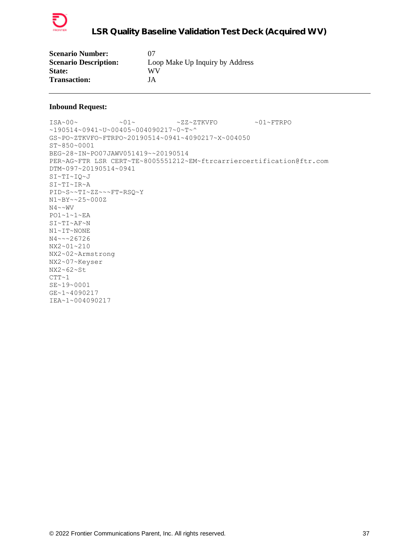

| <b>Scenario Number:</b>      | 07                              |
|------------------------------|---------------------------------|
| <b>Scenario Description:</b> | Loop Make Up Inquiry by Address |
| <b>State:</b>                | WV                              |
| <b>Transaction:</b>          | JA                              |

```
\verb|ISA~00~|~\verb|V5A~00~|~\verb|V5A~00~|~\verb|V5A~00~|~\verb|V5A~00~|~\verb|V5A~00~|~\verb|V5A~00~|~\verb|V5A~00~|~\verb|V5A~00~|~\verb|V5A~00~|~\verb|V5A~00~|~\verb|V5A~00~|~\verb|V5A~00~|~\verb|V5A~00~|~\verb|V5A~00~|~\verb|V5A~00~|~\verb|V5A~00~|~\verb|V5A~00~|~\verb|V5A~190514~0941~U~00405~004090217~0~T~^
GS~PO~ZTKVFO~FTRPO~20190514~0941~4090217~X~004050
ST~850~0001
BEG~28~IN~PO07JAWV051419~~20190514
PER~AG~FTR LSR CERT~TE~8005551212~EM~ftrcarriercertification@ftr.com
DTM~097~20190514~0941
SI~TI~IQ~J
SI~TI~IR~A
PID~S~~TI~ZZ~~~FT-RSQ~Y
N1~BY~~25~000Z
N4 \sim NVPO1~1~1~EA
SI~TI~AF~N
N1~IT~NONE
N4~~~26726
NX2~01~210
NX2~02~Armstrong
NX2~07~Keyser
NX2~62~St
CTT~1SE~19~0001
GE~1~4090217
IEA~1~004090217
```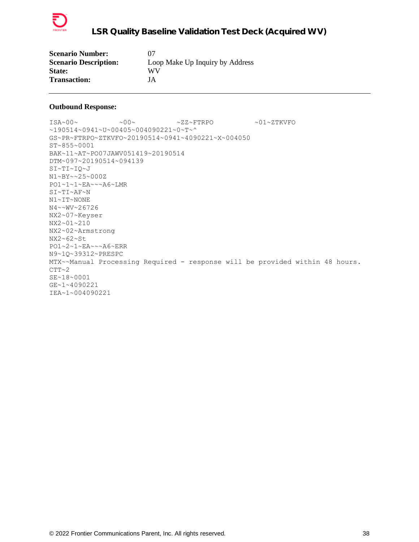

| <b>Scenario Number:</b>      | 07                              |
|------------------------------|---------------------------------|
| <b>Scenario Description:</b> | Loop Make Up Inquiry by Address |
| <b>State:</b>                | WV                              |
| <b>Transaction:</b>          | JA                              |

 $\verb|ISA~00~|~\verb|V5A~00~|~\verb|V5A~00~|~\verb|V5A~00~|~\verb|V5A~00~|~\verb|V5A~00~|~\verb|V5A~00~|~\verb|V5A~00~|~\verb|V5A~00~|~\verb|V5A~00~|~\verb|V5A~00~|~\verb|V5A~00~|~\verb|V5A~00~|~\verb|V5A~00~|~\verb|V5A~00~|~\verb|V5A~00~|~\verb|V5A~00~|~\verb|V5A~00~|~\verb|V5A$ ~190514~0941~U~00405~004090221~0~T~^ GS~PR~FTRPO~ZTKVFO~20190514~0941~4090221~X~004050 ST~855~0001 BAK~11~AT~PO07JAWV051419~20190514 DTM~097~20190514~094139 SI~TI~IQ~J N1~BY~~25~000Z PO1~1~1~EA~~~A6~LMR SI~TI~AF~N N1~IT~NONE N4~~WV~26726 NX2~07~Keyser NX2~01~210 NX2~02~Armstrong NX2~62~St PO1~2~1~EA~~~A6~ERR N9~1Q~39312~PRESPC MTX~~Manual Processing Required - response will be provided within 48 hours.  $CTT~2$ SE~18~0001 GE~1~4090221 IEA~1~004090221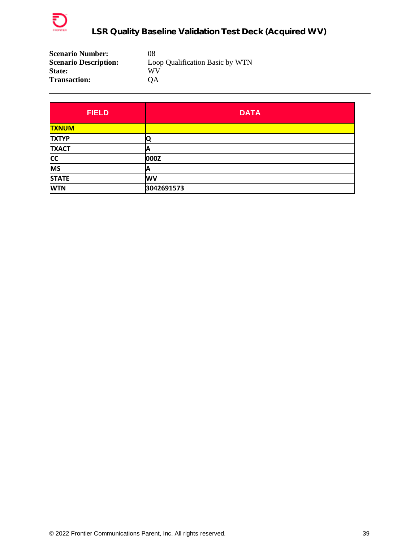

| <b>Scenario Number:</b>      | 08                              |
|------------------------------|---------------------------------|
| <b>Scenario Description:</b> | Loop Qualification Basic by WTN |
| <b>State:</b>                | WV                              |
| <b>Transaction:</b>          | OΑ                              |

| <b>FIELD</b> | <b>DATA</b> |
|--------------|-------------|
| <b>TXNUM</b> |             |
| <b>TXTYP</b> |             |
| <b>TXACT</b> | A           |
| <b>CC</b>    | 000Z        |
| <b>MS</b>    | А           |
| <b>STATE</b> | <b>WV</b>   |
| <b>WTN</b>   | 3042691573  |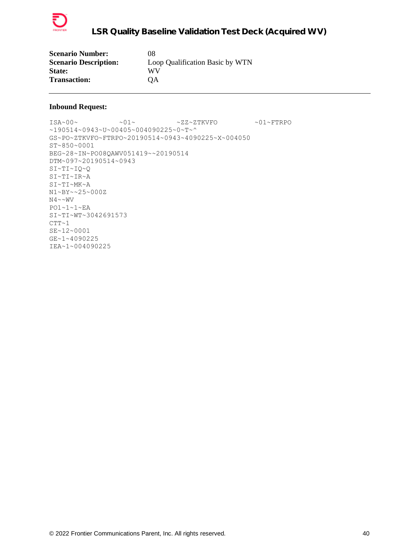

| <b>Scenario Number:</b>      | 08                              |
|------------------------------|---------------------------------|
| <b>Scenario Description:</b> | Loop Qualification Basic by WTN |
| <b>State:</b>                | WV                              |
| <b>Transaction:</b>          | <b>OA</b>                       |

 $\verb|ISA~00~|~\verb|V5A~00~|~\verb|V5A~00~|~\verb|V5A~00~|~\verb|V5A~00~|~\verb|V5A~00~|~\verb|V5A~00~|~\verb|V5A~00~|~\verb|V5A~00~|~\verb|V5A~00~|~\verb|V5A~00~|~\verb|V5A~00~|~\verb|V5A~00~|~\verb|V5A~00~|~\verb|V5A~00~|~\verb|V5A~00~|~\verb|V5A~00~|~\verb|V5A~00~|~\verb|V5A$ ~190514~0943~U~00405~004090225~0~T~^ GS~PO~ZTKVFO~FTRPO~20190514~0943~4090225~X~004050 ST~850~0001 BEG~28~IN~PO08QAWV051419~~20190514 DTM~097~20190514~0943 SI~TI~IQ~Q SI~TI~IR~A SI~TI~MK~A N1~BY~~25~000Z  $N4 \sim \sim WV$ PO1~1~1~EA SI~TI~WT~3042691573  $CTT~1$ SE~12~0001 GE~1~4090225 IEA~1~004090225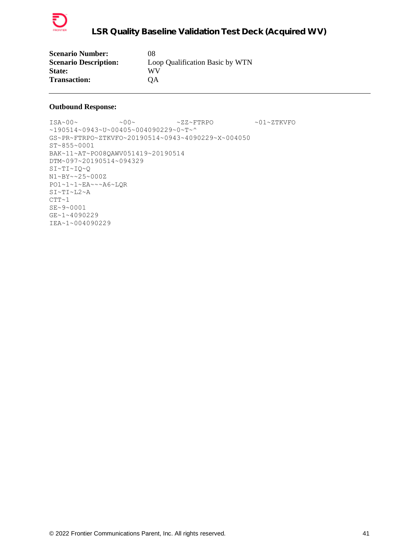

| <b>Scenario Number:</b>      | 08                              |
|------------------------------|---------------------------------|
| <b>Scenario Description:</b> | Loop Qualification Basic by WTN |
| <b>State:</b>                | WV                              |
| <b>Transaction:</b>          | OΑ                              |

 $\verb|ISA~00~|~\verb|V5A~00~|~\verb|V5A~00~|~\verb|V5A~00~|~\verb|V5A~00~|~\verb|V5A~00~|~\verb|V5A~00~|~\verb|V5A~00~|~\verb|V5A~00~|~\verb|V5A~00~|~\verb|V5A~00~|~\verb|V5A~00~|~\verb|V5A~00~|~\verb|V5A~00~|~\verb|V5A~00~|~\verb|V5A~00~|~\verb|V5A~00~|~\verb|V5A~00~|~\verb|V5A$ ~190514~0943~U~00405~004090229~0~T~^ GS~PR~FTRPO~ZTKVFO~20190514~0943~4090229~X~004050 ST~855~0001 BAK~11~AT~PO08QAWV051419~20190514 DTM~097~20190514~094329 SI~TI~IQ~Q N1~BY~~25~000Z PO1~1~1~EA~~~A6~LQR SI~TI~L2~A  $CTT~1$ SE~9~0001 GE~1~4090229 IEA~1~004090229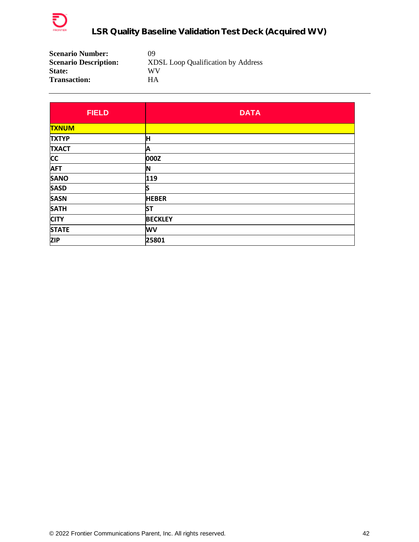

| <b>Scenario Number:</b>      | 09                                        |
|------------------------------|-------------------------------------------|
| <b>Scenario Description:</b> | <b>XDSL Loop Qualification by Address</b> |
| <b>State:</b>                | WV                                        |
| <b>Transaction:</b>          | HА                                        |

| <b>FIELD</b> | <b>DATA</b>    |
|--------------|----------------|
| <b>TXNUM</b> |                |
| <b>TXTYP</b> | Iн             |
| <b>TXACT</b> | A              |
| <b>CC</b>    | 000Z           |
| <b>AFT</b>   | IN             |
| <b>SANO</b>  | 119            |
| <b>SASD</b>  | lS             |
| <b>SASN</b>  | <b>HEBER</b>   |
| <b>SATH</b>  | <b>ST</b>      |
| <b>CITY</b>  | <b>BECKLEY</b> |
| <b>STATE</b> | <b>WV</b>      |
| <b>ZIP</b>   | 25801          |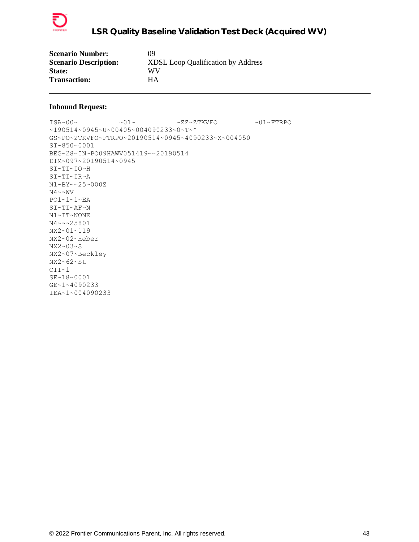

| <b>Scenario Number:</b>      | 09                                        |
|------------------------------|-------------------------------------------|
| <b>Scenario Description:</b> | <b>XDSL Loop Qualification by Address</b> |
| <b>State:</b>                | WV                                        |
| <b>Transaction:</b>          | HА                                        |

```
\verb|ISA~00~|~\verb|V5A~00~|~\verb|V5A~00~|~\verb|V5A~00~|~\verb|V5A~00~|~\verb|V5A~00~|~\verb|V5A~00~|~\verb|V5A~00~|~\verb|V5A~00~|~\verb|V5A~00~|~\verb|V5A~00~|~\verb|V5A~00~|~\verb|V5A~00~|~\verb|V5A~00~|~\verb|V5A~00~|~\verb|V5A~00~|~\verb|V5A~00~|~\verb|V5A~00~|~\verb|V5A~190514~0945~U~00405~004090233~0~T~^
GS~PO~ZTKVFO~FTRPO~20190514~0945~4090233~X~004050
ST~850~0001
BEG~28~IN~PO09HAWV051419~~20190514
DTM~097~20190514~0945
SI~TI~IQ~H
SI~TI~IR~A
N1~BY~~25~000Z
N4 \sim NVPO1~1~1~EA
SI~TI~AF~N
N1~IT~NONE
N4~~~25801
NX2~01~119
NX2~02~Heber
NX2~03~S
NX2~07~Beckley
NX2~62~St
CTT~1SE~18~0001
GE~1~4090233
IEA~1~004090233
```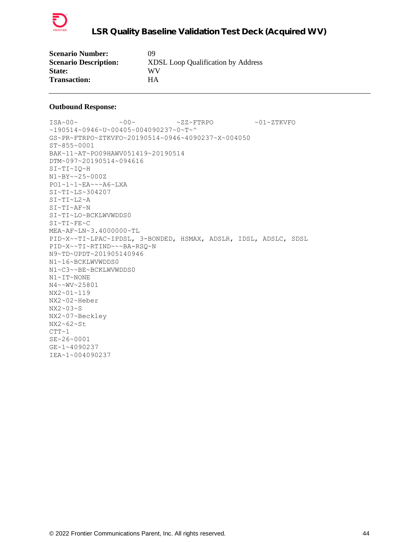

| <b>Scenario Number:</b>      | 09                                        |
|------------------------------|-------------------------------------------|
| <b>Scenario Description:</b> | <b>XDSL Loop Qualification by Address</b> |
| <b>State:</b>                | WV                                        |
| <b>Transaction:</b>          | HА                                        |

 $\sim 00\sim \qquad \qquad \sim 00\sim \qquad \qquad \sim {\tt ZZ~\sim FTRPO} \qquad \qquad \sim 01\sim {\tt ZTKVFO}$ ~190514~0946~U~00405~004090237~0~T~^ GS~PR~FTRPO~ZTKVFO~20190514~0946~4090237~X~004050 ST~855~0001 BAK~11~AT~PO09HAWV051419~20190514 DTM~097~20190514~094616 SI~TI~IQ~H N1~BY~~25~000Z PO1~1~1~EA~~~A6~LXA SI~TI~LS~304207 SI~TI~L2~A SI~TI~AF~N SI~TI~LO~BCKLWVWDDS0 SI~TI~FE~C MEA~AF~LN~3.4000000~TL PID~X~~TI~LPAC~IPDSL, 3-BONDED, HSMAX, ADSLR, IDSL, ADSLC, SDSL PID~X~~TI~RTIND~~~BA-RSQ~N N9~TD~UPDT~201905140946 N1~16~BCKLWVWDDS0 N1~C3~~BE~BCKLWVWDDS0 N1~IT~NONE N4~~WV~25801 NX2~01~119 NX2~02~Heber NX2~03~S NX2~07~Beckley NX2~62~St  $CTT~1$ SE~26~0001 GE~1~4090237 IEA~1~004090237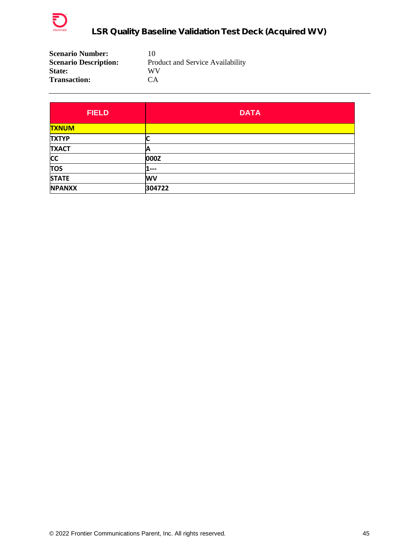

| <b>Scenario Number:</b>      | 10                               |
|------------------------------|----------------------------------|
| <b>Scenario Description:</b> | Product and Service Availability |
| <b>State:</b>                | WV                               |
| <b>Transaction:</b>          | CA <sup></sup>                   |

| <b>FIELD</b>  | <b>DATA</b> |
|---------------|-------------|
| <b>TXNUM</b>  |             |
| <b>TXTYP</b>  |             |
| <b>TXACT</b>  | A           |
| <b>CC</b>     | 000Z        |
| <b>TOS</b>    | $---$       |
| <b>STATE</b>  | <b>WV</b>   |
| <b>NPANXX</b> | 304722      |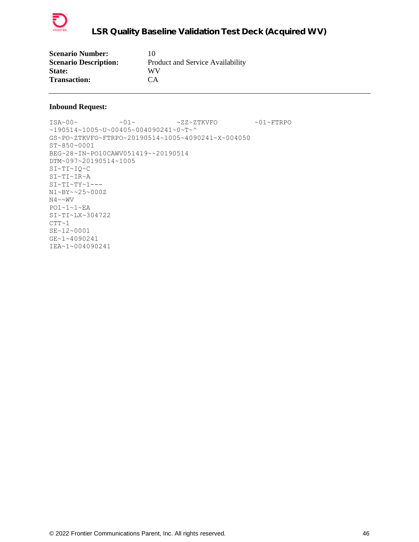

| <b>Scenario Number:</b>      | 10                               |
|------------------------------|----------------------------------|
| <b>Scenario Description:</b> | Product and Service Availability |
| <b>State:</b>                | WV                               |
| <b>Transaction:</b>          | CA <sup>.</sup>                  |

```
\verb|ISA~00~|~\verb|V5A~00~|~\verb|V5A~00~|~\verb|V5A~00~|~\verb|V5A~00~|~\verb|V5A~00~|~\verb|V5A~00~|~\verb|V5A~00~|~\verb|V5A~00~|~\verb|V5A~00~|~\verb|V5A~00~|~\verb|V5A~00~|~\verb|V5A~00~|~\verb|V5A~00~|~\verb|V5A~00~|~\verb|V5A~00~|~\verb|V5A~00~|~\verb|V5A~00~|~\verb|V5A~190514~1005~U~00405~004090241~0~T~^
GS~PO~ZTKVFO~FTRPO~20190514~1005~4090241~X~004050
ST~850~0001
BEG~28~IN~PO10CAWV051419~~20190514
DTM~097~20190514~1005
SI~TI~IQ~C
SI~TI~IR~A
SI~TI~TY~1--N1~BY~~25~000Z
N4 \sim \sim WVPO1~1~1~EA
SI~TI~LX~304722
CTT~1SE~12~0001
GE~1~4090241
IEA~1~004090241
```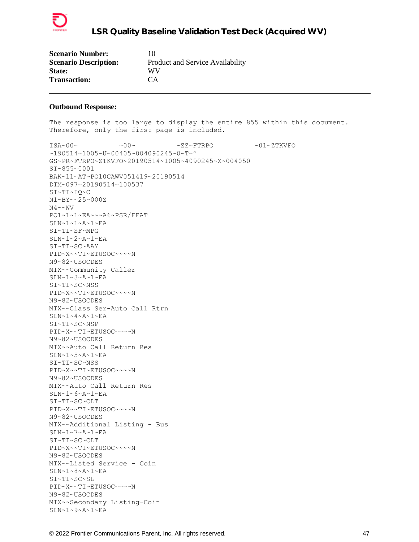

| <b>Scenario Number:</b>      | 10                               |
|------------------------------|----------------------------------|
| <b>Scenario Description:</b> | Product and Service Availability |
| <b>State:</b>                | WV                               |
| <b>Transaction:</b>          | CA                               |

The response is too large to display the entire 855 within this document. Therefore, only the first page is included.  $\verb+ISA~00~~{\sim} \qquad \verb+00~{\sim} \qquad \verb+2Z~^{^{^{\!\!\!\!\sim}}\!\!FTRPO~~~\verb+01~^{^{\!\!\!\!\sim}}\!\!T K V F0$ ~190514~1005~U~00405~004090245~0~T~^ GS~PR~FTRPO~ZTKVFO~20190514~1005~4090245~X~004050 ST~855~0001 BAK~11~AT~PO10CAWV051419~20190514 DTM~097~20190514~100537 SI~TI~IQ~C N1~BY~~25~000Z  $\text{N4}\!\sim\!\text{wV}$ PO1~1~1~EA~~~A6~PSR/FEAT SLN~1~1~A~1~EA SI~TI~SF~MPG  $SLN~1~2~$ A~1~EA SI~TI~SC~AAY PID~X~~TI~ETUSOC~~~~N N9~82~USOCDES MTX~~Community Caller SLN~1~3~A~1~EA SI~TI~SC~NSS PID~X~~TI~ETUSOC~~~~N N9~82~USOCDES MTX~~Class Ser-Auto Call Rtrn SLN~1~4~A~1~EA SI~TI~SC~NSP PID~X~~TI~ETUSOC~~~~N N9~82~USOCDES MTX~~Auto Call Return Res SLN~1~5~A~1~EA SI~TI~SC~NSS PID~X~~TI~ETUSOC~~~~N N9~82~USOCDES MTX~~Auto Call Return Res SLN~1~6~A~1~EA SI~TI~SC~CLT PID~X~~TI~ETUSOC~~~~N N9~82~USOCDES MTX~~Additional Listing - Bus SLN~1~7~A~1~EA SI~TI~SC~CLT PID~X~~TI~ETUSOC~~~~N N9~82~USOCDES MTX~~Listed Service - Coin SLN~1~8~A~1~EA SI~TI~SC~SL PID~X~~TI~ETUSOC~~~~N N9~82~USOCDES MTX~~Secondary Listing-Coin

 $SLN~1~9~A~1~EA$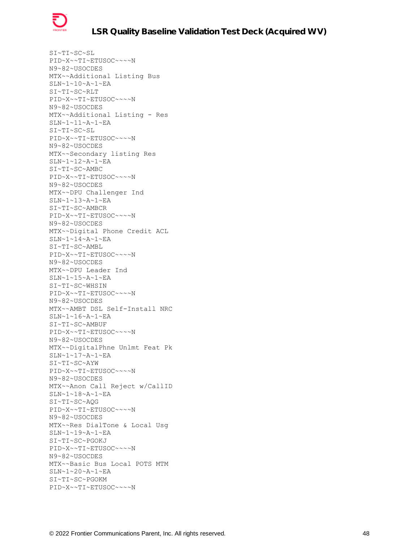

SI~TI~SC~SL PID~X~~TI~ETUSOC~~~~N N9~82~USOCDES MTX~~Additional Listing Bus SLN~1~10~A~1~EA SI~TI~SC~RLT PID~X~~TI~ETUSOC~~~~N N9~82~USOCDES MTX~~Additional Listing - Res SLN~1~11~A~1~EA SI~TI~SC~SL PID~X~~TI~ETUSOC~~~~N N9~82~USOCDES MTX~~Secondary listing Res SLN~1~12~A~1~EA SI~TI~SC~AMBC PID~X~~TI~ETUSOC~~~~N N9~82~USOCDES MTX~~DPU Challenger Ind SLN~1~13~A~1~EA SI~TI~SC~AMBCR PID~X~~TI~ETUSOC~~~~N N9~82~USOCDES MTX~~Digital Phone Credit ACL  $\texttt{SLN}\texttt{\sim}1\texttt{-}14\texttt{-} \texttt{A}\texttt{-}1\texttt{-} \texttt{E}\texttt{A}$ SI~TI~SC~AMBL PID~X~~TI~ETUSOC~~~~N N9~82~USOCDES MTX~~DPU Leader Ind SLN~1~15~A~1~EA SI~TI~SC~WHSIN PID~X~~TI~ETUSOC~~~~N N9~82~USOCDES MTX~~AMBT DSL Self-Install NRC SLN~1~16~A~1~EA SI~TI~SC~AMBUF PID~X~~TI~ETUSOC~~~~N N9~82~USOCDES MTX~~DigitalPhne Unlmt Feat Pk SLN~1~17~A~1~EA SI~TI~SC~AYW PID~X~~TI~ETUSOC~~~~N N9~82~USOCDES MTX~~Anon Call Reject w/CallID SLN~1~18~A~1~EA SI~TI~SC~AQG PID~X~~TI~ETUSOC~~~~N N9~82~USOCDES MTX~~Res DialTone & Local Usg SLN~1~19~A~1~EA SI~TI~SC~PGOKJ PID~X~~TI~ETUSOC~~~~N N9~82~USOCDES MTX~~Basic Bus Local POTS MTM SLN~1~20~A~1~EA SI~TI~SC~PGOKM PID~X~~TI~ETUSOC~~~~N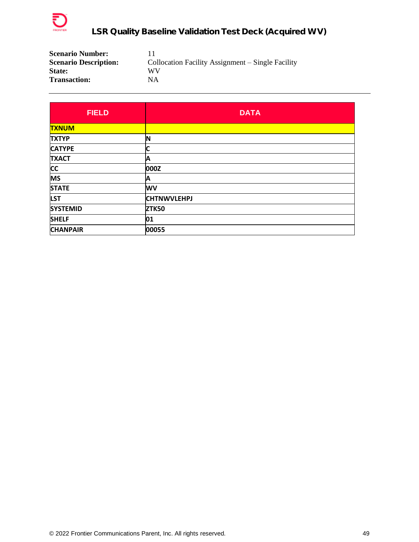

| <b>Scenario Number:</b>      |                                                   |
|------------------------------|---------------------------------------------------|
| <b>Scenario Description:</b> | Collocation Facility Assignment – Single Facility |
| <b>State:</b>                | WV                                                |
| <b>Transaction:</b>          | NΑ                                                |

| <b>FIELD</b>    | <b>DATA</b>        |
|-----------------|--------------------|
| <b>TXNUM</b>    |                    |
| <b>TXTYP</b>    | ΙN                 |
| <b>CATYPE</b>   |                    |
| <b>TXACT</b>    | A                  |
| <b>CC</b>       | 000Z               |
| <b>MS</b>       | A                  |
| <b>STATE</b>    | <b>WV</b>          |
| <b>LST</b>      | <b>CHTNWVLEHPJ</b> |
| <b>SYSTEMID</b> | <b>ZTK50</b>       |
| <b>SHELF</b>    | 01                 |
| <b>CHANPAIR</b> | 00055              |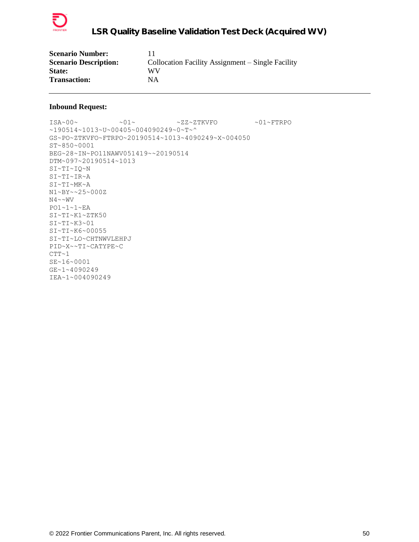

| <b>Scenario Number:</b>      |                                                   |
|------------------------------|---------------------------------------------------|
| <b>Scenario Description:</b> | Collocation Facility Assignment – Single Facility |
| <b>State:</b>                | WV                                                |
| <b>Transaction:</b>          | NΑ                                                |

 $\verb|ISA~00~|~\verb|V5A~00~|~\verb|V5A~00~|~\verb|V5A~00~|~\verb|V5A~00~|~\verb|V5A~00~|~\verb|V5A~00~|~\verb|V5A~00~|~\verb|V5A~00~|~\verb|V5A~00~|~\verb|V5A~00~|~\verb|V5A~00~|~\verb|V5A~00~|~\verb|V5A~00~|~\verb|V5A~00~|~\verb|V5A~00~|~\verb|V5A~00~|~\verb|V5A~00~|~\verb|V5A$ ~190514~1013~U~00405~004090249~0~T~^ GS~PO~ZTKVFO~FTRPO~20190514~1013~4090249~X~004050 ST~850~0001 BEG~28~IN~PO11NAWV051419~~20190514 DTM~097~20190514~1013 SI~TI~IQ~N SI~TI~IR~A SI~TI~MK~A N1~BY~~25~000Z  $N4 \sim \sim WV$ PO1~1~1~EA SI~TI~K1~ZTK50 SI~TI~K3~01 SI~TI~K6~00055 SI~TI~LO~CHTNWVLEHPJ PID~X~~TI~CATYPE~C  $CTT-1$ SE~16~0001 GE~1~4090249 IEA~1~004090249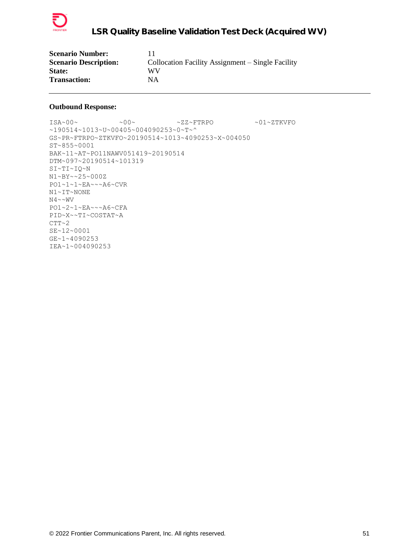

| <b>Scenario Number:</b>      |                                                   |
|------------------------------|---------------------------------------------------|
| <b>Scenario Description:</b> | Collocation Facility Assignment – Single Facility |
| <b>State:</b>                | WV                                                |
| <b>Transaction:</b>          | ΝA                                                |

 $\verb|ISA~00~|~\verb|V5A~00~|~\verb|V5A~00~|~\verb|V5A~00~|~\verb|V5A~00~|~\verb|V5A~00~|~\verb|V5A~00~|~\verb|V5A~00~|~\verb|V5A~00~|~\verb|V5A~00~|~\verb|V5A~00~|~\verb|V5A~00~|~\verb|V5A~00~|~\verb|V5A~00~|~\verb|V5A~00~|~\verb|V5A~00~|~\verb|V5A~00~|~\verb|V5A~00~|~\verb|V5A$ ~190514~1013~U~00405~004090253~0~T~^ GS~PR~FTRPO~ZTKVFO~20190514~1013~4090253~X~004050 ST~855~0001 BAK~11~AT~PO11NAWV051419~20190514 DTM~097~20190514~101319 SI~TI~IQ~N N1~BY~~25~000Z PO1~1~1~EA~~~A6~CVR N1~IT~NONE  $N4 \sim \sim WV$ PO1~2~1~EA~~~A6~CFA PID~X~~TI~COSTAT~A  $CTT~2$ SE~12~0001 GE~1~4090253 IEA~1~004090253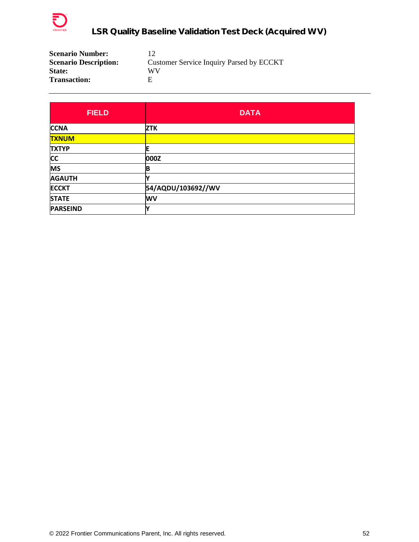

| <b>Scenario Number:</b>      | 12                                       |
|------------------------------|------------------------------------------|
| <b>Scenario Description:</b> | Customer Service Inquiry Parsed by ECCKT |
| <b>State:</b>                | WV                                       |
| <b>Transaction:</b>          | F                                        |

| <b>FIELD</b>    | <b>DATA</b>        |
|-----------------|--------------------|
| <b>CCNA</b>     | <b>ZTK</b>         |
| <b>TXNUM</b>    |                    |
| <b>TXTYP</b>    |                    |
| <b>CC</b>       | 000Z               |
| <b>MS</b>       | B                  |
| <b>AGAUTH</b>   |                    |
| <b>ECCKT</b>    | 54/AQDU/103692//WV |
| <b>STATE</b>    | <b>WV</b>          |
| <b>PARSEIND</b> |                    |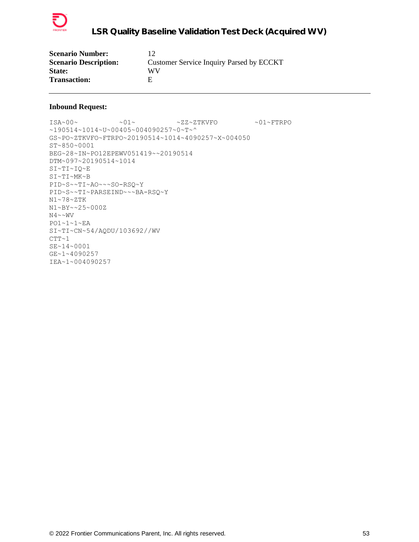

| <b>Scenario Number:</b>      |                                          |
|------------------------------|------------------------------------------|
| <b>Scenario Description:</b> | Customer Service Inquiry Parsed by ECCKT |
| <b>State:</b>                | WV                                       |
| <b>Transaction:</b>          | н                                        |

 $\verb|ISA~00~|~\verb|V5A~00~|~\verb|V5A~00~|~\verb|V5A~00~|~\verb|V5A~00~|~\verb|V5A~00~|~\verb|V5A~00~|~\verb|V5A~00~|~\verb|V5A~00~|~\verb|V5A~00~|~\verb|V5A~00~|~\verb|V5A~00~|~\verb|V5A~00~|~\verb|V5A~00~|~\verb|V5A~00~|~\verb|V5A~00~|~\verb|V5A~00~|~\verb|V5A~00~|~\verb|V5A$ ~190514~1014~U~00405~004090257~0~T~^ GS~PO~ZTKVFO~FTRPO~20190514~1014~4090257~X~004050 ST~850~0001 BEG~28~IN~PO12EPEWV051419~~20190514 DTM~097~20190514~1014 SI~TI~IQ~E SI~TI~MK~B PID~S~~TI~AO~~~SO-RSQ~Y PID~S~~TI~PARSEIND~~~BA-RSQ~Y N1~78~ZTK N1~BY~~25~000Z  $N4 \sim NV$ PO1~1~1~EA SI~TI~CN~54/AQDU/103692//WV  $CTT~1$ SE~14~0001 GE~1~4090257 IEA~1~004090257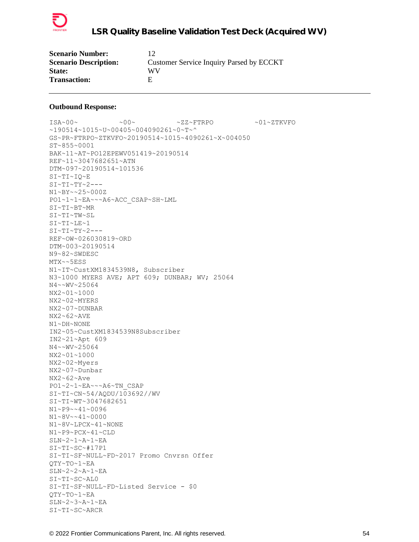

| <b>Scenario Number:</b>      | 12                                       |
|------------------------------|------------------------------------------|
| <b>Scenario Description:</b> | Customer Service Inquiry Parsed by ECCKT |
| <b>State:</b>                | WV                                       |
| <b>Transaction:</b>          |                                          |

 $\verb+ISA~00~~{\sim} \qquad \verb+00~{\sim} \qquad \verb+2Z~^{^{^{\!\!\!\!\sim}}\!\!FTRPO} \qquad \verb+01~^{^{\!\!\!\!\sim}}\!\!T K V FO$ ~190514~1015~U~00405~004090261~0~T~^ GS~PR~FTRPO~ZTKVFO~20190514~1015~4090261~X~004050 ST~855~0001 BAK~11~AT~PO12EPEWV051419~20190514 REF~11~3047682651~ATN DTM~097~20190514~101536 SI~TI~IQ~E  $SI~TI~TY~2--$ N1~BY~~25~000Z PO1~1~1~EA~~~A6~ACC\_CSAP~SH~LML SI~TI~BT~MR SI~TI~TW~SL SI~TI~LE~1  $SI~TI~TY~2---$ REF~OW~026030819~ORD DTM~003~20190514 N9~82~SWDESC MTX~~5ESS N1~IT~CustXM1834539N8, Subscriber N3~1000 MYERS AVE; APT 609; DUNBAR; WV; 25064 N4~~WV~25064 NX2~01~1000 NX2~02~MYERS NX2~07~DUNBAR NX2~62~AVE N1~DH~NONE IN2~05~CustXM1834539N8Subscriber IN2~21~Apt 609 N4~~WV~25064 NX2~01~1000 NX2~02~Myers NX2~07~Dunbar NX2~62~Ave PO1~2~1~EA~~~A6~TN\_CSAP SI~TI~CN~54/AQDU/103692//WV SI~TI~WT~3047682651 N1~P9~~41~0096 N1~8V~~41~0000 N1~8V~LPCX~41~NONE N1~P9~PCX~41~CLD SLN~2~1~A~1~EA SI~TI~SC~#17P1 SI~TI~SF~NULL~FD~2017 Promo Cnvrsn Offer QTY~TO~1~EA SLN~2~2~A~1~EA SI~TI~SC~AL0 SI~TI~SF~NULL~FD~Listed Service - \$0 QTY~TO~1~EA SLN~2~3~A~1~EA SI~TI~SC~ARCR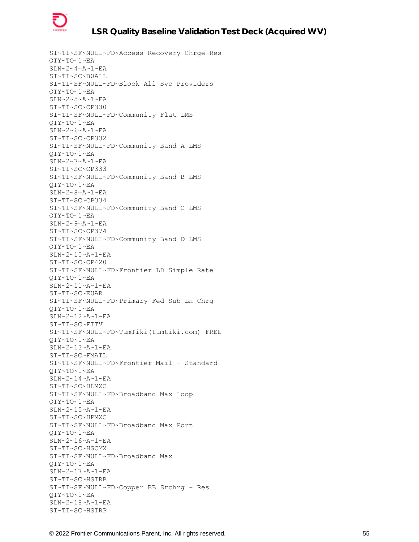

SI~TI~SF~NULL~FD~Access Recovery Chrge-Res QTY~TO~1~EA SLN~2~4~A~1~EA SI~TI~SC~B0ALL SI~TI~SF~NULL~FD~Block All Svc Providers QTY~TO~1~EA SLN~2~5~A~1~EA SI~TI~SC~CP330 SI~TI~SF~NULL~FD~Community Flat LMS QTY~TO~1~EA  $SLN~2~6~~A~1~~E$ A SI~TI~SC~CP332 SI~TI~SF~NULL~FD~Community Band A LMS QTY~TO~1~EA SLN~2~7~A~1~EA SI~TI~SC~CP333 SI~TI~SF~NULL~FD~Community Band B LMS QTY~TO~1~EA SLN~2~8~A~1~EA SI~TI~SC~CP334 SI~TI~SF~NULL~FD~Community Band C LMS QTY~TO~1~EA SLN~2~9~A~1~EA SI~TI~SC~CP374 SI~TI~SF~NULL~FD~Community Band D LMS QTY~TO~1~EA SLN~2~10~A~1~EA SI~TI~SC~CP420 SI~TI~SF~NULL~FD~Frontier LD Simple Rate QTY~TO~1~EA SLN~2~11~A~1~EA SI~TI~SC~EUAR SI~TI~SF~NULL~FD~Primary Fed Sub Ln Chrg QTY~TO~1~EA SLN~2~12~A~1~EA SI~TI~SC~FITV SI~TI~SF~NULL~FD~TumTiki(tumtiki.com) FREE QTY~TO~1~EA SLN~2~13~A~1~EA SI~TI~SC~FMAIL SI~TI~SF~NULL~FD~Frontier Mail - Standard QTY~TO~1~EA SLN~2~14~A~1~EA SI~TI~SC~HLMXC SI~TI~SF~NULL~FD~Broadband Max Loop QTY~TO~1~EA SLN~2~15~A~1~EA SI~TI~SC~HPMXC SI~TI~SF~NULL~FD~Broadband Max Port QTY~TO~1~EA SLN~2~16~A~1~EA SI~TI~SC~HSCMX SI~TI~SF~NULL~FD~Broadband Max QTY~TO~1~EA SLN~2~17~A~1~EA SI~TI~SC~HSIRB SI~TI~SF~NULL~FD~Copper BB Srchrg - Res QTY~TO~1~EA  $SLN~2~18~$ A~1~EA SI~TI~SC~HSIRP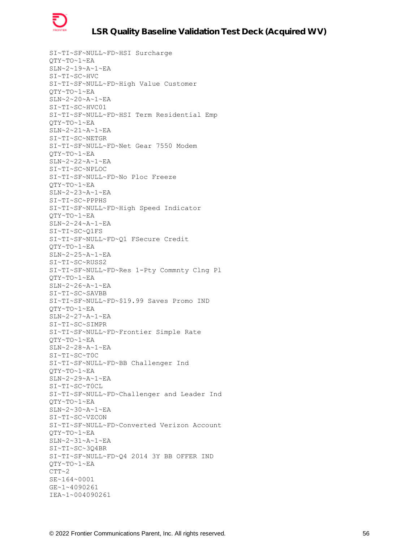

SI~TI~SF~NULL~FD~HSI Surcharge QTY~TO~1~EA SLN~2~19~A~1~EA SI~TI~SC~HVC SI~TI~SF~NULL~FD~High Value Customer QTY~TO~1~EA SLN~2~20~A~1~EA SI~TI~SC~HVC01 SI~TI~SF~NULL~FD~HSI Term Residential Emp QTY~TO~1~EA SLN~2~21~A~1~EA SI~TI~SC~NETGR SI~TI~SF~NULL~FD~Net Gear 7550 Modem QTY~TO~1~EA SLN~2~22~A~1~EA SI~TI~SC~NPLOC SI~TI~SF~NULL~FD~No Ploc Freeze QTY~TO~1~EA SLN~2~23~A~1~EA SI~TI~SC~PPPHS SI~TI~SF~NULL~FD~High Speed Indicator QTY~TO~1~EA SLN~2~24~A~1~EA SI~TI~SC~Q1FS SI~TI~SF~NULL~FD~Q1 FSecure Credit QTY~TO~1~EA SLN~2~25~A~1~EA SI~TI~SC~RUSS2 SI~TI~SF~NULL~FD~Res 1-Pty Commnty Clng Pl QTY~TO~1~EA SLN~2~26~A~1~EA SI~TI~SC~SAVBB SI~TI~SF~NULL~FD~\$19.99 Saves Promo IND QTY~TO~1~EA SLN~2~27~A~1~EA SI~TI~SC~SIMPR SI~TI~SF~NULL~FD~Frontier Simple Rate QTY~TO~1~EA SLN~2~28~A~1~EA SI~TI~SC~T0C SI~TI~SF~NULL~FD~BB Challenger Ind QTY~TO~1~EA SLN~2~29~A~1~EA SI~TI~SC~T0CL SI~TI~SF~NULL~FD~Challenger and Leader Ind QTY~TO~1~EA SLN~2~30~A~1~EA SI~TI~SC~VZCON SI~TI~SF~NULL~FD~Converted Verizon Account QTY~TO~1~EA SLN~2~31~A~1~EA SI~TI~SC~3Q4BR SI~TI~SF~NULL~FD~Q4 2014 3Y BB OFFER IND QTY~TO~1~EA  $CTT~2$ SE~164~0001 GE~1~4090261 IEA~1~004090261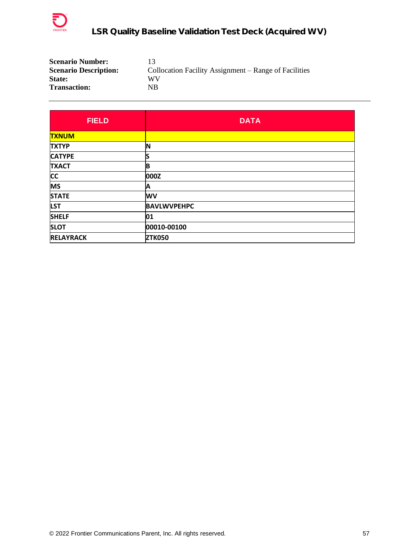

| <b>Scenario Number:</b>      | 13                                                    |
|------------------------------|-------------------------------------------------------|
| <b>Scenario Description:</b> | Collocation Facility Assignment – Range of Facilities |
| <b>State:</b>                | WV                                                    |
| <b>Transaction:</b>          | NB                                                    |

| <b>FIELD</b>     | <b>DATA</b>        |
|------------------|--------------------|
| <b>TXNUM</b>     |                    |
| <b>TXTYP</b>     | 'N                 |
| <b>CATYPE</b>    | S                  |
| <b>TXACT</b>     | B                  |
| <b>CC</b>        | 000Z               |
| <b>MS</b>        | A                  |
| <b>STATE</b>     | <b>WV</b>          |
| <b>LST</b>       | <b>BAVLWVPEHPC</b> |
| <b>SHELF</b>     | 01                 |
| <b>SLOT</b>      | 00010-00100        |
| <b>RELAYRACK</b> | <b>ZTK050</b>      |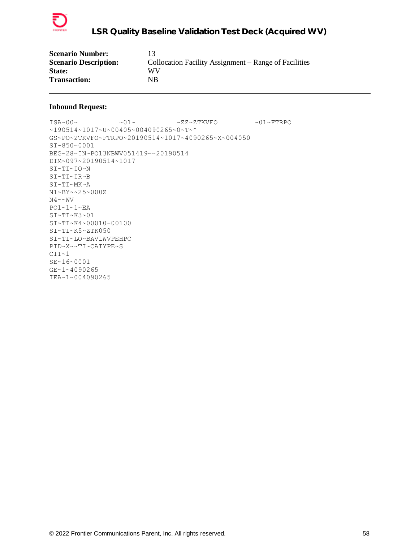

| <b>Scenario Number:</b>      |                                                       |
|------------------------------|-------------------------------------------------------|
| <b>Scenario Description:</b> | Collocation Facility Assignment – Range of Facilities |
| <b>State:</b>                | WV                                                    |
| <b>Transaction:</b>          | NΒ                                                    |

 $\verb|ISA~00~|~\verb|V5A~00~|~\verb|V5A~00~|~\verb|V5A~00~|~\verb|V5A~00~|~\verb|V5A~00~|~\verb|V5A~00~|~\verb|V5A~00~|~\verb|V5A~00~|~\verb|V5A~00~|~\verb|V5A~00~|~\verb|V5A~00~|~\verb|V5A~00~|~\verb|V5A~00~|~\verb|V5A~00~|~\verb|V5A~00~|~\verb|V5A~00~|~\verb|V5A~00~|~\verb|V5A$ ~190514~1017~U~00405~004090265~0~T~^ GS~PO~ZTKVFO~FTRPO~20190514~1017~4090265~X~004050 ST~850~0001 BEG~28~IN~PO13NBWV051419~~20190514 DTM~097~20190514~1017 SI~TI~IQ~N SI~TI~IR~B SI~TI~MK~A N1~BY~~25~000Z  $N4 \sim \sim WV$ PO1~1~1~EA SI~TI~K3~01 SI~TI~K4~00010-00100 SI~TI~K5~ZTK050 SI~TI~LO~BAVLWVPEHPC PID~X~~TI~CATYPE~S  $CTT-1$ SE~16~0001 GE~1~4090265 IEA~1~004090265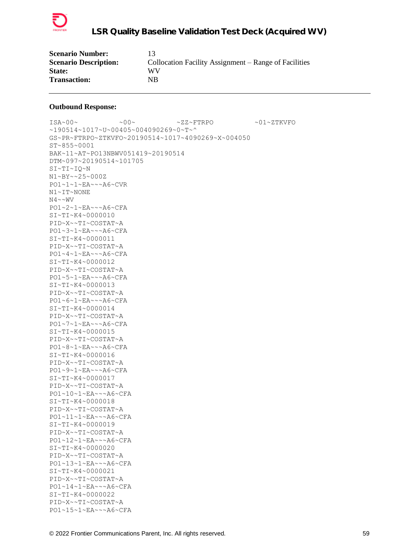

| <b>Scenario Number:</b>      |                                                       |
|------------------------------|-------------------------------------------------------|
| <b>Scenario Description:</b> | Collocation Facility Assignment – Range of Facilities |
| State:                       | WV                                                    |
| <b>Transaction:</b>          | NΒ                                                    |

ISA~00~ ~00~ ~ZZ~FTRPO ~01~ZTKVFO ~190514~1017~U~00405~004090269~0~T~^ GS~PR~FTRPO~ZTKVFO~20190514~1017~4090269~X~004050 ST~855~0001 BAK~11~AT~PO13NBWV051419~20190514 DTM~097~20190514~101705 SI~TI~IQ~N N1~BY~~25~000Z PO1~1~1~EA~~~A6~CVR N1~IT~NONE  $N4 \sim WV$ PO1~2~1~EA~~~A6~CFA SI~TI~K4~0000010 PID~X~~TI~COSTAT~A PO1~3~1~EA~~~A6~CFA SI~TI~K4~0000011 PID~X~~TI~COSTAT~A PO1~4~1~EA~~~A6~CFA SI~TI~K4~0000012 PID~X~~TI~COSTAT~A PO1~5~1~EA~~~A6~CFA SI~TI~K4~0000013 PID~X~~TI~COSTAT~A PO1~6~1~EA~~~A6~CFA SI~TI~K4~0000014 PID~X~~TI~COSTAT~A PO1~7~1~EA~~~A6~CFA SI~TI~K4~0000015 PID~X~~TI~COSTAT~A PO1~8~1~EA~~~A6~CFA SI~TI~K4~0000016 PID~X~~TI~COSTAT~A PO1~9~1~EA~~~A6~CFA SI~TI~K4~0000017 PID~X~~TI~COSTAT~A PO1~10~1~EA~~~A6~CFA SI~TI~K4~0000018 PID~X~~TI~COSTAT~A PO1~11~1~EA~~~A6~CFA SI~TI~K4~0000019 PID~X~~TI~COSTAT~A PO1~12~1~EA~~~A6~CFA SI~TI~K4~0000020 PID~X~~TI~COSTAT~A PO1~13~1~EA~~~A6~CFA SI~TI~K4~0000021 PID~X~~TI~COSTAT~A PO1~14~1~EA~~~A6~CFA SI~TI~K4~0000022 PID~X~~TI~COSTAT~A PO1~15~1~EA~~~A6~CFA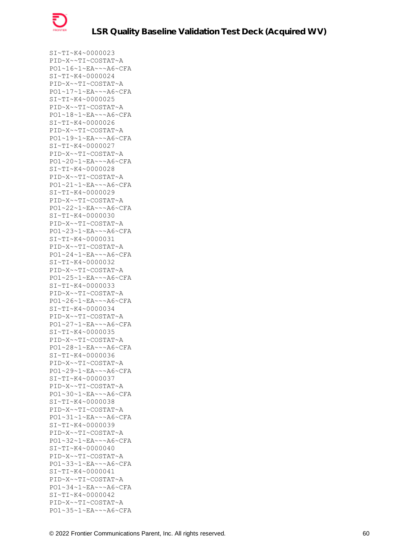

SI~TI~K4~0000023 PID~X~~TI~COSTAT~A PO1~16~1~EA~~~A6~CFA SI~TI~K4~0000024 PID~X~~TI~COSTAT~A PO1~17~1~EA~~~A6~CFA SI~TI~K4~0000025 PID~X~~TI~COSTAT~A PO1~18~1~EA~~~A6~CFA SI~TI~K4~0000026 PID~X~~TI~COSTAT~A PO1~19~1~EA~~~A6~CFA SI~TI~K4~0000027 PID~X~~TI~COSTAT~A PO1~20~1~EA~~~A6~CFA SI~TI~K4~0000028 PID~X~~TI~COSTAT~A PO1~21~1~EA~~~A6~CFA SI~TI~K4~0000029 PID~X~~TI~COSTAT~A PO1~22~1~EA~~~A6~CFA SI~TI~K4~0000030 PID~X~~TI~COSTAT~A PO1~23~1~EA~~~A6~CFA SI~TI~K4~0000031 PID~X~~TI~COSTAT~A PO1~24~1~EA~~~A6~CFA SI~TI~K4~0000032 PID~X~~TI~COSTAT~A PO1~25~1~EA~~~A6~CFA SI~TI~K4~0000033 PID~X~~TI~COSTAT~A PO1~26~1~EA~~~A6~CFA SI~TI~K4~0000034 PID~X~~TI~COSTAT~A PO1~27~1~EA~~~A6~CFA SI~TI~K4~0000035 PID~X~~TI~COSTAT~A PO1~28~1~EA~~~A6~CFA SI~TI~K4~0000036 PID~X~~TI~COSTAT~A PO1~29~1~EA~~~A6~CFA SI~TI~K4~0000037 PID~X~~TI~COSTAT~A PO1~30~1~EA~~~A6~CFA SI~TI~K4~0000038 PID~X~~TI~COSTAT~A PO1~31~1~EA~~~A6~CFA SI~TI~K4~0000039 PID~X~~TI~COSTAT~A PO1~32~1~EA~~~A6~CFA SI~TI~K4~0000040 PID~X~~TI~COSTAT~A PO1~33~1~EA~~~A6~CFA SI~TI~K4~0000041 PID~X~~TI~COSTAT~A PO1~34~1~EA~~~A6~CFA SI~TI~K4~0000042 PID~X~~TI~COSTAT~A PO1~35~1~EA~~~A6~CFA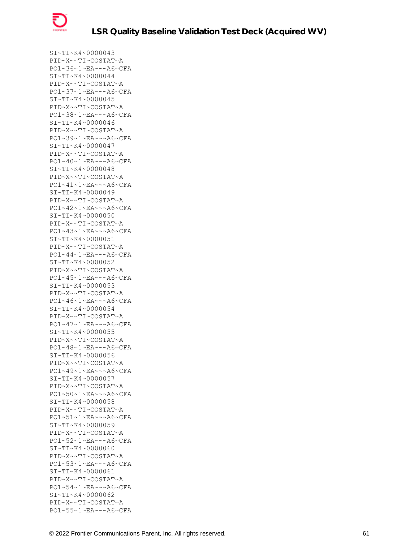

SI~TI~K4~0000043 PID~X~~TI~COSTAT~A PO1~36~1~EA~~~A6~CFA SI~TI~K4~0000044 PID~X~~TI~COSTAT~A PO1~37~1~EA~~~A6~CFA SI~TI~K4~0000045 PID~X~~TI~COSTAT~A PO1~38~1~EA~~~A6~CFA SI~TI~K4~0000046 PID~X~~TI~COSTAT~A PO1~39~1~EA~~~A6~CFA SI~TI~K4~0000047 PID~X~~TI~COSTAT~A PO1~40~1~EA~~~A6~CFA SI~TI~K4~0000048 PID~X~~TI~COSTAT~A PO1~41~1~EA~~~A6~CFA SI~TI~K4~0000049 PID~X~~TI~COSTAT~A PO1~42~1~EA~~~A6~CFA SI~TI~K4~0000050 PID~X~~TI~COSTAT~A PO1~43~1~EA~~~A6~CFA SI~TI~K4~0000051 PID~X~~TI~COSTAT~A PO1~44~1~EA~~~A6~CFA SI~TI~K4~0000052 PID~X~~TI~COSTAT~A PO1~45~1~EA~~~A6~CFA SI~TI~K4~0000053 PID~X~~TI~COSTAT~A PO1~46~1~EA~~~A6~CFA SI~TI~K4~0000054 PID~X~~TI~COSTAT~A PO1~47~1~EA~~~A6~CFA SI~TI~K4~0000055 PID~X~~TI~COSTAT~A PO1~48~1~EA~~~A6~CFA SI~TI~K4~0000056 PID~X~~TI~COSTAT~A PO1~49~1~EA~~~A6~CFA SI~TI~K4~0000057 PID~X~~TI~COSTAT~A PO1~50~1~EA~~~A6~CFA SI~TI~K4~0000058 PID~X~~TI~COSTAT~A PO1~51~1~EA~~~A6~CFA SI~TI~K4~0000059 PID~X~~TI~COSTAT~A PO1~52~1~EA~~~A6~CFA SI~TI~K4~0000060 PID~X~~TI~COSTAT~A PO1~53~1~EA~~~A6~CFA SI~TI~K4~0000061 PID~X~~TI~COSTAT~A PO1~54~1~EA~~~A6~CFA SI~TI~K4~0000062 PID~X~~TI~COSTAT~A PO1~55~1~EA~~~A6~CFA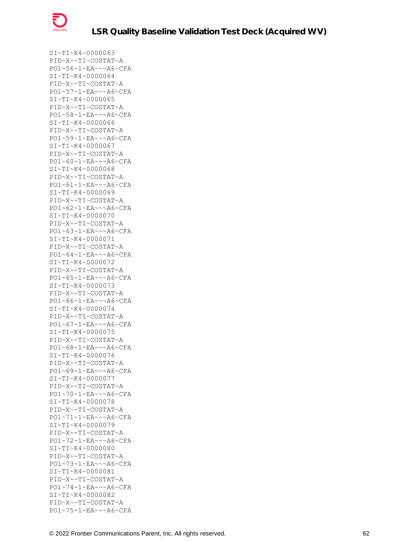

SI~TI~K4~0000063 PID~X~~TI~COSTAT~A PO1~56~1~EA~~~A6~CFA SI~TI~K4~0000064 PID~X~~TI~COSTAT~A PO1~57~1~EA~~~A6~CFA SI~TI~K4~0000065 PID~X~~TI~COSTAT~A PO1~58~1~EA~~~A6~CFA SI~TI~K4~0000066 PID~X~~TI~COSTAT~A PO1~59~1~EA~~~A6~CFA SI~TI~K4~0000067 PID~X~~TI~COSTAT~A PO1~60~1~EA~~~A6~CFA SI~TI~K4~0000068 PID~X~~TI~COSTAT~A PO1~61~1~EA~~~A6~CFA SI~TI~K4~0000069 PID~X~~TI~COSTAT~A PO1~62~1~EA~~~A6~CFA SI~TI~K4~0000070 PID~X~~TI~COSTAT~A PO1~63~1~EA~~~A6~CFA SI~TI~K4~0000071 PID~X~~TI~COSTAT~A PO1~64~1~EA~~~A6~CFA SI~TI~K4~0000072 PID~X~~TI~COSTAT~A PO1~65~1~EA~~~A6~CFA SI~TI~K4~0000073 PID~X~~TI~COSTAT~A PO1~66~1~EA~~~A6~CFA SI~TI~K4~0000074 PID~X~~TI~COSTAT~A PO1~67~1~EA~~~A6~CFA SI~TI~K4~0000075 PID~X~~TI~COSTAT~A PO1~68~1~EA~~~A6~CFA SI~TI~K4~0000076 PID~X~~TI~COSTAT~A PO1~69~1~EA~~~A6~CFA SI~TI~K4~0000077 PID~X~~TI~COSTAT~A PO1~70~1~EA~~~A6~CFA SI~TI~K4~0000078 PID~X~~TI~COSTAT~A PO1~71~1~EA~~~A6~CFA SI~TI~K4~0000079 PID~X~~TI~COSTAT~A PO1~72~1~EA~~~A6~CFA SI~TI~K4~0000080 PID~X~~TI~COSTAT~A PO1~73~1~EA~~~A6~CFA SI~TI~K4~0000081 PID~X~~TI~COSTAT~A PO1~74~1~EA~~~A6~CFA SI~TI~K4~0000082 PID~X~~TI~COSTAT~A PO1~75~1~EA~~~A6~CFA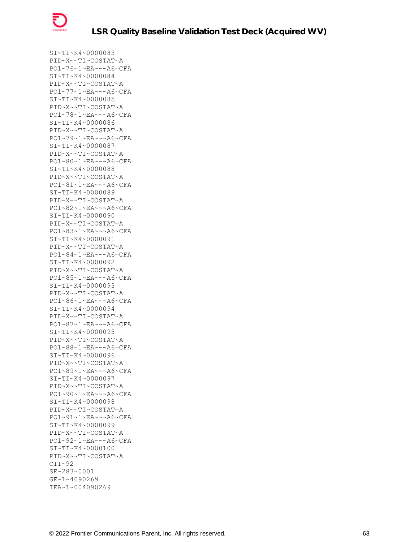

SI~TI~K4~0000083 PID~X~~TI~COSTAT~A PO1~76~1~EA~~~A6~CFA SI~TI~K4~0000084 PID~X~~TI~COSTAT~A PO1~77~1~EA~~~A6~CFA SI~TI~K4~0000085 PID~X~~TI~COSTAT~A PO1~78~1~EA~~~A6~CFA SI~TI~K4~0000086 PID~X~~TI~COSTAT~A PO1~79~1~EA~~~A6~CFA SI~TI~K4~0000087 PID~X~~TI~COSTAT~A PO1~80~1~EA~~~A6~CFA SI~TI~K4~0000088 PID~X~~TI~COSTAT~A PO1~81~1~EA~~~A6~CFA SI~TI~K4~0000089 PID~X~~TI~COSTAT~A PO1~82~1~EA~~~A6~CFA SI~TI~K4~0000090 PID~X~~TI~COSTAT~A PO1~83~1~EA~~~A6~CFA SI~TI~K4~0000091 PID~X~~TI~COSTAT~A PO1~84~1~EA~~~A6~CFA SI~TI~K4~0000092 PID~X~~TI~COSTAT~A PO1~85~1~EA~~~A6~CFA SI~TI~K4~0000093 PID~X~~TI~COSTAT~A PO1~86~1~EA~~~A6~CFA SI~TI~K4~0000094 PID~X~~TI~COSTAT~A PO1~87~1~EA~~~A6~CFA SI~TI~K4~0000095 PID~X~~TI~COSTAT~A PO1~88~1~EA~~~A6~CFA SI~TI~K4~0000096 PID~X~~TI~COSTAT~A PO1~89~1~EA~~~A6~CFA SI~TI~K4~0000097 PID~X~~TI~COSTAT~A PO1~90~1~EA~~~A6~CFA SI~TI~K4~0000098 PID~X~~TI~COSTAT~A PO1~91~1~EA~~~A6~CFA SI~TI~K4~0000099 PID~X~~TI~COSTAT~A PO1~92~1~EA~~~A6~CFA SI~TI~K4~0000100 PID~X~~TI~COSTAT~A  $CTT~92$ SE~283~0001 GE~1~4090269 IEA~1~004090269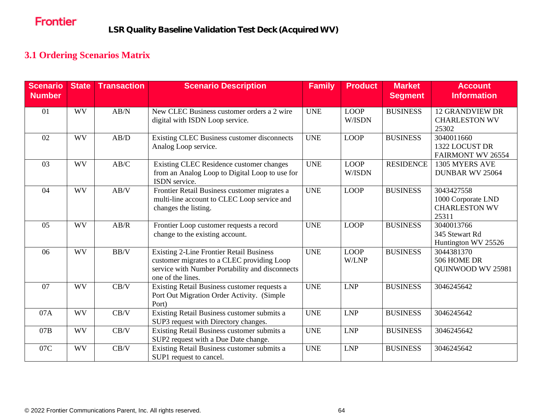## **3.1 Ordering Scenarios Matrix**

| <b>Scenario</b><br><b>Number</b> | <b>State</b> | <b>Transaction</b> | <b>Scenario Description</b>                                                                                                                                           | <b>Family</b> | <b>Product</b>        | <b>Market</b><br><b>Segment</b> | <b>Account</b><br><b>Information</b>                              |
|----------------------------------|--------------|--------------------|-----------------------------------------------------------------------------------------------------------------------------------------------------------------------|---------------|-----------------------|---------------------------------|-------------------------------------------------------------------|
| 01                               | <b>WV</b>    | AB/N               | New CLEC Business customer orders a 2 wire<br>digital with ISDN Loop service.                                                                                         | <b>UNE</b>    | <b>LOOP</b><br>W/ISDN | <b>BUSINESS</b>                 | <b>12 GRANDVIEW DR</b><br><b>CHARLESTON WV</b><br>25302           |
| 02                               | <b>WV</b>    | AB/D               | Existing CLEC Business customer disconnects<br>Analog Loop service.                                                                                                   | <b>UNE</b>    | <b>LOOP</b>           | <b>BUSINESS</b>                 | 3040011660<br>1322 LOCUST DR<br>FAIRMONT WV 26554                 |
| 03                               | <b>WV</b>    | AB/C               | Existing CLEC Residence customer changes<br>from an Analog Loop to Digital Loop to use for<br>ISDN service.                                                           | <b>UNE</b>    | <b>LOOP</b><br>W/ISDN | <b>RESIDENCE</b>                | 1305 MYERS AVE<br><b>DUNBAR WV 25064</b>                          |
| 04                               | <b>WV</b>    | AB/V               | Frontier Retail Business customer migrates a<br>multi-line account to CLEC Loop service and<br>changes the listing.                                                   | <b>UNE</b>    | <b>LOOP</b>           | <b>BUSINESS</b>                 | 3043427558<br>1000 Corporate LND<br><b>CHARLESTON WV</b><br>25311 |
| 05                               | <b>WV</b>    | AB/R               | Frontier Loop customer requests a record<br>change to the existing account.                                                                                           | <b>UNE</b>    | <b>LOOP</b>           | <b>BUSINESS</b>                 | 3040013766<br>345 Stewart Rd<br>Huntington WV 25526               |
| 06                               | <b>WV</b>    | BB/V               | <b>Existing 2-Line Frontier Retail Business</b><br>customer migrates to a CLEC providing Loop<br>service with Number Portability and disconnects<br>one of the lines. | <b>UNE</b>    | <b>LOOP</b><br>W/LNP  | <b>BUSINESS</b>                 | 3044381370<br>506 HOME DR<br>QUINWOOD WV 25981                    |
| 07                               | <b>WV</b>    | CB/V               | Existing Retail Business customer requests a<br>Port Out Migration Order Activity. (Simple<br>Port)                                                                   | <b>UNE</b>    | <b>LNP</b>            | <b>BUSINESS</b>                 | 3046245642                                                        |
| 07A                              | <b>WV</b>    | CB/V               | Existing Retail Business customer submits a<br>SUP3 request with Directory changes.                                                                                   | <b>UNE</b>    | <b>LNP</b>            | <b>BUSINESS</b>                 | 3046245642                                                        |
| 07B                              | <b>WV</b>    | CB/V               | Existing Retail Business customer submits a<br>SUP2 request with a Due Date change.                                                                                   | <b>UNE</b>    | <b>LNP</b>            | <b>BUSINESS</b>                 | 3046245642                                                        |
| 07C                              | <b>WV</b>    | CB/V               | Existing Retail Business customer submits a<br>SUP1 request to cancel.                                                                                                | <b>UNE</b>    | <b>LNP</b>            | <b>BUSINESS</b>                 | 3046245642                                                        |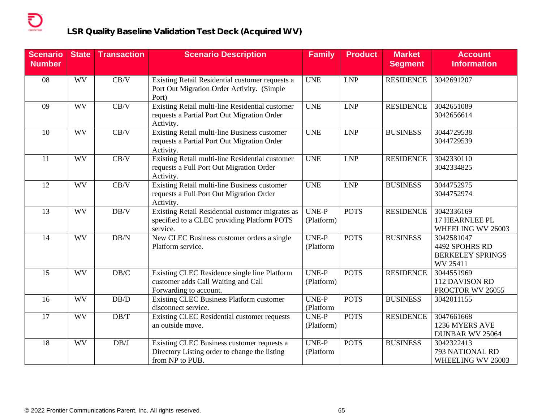| <b>Scenario</b><br><b>Number</b> | <b>State</b> | <b>Transaction</b> | <b>Scenario Description</b>                                                                                    | <b>Family</b>             | <b>Product</b> | <b>Market</b><br><b>Segment</b> | <b>Account</b><br><b>Information</b>                                |
|----------------------------------|--------------|--------------------|----------------------------------------------------------------------------------------------------------------|---------------------------|----------------|---------------------------------|---------------------------------------------------------------------|
| 08                               | <b>WV</b>    | CB/V               | Existing Retail Residential customer requests a<br>Port Out Migration Order Activity. (Simple<br>Port)         | <b>UNE</b>                | <b>LNP</b>     | <b>RESIDENCE</b>                | 3042691207                                                          |
| 09                               | <b>WV</b>    | CB/V               | Existing Retail multi-line Residential customer<br>requests a Partial Port Out Migration Order<br>Activity.    | <b>UNE</b>                | <b>LNP</b>     | <b>RESIDENCE</b>                | 3042651089<br>3042656614                                            |
| 10                               | <b>WV</b>    | CB/V               | Existing Retail multi-line Business customer<br>requests a Partial Port Out Migration Order<br>Activity.       | <b>UNE</b>                | <b>LNP</b>     | <b>BUSINESS</b>                 | 3044729538<br>3044729539                                            |
| 11                               | <b>WV</b>    | CB/V               | Existing Retail multi-line Residential customer<br>requests a Full Port Out Migration Order<br>Activity.       | <b>UNE</b>                | <b>LNP</b>     | <b>RESIDENCE</b>                | 3042330110<br>3042334825                                            |
| 12                               | <b>WV</b>    | CB/V               | Existing Retail multi-line Business customer<br>requests a Full Port Out Migration Order<br>Activity.          | <b>UNE</b>                | <b>LNP</b>     | <b>BUSINESS</b>                 | 3044752975<br>3044752974                                            |
| 13                               | <b>WV</b>    | DB/V               | Existing Retail Residential customer migrates as<br>specified to a CLEC providing Platform POTS<br>service.    | UNE-P<br>(Platform)       | <b>POTS</b>    | <b>RESIDENCE</b>                | 3042336169<br>17 HEARNLEE PL<br>WHEELING WV 26003                   |
| 14                               | <b>WV</b>    | DB/N               | New CLEC Business customer orders a single<br>Platform service.                                                | UNE-P<br>(Platform        | <b>POTS</b>    | <b>BUSINESS</b>                 | 3042581047<br>4492 SPOHRS RD<br><b>BERKELEY SPRINGS</b><br>WV 25411 |
| 15                               | <b>WV</b>    | $\rm DB/C$         | Existing CLEC Residence single line Platform<br>customer adds Call Waiting and Call<br>Forwarding to account.  | UNE-P<br>(Platform)       | <b>POTS</b>    | <b>RESIDENCE</b>                | 3044551969<br>112 DAVISON RD<br>PROCTOR WV 26055                    |
| 16                               | <b>WV</b>    | DB/D               | <b>Existing CLEC Business Platform customer</b><br>disconnect service.                                         | <b>UNE-P</b><br>(Platform | <b>POTS</b>    | <b>BUSINESS</b>                 | 3042011155                                                          |
| 17                               | WV           | DB/T               | Existing CLEC Residential customer requests<br>an outside move.                                                | UNE-P<br>(Platform)       | <b>POTS</b>    | <b>RESIDENCE</b>                | 3047661668<br>1236 MYERS AVE<br>DUNBAR WV 25064                     |
| 18                               | WV           | DB/J               | Existing CLEC Business customer requests a<br>Directory Listing order to change the listing<br>from NP to PUB. | UNE-P<br>(Platform        | <b>POTS</b>    | <b>BUSINESS</b>                 | 3042322413<br>793 NATIONAL RD<br>WHEELING WV 26003                  |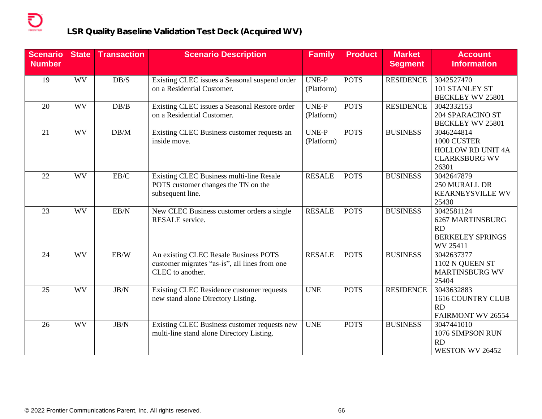| <b>Scenario</b><br><b>Number</b> | <b>State</b> | Transaction      | <b>Scenario Description</b>                                                                                | <b>Family</b>              | <b>Product</b> | <b>Market</b><br><b>Segment</b> | <b>Account</b><br><b>Information</b>                                                   |
|----------------------------------|--------------|------------------|------------------------------------------------------------------------------------------------------------|----------------------------|----------------|---------------------------------|----------------------------------------------------------------------------------------|
| 19                               | <b>WV</b>    | DB/S             | Existing CLEC issues a Seasonal suspend order<br>on a Residential Customer.                                | <b>UNE-P</b><br>(Platform) | <b>POTS</b>    | <b>RESIDENCE</b>                | 3042527470<br>101 STANLEY ST<br>BECKLEY WV 25801                                       |
| 20                               | <b>WV</b>    | DB/B             | Existing CLEC issues a Seasonal Restore order<br>on a Residential Customer.                                | UNE-P<br>(Platform)        | <b>POTS</b>    | <b>RESIDENCE</b>                | 3042332153<br><b>204 SPARACINO ST</b><br><b>BECKLEY WV 25801</b>                       |
| 21                               | WV           | DB/M             | Existing CLEC Business customer requests an<br>inside move.                                                | <b>UNE-P</b><br>(Platform) | <b>POTS</b>    | <b>BUSINESS</b>                 | 3046244814<br>1000 CUSTER<br><b>HOLLOW RD UNIT 4A</b><br><b>CLARKSBURG WV</b><br>26301 |
| 22                               | <b>WV</b>    | EB/C             | Existing CLEC Business multi-line Resale<br>POTS customer changes the TN on the<br>subsequent line.        | <b>RESALE</b>              | <b>POTS</b>    | <b>BUSINESS</b>                 | 3042647879<br>250 MURALL DR<br><b>KEARNEYSVILLE WV</b><br>25430                        |
| 23                               | <b>WV</b>    | EB/N             | New CLEC Business customer orders a single<br><b>RESALE</b> service.                                       | <b>RESALE</b>              | <b>POTS</b>    | <b>BUSINESS</b>                 | 3042581124<br>6267 MARTINSBURG<br>RD<br><b>BERKELEY SPRINGS</b><br>WV 25411            |
| 24                               | WV           | EB/W             | An existing CLEC Resale Business POTS<br>customer migrates "as-is", all lines from one<br>CLEC to another. | <b>RESALE</b>              | <b>POTS</b>    | <b>BUSINESS</b>                 | 3042637377<br>1102 N QUEEN ST<br><b>MARTINSBURG WV</b><br>25404                        |
| 25                               | <b>WV</b>    | $\rm{JB}/\rm{N}$ | Existing CLEC Residence customer requests<br>new stand alone Directory Listing.                            | <b>UNE</b>                 | <b>POTS</b>    | <b>RESIDENCE</b>                | 3043632883<br>1616 COUNTRY CLUB<br>RD<br>FAIRMONT WV 26554                             |
| 26                               | WV           | $\rm{JB}/\rm{N}$ | Existing CLEC Business customer requests new<br>multi-line stand alone Directory Listing.                  | <b>UNE</b>                 | <b>POTS</b>    | <b>BUSINESS</b>                 | 3047441010<br>1076 SIMPSON RUN<br>RD<br>WESTON WV 26452                                |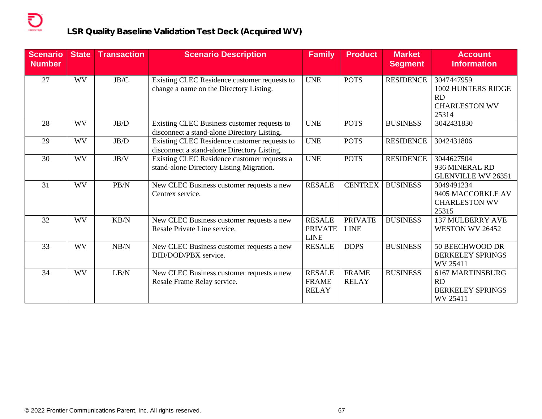| <b>Scenario</b><br><b>Number</b> | <b>State</b> | <b>Transaction</b> | <b>Scenario Description</b>                                                                 | <b>Family</b>                                  | <b>Product</b>                | <b>Market</b><br><b>Segment</b> | <b>Account</b><br><b>Information</b>                                           |
|----------------------------------|--------------|--------------------|---------------------------------------------------------------------------------------------|------------------------------------------------|-------------------------------|---------------------------------|--------------------------------------------------------------------------------|
| 27                               | WV           | JB/C               | Existing CLEC Residence customer requests to<br>change a name on the Directory Listing.     | <b>UNE</b>                                     | <b>POTS</b>                   | <b>RESIDENCE</b>                | 3047447959<br>1002 HUNTERS RIDGE<br><b>RD</b><br><b>CHARLESTON WV</b><br>25314 |
| 28                               | <b>WV</b>    | $\rm{JB}/\rm{D}$   | Existing CLEC Business customer requests to<br>disconnect a stand-alone Directory Listing.  | <b>UNE</b>                                     | <b>POTS</b>                   | <b>BUSINESS</b>                 | 3042431830                                                                     |
| 29                               | <b>WV</b>    | $\rm{JB}/\rm{D}$   | Existing CLEC Residence customer requests to<br>disconnect a stand-alone Directory Listing. | <b>UNE</b>                                     | <b>POTS</b>                   | <b>RESIDENCE</b>                | 3042431806                                                                     |
| 30                               | WV           | JB/V               | Existing CLEC Residence customer requests a<br>stand-alone Directory Listing Migration.     | <b>UNE</b>                                     | <b>POTS</b>                   | <b>RESIDENCE</b>                | 3044627504<br>936 MINERAL RD<br><b>GLENVILLE WV 26351</b>                      |
| 31                               | WV           | PB/N               | New CLEC Business customer requests a new<br>Centrex service.                               | <b>RESALE</b>                                  | <b>CENTREX</b>                | <b>BUSINESS</b>                 | 3049491234<br>9405 MACCORKLE AV<br><b>CHARLESTON WV</b><br>25315               |
| 32                               | <b>WV</b>    | KB/N               | New CLEC Business customer requests a new<br>Resale Private Line service.                   | <b>RESALE</b><br><b>PRIVATE</b><br><b>LINE</b> | <b>PRIVATE</b><br><b>LINE</b> | <b>BUSINESS</b>                 | <b>137 MULBERRY AVE</b><br>WESTON WV 26452                                     |
| 33                               | <b>WV</b>    | NB/N               | New CLEC Business customer requests a new<br>DID/DOD/PBX service.                           | <b>RESALE</b>                                  | <b>DDPS</b>                   | <b>BUSINESS</b>                 | 50 BEECHWOOD DR<br><b>BERKELEY SPRINGS</b><br>WV 25411                         |
| 34                               | <b>WV</b>    | LB/N               | New CLEC Business customer requests a new<br>Resale Frame Relay service.                    | <b>RESALE</b><br><b>FRAME</b><br><b>RELAY</b>  | <b>FRAME</b><br><b>RELAY</b>  | <b>BUSINESS</b>                 | 6167 MARTINSBURG<br><b>RD</b><br><b>BERKELEY SPRINGS</b><br>WV 25411           |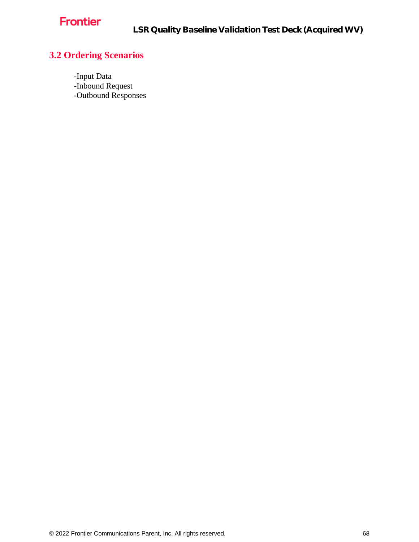

# **3.2 Ordering Scenarios**

-Input Data -Inbound Request -Outbound Responses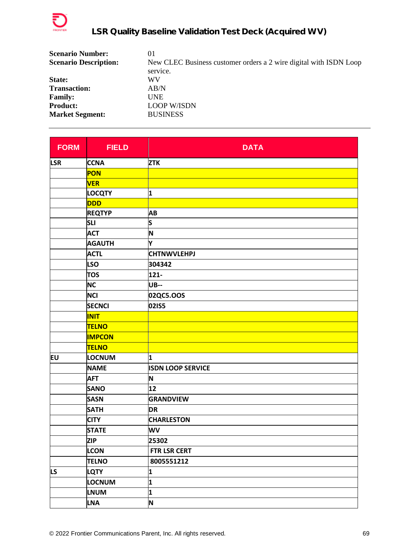

| <b>Scenario Number:</b>      | 01                                                                |
|------------------------------|-------------------------------------------------------------------|
| <b>Scenario Description:</b> | New CLEC Business customer orders a 2 wire digital with ISDN Loop |
|                              | service.                                                          |
| State:                       | WV                                                                |
| <b>Transaction:</b>          | AB/N                                                              |
| <b>Family:</b>               | <b>UNE</b>                                                        |
| <b>Product:</b>              | <b>LOOP W/ISDN</b>                                                |
| <b>Market Segment:</b>       | <b>BUSINESS</b>                                                   |

| <b>FORM</b> | <b>FIELD</b>  | <b>DATA</b>              |
|-------------|---------------|--------------------------|
| <b>LSR</b>  | <b>CCNA</b>   | <b>ZTK</b>               |
|             | <b>PON</b>    |                          |
|             | <b>VER</b>    |                          |
|             | <b>LOCQTY</b> | 1                        |
|             | <b>DDD</b>    |                          |
|             | <b>REQTYP</b> | AB                       |
|             | <b>SLI</b>    | S                        |
|             | <b>ACT</b>    | N                        |
|             | <b>AGAUTH</b> | Y                        |
|             | <b>ACTL</b>   | <b>CHTNWVLEHPJ</b>       |
|             | <b>LSO</b>    | 304342                   |
|             | <b>TOS</b>    | $121 -$                  |
|             | <b>NC</b>     | <b>UB--</b>              |
|             | <b>NCI</b>    | 02QC5.OOS                |
|             | <b>SECNCI</b> | 02IS5                    |
|             | <b>INIT</b>   |                          |
|             | <b>TELNO</b>  |                          |
|             | <b>IMPCON</b> |                          |
|             | <b>TELNO</b>  |                          |
| EU          | LOCNUM        | 1                        |
|             | <b>NAME</b>   | <b>ISDN LOOP SERVICE</b> |
|             | <b>AFT</b>    | N                        |
|             | <b>SANO</b>   | 12                       |
|             | <b>SASN</b>   | <b>GRANDVIEW</b>         |
|             | <b>SATH</b>   | <b>DR</b>                |
|             | <b>CITY</b>   | <b>CHARLESTON</b>        |
|             | <b>STATE</b>  | WV                       |
|             | <b>ZIP</b>    | 25302                    |
|             | <b>LCON</b>   | FTR LSR CERT             |
|             | <b>TELNO</b>  | 8005551212               |
| LS.         | LQTY          | 1                        |
|             | LOCNUM        | 1                        |
|             | <b>LNUM</b>   | 1                        |
|             | <b>LNA</b>    | N                        |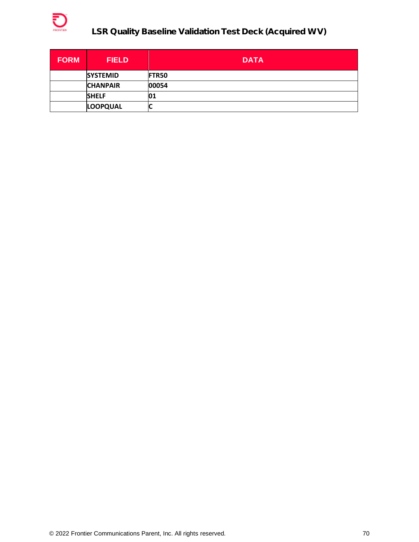

| <b>FORM</b> | <b>FIELD</b>    | <b>DATA</b> |
|-------------|-----------------|-------------|
|             | <b>SYSTEMID</b> | FTR50       |
|             | <b>CHANPAIR</b> | 00054       |
|             | <b>SHELF</b>    | 01          |
|             | <b>LOOPQUAL</b> | L           |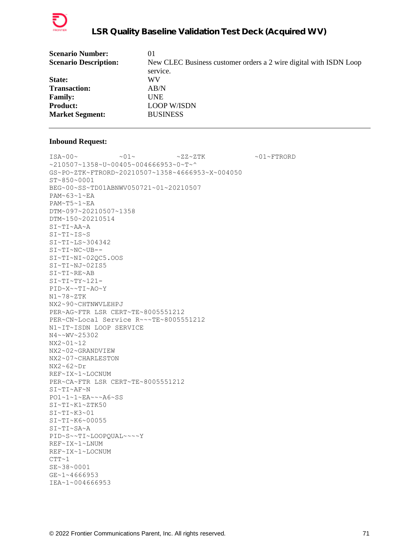

| <b>Scenario Number:</b>      | 01                                                                |
|------------------------------|-------------------------------------------------------------------|
| <b>Scenario Description:</b> | New CLEC Business customer orders a 2 wire digital with ISDN Loop |
|                              | service.                                                          |
| <b>State:</b>                | WV                                                                |
| <b>Transaction:</b>          | AB/N                                                              |
| <b>Family:</b>               | <b>UNE</b>                                                        |
| <b>Product:</b>              | <b>LOOP W/ISDN</b>                                                |
| <b>Market Segment:</b>       | <b>BUSINESS</b>                                                   |
|                              |                                                                   |

 $\sim 01 \sim \textrm{---} \sim 01 \sim \textrm{---} \sim 2 \, \textrm{---} \, \textrm{---} \, \textrm{---} \, \textrm{---} \, \textrm{---} \, \textrm{---} \, \textrm{---} \, \textrm{---} \, \textrm{---} \, \textrm{---} \, \textrm{---} \, \textrm{---} \, \textrm{---} \, \textrm{---} \, \textrm{---} \, \textrm{---} \, \textrm{---} \, \textrm{---} \, \textrm{---} \, \textrm{---} \, \textrm{---$ ~210507~1358~U~00405~004666953~0~T~^ GS~PO~ZTK~FTRORD~20210507~1358~4666953~X~004050 ST~850~0001 BEG~00~SS~TD01ABNWV050721~01~20210507 PAM~63~1~EA PAM~T5~1~EA DTM~097~20210507~1358 DTM~150~20210514 SI~TI~AA~A SI~TI~IS~S SI~TI~LS~304342 SI~TI~NC~UB-- SI~TI~NI~02QC5.OOS SI~TI~NJ~02IS5 SI~TI~RE~AB SI~TI~TY~121- PID~X~~TI~AO~Y N1~78~ZTK NX2~90~CHTNWVLEHPJ PER~AG~FTR LSR CERT~TE~8005551212 PER~CN~Local Service R~~~TE~8005551212 N1~IT~ISDN LOOP SERVICE N4~~WV~25302 NX2~01~12 NX2~02~GRANDVIEW NX2~07~CHARLESTON NX2~62~Dr REF~IX~1~LOCNUM PER~CA~FTR LSR CERT~TE~8005551212 SI~TI~AF~N PO1~1~1~EA~~~A6~SS SI~TI~K1~ZTK50 SI~TI~K3~01 SI~TI~K6~00055 SI~TI~SA~A PID~S~~TI~LOOPQUAL~~~~Y REF~IX~1~LNUM REF~IX~1~LOCNUM  $CTT~1$ SE~38~0001 GE~1~4666953 IEA~1~004666953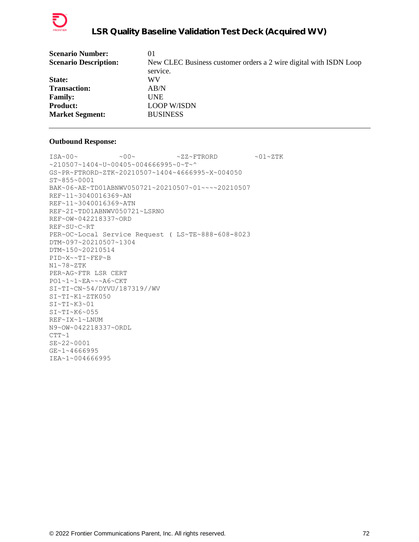

| <b>Scenario Number:</b>      | 01                                                                |
|------------------------------|-------------------------------------------------------------------|
| <b>Scenario Description:</b> | New CLEC Business customer orders a 2 wire digital with ISDN Loop |
|                              | service.                                                          |
| <b>State:</b>                | WV                                                                |
| <b>Transaction:</b>          | AB/N                                                              |
| <b>Family:</b>               | <b>UNE</b>                                                        |
| <b>Product:</b>              | <b>LOOP W/ISDN</b>                                                |
| <b>Market Segment:</b>       | <b>BUSINESS</b>                                                   |
|                              |                                                                   |

 $\text{ISA}\sim00\sim$   $\sim00\sim$   $\sim$  ZZ~FTRORD  $\sim01\sim$ ZTK ~210507~1404~U~00405~004666995~0~T~^ GS~PR~FTRORD~ZTK~20210507~1404~4666995~X~004050 ST~855~0001 BAK~06~AE~TD01ABNWV050721~20210507~01~~~~20210507 REF~11~3040016369~AN REF~11~3040016369~ATN REF~2I~TD01ABNWV050721~LSRNO REF~OW~042218337~ORD REF~SU~C~RT PER~OC~Local Service Request ( LS~TE~888-608-8023 DTM~097~20210507~1304 DTM~150~20210514 PID~X~~TI~FEP~B N1~78~ZTK PER~AG~FTR LSR CERT PO1~1~1~EA~~~A6~CKT SI~TI~CN~54/DYVU/187319//WV SI~TI~K1~ZTK050 SI~TI~K3~01 SI~TI~K6~055 REF~IX~1~LNUM N9~OW~042218337~ORDL  $CTT~1$ SE~22~0001 GE~1~4666995 IEA~1~004666995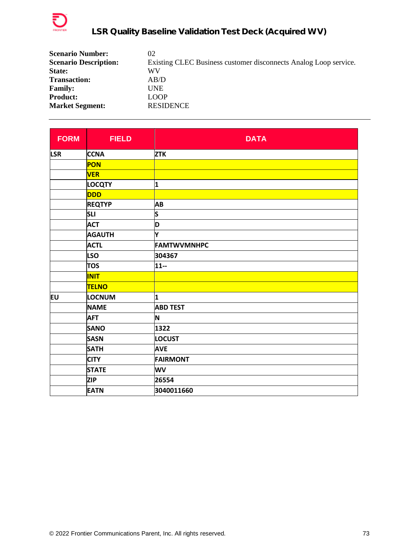

| <b>Scenario Number:</b>      | 02                                                               |
|------------------------------|------------------------------------------------------------------|
| <b>Scenario Description:</b> | Existing CLEC Business customer disconnects Analog Loop service. |
| State:                       | WV                                                               |
| <b>Transaction:</b>          | AB/D                                                             |
| <b>Family:</b>               | <b>UNE</b>                                                       |
| <b>Product:</b>              | <b>LOOP</b>                                                      |
| <b>Market Segment:</b>       | <b>RESIDENCE</b>                                                 |

| <b>FORM</b> | <b>FIELD</b>  | <b>DATA</b>        |
|-------------|---------------|--------------------|
| <b>LSR</b>  | <b>CCNA</b>   | <b>ZTK</b>         |
|             | PON           |                    |
|             | <b>VER</b>    |                    |
|             | <b>LOCQTY</b> | 1                  |
|             | <b>DDD</b>    |                    |
|             | <b>REQTYP</b> | AB                 |
|             | <b>SLI</b>    | S                  |
|             | <b>ACT</b>    | D                  |
|             | <b>AGAUTH</b> | Υ                  |
|             | <b>ACTL</b>   | <b>FAMTWVMNHPC</b> |
|             | <b>LSO</b>    | 304367             |
|             | <b>TOS</b>    | $11 -$             |
|             | <b>INIT</b>   |                    |
|             | <b>TELNO</b>  |                    |
| EU          | <b>LOCNUM</b> | 1                  |
|             | <b>NAME</b>   | <b>ABD TEST</b>    |
|             | <b>AFT</b>    | N                  |
|             | <b>SANO</b>   | 1322               |
|             | <b>SASN</b>   | <b>LOCUST</b>      |
|             | <b>SATH</b>   | <b>AVE</b>         |
|             | <b>CITY</b>   | <b>FAIRMONT</b>    |
|             | <b>STATE</b>  | WV                 |
|             | <b>ZIP</b>    | 26554              |
|             | <b>EATN</b>   | 3040011660         |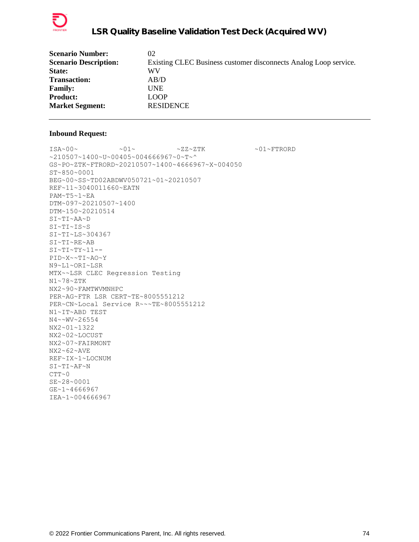

| <b>Scenario Number:</b>      | 02                                                               |
|------------------------------|------------------------------------------------------------------|
| <b>Scenario Description:</b> | Existing CLEC Business customer disconnects Analog Loop service. |
| State:                       | WV                                                               |
| <b>Transaction:</b>          | AB/D                                                             |
| <b>Family:</b>               | <b>UNE</b>                                                       |
| <b>Product:</b>              | <b>LOOP</b>                                                      |
| <b>Market Segment:</b>       | <b>RESIDENCE</b>                                                 |
|                              |                                                                  |

 $\sim 01 \sim 01 \sim 01 \sim 22 \sim 2 \, \mathrm{T} \mathrm{K} \qquad \sim 01 \sim \mathrm{FTRORD}$ ~210507~1400~U~00405~004666967~0~T~^ GS~PO~ZTK~FTRORD~20210507~1400~4666967~X~004050 ST~850~0001 BEG~00~SS~TD02ABDWV050721~01~20210507 REF~11~3040011660~EATN PAM~T5~1~EA DTM~097~20210507~1400 DTM~150~20210514 SI~TI~AA~D SI~TI~IS~S SI~TI~LS~304367 SI~TI~RE~AB  $SI~TI~TY~11--$ PID~X~~TI~AO~Y N9~L1~ORI~LSR MTX~~LSR CLEC Regression Testing N1~78~ZTK NX2~90~FAMTWVMNHPC PER~AG~FTR LSR CERT~TE~8005551212 PER~CN~Local Service R~~~TE~8005551212 N1~IT~ABD TEST N4~~WV~26554 NX2~01~1322 NX2~02~LOCUST NX2~07~FAIRMONT NX2~62~AVE REF~IX~1~LOCNUM SI~TI~AF~N  $CTT~0$ SE~28~0001 GE~1~4666967 IEA~1~004666967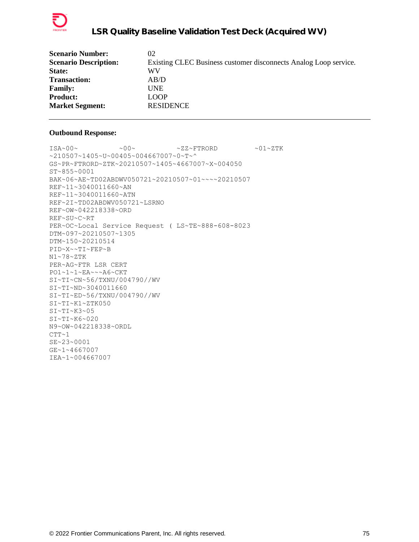

| <b>Scenario Number:</b>      | 02                                                               |
|------------------------------|------------------------------------------------------------------|
| <b>Scenario Description:</b> | Existing CLEC Business customer disconnects Analog Loop service. |
| State:                       | WV                                                               |
| <b>Transaction:</b>          | AB/D                                                             |
| <b>Family:</b>               | <b>UNE</b>                                                       |
| <b>Product:</b>              | <b>LOOP</b>                                                      |
| <b>Market Segment:</b>       | <b>RESIDENCE</b>                                                 |
|                              |                                                                  |

```
ISA~00~\sim ~0.00~\sim ~0.00~\sim ~0.00~\sim ~0.00~\sim ~0.00~\sim ~0.00~\sim ~0.00~\sim ~0.00~\sim ~0.00~\sim ~0.00~\sim ~0.00~\sim ~0.00~\sim ~0.00~\sim ~0.00~\sim ~0.00~\sim ~0.00~\sim ~0.00~\sim ~0.00~\sim ~0.00~\sim ~210507~1405~U~00405~004667007~0~T~^
GS~PR~FTRORD~ZTK~20210507~1405~4667007~X~004050
ST~855~0001
BAK~06~AE~TD02ABDWV050721~20210507~01~~~~20210507
REF~11~3040011660~AN
REF~11~3040011660~ATN
REF~2I~TD02ABDWV050721~LSRNO
REF~OW~042218338~ORD
REF~SU~C~RT
PER~OC~Local Service Request ( LS~TE~888-608-8023
DTM~097~20210507~1305
DTM~150~20210514
PID~X~~TI~FEP~B
N1~78~ZTK
PER~AG~FTR LSR CERT
PO1~1~1~EA~~~A6~CKT
SI~TI~CN~56/TXNU/004790//WV
SI~TI~ND~3040011660
SI~TI~ED~56/TXNU/004790//WV
SI~TI~K1~ZTK050
SI~TI~K3~05
SI~TI~K6~020
N9~OW~042218338~ORDL
CTT-1SE~23~0001
GE~1~4667007
IEA~1~004667007
```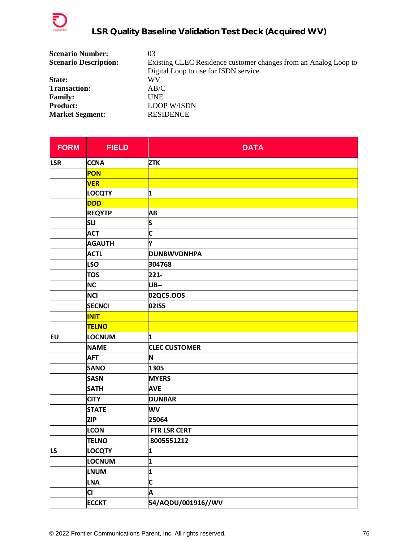

| <b>Scenario Number:</b>      | 03                                                              |
|------------------------------|-----------------------------------------------------------------|
| <b>Scenario Description:</b> | Existing CLEC Residence customer changes from an Analog Loop to |
|                              | Digital Loop to use for ISDN service.                           |
| State:                       | WV                                                              |
| <b>Transaction:</b>          | AB/C                                                            |
| <b>Family:</b>               | <b>UNE</b>                                                      |
| <b>Product:</b>              | <b>LOOP W/ISDN</b>                                              |
| <b>Market Segment:</b>       | <b>RESIDENCE</b>                                                |

| <b>FORM</b> | <b>FIELD</b>  | <b>DATA</b>             |
|-------------|---------------|-------------------------|
| <b>LSR</b>  | <b>CCNA</b>   | <b>ZTK</b>              |
|             | <b>PON</b>    |                         |
|             | <b>VER</b>    |                         |
|             | <b>LOCQTY</b> | 1                       |
|             | <b>DDD</b>    |                         |
|             | <b>REQYTP</b> | <b>AB</b>               |
|             | <b>SLI</b>    | S                       |
|             | <b>ACT</b>    | $\overline{\mathsf{c}}$ |
|             | <b>AGAUTH</b> | Y                       |
|             | <b>ACTL</b>   | <b>DUNBWVDNHPA</b>      |
|             | <b>LSO</b>    | 304768                  |
|             | <b>TOS</b>    | $221 -$                 |
|             | <b>NC</b>     | <b>UB--</b>             |
|             | <b>NCI</b>    | 02QC5.OOS               |
|             | <b>SECNCI</b> | 02IS5                   |
|             | <b>INIT</b>   |                         |
|             | <b>TELNO</b>  |                         |
| EU          | <b>LOCNUM</b> | 1                       |
|             | <b>NAME</b>   | <b>CLEC CUSTOMER</b>    |
|             | <b>AFT</b>    | N                       |
|             | <b>SANO</b>   | 1305                    |
|             | <b>SASN</b>   | <b>MYERS</b>            |
|             | <b>SATH</b>   | <b>AVE</b>              |
|             | <b>CITY</b>   | <b>DUNBAR</b>           |
|             | <b>STATE</b>  | <b>WV</b>               |
|             | <b>ZIP</b>    | 25064                   |
|             | <b>LCON</b>   | FTR LSR CERT            |
|             | <b>TELNO</b>  | 8005551212              |
| LS          | <b>LOCQTY</b> | 1                       |
|             | LOCNUM        | 1                       |
|             | <b>LNUM</b>   | 1                       |
|             | <b>LNA</b>    | C                       |
|             | CI            | A                       |
|             | <b>ECCKT</b>  | 54/AQDU/001916//WV      |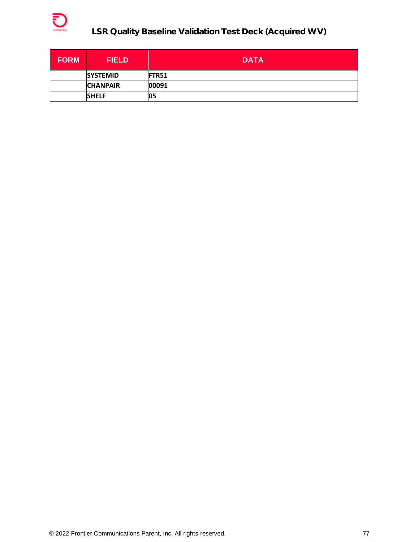

| <b>FORM</b> | <b>FIELD</b>    | <b>DATA</b>   |
|-------------|-----------------|---------------|
|             | <b>SYSTEMID</b> | <b>IFTR51</b> |
|             | <b>CHANPAIR</b> | 00091         |
|             | <b>SHELF</b>    | 05            |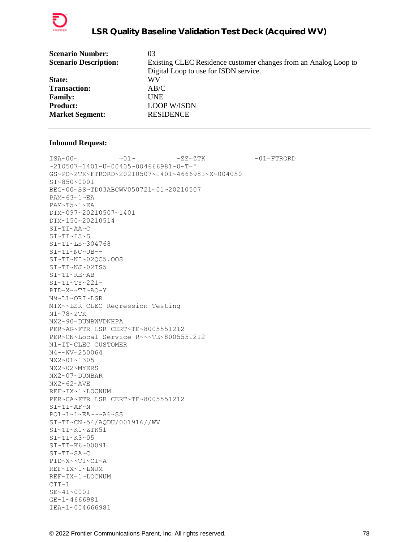

| <b>Scenario Number:</b>      | 03                                                              |
|------------------------------|-----------------------------------------------------------------|
| <b>Scenario Description:</b> | Existing CLEC Residence customer changes from an Analog Loop to |
|                              | Digital Loop to use for ISDN service.                           |
| State:                       | WV                                                              |
| <b>Transaction:</b>          | AB/C                                                            |
| <b>Family:</b>               | <b>UNE</b>                                                      |
| <b>Product:</b>              | <b>LOOP W/ISDN</b>                                              |
| <b>Market Segment:</b>       | <b>RESIDENCE</b>                                                |
|                              |                                                                 |

 $\sim 01 \times 100 \times 100 \times 27 \times 27 \times 500 \times 100 \times 100 \times 100 \times 100 \times 100 \times 100 \times 100 \times 100 \times 100 \times 100 \times 100 \times 100 \times 100 \times 100 \times 100 \times 100 \times 100 \times 100 \times 100 \times 100 \times 100 \times 100 \times 100 \times 100 \times 100 \times 100 \times 100 \times 100 \times 100 \times 100 \times 100 \$ ~210507~1401~U~00405~004666981~0~T~^ GS~PO~ZTK~FTRORD~20210507~1401~4666981~X~004050 ST~850~0001 BEG~00~SS~TD03ABCWV050721~01~20210507 PAM~63~1~EA PAM~T5~1~EA DTM~097~20210507~1401 DTM~150~20210514 SI~TI~AA~C SI~TI~IS~S SI~TI~LS~304768 SI~TI~NC~UB-- SI~TI~NI~02QC5.OOS SI~TI~NJ~02IS5 SI~TI~RE~AB SI~TI~TY~221- PID~X~~TI~AO~Y N9~L1~ORI~LSR MTX~~LSR CLEC Regression Testing N1~78~ZTK NX2~90~DUNBWVDNHPA PER~AG~FTR LSR CERT~TE~8005551212 PER~CN~Local Service R~~~TE~8005551212 N1~IT~CLEC CUSTOMER N4~~WV~250064 NX2~01~1305 NX2~02~MYERS NX2~07~DUNBAR NX2~62~AVE REF~IX~1~LOCNUM PER~CA~FTR LSR CERT~TE~8005551212 SI~TI~AF~N PO1~1~1~EA~~~A6~SS SI~TI~CN~54/AQDU/001916//WV SI~TI~K1~ZTK51 SI~TI~K3~05 SI~TI~K6~00091 SI~TI~SA~C PID~X~~TI~CI~A REF~IX~1~LNUM REF~IX~1~LOCNUM  $CTT-1$ SE~41~0001 GE~1~4666981 IEA~1~004666981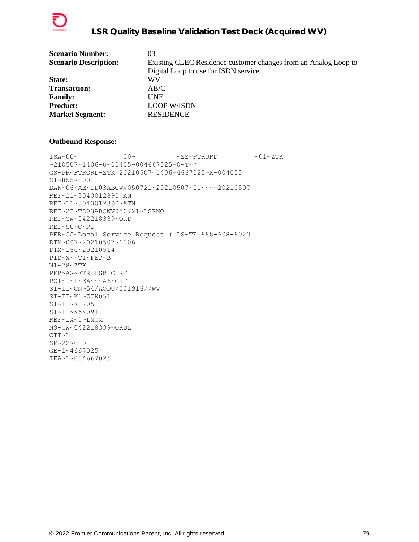

| <b>Scenario Number:</b>      | 03                                                              |
|------------------------------|-----------------------------------------------------------------|
| <b>Scenario Description:</b> | Existing CLEC Residence customer changes from an Analog Loop to |
|                              | Digital Loop to use for ISDN service.                           |
| State:                       | WV                                                              |
| <b>Transaction:</b>          | AB/C                                                            |
| <b>Family:</b>               | UNE                                                             |
| <b>Product:</b>              | <b>LOOP W/ISDN</b>                                              |
| <b>Market Segment:</b>       | <b>RESIDENCE</b>                                                |
|                              |                                                                 |

```
\text{ISA}\sim00\sim \sim00\sim \sim ZZ~FTRORD \sim01\simZTK
~210507~1406~U~00405~004667025~0~T~^
GS~PR~FTRORD~ZTK~20210507~1406~4667025~X~004050
ST~855~0001
BAK~06~AE~TD03ABCWV050721~20210507~01~~~~20210507
REF~11~3040012890~AN
REF~11~3040012890~ATN
REF~2I~TD03ABCWV050721~LSRNO
REF~OW~042218339~ORD
REF~SU~C~RT
PER~OC~Local Service Request ( LS~TE~888-608-8023
DTM~097~20210507~1306
DTM~150~20210514
PID~X~~TI~FEP~B
N1~78~ZTK
PER~AG~FTR LSR CERT
PO1~1~1~EA~~~A6~CKT
SI~TI~CN~54/AQDU/001916//WV
SI~TI~K1~ZTK051
SI~TI~K3~05
SI~TI~K6~091
REF~IX~1~LNUM
N9~OW~042218339~ORDL
CTT~1SE~22~0001
GE~1~4667025
IEA~1~004667025
```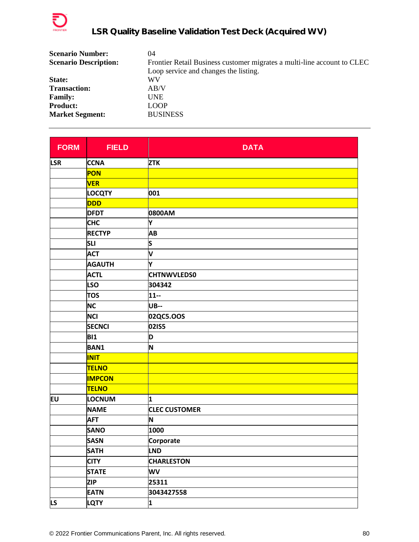

| <b>Scenario Number:</b>      | 04                                                                      |
|------------------------------|-------------------------------------------------------------------------|
| <b>Scenario Description:</b> | Frontier Retail Business customer migrates a multi-line account to CLEC |
|                              | Loop service and changes the listing.                                   |
| State:                       | WV                                                                      |
| <b>Transaction:</b>          | AB/V                                                                    |
| <b>Family:</b>               | <b>UNE</b>                                                              |
| <b>Product:</b>              | <b>LOOP</b>                                                             |
| <b>Market Segment:</b>       | <b>BUSINESS</b>                                                         |

| <b>FORM</b> | <b>FIELD</b>  | <b>DATA</b>          |
|-------------|---------------|----------------------|
| <b>LSR</b>  | <b>CCNA</b>   | <b>ZTK</b>           |
|             | PON           |                      |
|             | <b>VER</b>    |                      |
|             | <b>LOCQTY</b> | 001                  |
|             | <b>DDD</b>    |                      |
|             | <b>DFDT</b>   | 0800AM               |
|             | <b>CHC</b>    | Y                    |
|             | <b>RECTYP</b> | AB                   |
|             | <b>SLI</b>    | S                    |
|             | <b>ACT</b>    | V                    |
|             | <b>AGAUTH</b> | Y                    |
|             | <b>ACTL</b>   | <b>CHTNWVLEDS0</b>   |
|             | <b>LSO</b>    | 304342               |
|             | <b>TOS</b>    | $11 -$               |
|             | <b>NC</b>     | <b>UB--</b>          |
|             | <b>NCI</b>    | 02QC5.OOS            |
|             | <b>SECNCI</b> | 02IS5                |
|             | <b>BI1</b>    | D                    |
|             | <b>BAN1</b>   | N                    |
|             | <b>INIT</b>   |                      |
|             | <b>TELNO</b>  |                      |
|             | <b>IMPCON</b> |                      |
|             | <b>TELNO</b>  |                      |
| <b>EU</b>   | LOCNUM        | 1                    |
|             | <b>NAME</b>   | <b>CLEC CUSTOMER</b> |
|             | <b>AFT</b>    | N                    |
|             | <b>SANO</b>   | 1000                 |
|             | <b>SASN</b>   | Corporate            |
|             | <b>SATH</b>   | <b>LND</b>           |
|             | <b>CITY</b>   | <b>CHARLESTON</b>    |
|             | <b>STATE</b>  | WV                   |
|             | <b>ZIP</b>    | 25311                |
|             | <b>EATN</b>   | 3043427558           |
| <b>LS</b>   | <b>LQTY</b>   | 1                    |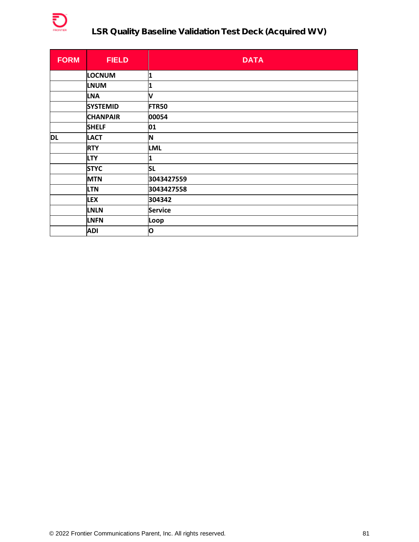

| <b>FORM</b> | <b>FIELD</b>    | <b>DATA</b>    |
|-------------|-----------------|----------------|
|             | <b>LOCNUM</b>   | 1              |
|             | <b>LNUM</b>     | 1              |
|             | <b>LNA</b>      | V              |
|             | <b>SYSTEMID</b> | <b>FTR50</b>   |
|             | <b>CHANPAIR</b> | 00054          |
|             | <b>SHELF</b>    | 01             |
| <b>DL</b>   | <b>LACT</b>     | N              |
|             | <b>RTY</b>      | <b>LML</b>     |
|             | <b>LTY</b>      | 1              |
|             | <b>STYC</b>     | <b>SL</b>      |
|             | <b>MTN</b>      | 3043427559     |
|             | <b>LTN</b>      | 3043427558     |
|             | <b>LEX</b>      | 304342         |
|             | <b>LNLN</b>     | <b>Service</b> |
|             | <b>LNFN</b>     | Loop           |
|             | <b>ADI</b>      | O              |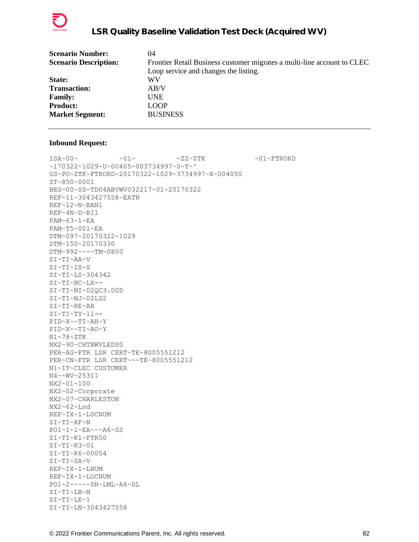

| <b>Scenario Number:</b>      | 04                                                                      |
|------------------------------|-------------------------------------------------------------------------|
| <b>Scenario Description:</b> | Frontier Retail Business customer migrates a multi-line account to CLEC |
|                              | Loop service and changes the listing.                                   |
| State:                       | WV                                                                      |
| <b>Transaction:</b>          | AB/V                                                                    |
| <b>Family:</b>               | <b>UNE</b>                                                              |
| <b>Product:</b>              | <b>LOOP</b>                                                             |
| <b>Market Segment:</b>       | <b>BUSINESS</b>                                                         |
|                              |                                                                         |

 $\sim 01 \times 100 \times 100 \times 27 \times 27 \times 500 \times 100 \times 100 \times 100 \times 100 \times 100 \times 100 \times 100 \times 100 \times 100 \times 100 \times 100 \times 100 \times 100 \times 100 \times 100 \times 100 \times 100 \times 100 \times 100 \times 100 \times 100 \times 100 \times 100 \times 100 \times 100 \times 100 \times 100 \times 100 \times 100 \times 100 \times 100 \$ ~170322~1029~U~00405~003734997~0~T~^ GS~PO~ZTK~FTRORD~20170322~1029~3734997~X~004050 ST~850~0001 BEG~00~SS~TD04ABVWV032217~01~20170322 REF~11~3043427558~EATN REF~12~N~BAN1 REF~4N~D~BI1 PAM~63~1~EA PAM~T5~001~EA DTM~097~20170322~1029 DTM~150~20170330 DTM~992~~~~TM~0800 SI~TI~AA~V SI~TI~IS~S SI~TI~LS~304342 SI~TI~NC~LX-- SI~TI~NI~02QC3.00D SI~TI~NJ~02LS2 SI~TI~RE~AB  $SI~TI~TY~11--$ PID~X~~TI~AH~Y PID~X~~TI~AO~Y N1~78~ZTK NX2~90~CHTNWVLEDS0 PER~AG~FTR LSR CERT~TE~8005551212 PER~CN~FTR LSR CERT~~~TE~8005551212 N1~IT~CLEC CUSTOMER N4~~WV~25311 NX2~01~100 NX2~02~Corporate NX2~07~CHARLESTON NX2~62~Lnd REF~IX~1~LOCNUM SI~TI~AF~N PO1~1~1~EA~~~A6~SS SI~TI~K1~FTR50 SI~TI~K3~01 SI~TI~K6~00054 SI~TI~SA~V REF~IX~1~LNUM REF~IX~1~LOCNUM PO1~2~~~~~SH~LML~A6~DL SI~TI~LB~N SI~TI~LE~1 SI~TI~LN~3043427558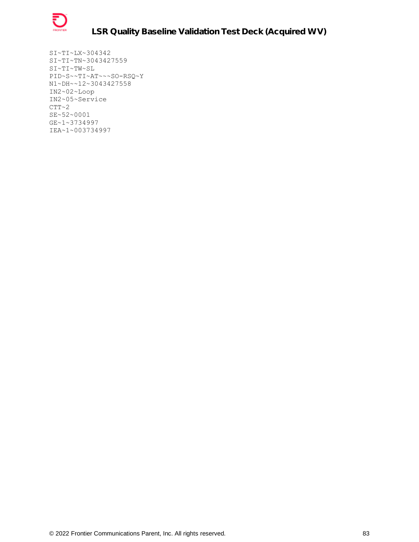

SI~TI~LX~304342 SI~TI~TN~3043427559 SI~TI~TW~SL PID~S~~TI~AT~~~SO-RSQ~Y N1~DH~~12~3043427558 IN2~02~Loop IN2~05~Service  $CTT~2$ SE~52~0001 GE~1~3734997 IEA~1~003734997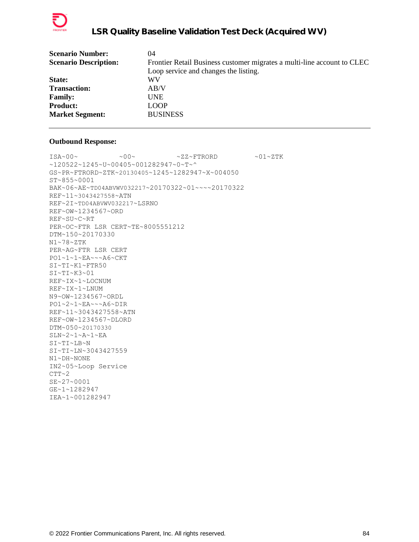

| <b>Scenario Number:</b>      | 04                                                                      |
|------------------------------|-------------------------------------------------------------------------|
| <b>Scenario Description:</b> | Frontier Retail Business customer migrates a multi-line account to CLEC |
|                              | Loop service and changes the listing.                                   |
| State:                       | WV                                                                      |
| <b>Transaction:</b>          | AB/V                                                                    |
| <b>Family:</b>               | <b>UNE</b>                                                              |
| <b>Product:</b>              | <b>LOOP</b>                                                             |
| <b>Market Segment:</b>       | <b>BUSINESS</b>                                                         |
|                              |                                                                         |

 $\text{ISA}\sim00\sim$   $\sim00\sim$   $\sim$  ZZ~FTRORD  $\sim01\sim$ ZTK ~120522~1245~U~00405~001282947~0~T~^ GS~PR~FTRORD~ZTK~20130405~1245~1282947~X~004050 ST~855~0001 BAK~06~AE~TD04ABVWV032217~20170322~01~~~~20170322 REF~11~3043427558~ATN REF~2I~TD04ABVWV032217~LSRNO REF~OW~1234567~ORD REF~SU~C~RT PER~OC~FTR LSR CERT~TE~8005551212 DTM~150~20170330 N1~78~ZTK PER~AG~FTR LSR CERT PO1~1~1~EA~~~A6~CKT SI~TI~K1~FTR50  $SI~TI~K3~01$ REF~IX~1~LOCNUM REF~IX~1~LNUM N9~OW~1234567~ORDL PO1~2~1~EA~~~A6~DIR REF~11~3043427558~ATN REF~OW~1234567~DLORD DTM~050~20170330 SLN~2~1~A~1~EA SI~TI~LB~N SI~TI~LN~3043427559 N1~DH~NONE IN2~05~Loop Service  $CTT~2$ SE~27~0001 GE~1~1282947 IEA~1~001282947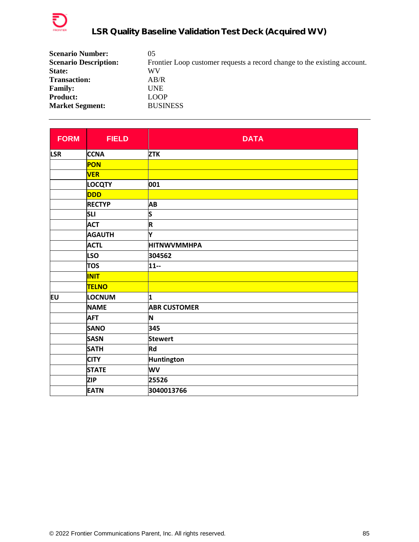

| <b>Scenario Number:</b>      | 05                                                                       |
|------------------------------|--------------------------------------------------------------------------|
| <b>Scenario Description:</b> | Frontier Loop customer requests a record change to the existing account. |
| State:                       | WV                                                                       |
| <b>Transaction:</b>          | AB/R                                                                     |
| <b>Family:</b>               | UNE                                                                      |
| <b>Product:</b>              | <b>LOOP</b>                                                              |
| <b>Market Segment:</b>       | <b>BUSINESS</b>                                                          |

| <b>FORM</b> | <b>FIELD</b>  | <b>DATA</b>             |
|-------------|---------------|-------------------------|
| <b>LSR</b>  | <b>CCNA</b>   | <b>ZTK</b>              |
|             | PON           |                         |
|             | <b>VER</b>    |                         |
|             | <b>LOCQTY</b> | 001                     |
|             | <b>DDD</b>    |                         |
|             | <b>RECTYP</b> | <b>AB</b>               |
|             | <b>SLI</b>    | S                       |
|             | <b>ACT</b>    | $\overline{\mathsf{R}}$ |
|             | <b>AGAUTH</b> | Υ                       |
|             | <b>ACTL</b>   | <b>HITNWVMMHPA</b>      |
|             | <b>LSO</b>    | 304562                  |
|             | <b>TOS</b>    | $11 -$                  |
|             | <b>INIT</b>   |                         |
|             | <b>TELNO</b>  |                         |
| EU          | <b>LOCNUM</b> | 1                       |
|             | <b>NAME</b>   | <b>ABR CUSTOMER</b>     |
|             | <b>AFT</b>    | N                       |
|             | <b>SANO</b>   | 345                     |
|             | <b>SASN</b>   | <b>Stewert</b>          |
|             | <b>SATH</b>   | <b>Rd</b>               |
|             | <b>CITY</b>   | Huntington              |
|             | <b>STATE</b>  | <b>WV</b>               |
|             | <b>ZIP</b>    | 25526                   |
|             | <b>EATN</b>   | 3040013766              |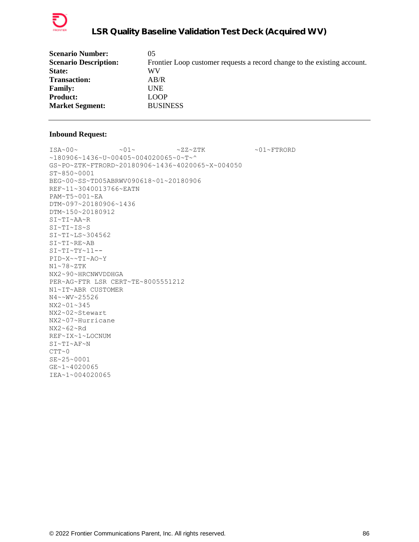

| <b>Scenario Number:</b>      | 05                                                                       |
|------------------------------|--------------------------------------------------------------------------|
| <b>Scenario Description:</b> | Frontier Loop customer requests a record change to the existing account. |
| State:                       | WV                                                                       |
| <b>Transaction:</b>          | AB/R                                                                     |
| <b>Family:</b>               | UNE                                                                      |
| <b>Product:</b>              | LOOP                                                                     |
| <b>Market Segment:</b>       | <b>BUSINESS</b>                                                          |

 $ISA~00~\sim$   $~01~\sim$   $~01~\sim$   $~2Z~2TK$   $~01~\sim$   $~01~\sim$  FTRORD  $~180906~1436~$ v $~1400405~$ v $004020065$ v $~0$ GS~PO~ZTK~FTRORD~20180906~1436~4020065~X~004050 ST~850~0001 BEG~00~SS~TD05ABRWV090618~01~20180906 REF~11~3040013766~EATN PAM~T5~001~EA DTM~097~20180906~1436 DTM~150~20180912 SI~TI~AA~R SI~TI~IS~S SI~TI~LS~304562 SI~TI~RE~AB SI~TI~TY~11-- PID~X~~TI~AO~Y N1~78~ZTK NX2~90~HRCNWVDDHGA PER~AG~FTR LSR CERT~TE~8005551212 N1~IT~ABR CUSTOMER N4~~WV~25526 NX2~01~345 NX2~02~Stewart NX2~07~Hurricane NX2~62~Rd REF~IX~1~LOCNUM SI~TI~AF~N  $CTT~0$ SE~25~0001 GE~1~4020065 IEA~1~004020065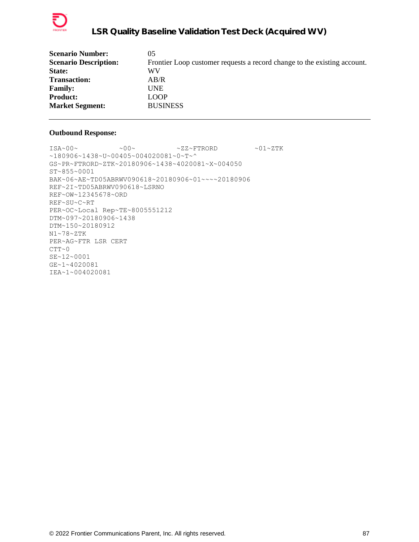

| <b>Scenario Number:</b>      | 05                                                                       |
|------------------------------|--------------------------------------------------------------------------|
| <b>Scenario Description:</b> | Frontier Loop customer requests a record change to the existing account. |
| State:                       | WV                                                                       |
| <b>Transaction:</b>          | AB/R                                                                     |
| <b>Family:</b>               | UNE                                                                      |
| <b>Product:</b>              | <b>LOOP</b>                                                              |
| <b>Market Segment:</b>       | <b>BUSINESS</b>                                                          |
|                              |                                                                          |

 $ISA~00~\sim$   $~00~\sim$   $~00~\sim$   $~2Z~\sim$  FTRORD  $~01~\sim$  ZTK ~180906~1438~U~00405~004020081~0~T~^ GS~PR~FTRORD~ZTK~20180906~1438~4020081~X~004050 ST~855~0001 BAK~06~AE~TD05ABRWV090618~20180906~01~~~~20180906 REF~2I~TD05ABRWV090618~LSRNO REF~OW~12345678~ORD REF~SU~C~RT PER~OC~Local Rep~TE~8005551212 DTM~097~20180906~1438 DTM~150~20180912 N1~78~ZTK PER~AG~FTR LSR CERT  $CTT~0$ SE~12~0001 GE~1~4020081 IEA~1~004020081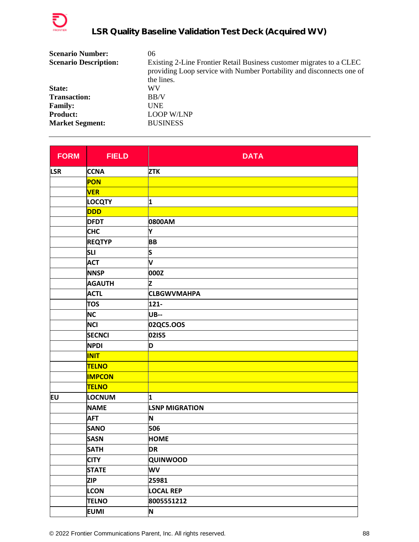

| <b>Scenario Number:</b>      | 06                                                                                                                                            |
|------------------------------|-----------------------------------------------------------------------------------------------------------------------------------------------|
| <b>Scenario Description:</b> | Existing 2-Line Frontier Retail Business customer migrates to a CLEC<br>providing Loop service with Number Portability and disconnects one of |
|                              | the lines.                                                                                                                                    |
| State:                       | WV                                                                                                                                            |
| <b>Transaction:</b>          | BB/V                                                                                                                                          |
| <b>Family:</b>               | <b>UNE</b>                                                                                                                                    |
| <b>Product:</b>              | <b>LOOP W/LNP</b>                                                                                                                             |
| <b>Market Segment:</b>       | <b>BUSINESS</b>                                                                                                                               |

| <b>FORM</b> | <b>FIELD</b>  | <b>DATA</b>           |
|-------------|---------------|-----------------------|
| <b>LSR</b>  | <b>CCNA</b>   | <b>ZTK</b>            |
|             | <b>PON</b>    |                       |
|             | <b>VER</b>    |                       |
|             | <b>LOCQTY</b> | 1                     |
|             | DDD           |                       |
|             | <b>DFDT</b>   | 0800AM                |
|             | <b>CHC</b>    | Υ                     |
|             | <b>REQTYP</b> | <b>BB</b>             |
|             | <b>SLI</b>    | S                     |
|             | <b>ACT</b>    | V                     |
|             | <b>NNSP</b>   | 000Z                  |
|             | <b>AGAUTH</b> | Z                     |
|             | <b>ACTL</b>   | <b>CLBGWVMAHPA</b>    |
|             | <b>TOS</b>    | $121 -$               |
|             | <b>NC</b>     | <b>UB--</b>           |
|             | <b>NCI</b>    | 02QC5.OOS             |
|             | <b>SECNCI</b> | 02IS5                 |
|             | <b>NPDI</b>   | D                     |
|             | <b>INIT</b>   |                       |
|             | <b>TELNO</b>  |                       |
|             | <b>IMPCON</b> |                       |
|             | <b>TELNO</b>  |                       |
| EU          | <b>LOCNUM</b> | 1                     |
|             | <b>NAME</b>   | <b>LSNP MIGRATION</b> |
|             | <b>AFT</b>    | N                     |
|             | <b>SANO</b>   | 506                   |
|             | <b>SASN</b>   | <b>HOME</b>           |
|             | <b>SATH</b>   | <b>DR</b>             |
|             | <b>CITY</b>   | QUINWOOD              |
|             | <b>STATE</b>  | WV                    |
|             | <b>ZIP</b>    | 25981                 |
|             | <b>LCON</b>   | <b>LOCAL REP</b>      |
|             | <b>TELNO</b>  | 8005551212            |
|             | <b>EUMI</b>   | N                     |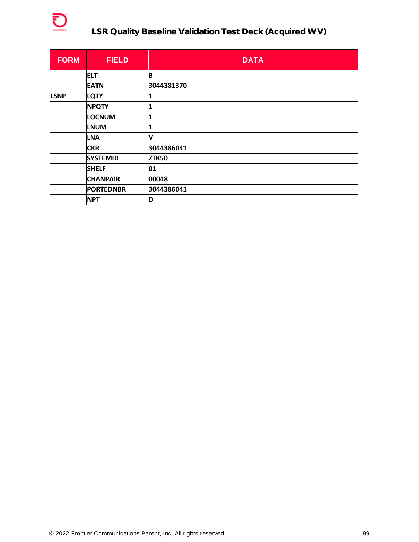

| <b>FORM</b> | <b>FIELD</b>     | <b>DATA</b>  |
|-------------|------------------|--------------|
|             | <b>ELT</b>       | B            |
|             | <b>EATN</b>      | 3044381370   |
| <b>LSNP</b> | LQTY             |              |
|             | <b>NPQTY</b>     | 1            |
|             | <b>LOCNUM</b>    | 1            |
|             | <b>LNUM</b>      | 1            |
|             | <b>LNA</b>       | V            |
|             | <b>CKR</b>       | 3044386041   |
|             | <b>SYSTEMID</b>  | <b>ZTK50</b> |
|             | <b>SHELF</b>     | 01           |
|             | <b>CHANPAIR</b>  | 00048        |
|             | <b>PORTEDNBR</b> | 3044386041   |
|             | <b>NPT</b>       | ID           |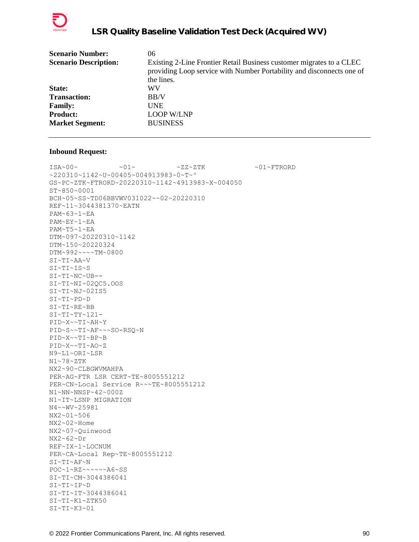

| <b>Scenario Number:</b>      | 06                                                                                                                                            |
|------------------------------|-----------------------------------------------------------------------------------------------------------------------------------------------|
| <b>Scenario Description:</b> | Existing 2-Line Frontier Retail Business customer migrates to a CLEC<br>providing Loop service with Number Portability and disconnects one of |
|                              | the lines.                                                                                                                                    |
| State:                       | WV                                                                                                                                            |
| <b>Transaction:</b>          | BB/V                                                                                                                                          |
| <b>Family:</b>               | <b>UNE</b>                                                                                                                                    |
| <b>Product:</b>              | <b>LOOP W/LNP</b>                                                                                                                             |
| <b>Market Segment:</b>       | <b>BUSINESS</b>                                                                                                                               |

 $\sim 01 \sim \textrm{---} \sim 01 \sim \textrm{---} \sim 27 \sim 2 \, \textrm{---} \, \textrm{---} \, \textrm{---} \, \sim 01 \sim \textrm{FTRORD}$ ~220310~1142~U~00405~004913983~0~T~^ GS~PC~ZTK~FTRORD~20220310~1142~4913983~X~004050 ST~850~0001 BCH~05~SS~TD06BBVWV031022~~02~20220310 REF~11~3044381370~EATN PAM~63~1~EA PAM~EY~1~EA PAM~T5~1~EA DTM~097~20220310~1142 DTM~150~20220324 DTM~992~~~~TM~0800 SI~TI~AA~V SI~TI~IS~S SI~TI~NC~UB-- SI~TI~NI~02QC5.OOS SI~TI~NJ~02IS5 SI~TI~PD~D SI~TI~RE~BB  $SI~TI~TY~121-$ PID~X~~TI~AH~Y PID~S~~TI~AF~~~SO-RSQ~N PID~X~~TI~BP~B PID~X~~TI~AO~Z N9~L1~ORI~LSR N1~78~ZTK NX2~90~CLBGWVMAHPA PER~AG~FTR LSR CERT~TE~8005551212 PER~CN~Local Service R~~~TE~8005551212 N1~NN~NNSP~42~000Z N1~IT~LSNP MIGRATION N4~~WV~25981 NX2~01~506 NX2~02~Home NX2~07~Quinwood NX2~62~Dr REF~IX~1~LOCNUM PER~CA~Local Rep~TE~8005551212 SI~TI~AF~N POC~1~RZ~~~~~~A6~SS SI~TI~CM~3044386041 SI~TI~IP~D SI~TI~IT~3044386041 SI~TI~K1~ZTK50 SI~TI~K3~01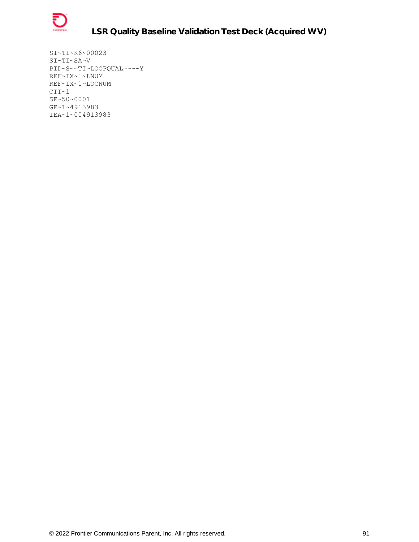

SI~TI~K6~00023 SI~TI~SA~V PID~S~~TI~LOOPQUAL~~~~Y REF~IX~1~LNUM REF~IX~1~LOCNUM  $CTT~1$ SE~50~0001 GE~1~4913983 IEA~1~004913983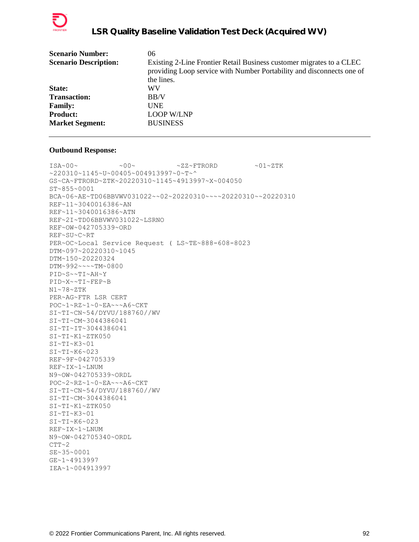

| <b>Scenario Number:</b>      | 06                                                                                                                                            |
|------------------------------|-----------------------------------------------------------------------------------------------------------------------------------------------|
| <b>Scenario Description:</b> | Existing 2-Line Frontier Retail Business customer migrates to a CLEC<br>providing Loop service with Number Portability and disconnects one of |
|                              | the lines.                                                                                                                                    |
| State:                       | WV                                                                                                                                            |
| <b>Transaction:</b>          | BB/V                                                                                                                                          |
| <b>Family:</b>               | <b>UNE</b>                                                                                                                                    |
| <b>Product:</b>              | <b>LOOP W/LNP</b>                                                                                                                             |
| <b>Market Segment:</b>       | <b>BUSINESS</b>                                                                                                                               |

```
\sim 00\sim \text{ 100} \times 2\text{K} \times 2\text{K} \times 2\text{K} \times 2\text{K}~220310~1145~U~00405~004913997~0~T~^
GS~CA~FTRORD~ZTK~20220310~1145~4913997~X~004050
ST~855~0001
BCA~06~AE~TD06BBVWV031022~~02~20220310~~~~20220310~~20220310
REF~11~3040016386~AN
REF~11~3040016386~ATN
REF~2I~TD06BBVWV031022~LSRNO
REF~OW~042705339~ORD
REF~SU~C~RT
PER~OC~Local Service Request ( LS~TE~888-608-8023
DTM~097~20220310~1045
DTM~150~20220324
DTM~992~~~~TM~0800
PID~S~~TI~AH~Y
PID~X~~TI~FEP~B
N1~78~ZTK
PER~AG~FTR LSR CERT
POC~1~RZ~1~0~EA~~~A6~CKT
SI~TI~CN~54/DYVU/188760//WV
SI~TI~CM~3044386041
SI~TI~IT~3044386041
SI~TI~K1~ZTK050
SI~TI~K3~01
SI~TI~K6~023
REF~9F~042705339
REF~IX~1~LNUM
N9~OW~042705339~ORDL
POC~2~RZ~1~0~EA~~~A6~CKT
SI~TI~CN~54/DYVU/188760//WV
SI~TI~CM~3044386041
SI~TI~K1~ZTK050
SI~TI~K3~01
SI~TI~K6~023REF~IX~1~LNUM
N9~OW~042705340~ORDL
CTT~2SE~35~0001
GE~1~4913997
IEA~1~004913997
```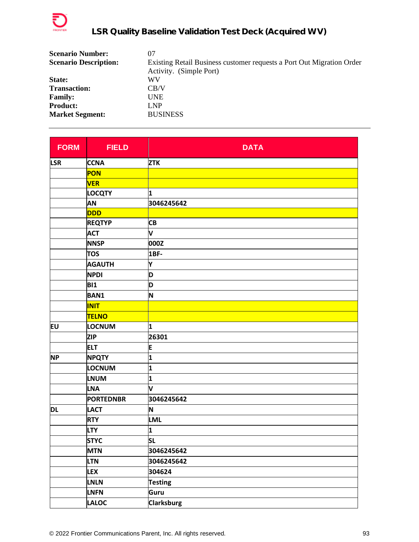

| <b>Scenario Number:</b>      | 07                                                                    |
|------------------------------|-----------------------------------------------------------------------|
| <b>Scenario Description:</b> | Existing Retail Business customer requests a Port Out Migration Order |
|                              | Activity. (Simple Port)                                               |
| State:                       | WV                                                                    |
| <b>Transaction:</b>          | CB/V                                                                  |
| <b>Family:</b>               | <b>UNE</b>                                                            |
| <b>Product:</b>              | LNP                                                                   |
| <b>Market Segment:</b>       | <b>BUSINESS</b>                                                       |

| <b>FORM</b> | <b>FIELD</b>     | <b>DATA</b>       |
|-------------|------------------|-------------------|
| <b>LSR</b>  | <b>CCNA</b>      | <b>ZTK</b>        |
|             | PON              |                   |
|             | <b>VER</b>       |                   |
|             | <b>LOCQTY</b>    | 1                 |
|             | AN               | 3046245642        |
|             | <b>DDD</b>       |                   |
|             | <b>REQTYP</b>    | <b>CB</b>         |
|             | <b>ACT</b>       | V                 |
|             | <b>NNSP</b>      | 000Z              |
|             | <b>TOS</b>       | 1BF-              |
|             | <b>AGAUTH</b>    | Υ                 |
|             | <b>NPDI</b>      | D                 |
|             | <b>BI1</b>       | D                 |
|             | <b>BAN1</b>      | N                 |
|             | <b>INIT</b>      |                   |
|             | <b>TELNO</b>     |                   |
| <b>EU</b>   | LOCNUM           | $\mathbf{1}$      |
|             | <b>ZIP</b>       | 26301             |
|             | <b>ELT</b>       | E                 |
| <b>NP</b>   | <b>NPQTY</b>     | 1                 |
|             | LOCNUM           | 1                 |
|             | <b>LNUM</b>      | 1                 |
|             | <b>LNA</b>       | V                 |
|             | <b>PORTEDNBR</b> | 3046245642        |
| DL          | <b>LACT</b>      | N                 |
|             | <b>RTY</b>       | <b>LML</b>        |
|             | <b>LTY</b>       | 1                 |
|             | <b>STYC</b>      | SL                |
|             | <b>MTN</b>       | 3046245642        |
|             | <b>LTN</b>       | 3046245642        |
|             | <b>LEX</b>       | 304624            |
|             | <b>LNLN</b>      | <b>Testing</b>    |
|             | <b>LNFN</b>      | Guru              |
|             | <b>LALOC</b>     | <b>Clarksburg</b> |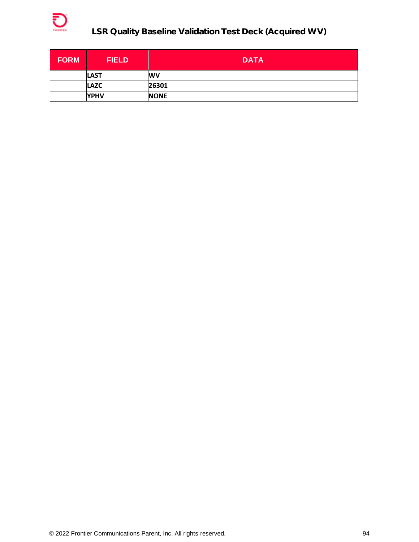

| <b>FORM</b> | <b>FIELD</b> | <b>DATA</b> |
|-------------|--------------|-------------|
|             | <b>LAST</b>  | <b>WV</b>   |
|             | <b>LAZC</b>  | 26301       |
|             | <b>YPHV</b>  | <b>NONE</b> |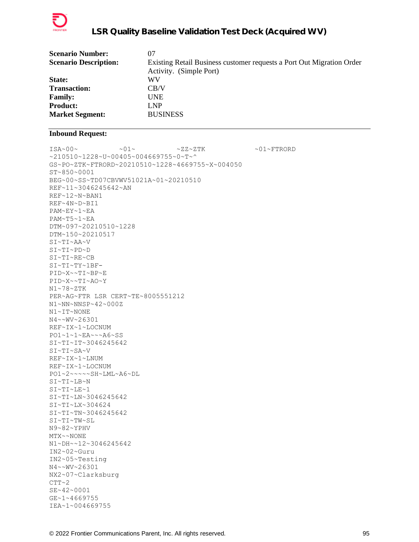

| <b>Scenario Number:</b>      | 07                                                                    |
|------------------------------|-----------------------------------------------------------------------|
| <b>Scenario Description:</b> | Existing Retail Business customer requests a Port Out Migration Order |
|                              | Activity. (Simple Port)                                               |
| State:                       | WV                                                                    |
| <b>Transaction:</b>          | CB/V                                                                  |
| <b>Family:</b>               | <b>UNE</b>                                                            |
| <b>Product:</b>              | LNP                                                                   |
| <b>Market Segment:</b>       | <b>BUSINESS</b>                                                       |
|                              |                                                                       |

 $ISA~00~\sim$   $~01~\sim$   $~01~\sim$   $~2Z~2TK$   $~01~\sim$   $~01~\sim$  FTRORD ~210510~1228~U~00405~004669755~0~T~^ GS~PO~ZTK~FTRORD~20210510~1228~4669755~X~004050 ST~850~0001 BEG~00~SS~TD07CBVWV51021A~01~20210510 REF~11~3046245642~AN REF~12~N~BAN1 REF~4N~D~BI1 PAM~EY~1~EA PAM~T5~1~EA DTM~097~20210510~1228 DTM~150~20210517 SI~TI~AA~V SI~TI~PD~D SI~TI~RE~CB SI~TI~TY~1BF-PID~X~~TI~BP~E PID~X~~TI~AO~Y N1~78~ZTK PER~AG~FTR LSR CERT~TE~8005551212 N1~NN~NNSP~42~000Z N1~IT~NONE N4~~WV~26301 REF~IX~1~LOCNUM PO1~1~1~EA~~~A6~SS SI~TI~IT~3046245642 SI~TI~SA~V REF~IX~1~LNUM REF~IX~1~LOCNUM PO1~2~~~~~SH~LML~A6~DL  $SI~T~LB~N$ SI~TI~LE~1 SI~TI~LN~3046245642 SI~TI~LX~304624 SI~TI~TN~3046245642 SI~TI~TW~SL N9~82~YPHV MTX~~NONE N1~DH~~12~3046245642 IN2~02~Guru IN2~05~Testing N4~~WV~26301 NX2~07~Clarksburg  $CTT~2$ SE~42~0001 GE~1~4669755 IEA~1~004669755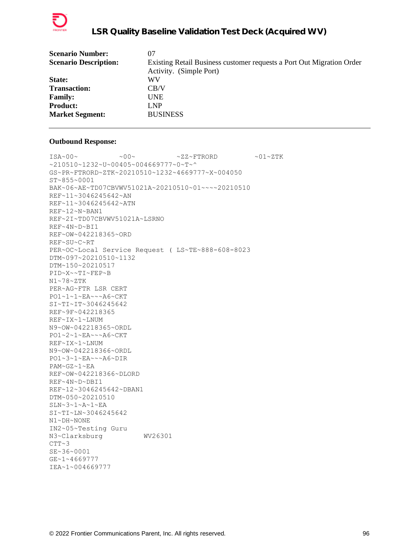

| <b>Scenario Number:</b>      | 07                                                                    |
|------------------------------|-----------------------------------------------------------------------|
| <b>Scenario Description:</b> | Existing Retail Business customer requests a Port Out Migration Order |
|                              | Activity. (Simple Port)                                               |
| <b>State:</b>                | WV                                                                    |
| <b>Transaction:</b>          | CB/V                                                                  |
| <b>Family:</b>               | <b>UNE</b>                                                            |
| <b>Product:</b>              | LNP                                                                   |
| <b>Market Segment:</b>       | <b>BUSINESS</b>                                                       |
|                              |                                                                       |

```
\texttt{ISA~00~}\sim \sim \texttt{00~}\sim \sim \texttt{02~}\sim \texttt{FFRORD} \sim \texttt{01~}\sim \texttt{2TK}~210510~1232~U~00405~004669777~0~T~^
GS~PR~FTRORD~ZTK~20210510~1232~4669777~X~004050
ST~855~0001
BAK~06~AE~TD07CBVWV51021A~20210510~01~~~~20210510
REF~11~3046245642~AN
REF~11~3046245642~ATN
REF~12~N~BAN1
REF~2I~TD07CBVWV51021A~LSRNO
REF~4N~D~BI1
REF~OW~042218365~ORD
REF~SU~C~RT
PER~OC~Local Service Request ( LS~TE~888-608-8023
DTM~097~20210510~1132
DTM~150~20210517
PID~X~~TI~FEP~B
N1~78~ZTK
PER~AG~FTR LSR CERT
PO1~1~1~EA~~~A6~CKT
SI~TI~IT~3046245642
REF~9F~042218365
REF~IX~1~LNUM
N9~OW~042218365~ORDL
PO1~2~1~EA~~~A6~CKT
REF~IX~1~LNUM
N9~OW~042218366~ORDL
PO1~3~1~EA~~~A6~DIR
PAM~GZ~1~EA
REF~OW~042218366~DLORD
REF~4N~D~DBI1
REF~12~3046245642~DBAN1
DTM~050~20210510
SLN~2~1~2~A~1~EA
SI~TI~LN~3046245642
N1~DH~NONE
IN2~05~Testing Guru
N3~Clarksburg WV26301
CTT~3SE~36~0001
GE~1~4669777
IEA~1~004669777
```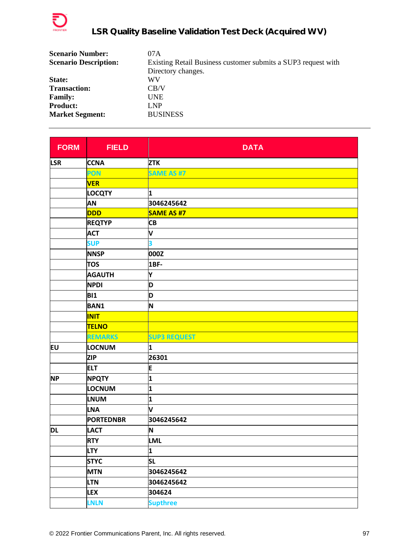

| <b>Scenario Number:</b>      | 07A                                                           |
|------------------------------|---------------------------------------------------------------|
| <b>Scenario Description:</b> | Existing Retail Business customer submits a SUP3 request with |
|                              | Directory changes.                                            |
| State:                       | WV                                                            |
| <b>Transaction:</b>          | CB/V                                                          |
| <b>Family:</b>               | <b>UNE</b>                                                    |
| <b>Product:</b>              | LNP                                                           |
| <b>Market Segment:</b>       | <b>BUSINESS</b>                                               |

| <b>FORM</b> | <b>FIELD</b>     | <b>DATA</b>         |
|-------------|------------------|---------------------|
| <b>LSR</b>  | <b>CCNA</b>      | <b>ZTK</b>          |
|             | PON              | <b>SAME AS #7</b>   |
|             | <b>VER</b>       |                     |
|             | <b>LOCQTY</b>    | 1                   |
|             | AN               | 3046245642          |
|             | <b>DDD</b>       | <b>SAME AS #7</b>   |
|             | <b>REQTYP</b>    | CB                  |
|             | <b>ACT</b>       | V                   |
|             | <b>SUP</b>       | 3                   |
|             | <b>NNSP</b>      | 000Z                |
|             | <b>TOS</b>       | <b>1BF-</b>         |
|             | <b>AGAUTH</b>    | Υ                   |
|             | <b>NPDI</b>      | D                   |
|             | <b>BI1</b>       | D                   |
|             | <b>BAN1</b>      | N                   |
|             | <b>INIT</b>      |                     |
|             | <b>TELNO</b>     |                     |
|             | <b>REMARKS</b>   | <b>SUP3 REQUEST</b> |
| EU          | LOCNUM           | 1                   |
|             | <b>ZIP</b>       | 26301               |
|             | <b>ELT</b>       | E                   |
| <b>NP</b>   | <b>NPQTY</b>     | 1                   |
|             | LOCNUM           | 1                   |
|             | <b>LNUM</b>      | 1                   |
|             | <b>LNA</b>       | V                   |
|             | <b>PORTEDNBR</b> | 3046245642          |
| <b>DL</b>   | <b>LACT</b>      | N                   |
|             | <b>RTY</b>       | <b>LML</b>          |
|             | <b>LTY</b>       | 1                   |
|             | <b>STYC</b>      | <b>SL</b>           |
|             | <b>MTN</b>       | 3046245642          |
|             | <b>LTN</b>       | 3046245642          |
|             | <b>LEX</b>       | 304624              |
|             | <b>LNLN</b>      | <b>Supthree</b>     |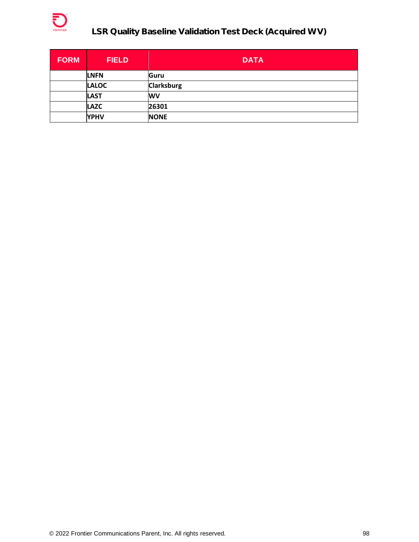

| <b>FORM</b> | <b>FIELD</b> | <b>DATA</b>       |
|-------------|--------------|-------------------|
|             | <b>LNFN</b>  | Guru              |
|             | <b>LALOC</b> | <b>Clarksburg</b> |
|             | <b>LAST</b>  | <b>WV</b>         |
|             | <b>LAZC</b>  | 26301             |
|             | <b>YPHV</b>  | <b>NONE</b>       |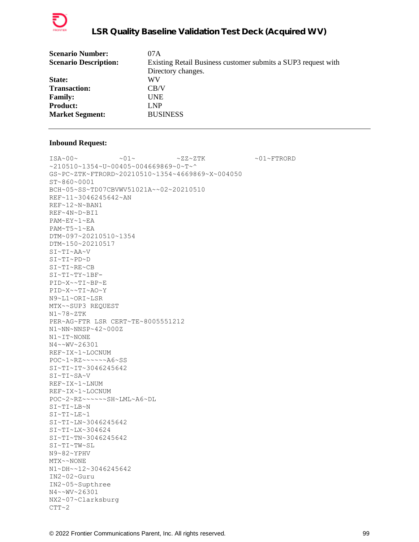

| <b>Scenario Number:</b>      | 07 A                                                          |
|------------------------------|---------------------------------------------------------------|
| <b>Scenario Description:</b> | Existing Retail Business customer submits a SUP3 request with |
|                              | Directory changes.                                            |
| State:                       | WV                                                            |
| <b>Transaction:</b>          | CB/V                                                          |
| <b>Family:</b>               | UNE                                                           |
| <b>Product:</b>              | LNP                                                           |
| <b>Market Segment:</b>       | <b>BUSINESS</b>                                               |
|                              |                                                               |

 $\sim 01 \times 100 \times 100 \times 27 \times 27 \times 500 \times 100 \times 27 \times 500 \times 100 \times 100 \times 100 \times 100 \times 100 \times 100 \times 100 \times 100 \times 100 \times 100 \times 100 \times 100 \times 100 \times 100 \times 100 \times 100 \times 100 \times 100 \times 100 \times 100 \times 100 \times 100 \times 100 \times 100 \times 100 \times 100 \times 100 \times 100 \times$ ~210510~1354~U~00405~004669869~0~T~^ GS~PC~ZTK~FTRORD~20210510~1354~4669869~X~004050 ST~860~0001 BCH~05~SS~TD07CBVWV51021A~~02~20210510 REF~11~3046245642~AN REF~12~N~BAN1 REF~4N~D~BI1 PAM~EY~1~EA PAM~T5~1~EA DTM~097~20210510~1354 DTM~150~20210517 SI~TI~AA~V SI~TI~PD~D SI~TI~RE~CB SI~TI~TY~1BF-PID~X~~TI~BP~E PID~X~~TI~AO~Y N9~L1~ORI~LSR MTX~~SUP3 REQUEST N1~78~ZTK PER~AG~FTR LSR CERT~TE~8005551212 N1~NN~NNSP~42~000Z N1~IT~NONE N4~~WV~26301 REF~IX~1~LOCNUM POC~1~RZ~~~~~~A6~SS SI~TI~IT~3046245642 SI~TI~SA~V REF~IX~1~LNUM REF~IX~1~LOCNUM POC~2~RZ~~~~~~SH~LML~A6~DL SI~TI~LB~N SI~TI~LE~1 SI~TI~LN~3046245642 SI~TI~LX~304624 SI~TI~TN~3046245642 SI~TI~TW~SL N9~82~YPHV MTX~~NONE N1~DH~~12~3046245642 IN2~02~Guru IN2~05~Supthree N4~~WV~26301 NX2~07~Clarksburg  $CTT~2$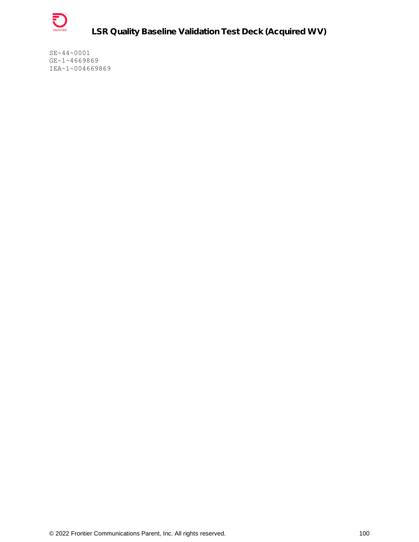

SE~44~0001 GE~1~4669869 IEA~1~004669869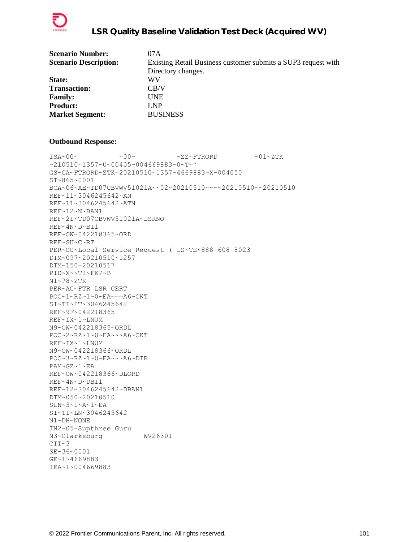

| 07A                                                           |
|---------------------------------------------------------------|
| Existing Retail Business customer submits a SUP3 request with |
| Directory changes.                                            |
| WV                                                            |
| CB/V                                                          |
| <b>UNE</b>                                                    |
| LNP                                                           |
| <b>BUSINESS</b>                                               |
|                                                               |

 $\text{ISA}\sim00\sim$   $\sim00\sim$   $\sim$  ZZ~FTRORD  $\sim01\sim$ ZTK ~210510~1357~U~00405~004669883~0~T~^ GS~CA~FTRORD~ZTK~20210510~1357~4669883~X~004050 ST~865~0001 BCA~06~AE~TD07CBVWV51021A~~02~20210510~~~~20210510~~20210510 REF~11~3046245642~AN REF~11~3046245642~ATN REF~12~N~BAN1 REF~2I~TD07CBVWV51021A~LSRNO REF~4N~D~BI1 REF~OW~042218365~ORD REF~SU~C~RT PER~OC~Local Service Request ( LS~TE~888-608-8023 DTM~097~20210510~1257 DTM~150~20210517 PID~X~~TI~FEP~B N1~78~ZTK PER~AG~FTR LSR CERT POC~1~RZ~1~0~EA~~~A6~CKT SI~TI~IT~3046245642 REF~9F~042218365 REF~IX~1~LNUM N9~OW~042218365~ORDL POC~2~RZ~1~0~EA~~~A6~CKT REF~IX~1~LNUM N9~OW~042218366~ORDL POC~3~RZ~1~0~EA~~~A6~DIR PAM~GZ~1~EA REF~OW~042218366~DLORD REF~4N~D~DBI1 REF~12~3046245642~DBAN1 DTM~050~20210510  $SLN~2~1~2~$ A~1~EA SI~TI~LN~3046245642 N1~DH~NONE IN2~05~Supthree Guru N3~Clarksburg WV26301  $CTT~3$ SE~36~0001 GE~1~4669883 IEA~1~004669883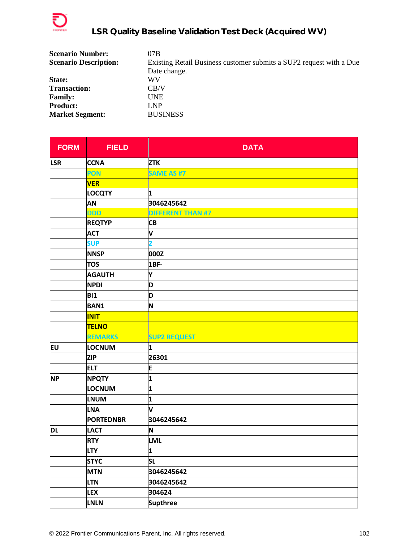

| <b>Scenario Number:</b>      | 07B                                                                 |
|------------------------------|---------------------------------------------------------------------|
| <b>Scenario Description:</b> | Existing Retail Business customer submits a SUP2 request with a Due |
|                              | Date change.                                                        |
| State:                       | WV                                                                  |
| <b>Transaction:</b>          | CB/V                                                                |
| <b>Family:</b>               | <b>UNE</b>                                                          |
| <b>Product:</b>              | LNP                                                                 |
| <b>Market Segment:</b>       | <b>BUSINESS</b>                                                     |

| <b>FORM</b> | <b>FIELD</b>     | <b>DATA</b>              |
|-------------|------------------|--------------------------|
| <b>LSR</b>  | <b>CCNA</b>      | <b>ZTK</b>               |
|             | PON              | <b>SAME AS #7</b>        |
|             | <b>VER</b>       |                          |
|             | <b>LOCQTY</b>    | 1                        |
|             | AN               | 3046245642               |
|             | <b>DDD</b>       | <b>DIFFERENT THAN #7</b> |
|             | <b>REQTYP</b>    | <b>CB</b>                |
|             | <b>ACT</b>       | V                        |
|             | <b>SUP</b>       | $\overline{\mathbf{2}}$  |
|             | <b>NNSP</b>      | 000Z                     |
|             | <b>TOS</b>       | 1BF-                     |
|             | <b>AGAUTH</b>    | Y                        |
|             | <b>NPDI</b>      | D                        |
|             | <b>BI1</b>       | D                        |
|             | <b>BAN1</b>      | N                        |
|             | <b>INIT</b>      |                          |
|             | <b>TELNO</b>     |                          |
|             | <b>REMARKS</b>   | <b>SUP2 REQUEST</b>      |
| EU          | LOCNUM           | 1                        |
|             | <b>ZIP</b>       | 26301                    |
|             | <b>ELT</b>       | E                        |
| <b>NP</b>   | <b>NPQTY</b>     | $\mathbf{1}$             |
|             | LOCNUM           | 1                        |
|             | <b>LNUM</b>      | $\mathbf{1}$             |
|             | <b>LNA</b>       | V                        |
|             | <b>PORTEDNBR</b> | 3046245642               |
| DL          | <b>LACT</b>      | N                        |
|             | <b>RTY</b>       | LML                      |
|             | <b>LTY</b>       | 1                        |
|             | <b>STYC</b>      | <b>SL</b>                |
|             | <b>MTN</b>       | 3046245642               |
|             | <b>LTN</b>       | 3046245642               |
|             | <b>LEX</b>       | 304624                   |
|             | <b>LNLN</b>      | <b>Supthree</b>          |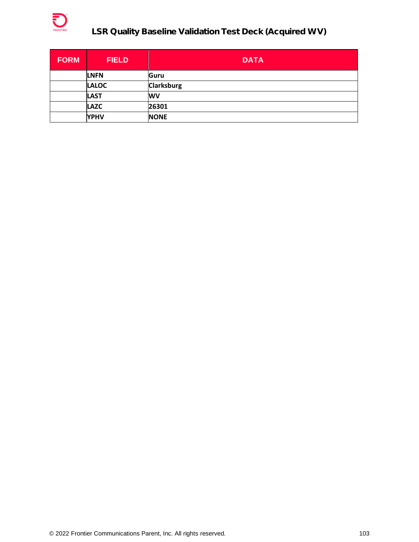

| <b>FORM</b> | <b>FIELD</b> | <b>DATA</b>       |
|-------------|--------------|-------------------|
|             | <b>LNFN</b>  | Guru              |
|             | <b>LALOC</b> | <b>Clarksburg</b> |
|             | <b>LAST</b>  | <b>WV</b>         |
|             | <b>LAZC</b>  | 26301             |
|             | <b>YPHV</b>  | <b>NONE</b>       |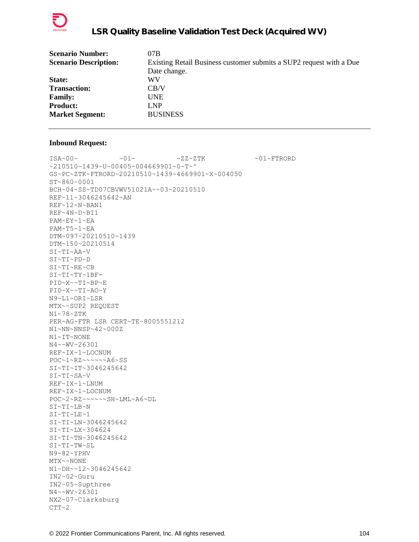

| <b>Scenario Number:</b>      | 07B                                                                 |
|------------------------------|---------------------------------------------------------------------|
| <b>Scenario Description:</b> | Existing Retail Business customer submits a SUP2 request with a Due |
|                              | Date change.                                                        |
| <b>State:</b>                | WV                                                                  |
| <b>Transaction:</b>          | CB/V                                                                |
| <b>Family:</b>               | UNE                                                                 |
| <b>Product:</b>              | LNP                                                                 |
| <b>Market Segment:</b>       | <b>BUSINESS</b>                                                     |
|                              |                                                                     |

 $\sim 01 \times 100 \times 100 \times 27 \times 27 \times 500 \times 100 \times 27 \times 500 \times 100 \times 100 \times 100 \times 100 \times 100 \times 100 \times 100 \times 100 \times 100 \times 100 \times 100 \times 100 \times 100 \times 100 \times 100 \times 100 \times 100 \times 100 \times 100 \times 100 \times 100 \times 100 \times 100 \times 100 \times 100 \times 100 \times 100 \times 100 \times$ ~210510~1439~U~00405~004669901~0~T~^ GS~PC~ZTK~FTRORD~20210510~1439~4669901~X~004050 ST~860~0001 BCH~04~SS~TD07CBVWV51021A~~03~20210510 REF~11~3046245642~AN REF~12~N~BAN1 REF~4N~D~BI1 PAM~EY~1~EA PAM~T5~1~EA DTM~097~20210510~1439 DTM~150~20210514 SI~TI~AA~V SI~TI~PD~D SI~TI~RE~CB SI~TI~TY~1BF-PID~X~~TI~BP~E PID~X~~TI~AO~Y N9~L1~ORI~LSR MTX~~SUP2 REQUEST N1~78~ZTK PER~AG~FTR LSR CERT~TE~8005551212 N1~NN~NNSP~42~000Z N1~IT~NONE N4~~WV~26301 REF~IX~1~LOCNUM POC~1~RZ~~~~~~A6~SS SI~TI~IT~3046245642 SI~TI~SA~V REF~IX~1~LNUM REF~IX~1~LOCNUM POC~2~RZ~~~~~~SH~LML~A6~DL SI~TI~LB~N SI~TI~LE~1 SI~TI~LN~3046245642 SI~TI~LX~304624 SI~TI~TN~3046245642 SI~TI~TW~SL N9~82~YPHV MTX~~NONE N1~DH~~12~3046245642 IN2~02~Guru IN2~05~Supthree N4~~WV~26301 NX2~07~Clarksburg  $CTT~2$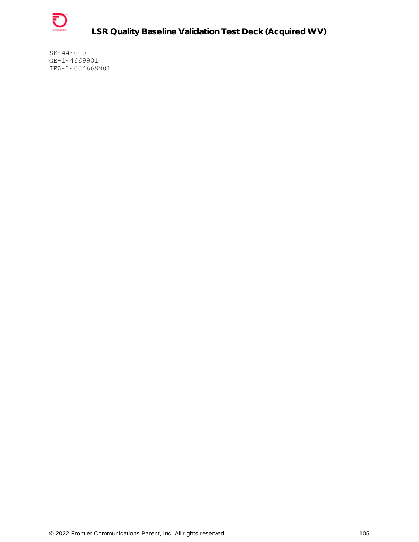

SE~44~0001 GE~1~4669901 IEA~1~004669901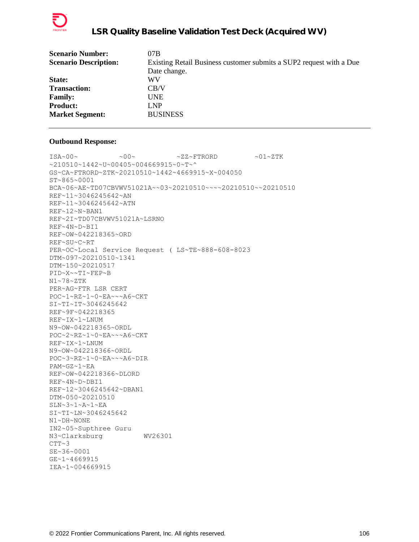

| <b>Scenario Number:</b>      | 07B                                                                 |
|------------------------------|---------------------------------------------------------------------|
| <b>Scenario Description:</b> | Existing Retail Business customer submits a SUP2 request with a Due |
|                              | Date change.                                                        |
| State:                       | WV                                                                  |
| <b>Transaction:</b>          | CB/V                                                                |
| <b>Family:</b>               | <b>UNE</b>                                                          |
| <b>Product:</b>              | LNP                                                                 |
| <b>Market Segment:</b>       | <b>BUSINESS</b>                                                     |
|                              |                                                                     |

 $\texttt{ISA~00~}\sim$   $\sim$   $\texttt{00~}\sim$   $\sim$   $\texttt{01~}\sim$   $\texttt{ZZ~}\sim$  FTRORD  $\sim$  01~ZTK  $~10510~1442~$ v $~00405~$ v $004669915$ v $~0$ v $~$ GS~CA~FTRORD~ZTK~20210510~1442~4669915~X~004050 ST~865~0001 BCA~06~AE~TD07CBVWV51021A~~03~20210510~~~~20210510~~20210510 REF~11~3046245642~AN REF~11~3046245642~ATN REF~12~N~BAN1 REF~2I~TD07CBVWV51021A~LSRNO REF~4N~D~BI1 REF~OW~042218365~ORD REF~SU~C~RT PER~OC~Local Service Request ( LS~TE~888-608-8023 DTM~097~20210510~1341 DTM~150~20210517 PID~X~~TI~FEP~B N1~78~ZTK PER~AG~FTR LSR CERT POC~1~RZ~1~0~EA~~~A6~CKT SI~TI~IT~3046245642 REF~9F~042218365 REF~IX~1~LNUM N9~OW~042218365~ORDL POC~2~RZ~1~0~EA~~~A6~CKT REF~IX~1~LNUM N9~OW~042218366~ORDL POC~3~RZ~1~0~EA~~~A6~DIR PAM~GZ~1~EA REF~OW~042218366~DLORD REF~4N~D~DBI1 REF~12~3046245642~DBAN1 DTM~050~20210510  $SLN~2~1~2~$ A~1~EA SI~TI~LN~3046245642 N1~DH~NONE IN2~05~Supthree Guru N3~Clarksburg WV26301  $CTT~3$ SE~36~0001 GE~1~4669915 IEA~1~004669915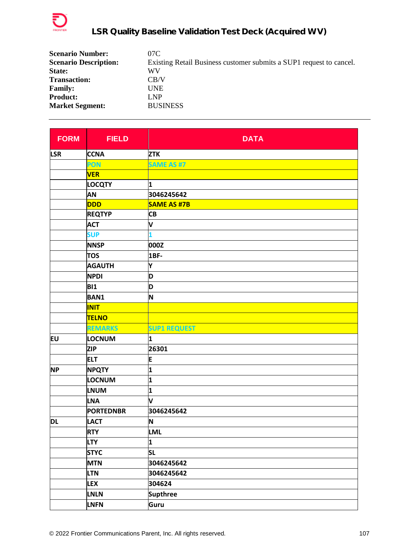

| <b>Scenario Number:</b>      | 07C                                                                 |
|------------------------------|---------------------------------------------------------------------|
| <b>Scenario Description:</b> | Existing Retail Business customer submits a SUP1 request to cancel. |
| State:                       | WV                                                                  |
| <b>Transaction:</b>          | CB/V                                                                |
| <b>Family:</b>               | <b>UNE</b>                                                          |
| <b>Product:</b>              | LNP                                                                 |
| <b>Market Segment:</b>       | <b>BUSINESS</b>                                                     |

| <b>FORM</b> | <b>FIELD</b>     | <b>DATA</b>             |
|-------------|------------------|-------------------------|
| <b>LSR</b>  | <b>CCNA</b>      | <b>ZTK</b>              |
|             | PON              | <b>SAME AS #7</b>       |
|             | <b>VER</b>       |                         |
|             | <b>LOCQTY</b>    | 1                       |
|             | AN               | 3046245642              |
|             | <b>DDD</b>       | <b>SAME AS #7B</b>      |
|             | <b>REQTYP</b>    | <b>CB</b>               |
|             | <b>ACT</b>       | V                       |
|             | <b>SUP</b>       | 1                       |
|             | <b>NNSP</b>      | 000Z                    |
|             | <b>TOS</b>       | 1BF-                    |
|             | <b>AGAUTH</b>    | Y                       |
|             | <b>NPDI</b>      | D                       |
|             | <b>BI1</b>       | D                       |
|             | <b>BAN1</b>      | N                       |
|             | <b>INIT</b>      |                         |
|             | <b>TELNO</b>     |                         |
|             | <b>REMARKS</b>   | <b>SUP1 REQUEST</b>     |
| <b>EU</b>   | <b>LOCNUM</b>    | 1                       |
|             | <b>ZIP</b>       | 26301                   |
|             | <b>ELT</b>       | E                       |
| <b>NP</b>   | <b>NPQTY</b>     | $\overline{\mathbf{1}}$ |
|             | LOCNUM           | 1                       |
|             | <b>LNUM</b>      | 1                       |
|             | <b>LNA</b>       | V                       |
|             | <b>PORTEDNBR</b> | 3046245642              |
| DL          | <b>LACT</b>      | N                       |
|             | <b>RTY</b>       | <b>LML</b>              |
|             | <b>LTY</b>       | 1                       |
|             | <b>STYC</b>      | <b>SL</b>               |
|             | <b>MTN</b>       | 3046245642              |
|             | <b>LTN</b>       | 3046245642              |
|             | <b>LEX</b>       | 304624                  |
|             | <b>LNLN</b>      | <b>Supthree</b>         |
|             | <b>LNFN</b>      | Guru                    |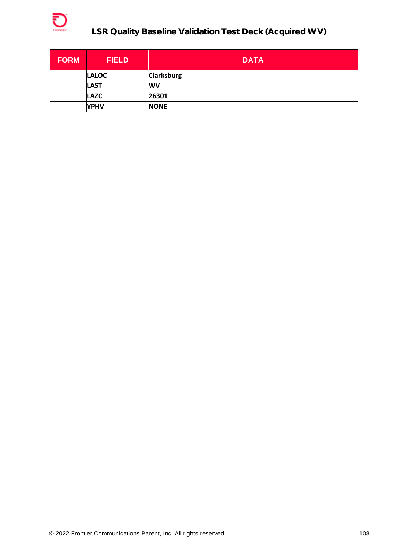

| <b>FORM</b> | <b>FIELD</b> | <b>DATA</b>       |
|-------------|--------------|-------------------|
|             | <b>LALOC</b> | <b>Clarksburg</b> |
|             | <b>LAST</b>  | <b>WV</b>         |
|             | <b>LAZC</b>  | 26301             |
|             | <b>YPHV</b>  | <b>NONE</b>       |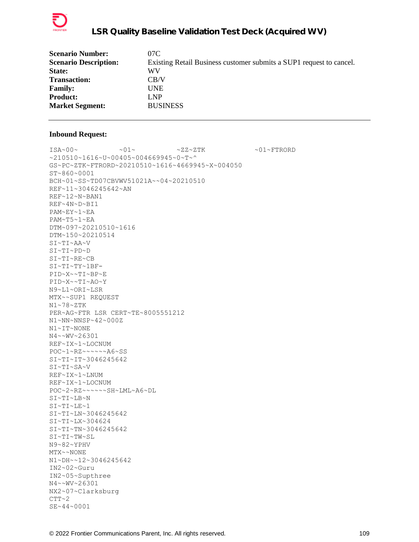

| 07C                                                                 |
|---------------------------------------------------------------------|
| Existing Retail Business customer submits a SUP1 request to cancel. |
| WV                                                                  |
| CB/V                                                                |
| <b>UNE</b>                                                          |
| LNP                                                                 |
| <b>BUSINESS</b>                                                     |
|                                                                     |

 $ISA~00~\sim$   $~01~\sim$   $~01~\sim$   $~2Z~2TK$   $~01~\sim$   $~01~\sim$  FTRORD ~210510~1616~U~00405~004669945~0~T~^ GS~PC~ZTK~FTRORD~20210510~1616~4669945~X~004050 ST~860~0001 BCH~01~SS~TD07CBVWV51021A~~04~20210510 REF~11~3046245642~AN REF~12~N~BAN1 REF~4N~D~BI1 PAM~EY~1~EA PAM~T5~1~EA DTM~097~20210510~1616 DTM~150~20210514 SI~TI~AA~V SI~TI~PD~D SI~TI~RE~CB SI~TI~TY~1BF-PID~X~~TI~BP~E PID~X~~TI~AO~Y N9~L1~ORI~LSR MTX~~SUP1 REQUEST N1~78~ZTK PER~AG~FTR LSR CERT~TE~8005551212 N1~NN~NNSP~42~000Z N1~IT~NONE N4~~WV~26301 REF~IX~1~LOCNUM POC~1~RZ~~~~~~A6~SS SI~TI~IT~3046245642 SI~TI~SA~V REF~IX~1~LNUM REF~IX~1~LOCNUM POC~2~RZ~~~~~~SH~LML~A6~DL SI~TI~LB~N SI~TI~LE~1 SI~TI~LN~3046245642 SI~TI~LX~304624 SI~TI~TN~3046245642 SI~TI~TW~SL N9~82~YPHV MTX~~NONE N1~DH~~12~3046245642 IN2~02~Guru IN2~05~Supthree N4~~WV~26301 NX2~07~Clarksburg  $CTT~2$ SE~44~0001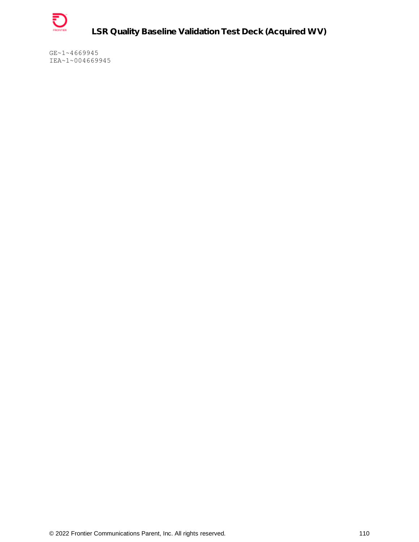

**LSR Quality Baseline Validation Test Deck (Acquired WV)**

GE~1~4669945 IEA~1~004669945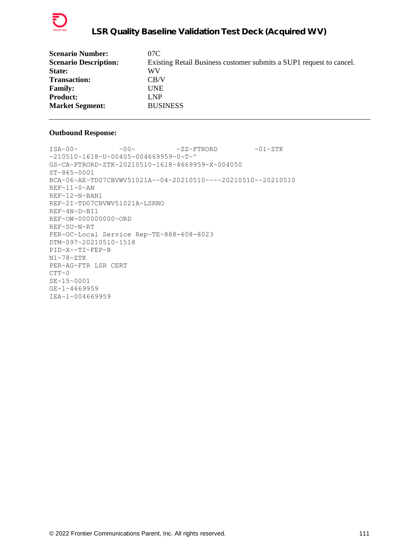

| <b>Scenario Number:</b>      | 07C                                                                 |
|------------------------------|---------------------------------------------------------------------|
| <b>Scenario Description:</b> | Existing Retail Business customer submits a SUP1 request to cancel. |
| State:                       | WV                                                                  |
| <b>Transaction:</b>          | CB/V                                                                |
| <b>Family:</b>               | <b>UNE</b>                                                          |
| <b>Product:</b>              | LNP                                                                 |
| <b>Market Segment:</b>       | <b>BUSINESS</b>                                                     |
|                              |                                                                     |

 $\sim 00\sim \qquad \qquad \sim 00\sim \qquad \qquad \sim 22\sim \text{FTRORD} \qquad \qquad \sim 01\sim \text{ZTK}$ ~210510~1618~U~00405~004669959~0~T~^ GS~CA~FTRORD~ZTK~20210510~1618~4669959~X~004050 ST~865~0001 BCA~06~AE~TD07CBVWV51021A~~04~20210510~~~~20210510~~20210510 REF~11~0~AN REF~12~N~BAN1 REF~2I~TD07CBVWV51021A~LSRNO REF~4N~D~BI1 REF~OW~000000000~ORD REF~SU~N~RT PER~OC~Local Service Rep~TE~888-608-8023 DTM~097~20210510~1518 PID~X~~TI~FEP~B N1~78~ZTK PER~AG~FTR LSR CERT  $CTT~0$ SE~15~0001 GE~1~4669959 IEA~1~004669959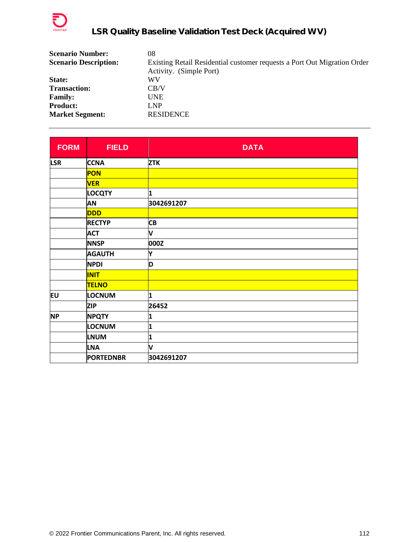

| <b>Scenario Number:</b>      | 08                                                                       |
|------------------------------|--------------------------------------------------------------------------|
| <b>Scenario Description:</b> | Existing Retail Residential customer requests a Port Out Migration Order |
|                              | Activity. (Simple Port)                                                  |
| State:                       | WV                                                                       |
| <b>Transaction:</b>          | CB/V                                                                     |
| <b>Family:</b>               | UNE                                                                      |
| <b>Product:</b>              | LNP                                                                      |
| <b>Market Segment:</b>       | <b>RESIDENCE</b>                                                         |

| <b>FORM</b> | <b>FIELD</b>     | <b>DATA</b> |
|-------------|------------------|-------------|
| <b>LSR</b>  | <b>CCNA</b>      | <b>ZTK</b>  |
|             | <b>PON</b>       |             |
|             | <b>VER</b>       |             |
|             | <b>LOCQTY</b>    | 1           |
|             | AN               | 3042691207  |
|             | <b>DDD</b>       |             |
|             | <b>RECTYP</b>    | <b>CB</b>   |
|             | <b>ACT</b>       | V           |
|             | <b>NNSP</b>      | 000Z        |
|             | <b>AGAUTH</b>    | Y           |
|             | <b>NPDI</b>      | D           |
|             | <b>INIT</b>      |             |
|             | <b>TELNO</b>     |             |
| EU          | <b>LOCNUM</b>    | 1           |
|             | <b>ZIP</b>       | 26452       |
| <b>NP</b>   | <b>NPQTY</b>     | 1           |
|             | LOCNUM           | 1           |
|             | <b>LNUM</b>      | 1           |
|             | <b>LNA</b>       | V           |
|             | <b>PORTEDNBR</b> | 3042691207  |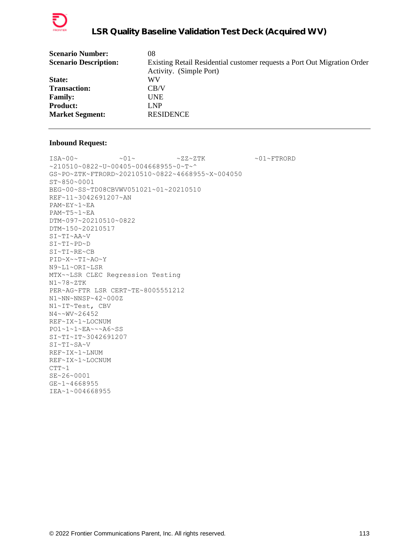

| <b>Scenario Number:</b>      | 08                                                                       |
|------------------------------|--------------------------------------------------------------------------|
| <b>Scenario Description:</b> | Existing Retail Residential customer requests a Port Out Migration Order |
|                              | Activity. (Simple Port)                                                  |
| State:                       | WV                                                                       |
| <b>Transaction:</b>          | CB/V                                                                     |
| <b>Family:</b>               | <b>UNE</b>                                                               |
| <b>Product:</b>              | <b>LNP</b>                                                               |
| <b>Market Segment:</b>       | <b>RESIDENCE</b>                                                         |
|                              |                                                                          |

 $\verb|ISA~00~|~\verb|V|~|~\verb|V|~|~\verb|V|~|~\verb|V|~|~\verb|V|~|~\verb|V|~|~\verb|V|~|~\verb|V|~|~\verb|V|~|~\verb|V|~|~\verb|V|~|~\verb|V|~|~\verb|V|~|~\verb|V|~|~\verb|V|~|~\verb|V|~|~\verb|V|~|~\verb|V|~|~\verb|V|~|~\verb|V|~|~\verb|V|~|~\verb|V|~|~\verb|V|~|~\verb|V|~|~\verb|V|~|~\verb|V|~|~\verb$ ~210510~0822~U~00405~004668955~0~T~^ GS~PO~ZTK~FTRORD~20210510~0822~4668955~X~004050 ST~850~0001 BEG~00~SS~TD08CBVWV051021~01~20210510 REF~11~3042691207~AN PAM~EY~1~EA PAM~T5~1~EA DTM~097~20210510~0822 DTM~150~20210517 SI~TI~AA~V SI~TI~PD~D SI~TI~RE~CB PID~X~~TI~AO~Y N9~L1~ORI~LSR MTX~~LSR CLEC Regression Testing N1~78~ZTK PER~AG~FTR LSR CERT~TE~8005551212 N1~NN~NNSP~42~000Z N1~IT~Test, CBV N4~~WV~26452 REF~IX~1~LOCNUM PO1~1~1~EA~~~A6~SS SI~TI~IT~3042691207 SI~TI~SA~V REF~IX~1~LNUM REF~IX~1~LOCNUM  $CTT~1$ SE~26~0001 GE~1~4668955 IEA~1~004668955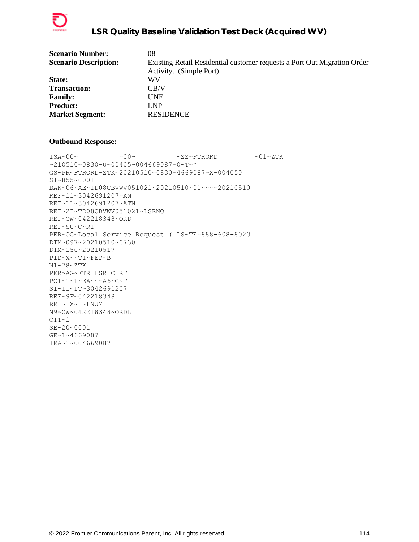

| Existing Retail Residential customer requests a Port Out Migration Order |
|--------------------------------------------------------------------------|
| Activity. (Simple Port)                                                  |
|                                                                          |
|                                                                          |
|                                                                          |
|                                                                          |
| <b>RESIDENCE</b>                                                         |
|                                                                          |

```
ISA~00~\sim ~00~\sim ~00~\sim ~2Z~\sim FTRORD ~01~\sim ZTK
~210510~0830~U~00405~004669087~0~T~^
GS~PR~FTRORD~ZTK~20210510~0830~4669087~X~004050
ST~855~0001
BAK~06~AE~TD08CBVWV051021~20210510~01~~~~20210510
REF~11~3042691207~AN
REF~11~3042691207~ATN
REF~2I~TD08CBVWV051021~LSRNO
REF~OW~042218348~ORD
REF~SU~C~RT
PER~OC~Local Service Request ( LS~TE~888-608-8023
DTM~097~20210510~0730
DTM~150~20210517
PID~X~~TI~FEP~B
N1~78~ZTK
PER~AG~FTR LSR CERT
PO1~1~1~EA~~~A6~CKT
SI~TI~IT~3042691207
REF~9F~042218348
REF~IX~1~LNUM
N9~OW~042218348~ORDL
CTT~1SE~20~0001
GE~1~4669087
IEA~1~004669087
```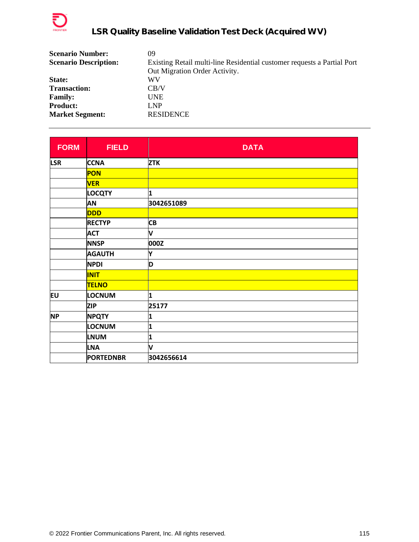

| <b>Scenario Number:</b>      | 09                                                                      |
|------------------------------|-------------------------------------------------------------------------|
| <b>Scenario Description:</b> | Existing Retail multi-line Residential customer requests a Partial Port |
|                              | Out Migration Order Activity.                                           |
| State:                       | WV                                                                      |
| <b>Transaction:</b>          | CB/V                                                                    |
| <b>Family:</b>               | <b>UNE</b>                                                              |
| <b>Product:</b>              | LNP                                                                     |
| <b>Market Segment:</b>       | <b>RESIDENCE</b>                                                        |

| <b>FORM</b> | <b>FIELD</b>     | <b>DATA</b> |
|-------------|------------------|-------------|
| <b>LSR</b>  | <b>CCNA</b>      | <b>ZTK</b>  |
|             | <b>PON</b>       |             |
|             | <b>VER</b>       |             |
|             | <b>LOCQTY</b>    | 1           |
|             | <b>AN</b>        | 3042651089  |
|             | <b>DDD</b>       |             |
|             | <b>RECTYP</b>    | <b>CB</b>   |
|             | <b>ACT</b>       | V           |
|             | <b>NNSP</b>      | 000Z        |
|             | <b>AGAUTH</b>    | Y           |
|             | <b>NPDI</b>      | D           |
|             | <b>INIT</b>      |             |
|             | <b>TELNO</b>     |             |
| EU          | <b>LOCNUM</b>    | 1           |
|             | <b>ZIP</b>       | 25177       |
| <b>NP</b>   | <b>NPQTY</b>     | 1           |
|             | LOCNUM           | 1           |
|             | <b>LNUM</b>      | 1           |
|             | <b>LNA</b>       | V           |
|             | <b>PORTEDNBR</b> | 3042656614  |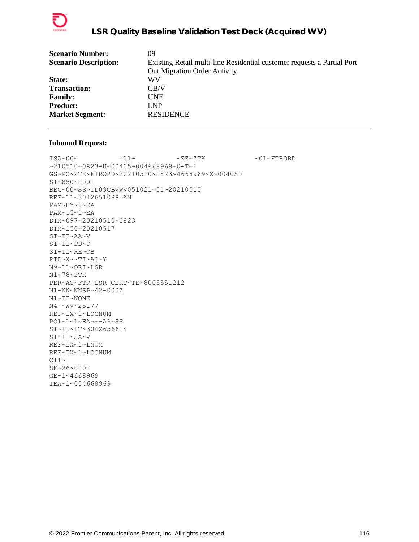

| <b>Scenario Number:</b>      | 09                                                                      |
|------------------------------|-------------------------------------------------------------------------|
| <b>Scenario Description:</b> | Existing Retail multi-line Residential customer requests a Partial Port |
|                              | Out Migration Order Activity.                                           |
| State:                       | WV                                                                      |
| <b>Transaction:</b>          | CB/V                                                                    |
| <b>Family:</b>               | <b>UNE</b>                                                              |
| <b>Product:</b>              | LNP                                                                     |
| <b>Market Segment:</b>       | <b>RESIDENCE</b>                                                        |
|                              |                                                                         |

 $\verb|ISA~00~|~\verb|V|~|~\verb|V|~|~\verb|V|~|~\verb|V|~|~\verb|V|~|~\verb|V|~|~\verb|V|~|~\verb|V|~|~\verb|V|~|~\verb|V|~|~\verb|V|~|~\verb|V|~|~\verb|V|~|~\verb|V|~|~\verb|V|~|~\verb|V|~|~\verb|V|~|~\verb|V|~|~\verb|V|~|~\verb|V|~|~\verb|V|~|~\verb|V|~|~\verb|V|~|~\verb|V|~|~\verb|V|~|~\verb|V|~|~\verb$ ~210510~0823~U~00405~004668969~0~T~^ GS~PO~ZTK~FTRORD~20210510~0823~4668969~X~004050 ST~850~0001 BEG~00~SS~TD09CBVWV051021~01~20210510 REF~11~3042651089~AN PAM~EY~1~EA PAM~T5~1~EA DTM~097~20210510~0823 DTM~150~20210517 SI~TI~AA~V SI~TI~PD~D SI~TI~RE~CB PID~X~~TI~AO~Y N9~L1~ORI~LSR N1~78~ZTK PER~AG~FTR LSR CERT~TE~8005551212 N1~NN~NNSP~42~000Z N1~IT~NONE N4~~WV~25177 REF~IX~1~LOCNUM PO1~1~1~EA~~~A6~SS SI~TI~IT~3042656614 SI~TI~SA~V REF~IX~1~LNUM REF~IX~1~LOCNUM  $CTT~1$ SE~26~0001 GE~1~4668969 IEA~1~004668969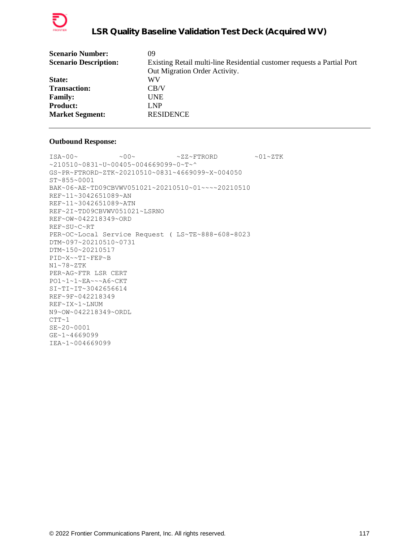

| <b>Scenario Number:</b>      | 09                                                                      |
|------------------------------|-------------------------------------------------------------------------|
| <b>Scenario Description:</b> | Existing Retail multi-line Residential customer requests a Partial Port |
|                              | Out Migration Order Activity.                                           |
| State:                       | WV                                                                      |
| <b>Transaction:</b>          | CB/V                                                                    |
| <b>Family:</b>               | <b>UNE</b>                                                              |
| <b>Product:</b>              | LNP                                                                     |
| <b>Market Segment:</b>       | <b>RESIDENCE</b>                                                        |
|                              |                                                                         |

```
ISA~00~\sim ~00~\sim ~00~\sim ~2Z~\sim FTRORD ~01~\sim ZTK
~210510~0831~U~00405~004669099~0~T~^
GS~PR~FTRORD~ZTK~20210510~0831~4669099~X~004050
ST~855~0001
BAK~06~AE~TD09CBVWV051021~20210510~01~~~~20210510
REF~11~3042651089~AN
REF~11~3042651089~ATN
REF~2I~TD09CBVWV051021~LSRNO
REF~OW~042218349~ORD
REF~SU~C~RT
PER~OC~Local Service Request ( LS~TE~888-608-8023
DTM~097~20210510~0731
DTM~150~20210517
PID~X~~TI~FEP~B
N1~78~ZTK
PER~AG~FTR LSR CERT
PO1~1~1~EA~~~A6~CKT
SI~TI~IT~3042656614
REF~9F~042218349
REF~IX~1~LNUM
N9~OW~042218349~ORDL
CTT~1SE~20~0001
GE~1~4669099
IEA~1~004669099
```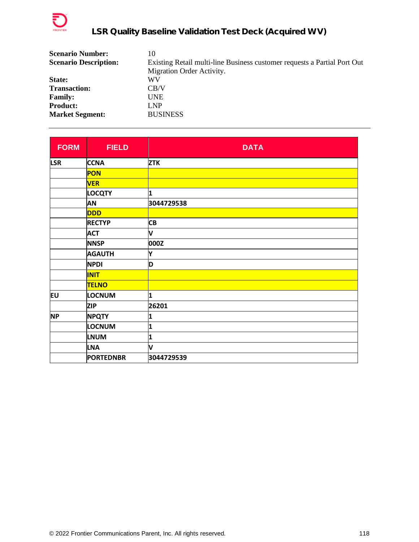

| <b>Scenario Number:</b>      | 10                                                                       |
|------------------------------|--------------------------------------------------------------------------|
| <b>Scenario Description:</b> | Existing Retail multi-line Business customer requests a Partial Port Out |
|                              | Migration Order Activity.                                                |
| State:                       | WV                                                                       |
| <b>Transaction:</b>          | CB/V                                                                     |
| <b>Family:</b>               | <b>UNE</b>                                                               |
| <b>Product:</b>              | LNP                                                                      |
| <b>Market Segment:</b>       | <b>BUSINESS</b>                                                          |

| <b>FORM</b> | <b>FIELD</b>     | <b>DATA</b> |
|-------------|------------------|-------------|
| <b>LSR</b>  | <b>CCNA</b>      | <b>ZTK</b>  |
|             | <b>PON</b>       |             |
|             | <b>VER</b>       |             |
|             | <b>LOCQTY</b>    | 1           |
|             | AN               | 3044729538  |
|             | <b>DDD</b>       |             |
|             | <b>RECTYP</b>    | <b>CB</b>   |
|             | <b>ACT</b>       | V           |
|             | <b>NNSP</b>      | 000Z        |
|             | <b>AGAUTH</b>    | Y           |
|             | <b>NPDI</b>      | D           |
|             | <b>INIT</b>      |             |
|             | <b>TELNO</b>     |             |
| EU          | LOCNUM           | 1           |
|             | <b>ZIP</b>       | 26201       |
| <b>NP</b>   | <b>NPQTY</b>     | 1           |
|             | <b>LOCNUM</b>    | 1           |
|             | <b>LNUM</b>      | 1           |
|             | <b>LNA</b>       | V           |
|             | <b>PORTEDNBR</b> | 3044729539  |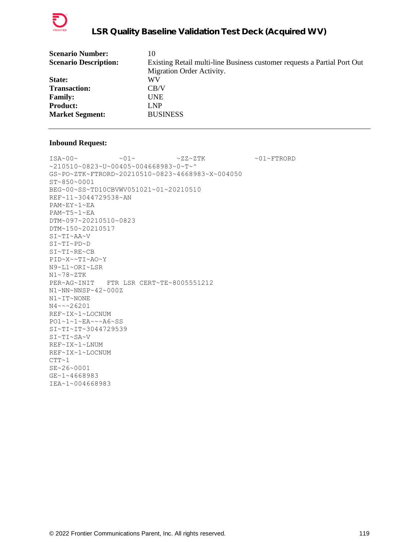

| <b>Scenario Number:</b>      | 10                                                                       |
|------------------------------|--------------------------------------------------------------------------|
| <b>Scenario Description:</b> | Existing Retail multi-line Business customer requests a Partial Port Out |
|                              | Migration Order Activity.                                                |
| State:                       | WV                                                                       |
| <b>Transaction:</b>          | CB/V                                                                     |
| <b>Family:</b>               | <b>UNE</b>                                                               |
| <b>Product:</b>              | LNP.                                                                     |
| <b>Market Segment:</b>       | <b>BUSINESS</b>                                                          |
|                              |                                                                          |

 $\verb|ISA~00~|~\verb|V|~|~\verb|V|~|~\verb|V|~|~\verb|V|~|~\verb|V|~|~\verb|V|~|~\verb|V|~|~\verb|V|~|~\verb|V|~|~\verb|V|~|~\verb|V|~|~\verb|V|~|~\verb|V|~|~\verb|V|~|~\verb|V|~|~\verb|V|~|~\verb|V|~|~\verb|V|~|~\verb|V|~|~\verb|V|~|~\verb|V|~|~\verb|V|~|~\verb|V|~|~\verb|V|~|~\verb|V|~|~\verb|V|~|~\verb$ ~210510~0823~U~00405~004668983~0~T~^ GS~PO~ZTK~FTRORD~20210510~0823~4668983~X~004050 ST~850~0001 BEG~00~SS~TD10CBVWV051021~01~20210510 REF~11~3044729538~AN PAM~EY~1~EA PAM~T5~1~EA DTM~097~20210510~0823 DTM~150~20210517 SI~TI~AA~V SI~TI~PD~D SI~TI~RE~CB PID~X~~TI~AO~Y N9~L1~ORI~LSR N1~78~ZTK PER~AG~INIT FTR LSR CERT~TE~8005551212 N1~NN~NNSP~42~000Z N1~IT~NONE N4~~~26201 REF~IX~1~LOCNUM PO1~1~1~EA~~~A6~SS SI~TI~IT~3044729539 SI~TI~SA~V REF~IX~1~LNUM REF~IX~1~LOCNUM  $CTT~1$ SE~26~0001 GE~1~4668983 IEA~1~004668983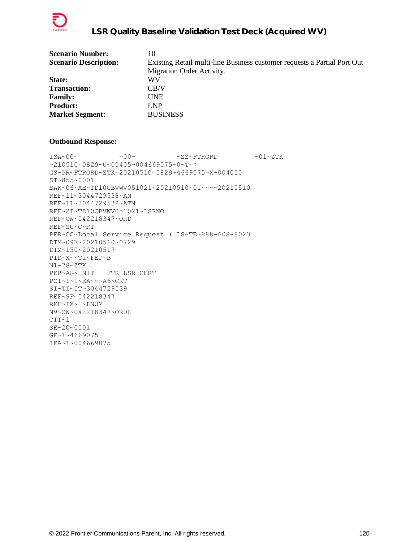

| <b>Scenario Number:</b>      | 10                                                                       |
|------------------------------|--------------------------------------------------------------------------|
| <b>Scenario Description:</b> | Existing Retail multi-line Business customer requests a Partial Port Out |
|                              | Migration Order Activity.                                                |
| State:                       | WV                                                                       |
| <b>Transaction:</b>          | CB/V                                                                     |
| <b>Family:</b>               | <b>UNE</b>                                                               |
| <b>Product:</b>              | LNP                                                                      |
| <b>Market Segment:</b>       | <b>BUSINESS</b>                                                          |
|                              |                                                                          |

```
ISA~00~\sim ~00~\sim ~00~\sim ~2Z~\sim FTRORD ~01~\sim ZTK
~210510~0829~U~00405~004669075~0~T~^
GS~PR~FTRORD~ZTK~20210510~0829~4669075~X~004050
ST~855~0001
BAK~06~AE~TD10CBVWV051021~20210510~01~~~~20210510
REF~11~3044729538~AN
REF~11~3044729538~ATN
REF~2I~TD10CBVWV051021~LSRNO
REF~OW~042218347~ORD
REF~SU~C~RT
PER~OC~Local Service Request ( LS~TE~888-608-8023
DTM~097~20210510~0729
DTM~150~20210517
PID~X~~TI~FEP~B
N1~78~ZTK
PER~AG~INIT FTR LSR CERT
PO1~1~1~EA~~~A6~CKT
SI~TI~IT~3044729539
REF~9F~042218347
REF~IX~1~LNUM
N9~OW~042218347~ORDL
CTT~1SE~20~0001
GE~1~4669075
IEA~1~004669075
```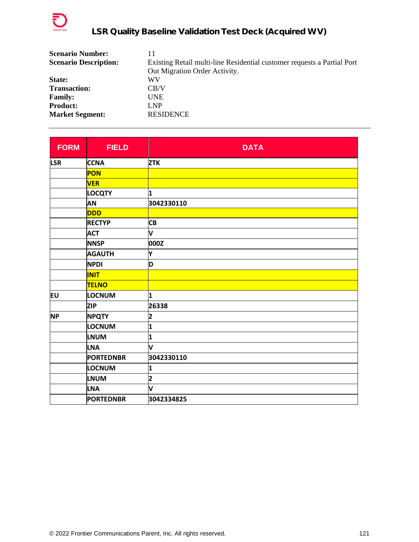

| <b>Scenario Number:</b>      | 11                                                                      |
|------------------------------|-------------------------------------------------------------------------|
| <b>Scenario Description:</b> | Existing Retail multi-line Residential customer requests a Partial Port |
|                              | Out Migration Order Activity.                                           |
| State:                       | WV                                                                      |
| <b>Transaction:</b>          | CB/V                                                                    |
| <b>Family:</b>               | <b>UNE</b>                                                              |
| <b>Product:</b>              | LNP                                                                     |
| <b>Market Segment:</b>       | <b>RESIDENCE</b>                                                        |

| <b>FORM</b> | <b>FIELD</b>     | <b>DATA</b>             |
|-------------|------------------|-------------------------|
| <b>LSR</b>  | <b>CCNA</b>      | <b>ZTK</b>              |
|             | PON              |                         |
|             | <b>VER</b>       |                         |
|             | <b>LOCQTY</b>    | 1                       |
|             | <b>AN</b>        | 3042330110              |
|             | <b>DDD</b>       |                         |
|             | <b>RECTYP</b>    | <b>CB</b>               |
|             | <b>ACT</b>       | V                       |
|             | <b>NNSP</b>      | 000Z                    |
|             | <b>AGAUTH</b>    | Υ                       |
|             | <b>NPDI</b>      | D                       |
|             | <b>INIT</b>      |                         |
|             | <b>TELNO</b>     |                         |
| lΕU         | <b>LOCNUM</b>    | 1                       |
|             | <b>ZIP</b>       | 26338                   |
| <b>NP</b>   | <b>NPQTY</b>     | 2                       |
|             | LOCNUM           | 1                       |
|             | <b>LNUM</b>      | 1                       |
|             | <b>LNA</b>       | V                       |
|             | <b>PORTEDNBR</b> | 3042330110              |
|             | LOCNUM           | 1                       |
|             | <b>LNUM</b>      | $\overline{\mathbf{2}}$ |
|             | <b>LNA</b>       | V                       |
|             | <b>PORTEDNBR</b> | 3042334825              |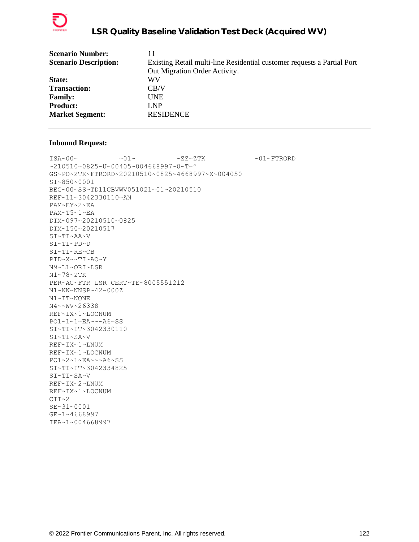

| <b>Scenario Number:</b>      | 11                                                                      |
|------------------------------|-------------------------------------------------------------------------|
| <b>Scenario Description:</b> | Existing Retail multi-line Residential customer requests a Partial Port |
|                              | Out Migration Order Activity.                                           |
| State:                       | WV                                                                      |
| <b>Transaction:</b>          | CB/V                                                                    |
| <b>Family:</b>               | <b>UNE</b>                                                              |
| <b>Product:</b>              | LNP                                                                     |
| <b>Market Segment:</b>       | <b>RESIDENCE</b>                                                        |
|                              |                                                                         |

 $\verb|ISA~00~|~\verb|V|~|~\verb|V|~|~\verb|V|~|~\verb|V|~|~\verb|V|~|~\verb|V|~|~\verb|V|~|~\verb|V|~|~\verb|V|~|~\verb|V|~|~\verb|V|~|~\verb|V|~|~\verb|V|~|~\verb|V|~|~\verb|V|~|~\verb|V|~|~\verb|V|~|~\verb|V|~|~\verb|V|~|~\verb|V|~|~\verb|V|~|~\verb|V|~|~\verb|V|~|~\verb|V|~|~\verb|V|~|~\verb|V|~|~\verb$ ~210510~0825~U~00405~004668997~0~T~^ GS~PO~ZTK~FTRORD~20210510~0825~4668997~X~004050 ST~850~0001 BEG~00~SS~TD11CBVWV051021~01~20210510 REF~11~3042330110~AN PAM~EY~2~EA PAM~T5~1~EA DTM~097~20210510~0825 DTM~150~20210517 SI~TI~AA~V SI~TI~PD~D SI~TI~RE~CB PID~X~~TI~AO~Y N9~L1~ORI~LSR N1~78~ZTK PER~AG~FTR LSR CERT~TE~8005551212 N1~NN~NNSP~42~000Z N1~IT~NONE N4~~WV~26338 REF~IX~1~LOCNUM PO1~1~1~EA~~~A6~SS SI~TI~IT~3042330110 SI~TI~SA~V REF~IX~1~LNUM REF~IX~1~LOCNUM PO1~2~1~EA~~~A6~SS SI~TI~IT~3042334825 SI~TI~SA~V REF~IX~2~LNUM REF~IX~1~LOCNUM  $CTT~2$ SE~31~0001 GE~1~4668997 IEA~1~004668997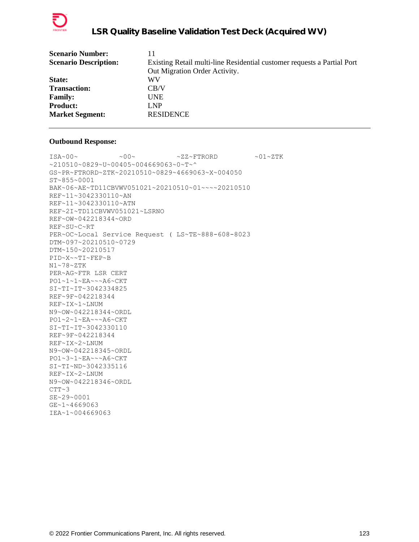

| <b>Scenario Number:</b>      | 11                                                                      |
|------------------------------|-------------------------------------------------------------------------|
| <b>Scenario Description:</b> | Existing Retail multi-line Residential customer requests a Partial Port |
|                              | Out Migration Order Activity.                                           |
| State:                       | WV                                                                      |
| <b>Transaction:</b>          | CB/V                                                                    |
| <b>Family:</b>               | <b>UNE</b>                                                              |
| <b>Product:</b>              | LNP                                                                     |
| <b>Market Segment:</b>       | <b>RESIDENCE</b>                                                        |
|                              |                                                                         |

```
\text{ISA}\sim00\sim \sim00\sim \sim ZZ~FTRORD \sim01\simZTK
~210510~0829~U~00405~004669063~0~T~^
GS~PR~FTRORD~ZTK~20210510~0829~4669063~X~004050
ST~855~0001
BAK~06~AE~TD11CBVWV051021~20210510~01~~~~20210510
REF~11~3042330110~AN
REF~11~3042330110~ATN
REF~2I~TD11CBVWV051021~LSRNO
REF~OW~042218344~ORD
REF~SU~C~RT
PER~OC~Local Service Request ( LS~TE~888-608-8023
DTM~097~20210510~0729
DTM~150~20210517
PID~X~~TI~FEP~B
N1~78~ZTK
PER~AG~FTR LSR CERT
PO1~1~1~EA~~~A6~CKT
SI~TI~IT~3042334825
REF~9F~042218344
REF~IX~1~LNUM
N9~OW~042218344~ORDL
PO1~2~1~EA~~~A6~CKT
SI~TI~IT~3042330110
REF~9F~042218344
REF~IX~2~LNUM
N9~OW~042218345~ORDL
PO1~3~1~EA~~~A6~CKT
SI~TI~ND~3042335116
REF~IX~2~LNUM
N9~OW~042218346~ORDL
CTT~3SE~29~0001
GE~1~4669063
IEA~1~004669063
```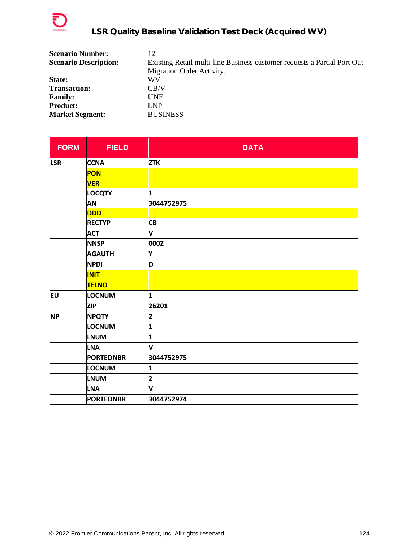

| <b>Scenario Number:</b>      | 12                                                                       |
|------------------------------|--------------------------------------------------------------------------|
| <b>Scenario Description:</b> | Existing Retail multi-line Business customer requests a Partial Port Out |
|                              | Migration Order Activity.                                                |
| State:                       | WV                                                                       |
| <b>Transaction:</b>          | CB/V                                                                     |
| <b>Family:</b>               | <b>UNE</b>                                                               |
| <b>Product:</b>              | LNP                                                                      |
| <b>Market Segment:</b>       | <b>BUSINESS</b>                                                          |

| <b>FORM</b> | <b>FIELD</b>     | <b>DATA</b> |
|-------------|------------------|-------------|
| <b>LSR</b>  | <b>CCNA</b>      | <b>ZTK</b>  |
|             | PON              |             |
|             | <b>VER</b>       |             |
|             | <b>LOCQTY</b>    | 1           |
|             | AN               | 3044752975  |
|             | <b>DDD</b>       |             |
|             | <b>RECTYP</b>    | <b>CB</b>   |
|             | <b>ACT</b>       | V           |
|             | <b>NNSP</b>      | 000Z        |
|             | <b>AGAUTH</b>    | Y           |
|             | <b>NPDI</b>      | D           |
|             | <b>INIT</b>      |             |
|             | <b>TELNO</b>     |             |
| Eυ          | <b>LOCNUM</b>    | 1           |
|             | <b>ZIP</b>       | 26201       |
| <b>NP</b>   | <b>NPQTY</b>     | 2           |
|             | LOCNUM           | 1           |
|             | <b>LNUM</b>      | 1           |
|             | <b>LNA</b>       | V           |
|             | <b>PORTEDNBR</b> | 3044752975  |
|             | LOCNUM           | 1           |
|             | <b>LNUM</b>      | 2           |
|             | <b>LNA</b>       | V           |
|             | <b>PORTEDNBR</b> | 3044752974  |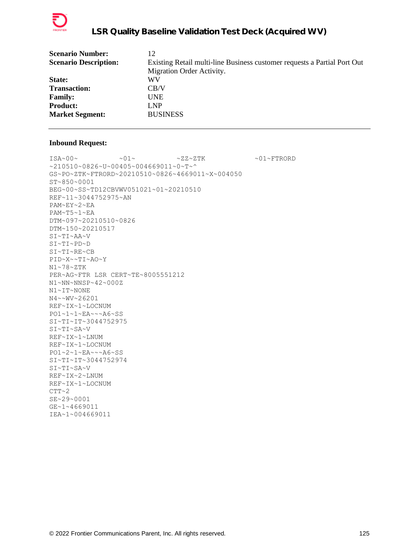

| <b>Scenario Number:</b>      | 12                                                                       |
|------------------------------|--------------------------------------------------------------------------|
| <b>Scenario Description:</b> | Existing Retail multi-line Business customer requests a Partial Port Out |
|                              | Migration Order Activity.                                                |
| State:                       | WV                                                                       |
| <b>Transaction:</b>          | CB/V                                                                     |
| <b>Family:</b>               | <b>UNE</b>                                                               |
| <b>Product:</b>              | LNP.                                                                     |
| <b>Market Segment:</b>       | <b>BUSINESS</b>                                                          |
|                              |                                                                          |

 $\verb|ISA~00~|~\verb|V|~|~\verb|V|~|~\verb|V|~|~\verb|V|~|~\verb|V|~|~\verb|V|~|~\verb|V|~|~\verb|V|~|~\verb|V|~|~\verb|V|~|~\verb|V|~|~\verb|V|~|~\verb|V|~|~\verb|V|~|~\verb|V|~|~\verb|V|~|~\verb|V|~|~\verb|V|~|~\verb|V|~|~\verb|V|~|~\verb|V|~|~\verb|V|~|~\verb|V|~|~\verb|V|~|~\verb|V|~|~\verb|V|~|~\verb$ ~210510~0826~U~00405~004669011~0~T~^ GS~PO~ZTK~FTRORD~20210510~0826~4669011~X~004050 ST~850~0001 BEG~00~SS~TD12CBVWV051021~01~20210510 REF~11~3044752975~AN PAM~EY~2~EA PAM~T5~1~EA DTM~097~20210510~0826 DTM~150~20210517 SI~TI~AA~V SI~TI~PD~D SI~TI~RE~CB PID~X~~TI~AO~Y N1~78~ZTK PER~AG~FTR LSR CERT~TE~8005551212 N1~NN~NNSP~42~000Z N1~IT~NONE N4~~WV~26201 REF~IX~1~LOCNUM PO1~1~1~EA~~~A6~SS SI~TI~IT~3044752975 SI~TI~SA~V REF~IX~1~LNUM REF~IX~1~LOCNUM PO1~2~1~EA~~~A6~SS SI~TI~IT~3044752974 SI~TI~SA~V REF~IX~2~LNUM REF~IX~1~LOCNUM  $CTT~2$ SE~29~0001 GE~1~4669011 IEA~1~004669011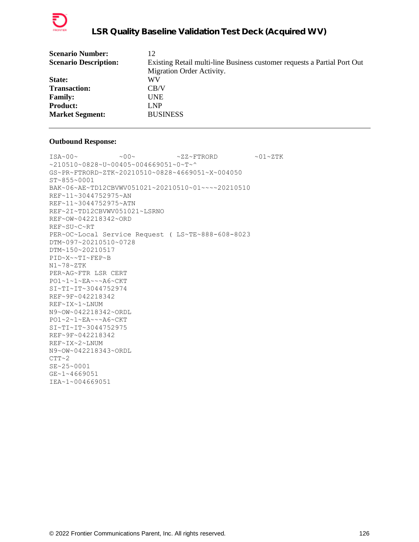

| <b>Scenario Number:</b>      | 12                                                                       |
|------------------------------|--------------------------------------------------------------------------|
| <b>Scenario Description:</b> | Existing Retail multi-line Business customer requests a Partial Port Out |
|                              | Migration Order Activity.                                                |
| State:                       | WV                                                                       |
| <b>Transaction:</b>          | CB/V                                                                     |
| <b>Family:</b>               | <b>UNE</b>                                                               |
| <b>Product:</b>              | LNP                                                                      |
| <b>Market Segment:</b>       | <b>BUSINESS</b>                                                          |
|                              |                                                                          |

```
\text{ISA}\sim00\sim \sim00\sim \sim ZZ~FTRORD \sim01\simZTK
~210510~0828~U~00405~004669051~0~T~^
GS~PR~FTRORD~ZTK~20210510~0828~4669051~X~004050
ST~855~0001
BAK~06~AE~TD12CBVWV051021~20210510~01~~~~20210510
REF~11~3044752975~AN
REF~11~3044752975~ATN
REF~2I~TD12CBVWV051021~LSRNO
REF~OW~042218342~ORD
REF~SU~C~RT
PER~OC~Local Service Request ( LS~TE~888-608-8023
DTM~097~20210510~0728
DTM~150~20210517
PID~X~~TI~FEP~B
N1~78~ZTK
PER~AG~FTR LSR CERT
PO1~1~1~EA~~~A6~CKT
SI~TI~IT~3044752974
REF~9F~042218342
REF~IX~1~LNUM
N9~OW~042218342~ORDL
PO1~2~1~EA~~~A6~CKT
SI~TI~IT~3044752975
REF~9F~042218342
REF~IX~2~LNUM
N9~OW~042218343~ORDL
CTT~2SE~25~0001
GE~1~4669051
IEA~1~004669051
```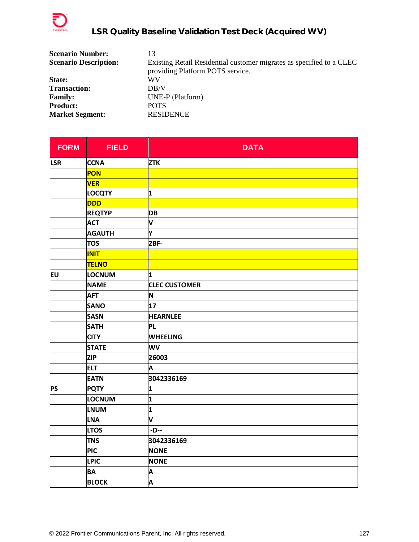

| <b>Scenario Number:</b>      | 13                                                                   |
|------------------------------|----------------------------------------------------------------------|
| <b>Scenario Description:</b> | Existing Retail Residential customer migrates as specified to a CLEC |
|                              | providing Platform POTS service.                                     |
| State:                       | WV                                                                   |
| <b>Transaction:</b>          | DB/V                                                                 |
| <b>Family:</b>               | UNE-P (Platform)                                                     |
| <b>Product:</b>              | <b>POTS</b>                                                          |
| <b>Market Segment:</b>       | <b>RESIDENCE</b>                                                     |

| <b>FORM</b> | <b>FIELD</b>  | <b>DATA</b>          |
|-------------|---------------|----------------------|
| <b>LSR</b>  | <b>CCNA</b>   | <b>ZTK</b>           |
|             | PON           |                      |
|             | <b>VER</b>    |                      |
|             | <b>LOCQTY</b> | 1                    |
|             | <b>DDD</b>    |                      |
|             | <b>REQTYP</b> | <b>DB</b>            |
|             | <b>ACT</b>    | V                    |
|             | <b>AGAUTH</b> | Υ                    |
|             | <b>TOS</b>    | $2BF-$               |
|             | <b>INIT</b>   |                      |
|             | <b>TELNO</b>  |                      |
| EU          | LOCNUM        | 1                    |
|             | <b>NAME</b>   | <b>CLEC CUSTOMER</b> |
|             | <b>AFT</b>    | N                    |
|             | <b>SANO</b>   | 17                   |
|             | <b>SASN</b>   | <b>HEARNLEE</b>      |
|             | <b>SATH</b>   | <b>PL</b>            |
|             | <b>CITY</b>   | <b>WHEELING</b>      |
|             | <b>STATE</b>  | <b>WV</b>            |
|             | <b>ZIP</b>    | 26003                |
|             | <b>ELT</b>    | A                    |
|             | <b>EATN</b>   | 3042336169           |
| <b>PS</b>   | <b>PQTY</b>   | 1                    |
|             | LOCNUM        | 1                    |
|             | <b>LNUM</b>   | 1                    |
|             | <b>LNA</b>    | V                    |
|             | <b>LTOS</b>   | $-D-$                |
|             | <b>TNS</b>    | 3042336169           |
|             | <b>PIC</b>    | <b>NONE</b>          |
|             | <b>LPIC</b>   | <b>NONE</b>          |
|             | <b>BA</b>     | Α                    |
|             | <b>BLOCK</b>  | A                    |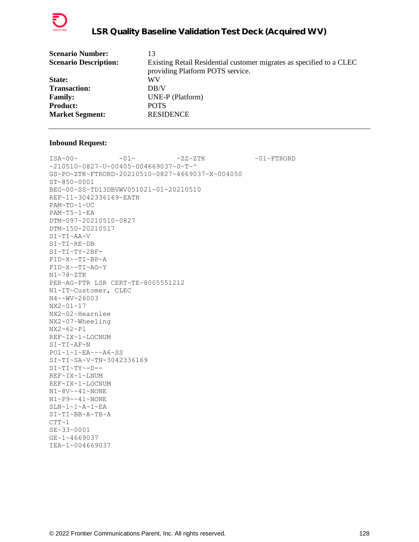

| <b>Scenario Number:</b>      | 13                                                                   |
|------------------------------|----------------------------------------------------------------------|
| <b>Scenario Description:</b> | Existing Retail Residential customer migrates as specified to a CLEC |
|                              | providing Platform POTS service.                                     |
| State:                       | WV                                                                   |
| <b>Transaction:</b>          | DB/V                                                                 |
| <b>Family:</b>               | UNE-P (Platform)                                                     |
| <b>Product:</b>              | <b>POTS</b>                                                          |
| <b>Market Segment:</b>       | <b>RESIDENCE</b>                                                     |
|                              |                                                                      |

 $\verb|ISA~00~|~\verb|V|~|~\verb|V|~|~\verb|V|~|~\verb|V|~|~\verb|V|~|~\verb|V|~|~\verb|V|~|~\verb|V|~|~\verb|V|~|~\verb|V|~|~\verb|V|~|~\verb|V|~|~\verb|V|~|~\verb|V|~|~\verb|V|~|~\verb|V|~|~\verb|V|~|~\verb|V|~|~\verb|V|~|~\verb|V|~|~\verb|V|~|~\verb|V|~|~\verb|V|~|~\verb|V|~|~\verb|V|~|~\verb|V|~|~\verb$ ~210510~0827~U~00405~004669037~0~T~^ GS~PO~ZTK~FTRORD~20210510~0827~4669037~X~004050 ST~850~0001 BEG~00~SS~TD13DBVWV051021~01~20210510 REF~11~3042336169~EATN PAM~TO~1~UC PAM~T5~1~EA DTM~097~20210510~0827 DTM~150~20210517 SI~TI~AA~V SI~TI~RE~DB SI~TI~TY~2BF-PID~X~~TI~BP~A PID~X~~TI~AO~Y N1~78~ZTK PER~AG~FTR LSR CERT~TE~8005551212 N1~IT~Customer, CLEC N4~~WV~26003 NX2~01~17 NX2~02~Hearnlee NX2~07~Wheeling NX2~62~Pl REF~IX~1~LOCNUM SI~TI~AF~N PO1~1~1~EA~~~A6~SS SI~TI~SA~V~TN~3042336169 SI~TI~TY~-D-- REF~IX~1~LNUM REF~IX~1~LOCNUM N1~8V~~41~NONE N1~P9~~41~NONE SLN~1~1~A~1~EA SI~TI~BB~A~TB~A  $CTT-1$ SE~33~0001 GE~1~4669037 IEA~1~004669037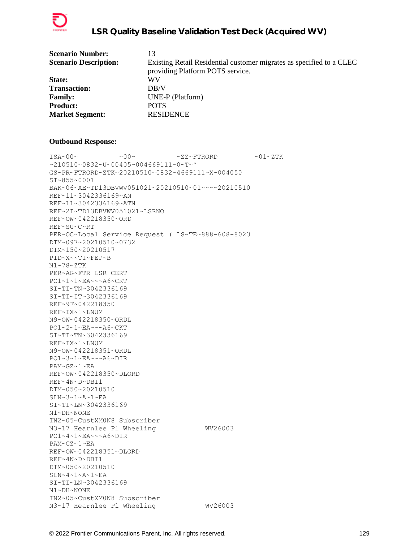

| <b>Scenario Number:</b>      | 13                                                                   |
|------------------------------|----------------------------------------------------------------------|
| <b>Scenario Description:</b> | Existing Retail Residential customer migrates as specified to a CLEC |
|                              | providing Platform POTS service.                                     |
| State:                       | WV                                                                   |
| <b>Transaction:</b>          | DR/V                                                                 |
| <b>Family:</b>               | UNE-P (Platform)                                                     |
| <b>Product:</b>              | <b>POTS</b>                                                          |
| <b>Market Segment:</b>       | <b>RESIDENCE</b>                                                     |
|                              |                                                                      |

 $\texttt{ISA~00~}\sim$   $\sim$   $\texttt{00~}\sim$   $\sim$   $\texttt{02~}\sim$   $\texttt{FFRORD}$   $\sim$   $\texttt{01~}\sim$   $\texttt{2TK}$  $~10510~0832~$ V $~00405~004669111~$ GS~PR~FTRORD~ZTK~20210510~0832~4669111~X~004050 ST~855~0001 BAK~06~AE~TD13DBVWV051021~20210510~01~~~~20210510 REF~11~3042336169~AN REF~11~3042336169~ATN REF~2I~TD13DBVWV051021~LSRNO REF~OW~042218350~ORD REF~SU~C~RT PER~OC~Local Service Request ( LS~TE~888-608-8023 DTM~097~20210510~0732 DTM~150~20210517 PID~X~~TI~FEP~B N1~78~ZTK PER~AG~FTR LSR CERT PO1~1~1~EA~~~A6~CKT SI~TI~TN~3042336169 SI~TI~IT~3042336169 REF~9F~042218350 REF~IX~1~LNUM N9~OW~042218350~ORDL PO1~2~1~EA~~~A6~CKT SI~TI~TN~3042336169 REF~IX~1~LNUM N9~OW~042218351~ORDL PO1~3~1~EA~~~A6~DIR PAM~GZ~1~EA REF~OW~042218350~DLORD REF~4N~D~DBI1 DTM~050~20210510 SLN~3~1~A~1~EA SI~TI~LN~3042336169 N1~DH~NONE IN2~05~CustXM0N8 Subscriber N3~17 Hearnlee Pl Wheeling WV26003 PO1~4~1~EA~~~A6~DIR PAM~GZ~1~EA REF~OW~042218351~DLORD REF~4N~D~DBI1 DTM~050~20210510  $SLN-4$ ~ $1$ ~ $A$ ~ $1$ ~ $EA$ SI~TI~LN~3042336169 N1~DH~NONE IN2~05~CustXM0N8 Subscriber N3~17 Hearnlee Pl Wheeling WV26003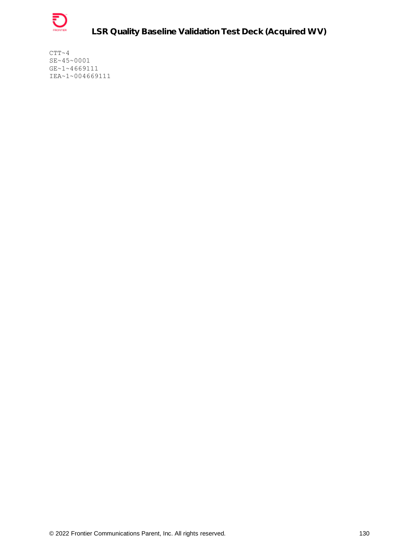

**LSR Quality Baseline Validation Test Deck (Acquired WV)**

 $CTT~ 4$ SE~45~0001 GE~1~4669111 IEA~1~004669111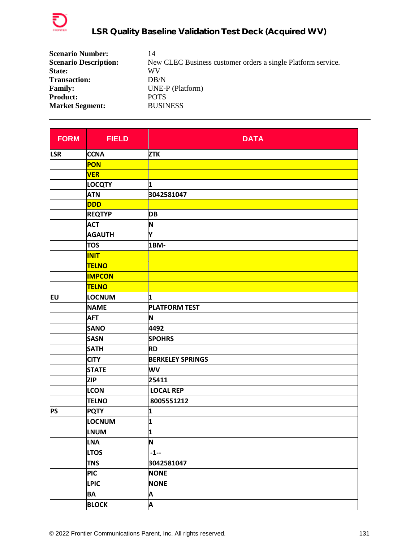

| <b>Scenario Number:</b>      | 14                                                           |
|------------------------------|--------------------------------------------------------------|
| <b>Scenario Description:</b> | New CLEC Business customer orders a single Platform service. |
| State:                       | WV                                                           |
| <b>Transaction:</b>          | DB/N                                                         |
| <b>Family:</b>               | UNE-P (Platform)                                             |
| <b>Product:</b>              | <b>POTS</b>                                                  |
| <b>Market Segment:</b>       | <b>BUSINESS</b>                                              |

| <b>FORM</b>                                                                  | <b>FIELD</b>  | <b>DATA</b>             |
|------------------------------------------------------------------------------|---------------|-------------------------|
| <b>LSR</b>                                                                   | <b>CCNA</b>   | <b>ZTK</b>              |
|                                                                              | PON           |                         |
|                                                                              | <b>VER</b>    |                         |
|                                                                              | <b>LOCQTY</b> | 1                       |
|                                                                              | <b>ATN</b>    | 3042581047              |
|                                                                              | DDD           |                         |
|                                                                              | <b>REQTYP</b> | <b>DB</b>               |
|                                                                              | <b>ACT</b>    | N                       |
|                                                                              | <b>AGAUTH</b> | Υ                       |
|                                                                              | <b>TOS</b>    | 1BM-                    |
|                                                                              | <b>INIT</b>   |                         |
|                                                                              | <b>TELNO</b>  |                         |
|                                                                              | <b>IMPCON</b> |                         |
|                                                                              | <b>TELNO</b>  |                         |
| EU<br><b>AFT</b><br><b>SANO</b><br><b>SASN</b><br><b>SATH</b><br><b>CITY</b> | LOCNUM        | 1                       |
|                                                                              | <b>NAME</b>   | <b>PLATFORM TEST</b>    |
|                                                                              |               | N                       |
|                                                                              |               | 4492                    |
|                                                                              |               | <b>SPOHRS</b>           |
|                                                                              |               | <b>RD</b>               |
|                                                                              |               | <b>BERKELEY SPRINGS</b> |
|                                                                              | <b>STATE</b>  | WV                      |
|                                                                              | <b>ZIP</b>    | 25411                   |
|                                                                              | <b>LCON</b>   | <b>LOCAL REP</b>        |
|                                                                              | <b>TELNO</b>  | 8005551212              |
| <b>PS</b>                                                                    | <b>PQTY</b>   | 1                       |
|                                                                              | <b>LOCNUM</b> | 1                       |
|                                                                              | <b>LNUM</b>   | 1                       |
|                                                                              | <b>LNA</b>    | N                       |
|                                                                              | <b>LTOS</b>   | $-1-$                   |
|                                                                              | <b>TNS</b>    | 3042581047              |
|                                                                              | <b>PIC</b>    | <b>NONE</b>             |
|                                                                              | <b>LPIC</b>   | <b>NONE</b>             |
|                                                                              | <b>BA</b>     | Α                       |
|                                                                              | <b>BLOCK</b>  | $\overline{\mathsf{P}}$ |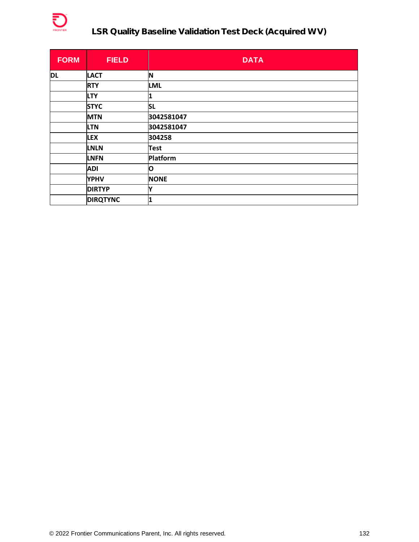

# **LSR Quality Baseline Validation Test Deck (Acquired WV)**

| <b>FORM</b> | <b>FIELD</b>    | <b>DATA</b> |
|-------------|-----------------|-------------|
| <b>DL</b>   | <b>LACT</b>     | IN          |
|             | <b>RTY</b>      | <b>LML</b>  |
|             | <b>LTY</b>      | 1           |
|             | <b>STYC</b>     | <b>SL</b>   |
|             | <b>MTN</b>      | 3042581047  |
|             | <b>LTN</b>      | 3042581047  |
|             | <b>LEX</b>      | 304258      |
|             | <b>LNLN</b>     | <b>Test</b> |
|             | <b>LNFN</b>     | Platform    |
|             | ADI             | O           |
|             | <b>YPHV</b>     | <b>NONE</b> |
|             | <b>DIRTYP</b>   | Y           |
|             | <b>DIRQTYNC</b> | 1           |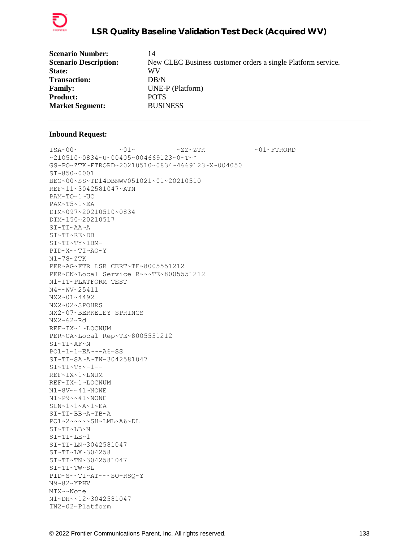

| <b>Scenario Number:</b>      | 14                                                           |
|------------------------------|--------------------------------------------------------------|
| <b>Scenario Description:</b> | New CLEC Business customer orders a single Platform service. |
| State:                       | WV                                                           |
| <b>Transaction:</b>          | DB/N                                                         |
| <b>Family:</b>               | UNE-P (Platform)                                             |
| <b>Product:</b>              | <b>POTS</b>                                                  |
| <b>Market Segment:</b>       | <b>BUSINESS</b>                                              |

 $ISA~00~\sim$   $~01~\sim$   $~01~\sim$   $~2Z~2TK$   $~01~\sim$   $~01~\sim$  FTRORD ~210510~0834~U~00405~004669123~0~T~^ GS~PO~ZTK~FTRORD~20210510~0834~4669123~X~004050 ST~850~0001 BEG~00~SS~TD14DBNWV051021~01~20210510 REF~11~3042581047~ATN PAM~TO~1~UC PAM~T5~1~EA DTM~097~20210510~0834 DTM~150~20210517 SI~TI~AA~A SI~TI~RE~DB SI~TI~TY~1BM-PID~X~~TI~AO~Y N1~78~ZTK PER~AG~FTR LSR CERT~TE~8005551212 PER~CN~Local Service R~~~TE~8005551212 N1~IT~PLATFORM TEST N4~~WV~25411 NX2~01~4492 NX2~02~SPOHRS NX2~07~BERKELEY SPRINGS NX2~62~Rd REF~IX~1~LOCNUM PER~CA~Local Rep~TE~8005551212 SI~TI~AF~N PO1~1~1~EA~~~A6~SS SI~TI~SA~A~TN~3042581047  $SI~TI~TY~-1$ --REF~IX~1~LNUM REF~IX~1~LOCNUM N1~8V~~41~NONE N1~P9~~41~NONE SLN~1~1~A~1~EA SI~TI~BB~A~TB~A PO1~2~~~~~SH~LML~A6~DL SI~TI~LB~N SI~TI~LE~1 SI~TI~LN~3042581047 SI~TI~LX~304258 SI~TI~TN~3042581047 SI~TI~TW~SL PID~S~~TI~AT~~~SO-RSQ~Y N9~82~YPHV MTX~~None N1~DH~~12~3042581047 IN2~02~Platform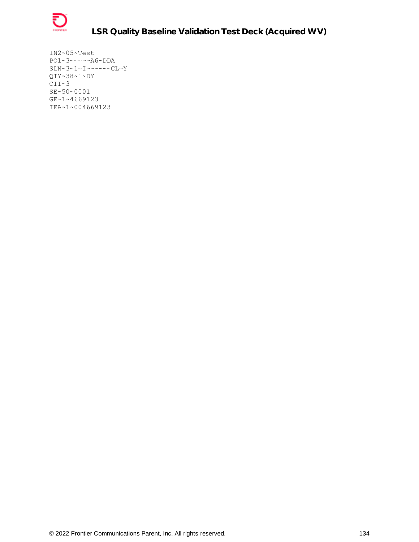

IN2~05~Test PO1~3~~~~~A6~DDA  $SLN~3~1~1~1~1~1~1~1~1~1~1~1~$ QTY~38~1~DY  $CTT~3$ SE~50~0001 GE~1~4669123 IEA~1~004669123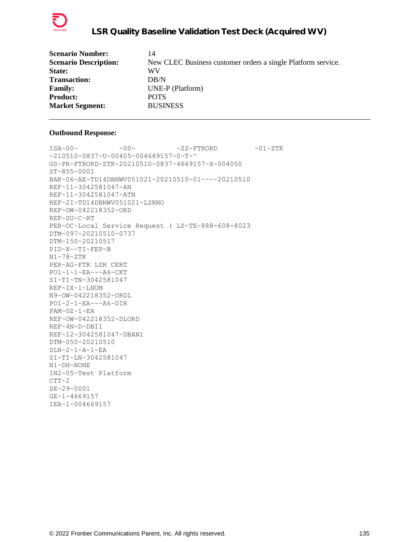

| 14                                                           |
|--------------------------------------------------------------|
| New CLEC Business customer orders a single Platform service. |
| WV                                                           |
| DB/N                                                         |
| UNE-P (Platform)                                             |
| <b>POTS</b>                                                  |
| <b>BUSINESS</b>                                              |
|                                                              |

```
ISA~00~\sim ~0.00~\sim ~0.00~\sim ~0.00~\sim ~0.00~\sim ~0.00~\sim ~0.00~\sim ~0.00~\sim ~0.00~\sim ~0.00~\sim ~0.00~\sim ~0.00~\sim ~0.00~\sim ~0.00~\sim ~0.00~\sim ~0.00~\sim ~0.00~\sim ~0.00~\sim ~0.00~\sim ~0.00~\sim ~210510~0837~U~00405~004669157~0~T~^
GS~PR~FTRORD~ZTK~20210510~0837~4669157~X~004050
ST~855~0001
BAK~06~AE~TD14DBNWV051021~20210510~01~~~~20210510
REF~11~3042581047~AN
REF~11~3042581047~ATN
REF~2I~TD14DBNWV051021~LSRNO
REF~OW~042218352~ORD
REF~SU~C~RT
PER~OC~Local Service Request ( LS~TE~888-608-8023
DTM~097~20210510~0737
DTM~150~20210517
PID~X~~TI~FEP~B
N1~78~ZTK
PER~AG~FTR LSR CERT
PO1~1~1~EA~~~A6~CKT
SI~TI~TN~3042581047
REF~IX~1~LNUM
N9~OW~042218352~ORDL
PO1~2~1~EA~~~A6~DIR
PAM~GZ~1~EA
REF~OW~042218352~DLORD
REF~4N~D~DBI1
REF~12~3042581047~DBAN1
DTM~050~20210510
SLN~2~1~A~1~EA
SI~TI~LN~3042581047
N1~DH~NONE
IN2~05~Test Platform
CTT~2SE~29~0001
GE~1~4669157
IEA~1~004669157
```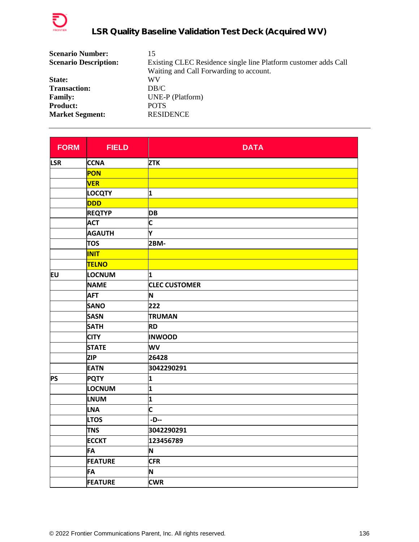

| <b>Scenario Number:</b>      | 15                                                              |
|------------------------------|-----------------------------------------------------------------|
| <b>Scenario Description:</b> | Existing CLEC Residence single line Platform customer adds Call |
|                              | Waiting and Call Forwarding to account.                         |
| State:                       | WV                                                              |
| <b>Transaction:</b>          | DB/C                                                            |
| <b>Family:</b>               | UNE-P (Platform)                                                |
| <b>Product:</b>              | <b>POTS</b>                                                     |
| <b>Market Segment:</b>       | <b>RESIDENCE</b>                                                |

| <b>FORM</b> | <b>FIELD</b>   | <b>DATA</b>          |
|-------------|----------------|----------------------|
| <b>LSR</b>  | <b>CCNA</b>    | <b>ZTK</b>           |
|             | PON            |                      |
|             | <b>VER</b>     |                      |
|             | <b>LOCQTY</b>  | 1                    |
|             | <b>DDD</b>     |                      |
|             | <b>REQTYP</b>  | <b>DB</b>            |
|             | <b>ACT</b>     | C                    |
|             | <b>AGAUTH</b>  | Y                    |
|             | <b>TOS</b>     | 2BM-                 |
|             | <b>INIT</b>    |                      |
|             | <b>TELNO</b>   |                      |
| EU          | LOCNUM         | 1                    |
|             | <b>NAME</b>    | <b>CLEC CUSTOMER</b> |
|             | <b>AFT</b>     | N                    |
|             | <b>SANO</b>    | 222                  |
|             | <b>SASN</b>    | <b>TRUMAN</b>        |
|             | <b>SATH</b>    | <b>RD</b>            |
|             | <b>CITY</b>    | <b>INWOOD</b>        |
|             | <b>STATE</b>   | WV                   |
|             | <b>ZIP</b>     | 26428                |
|             | <b>EATN</b>    | 3042290291           |
| <b>PS</b>   | <b>PQTY</b>    | 1                    |
|             | LOCNUM         | 1                    |
|             | <b>LNUM</b>    | 1                    |
|             | <b>LNA</b>     | C                    |
|             | <b>LTOS</b>    | $-D-$                |
|             | <b>TNS</b>     | 3042290291           |
|             | <b>ECCKT</b>   | 123456789            |
|             | <b>FA</b>      | N                    |
|             | <b>FEATURE</b> | <b>CFR</b>           |
|             | FA             | N                    |
|             | <b>FEATURE</b> | <b>CWR</b>           |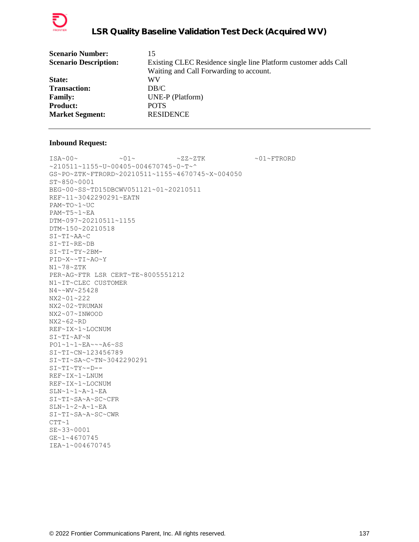

| <b>Scenario Number:</b>      | 15                                                              |
|------------------------------|-----------------------------------------------------------------|
| <b>Scenario Description:</b> | Existing CLEC Residence single line Platform customer adds Call |
|                              | Waiting and Call Forwarding to account.                         |
| State:                       | WV                                                              |
| <b>Transaction:</b>          | DB/C                                                            |
| <b>Family:</b>               | UNE-P (Platform)                                                |
| <b>Product:</b>              | <b>POTS</b>                                                     |
| <b>Market Segment:</b>       | <b>RESIDENCE</b>                                                |
|                              |                                                                 |

 $\verb|ISA~00~|~\verb|V|~|~\verb|V|~|~\verb|V|~|~\verb|V|~|~\verb|V|~|~\verb|V|~|~\verb|V|~|~\verb|V|~|~\verb|V|~|~\verb|V|~|~\verb|V|~|~\verb|V|~|~\verb|V|~|~\verb|V|~|~\verb|V|~|~\verb|V|~|~\verb|V|~|~\verb|V|~|~\verb|V|~|~\verb|V|~|~\verb|V|~|~\verb|V|~|~\verb|V|~|~\verb|V|~|~\verb|V|~|~\verb|V|~|~\verb$ ~210511~1155~U~00405~004670745~0~T~^ GS~PO~ZTK~FTRORD~20210511~1155~4670745~X~004050 ST~850~0001 BEG~00~SS~TD15DBCWV051121~01~20210511 REF~11~3042290291~EATN PAM~TO~1~UC PAM~T5~1~EA DTM~097~20210511~1155 DTM~150~20210518 SI~TI~AA~C SI~TI~RE~DB SI~TI~TY~2BM-PID~X~~TI~AO~Y N1~78~ZTK PER~AG~FTR LSR CERT~TE~8005551212 N1~IT~CLEC CUSTOMER N4~~WV~25428 NX2~01~222 NX2~02~TRUMAN NX2~07~INWOOD NX2~62~RD REF~IX~1~LOCNUM SI~TI~AF~N PO1~1~1~EA~~~A6~SS SI~TI~CN~123456789 SI~TI~SA~C~TN~3042290291 SI~TI~TY~-D-- REF~IX~1~LNUM REF~IX~1~LOCNUM SLN~1~1~A~1~EA SI~TI~SA~A~SC~CFR SLN~1~2~A~1~EA SI~TI~SA~A~SC~CWR  $CTT~1$ SE~33~0001 GE~1~4670745 IEA~1~004670745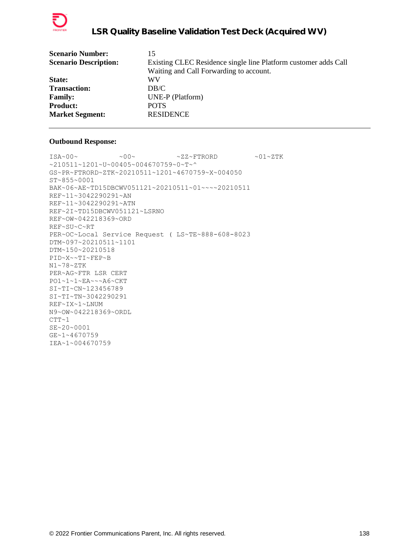

| <b>Scenario Number:</b>      | 15                                                              |
|------------------------------|-----------------------------------------------------------------|
| <b>Scenario Description:</b> | Existing CLEC Residence single line Platform customer adds Call |
|                              | Waiting and Call Forwarding to account.                         |
| <b>State:</b>                | WV                                                              |
| <b>Transaction:</b>          | DB/C                                                            |
| <b>Family:</b>               | UNE-P (Platform)                                                |
| <b>Product:</b>              | <b>POTS</b>                                                     |
| <b>Market Segment:</b>       | <b>RESIDENCE</b>                                                |
|                              |                                                                 |

```
ISA~00~\sim ~00~\sim ~00~\sim ~2Z~\sim FTRORD ~01~\sim ZTK
~210511~1201~U~00405~004670759~0~T~^
GS~PR~FTRORD~ZTK~20210511~1201~4670759~X~004050
ST~855~0001
BAK~06~AE~TD15DBCWV051121~20210511~01~~~~20210511
REF~11~3042290291~AN
REF~11~3042290291~ATN
REF~2I~TD15DBCWV051121~LSRNO
REF~OW~042218369~ORD
REF~SU~C~RT
PER~OC~Local Service Request ( LS~TE~888-608-8023
DTM~097~20210511~1101
DTM~150~20210518
PID~X~~TI~FEP~B
N1~78~ZTK
PER~AG~FTR LSR CERT
PO1~1~1~EA~~~A6~CKT
SI~TI~CN~123456789
SI~TI~TN~3042290291
REF~IX~1~LNUM
N9~OW~042218369~ORDL
CTT~1SE~20~0001
GE~1~4670759
IEA~1~004670759
```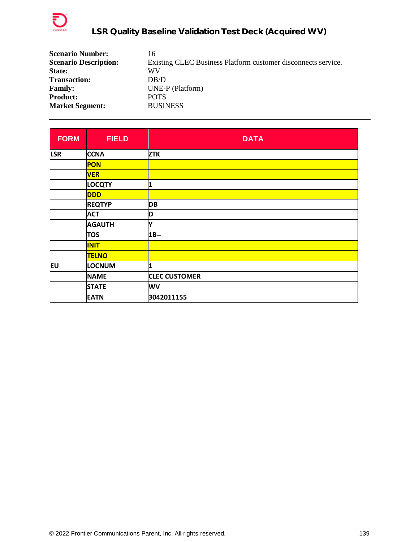

| <b>Scenario Number:</b>      | 16                                                            |
|------------------------------|---------------------------------------------------------------|
| <b>Scenario Description:</b> | Existing CLEC Business Platform customer disconnects service. |
| State:                       | WV                                                            |
| <b>Transaction:</b>          | DB/D                                                          |
| <b>Family:</b>               | UNE-P (Platform)                                              |
| <b>Product:</b>              | <b>POTS</b>                                                   |
| <b>Market Segment:</b>       | <b>BUSINESS</b>                                               |

| <b>FORM</b> | <b>FIELD</b>  | <b>DATA</b>          |
|-------------|---------------|----------------------|
| <b>LSR</b>  | <b>CCNA</b>   | <b>ZTK</b>           |
|             | <b>PON</b>    |                      |
|             | <b>VER</b>    |                      |
|             | <b>LOCQTY</b> | 1                    |
|             | <b>DDD</b>    |                      |
|             | <b>REQTYP</b> | <b>DB</b>            |
|             | <b>ACT</b>    | D                    |
|             | <b>AGAUTH</b> | l۷                   |
|             | <b>TOS</b>    | $1B-$                |
|             | <b>INIT</b>   |                      |
|             | <b>TELNO</b>  |                      |
| lΕU         | <b>LOCNUM</b> | 1                    |
|             | <b>NAME</b>   | <b>CLEC CUSTOMER</b> |
|             | <b>STATE</b>  | WV                   |
|             | <b>EATN</b>   | 3042011155           |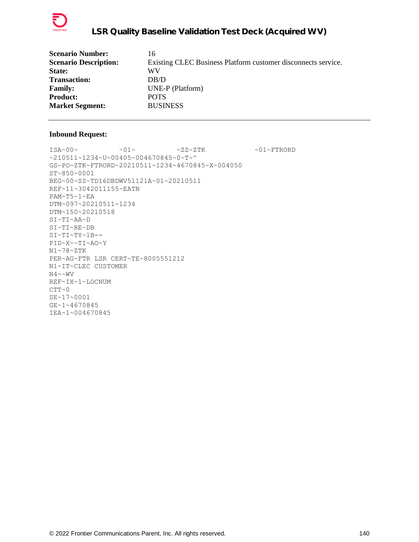

| 16                                                            |
|---------------------------------------------------------------|
| Existing CLEC Business Platform customer disconnects service. |
| WV                                                            |
| DB/D                                                          |
| UNE-P (Platform)                                              |
| <b>POTS</b>                                                   |
| <b>BUSINESS</b>                                               |
|                                                               |

 $\sim 01 \sim 01 \sim 01 \sim 22 \sim 2 \, \text{TK} \sim 01 \sim \text{FTRORD}$ ~210511~1234~U~00405~004670845~0~T~^ GS~PO~ZTK~FTRORD~20210511~1234~4670845~X~004050 ST~850~0001 BEG~00~SS~TD16DBDWV51121A~01~20210511 REF~11~3042011155~EATN PAM~T5~1~EA DTM~097~20210511~1234 DTM~150~20210518 SI~TI~AA~D SI~TI~RE~DB SI~TI~TY~1B-- PID~X~~TI~AO~Y N1~78~ZTK PER~AG~FTR LSR CERT~TE~8005551212 N1~IT~CLEC CUSTOMER  $N4 \sim NV$ REF~IX~1~LOCNUM  $CTT~0$ SE~17~0001 GE~1~4670845 IEA~1~004670845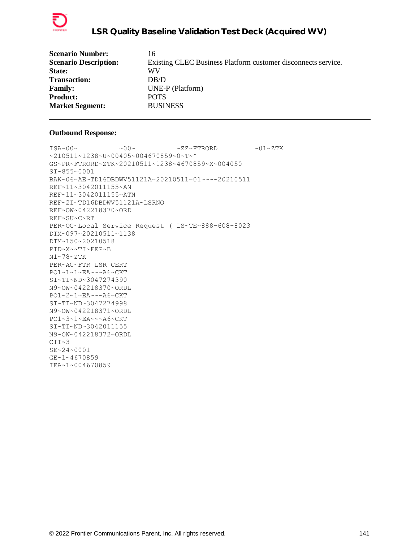

| <b>Scenario Number:</b>      | 16                                                            |
|------------------------------|---------------------------------------------------------------|
| <b>Scenario Description:</b> | Existing CLEC Business Platform customer disconnects service. |
| State:                       | WV                                                            |
| <b>Transaction:</b>          | DB/D                                                          |
| <b>Family:</b>               | UNE-P (Platform)                                              |
| <b>Product:</b>              | <b>POTS</b>                                                   |
| <b>Market Segment:</b>       | <b>BUSINESS</b>                                               |

```
ISA~00~\sim ~0.00~\sim ~0.00~\sim ~0.00~\sim ~0.00~\sim ~0.00~\sim ~0.00~\sim ~0.00~\sim ~0.00~\sim ~0.00~\sim ~0.00~\sim ~0.00~\sim ~0.00~\sim ~0.00~\sim ~0.00~\sim ~0.00~\sim ~0.00~\sim ~0.00~\sim ~0.00~\sim ~0.00~\sim ~210511~1238~U~00405~004670859~0~T~^
GS~PR~FTRORD~ZTK~20210511~1238~4670859~X~004050
ST~855~0001
BAK~06~AE~TD16DBDWV51121A~20210511~01~~~~20210511
REF~11~3042011155~AN
REF~11~3042011155~ATN
REF~2I~TD16DBDWV51121A~LSRNO
REF~OW~042218370~ORD
REF~SU~C~RT
PER~OC~Local Service Request ( LS~TE~888-608-8023
DTM~097~20210511~1138
DTM~150~20210518
PID~X~~TI~FEP~B
N1~78~ZTK
PER~AG~FTR LSR CERT
PO1~1~1~EA~~~A6~CKT
SI~TI~ND~3047274390
N9~OW~042218370~ORDL
PO1~2~1~EA~~~A6~CKT
SI~TI~ND~3047274998
N9~OW~042218371~ORDL
PO1~3~1~EA~~~A6~CKT
SI~TI~ND~3042011155
N9~OW~042218372~ORDL
CTT~3SE~24~0001
GE~1~4670859
IEA~1~004670859
```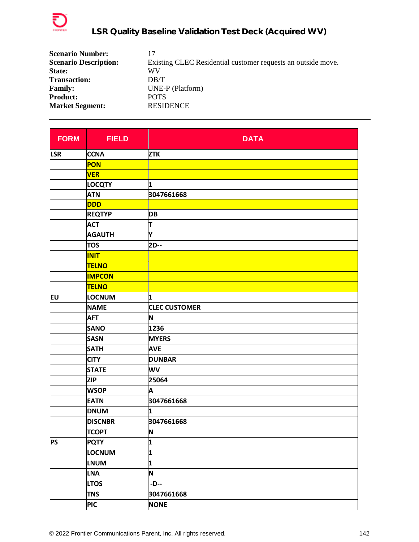

| <b>Scenario Number:</b>      | 17                                                           |
|------------------------------|--------------------------------------------------------------|
| <b>Scenario Description:</b> | Existing CLEC Residential customer requests an outside move. |
| State:                       | WV                                                           |
| <b>Transaction:</b>          | DB/T                                                         |
| <b>Family:</b>               | UNE-P (Platform)                                             |
| <b>Product:</b>              | <b>POTS</b>                                                  |
| <b>Market Segment:</b>       | <b>RESIDENCE</b>                                             |

| <b>FORM</b> | <b>FIELD</b>   | <b>DATA</b>          |
|-------------|----------------|----------------------|
| <b>LSR</b>  | <b>CCNA</b>    | <b>ZTK</b>           |
|             | <b>PON</b>     |                      |
|             | <b>VER</b>     |                      |
|             | <b>LOCQTY</b>  | 1                    |
|             | <b>ATN</b>     | 3047661668           |
|             | <b>DDD</b>     |                      |
|             | <b>REQTYP</b>  | <b>DB</b>            |
|             | <b>ACT</b>     | T                    |
|             | <b>AGAUTH</b>  | Υ                    |
|             | <b>TOS</b>     | 2D--                 |
|             | <b>INIT</b>    |                      |
|             | <b>TELNO</b>   |                      |
|             | <b>IMPCON</b>  |                      |
|             | <b>TELNO</b>   |                      |
| <b>EU</b>   | LOCNUM         | 1                    |
|             | <b>NAME</b>    | <b>CLEC CUSTOMER</b> |
|             | <b>AFT</b>     | N                    |
|             | <b>SANO</b>    | 1236                 |
|             | <b>SASN</b>    | <b>MYERS</b>         |
|             | <b>SATH</b>    | <b>AVE</b>           |
|             | <b>CITY</b>    | <b>DUNBAR</b>        |
|             | <b>STATE</b>   | WV                   |
|             | <b>ZIP</b>     | 25064                |
|             | <b>WSOP</b>    | A                    |
|             | <b>EATN</b>    | 3047661668           |
|             | <b>DNUM</b>    | 1                    |
|             | <b>DISCNBR</b> | 3047661668           |
|             | <b>TCOPT</b>   | N                    |
| <b>PS</b>   | <b>PQTY</b>    | 1                    |
|             | LOCNUM         | 1                    |
|             | <b>LNUM</b>    | 1                    |
|             | <b>LNA</b>     | N                    |
|             | <b>LTOS</b>    | -D--                 |
|             | <b>TNS</b>     | 3047661668           |
|             | <b>PIC</b>     | <b>NONE</b>          |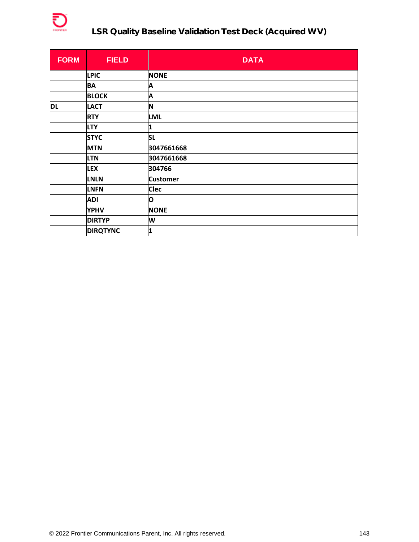

# **LSR Quality Baseline Validation Test Deck (Acquired WV)**

| <b>FORM</b> | <b>FIELD</b>    | <b>DATA</b>     |
|-------------|-----------------|-----------------|
|             | <b>LPIC</b>     | <b>NONE</b>     |
|             | <b>BA</b>       | Α               |
|             | <b>BLOCK</b>    | Α               |
| <b>DL</b>   | <b>LACT</b>     | N               |
|             | <b>RTY</b>      | <b>LML</b>      |
|             | <b>LTY</b>      | 1               |
|             | <b>STYC</b>     | <b>SL</b>       |
|             | <b>MTN</b>      | 3047661668      |
|             | <b>LTN</b>      | 3047661668      |
|             | <b>LEX</b>      | 304766          |
|             | <b>LNLN</b>     | <b>Customer</b> |
|             | <b>LNFN</b>     | <b>Clec</b>     |
|             | <b>ADI</b>      | O               |
|             | <b>YPHV</b>     | <b>NONE</b>     |
|             | <b>DIRTYP</b>   | W               |
|             | <b>DIRQTYNC</b> | 1               |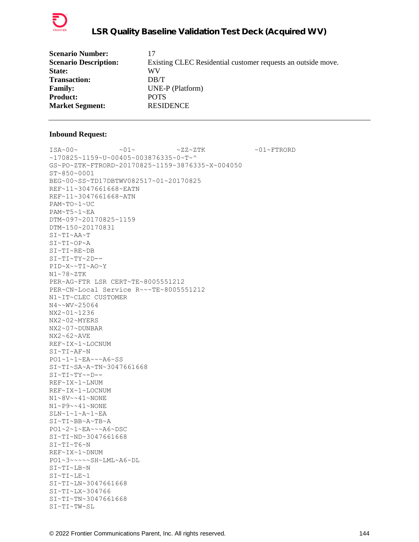

| <b>Scenario Number:</b>      | 17                                                           |
|------------------------------|--------------------------------------------------------------|
| <b>Scenario Description:</b> | Existing CLEC Residential customer requests an outside move. |
| State:                       | WV                                                           |
| <b>Transaction:</b>          | DB/T                                                         |
| <b>Family:</b>               | UNE-P (Platform)                                             |
| <b>Product:</b>              | <b>POTS</b>                                                  |
| <b>Market Segment:</b>       | <b>RESIDENCE</b>                                             |

 $ISA~00~\sim$   $~01~\sim$   $~01~\sim$   $~2Z~2TK$   $~01~\sim$   $~01~\sim$  FTRORD ~170825~1159~U~00405~003876335~0~T~^ GS~PO~ZTK~FTRORD~20170825~1159~3876335~X~004050 ST~850~0001 BEG~00~SS~TD17DBTWV082517~01~20170825 REF~11~3047661668~EATN REF~11~3047661668~ATN PAM~TO~1~UC PAM~T5~1~EA DTM~097~20170825~1159 DTM~150~20170831 SI~TI~AA~T SI~TI~OP~A SI~TI~RE~DB SI~TI~TY~2D-- PID~X~~TI~AO~Y N1~78~ZTK PER~AG~FTR LSR CERT~TE~8005551212 PER~CN~Local Service R~~~TE~8005551212 N1~IT~CLEC CUSTOMER N4~~WV~25064 NX2~01~1236 NX2~02~MYERS NX2~07~DUNBAR NX2~62~AVE REF~IX~1~LOCNUM SI~TI~AF~N PO1~1~1~EA~~~A6~SS SI~TI~SA~A~TN~3047661668  $SI~TI~TV~T$ REF~IX~1~LNUM REF~IX~1~LOCNUM N1~8V~~41~NONE N1~P9~~41~NONE SLN~1~1~A~1~EA SI~TI~BB~A~TB~A PO1~2~1~EA~~~A6~DSC SI~TI~ND~3047661668 SI~TI~T6~N REF~IX~1~DNUM PO1~3~~~~~SH~LML~A6~DL SI~TI~LB~N SI~TI~LE~1 SI~TI~LN~3047661668 SI~TI~LX~304766 SI~TI~TN~3047661668 SI~TI~TW~SL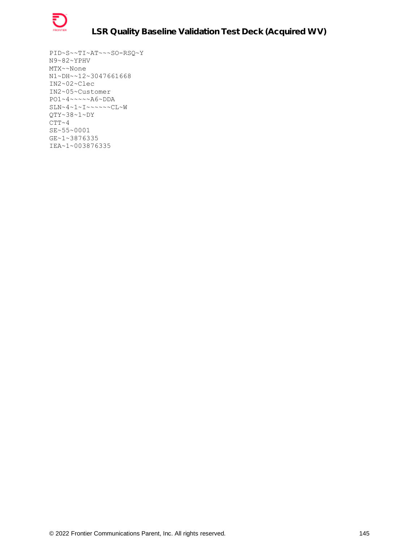

PID~S~~TI~AT~~~SO-RSQ~Y N9~82~YPHV MTX~~None N1~DH~~12~3047661668 IN2~02~Clec IN2~05~Customer PO1~4~~~~~A6~DDA  $SLN~4~1~1~1~1~1~1~1~1~1~1~1~$ QTY~38~1~DY  $CTT~ 4$ SE~55~0001 GE~1~3876335 IEA~1~003876335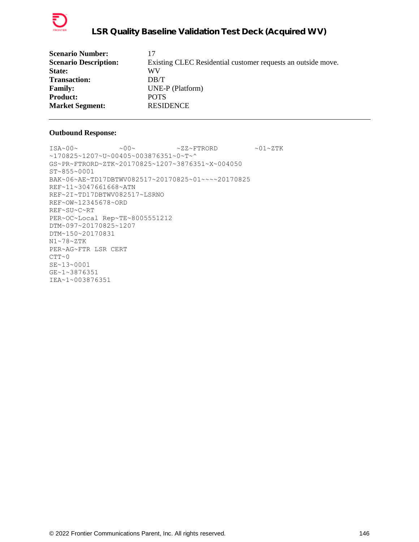

| 17                                                           |
|--------------------------------------------------------------|
| Existing CLEC Residential customer requests an outside move. |
| WV                                                           |
| DB/T                                                         |
| UNE-P (Platform)                                             |
| <b>POTS</b>                                                  |
| <b>RESIDENCE</b>                                             |
|                                                              |

 $ISA~00~\sim$   $~00~\sim$   $~00~\sim$   $~2Z~\sim$  FTRORD  $~01~\sim$  ZTK ~170825~1207~U~00405~003876351~0~T~^ GS~PR~FTRORD~ZTK~20170825~1207~3876351~X~004050 ST~855~0001 BAK~06~AE~TD17DBTWV082517~20170825~01~~~~20170825 REF~11~3047661668~ATN REF~2I~TD17DBTWV082517~LSRNO REF~OW~12345678~ORD REF~SU~C~RT PER~OC~Local Rep~TE~8005551212 DTM~097~20170825~1207 DTM~150~20170831 N1~78~ZTK PER~AG~FTR LSR CERT  $CTT~0$ SE~13~0001 GE~1~3876351 IEA~1~003876351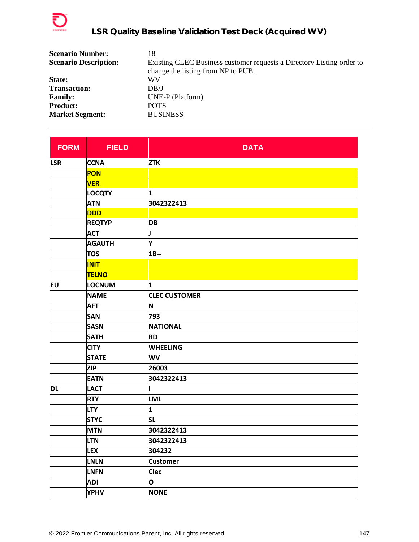

| <b>Scenario Number:</b>      | 18                                                                    |
|------------------------------|-----------------------------------------------------------------------|
| <b>Scenario Description:</b> | Existing CLEC Business customer requests a Directory Listing order to |
|                              | change the listing from NP to PUB.                                    |
| State:                       | WV                                                                    |
| <b>Transaction:</b>          | DB/J                                                                  |
| <b>Family:</b>               | UNE-P (Platform)                                                      |
| <b>Product:</b>              | <b>POTS</b>                                                           |
| <b>Market Segment:</b>       | <b>BUSINESS</b>                                                       |

| <b>FORM</b> | <b>FIELD</b>  | <b>DATA</b>          |
|-------------|---------------|----------------------|
| <b>LSR</b>  | <b>CCNA</b>   | <b>ZTK</b>           |
|             | <b>PON</b>    |                      |
|             | <b>VER</b>    |                      |
|             | <b>LOCQTY</b> | 1                    |
|             | <b>ATN</b>    | 3042322413           |
|             | <b>DDD</b>    |                      |
|             | <b>REQTYP</b> | <b>DB</b>            |
|             | <b>ACT</b>    | J                    |
|             | <b>AGAUTH</b> | Y                    |
|             | <b>TOS</b>    | $1B-$                |
|             | <b>INIT</b>   |                      |
|             | <b>TELNO</b>  |                      |
| EU          | LOCNUM        | 1                    |
|             | <b>NAME</b>   | <b>CLEC CUSTOMER</b> |
|             | <b>AFT</b>    | N                    |
|             | <b>SAN</b>    | 793                  |
|             | <b>SASN</b>   | <b>NATIONAL</b>      |
|             | <b>SATH</b>   | <b>RD</b>            |
|             | <b>CITY</b>   | <b>WHEELING</b>      |
|             | <b>STATE</b>  | WV                   |
|             | <b>ZIP</b>    | 26003                |
|             | <b>EATN</b>   | 3042322413           |
| <b>DL</b>   | <b>LACT</b>   |                      |
|             | <b>RTY</b>    | <b>LML</b>           |
|             | <b>LTY</b>    | 1                    |
|             | <b>STYC</b>   | <b>SL</b>            |
|             | <b>MTN</b>    | 3042322413           |
|             | <b>LTN</b>    | 3042322413           |
|             | <b>LEX</b>    | 304232               |
|             | <b>LNLN</b>   | <b>Customer</b>      |
|             | <b>LNFN</b>   | <b>Clec</b>          |
|             | <b>ADI</b>    | O                    |
|             | <b>YPHV</b>   | <b>NONE</b>          |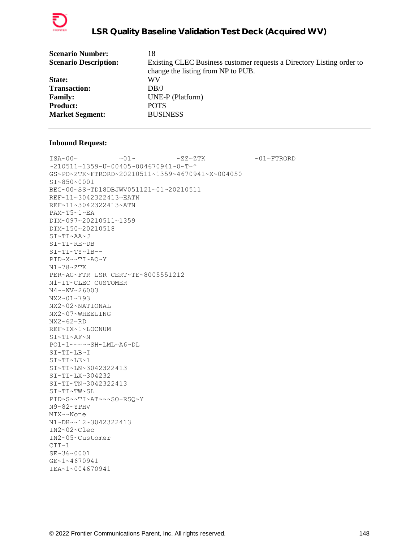

| <b>Scenario Number:</b>      | 18                                                                    |
|------------------------------|-----------------------------------------------------------------------|
| <b>Scenario Description:</b> | Existing CLEC Business customer requests a Directory Listing order to |
|                              | change the listing from NP to PUB.                                    |
| State:                       | WV                                                                    |
| <b>Transaction:</b>          | DB/J                                                                  |
| <b>Family:</b>               | UNE-P (Platform)                                                      |
| <b>Product:</b>              | <b>POTS</b>                                                           |
| <b>Market Segment:</b>       | <b>BUSINESS</b>                                                       |
|                              |                                                                       |

 $\verb|ISA~00~|~\verb|V|~|~\verb|V|~|~\verb|V|~|~\verb|V|~|~\verb|V|~|~\verb|V|~|~\verb|V|~|~\verb|V|~|~\verb|V|~|~\verb|V|~|~\verb|V|~|~\verb|V|~|~\verb|V|~|~\verb|V|~|~\verb|V|~|~\verb|V|~|~\verb|V|~|~\verb|V|~|~\verb|V|~|~\verb|V|~|~\verb|V|~|~\verb|V|~|~\verb|V|~|~\verb|V|~|~\verb|V|~|~\verb|V|~|~\verb$ ~210511~1359~U~00405~004670941~0~T~^ GS~PO~ZTK~FTRORD~20210511~1359~4670941~X~004050 ST~850~0001 BEG~00~SS~TD18DBJWV051121~01~20210511 REF~11~3042322413~EATN REF~11~3042322413~ATN PAM~T5~1~EA DTM~097~20210511~1359 DTM~150~20210518 SI~TI~AA~J SI~TI~RE~DB SI~TI~TY~1B-- PID~X~~TI~AO~Y N1~78~ZTK PER~AG~FTR LSR CERT~TE~8005551212 N1~IT~CLEC CUSTOMER N4~~WV~26003 NX2~01~793 NX2~02~NATIONAL NX2~07~WHEELING NX2~62~RD REF~IX~1~LOCNUM SI~TI~AF~N PO1~1~~~~~SH~LML~A6~DL SI~TI~LB~I SI~TI~LE~1 SI~TI~LN~3042322413 SI~TI~LX~304232 SI~TI~TN~3042322413 SI~TI~TW~SL PID~S~~TI~AT~~~SO-RSQ~Y N9~82~YPHV MTX~~None N1~DH~~12~3042322413 IN2~02~Clec IN2~05~Customer  $CTT-1$ SE~36~0001 GE~1~4670941 IEA~1~004670941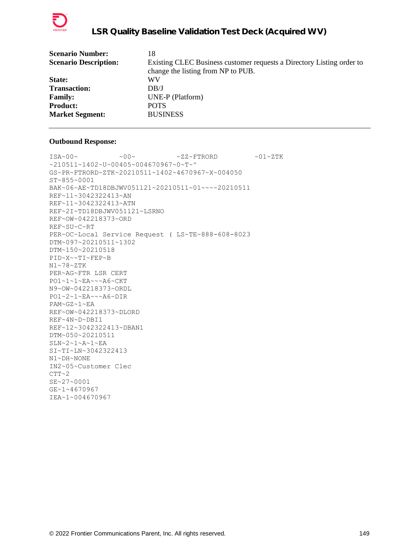

| <b>Scenario Number:</b>      | 18                                                                    |
|------------------------------|-----------------------------------------------------------------------|
| <b>Scenario Description:</b> | Existing CLEC Business customer requests a Directory Listing order to |
|                              | change the listing from NP to PUB.                                    |
| State:                       | WV                                                                    |
| <b>Transaction:</b>          | DB/J                                                                  |
| <b>Family:</b>               | UNE-P (Platform)                                                      |
| <b>Product:</b>              | <b>POTS</b>                                                           |
| <b>Market Segment:</b>       | <b>BUSINESS</b>                                                       |
|                              |                                                                       |

```
\text{ISA}\sim00\sim \sim00\sim \sim ZZ~FTRORD \sim01\simZTK
~210511~1402~U~00405~004670967~0~T~^
GS~PR~FTRORD~ZTK~20210511~1402~4670967~X~004050
ST~855~0001
BAK~06~AE~TD18DBJWV051121~20210511~01~~~~20210511
REF~11~3042322413~AN
REF~11~3042322413~ATN
REF~2I~TD18DBJWV051121~LSRNO
REF~OW~042218373~ORD
REF~SU~C~RT
PER~OC~Local Service Request ( LS~TE~888-608-8023
DTM~097~20210511~1302
DTM~150~20210518
PID~X~~TI~FEP~B
N1~78~ZTK
PER~AG~FTR LSR CERT
PO1~1~1~EA~~~A6~CKT
N9~OW~042218373~ORDL
PO1~2~1~EA~~~A6~DIR
PAM~GZ~1~EA
REF~OW~042218373~DLORD
REF~4N~D~DBI1
REF~12~3042322413~DBAN1
DTM~050~20210511
SLN~2~1~A~1~EA
SI~TI~LN~3042322413
N1~DH~NONE
IN2~05~Customer Clec
CTT~2SE~27~0001
GE~1~4670967
IEA~1~004670967
```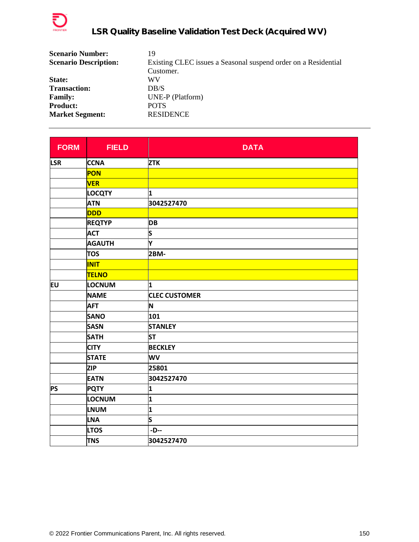

| <b>Scenario Number:</b>      | 19                                                             |
|------------------------------|----------------------------------------------------------------|
| <b>Scenario Description:</b> | Existing CLEC issues a Seasonal suspend order on a Residential |
|                              | Customer.                                                      |
| State:                       | WV                                                             |
| <b>Transaction:</b>          | DB/S                                                           |
| <b>Family:</b>               | UNE-P (Platform)                                               |
| <b>Product:</b>              | <b>POTS</b>                                                    |
| <b>Market Segment:</b>       | <b>RESIDENCE</b>                                               |

| <b>FORM</b> | <b>FIELD</b>  | <b>DATA</b>          |
|-------------|---------------|----------------------|
| <b>LSR</b>  | <b>CCNA</b>   | <b>ZTK</b>           |
|             | PON           |                      |
|             | <b>VER</b>    |                      |
|             | <b>LOCQTY</b> | 1                    |
|             | <b>ATN</b>    | 3042527470           |
|             | <b>DDD</b>    |                      |
|             | <b>REQTYP</b> | <b>DB</b>            |
|             | <b>ACT</b>    | S                    |
|             | <b>AGAUTH</b> | Υ                    |
|             | <b>TOS</b>    | 2BM-                 |
|             | <b>INIT</b>   |                      |
|             | <b>TELNO</b>  |                      |
| EU          | LOCNUM        | 1                    |
|             | <b>NAME</b>   | <b>CLEC CUSTOMER</b> |
|             | <b>AFT</b>    | N                    |
|             | <b>SANO</b>   | 101                  |
|             | <b>SASN</b>   | <b>STANLEY</b>       |
|             | <b>SATH</b>   | <b>ST</b>            |
|             | <b>CITY</b>   | <b>BECKLEY</b>       |
|             | <b>STATE</b>  | WV                   |
|             | <b>ZIP</b>    | 25801                |
|             | <b>EATN</b>   | 3042527470           |
| <b>PS</b>   | <b>PQTY</b>   | 1                    |
|             | LOCNUM        | 1                    |
|             | <b>LNUM</b>   | 1                    |
|             | <b>LNA</b>    | S                    |
|             | <b>LTOS</b>   | -D--                 |
|             | <b>TNS</b>    | 3042527470           |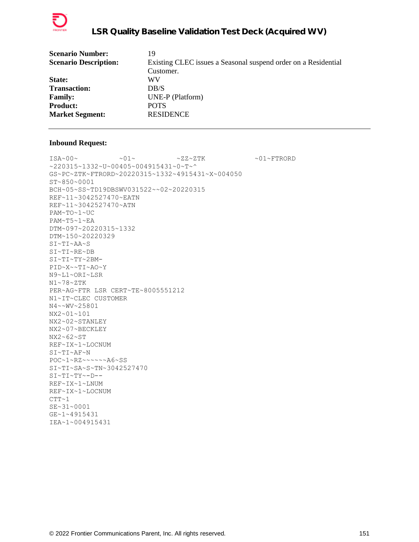

| <b>Scenario Number:</b>      | 19                                                             |
|------------------------------|----------------------------------------------------------------|
| <b>Scenario Description:</b> | Existing CLEC issues a Seasonal suspend order on a Residential |
|                              | Customer.                                                      |
| State:                       | WV                                                             |
| <b>Transaction:</b>          | DB/S                                                           |
| <b>Family:</b>               | UNE-P (Platform)                                               |
| <b>Product:</b>              | <b>POTS</b>                                                    |
| <b>Market Segment:</b>       | <b>RESIDENCE</b>                                               |
|                              |                                                                |

 $\verb|ISA~00~|~\verb|V|~|~\verb|V|~|~\verb|V|~|~\verb|V|~|~\verb|V|~|~\verb|V|~|~\verb|V|~|~\verb|V|~|~\verb|V|~|~\verb|V|~|~\verb|V|~|~\verb|V|~|~\verb|V|~|~\verb|V|~|~\verb|V|~|~\verb|V|~|~\verb|V|~|~\verb|V|~|~\verb|V|~|~\verb|V|~|~\verb|V|~|~\verb|V|~|~\verb|V|~|~\verb|V|~|~\verb|V|~|~\verb|V|~|~\verb$ ~220315~1332~U~00405~004915431~0~T~^ GS~PC~ZTK~FTRORD~20220315~1332~4915431~X~004050 ST~850~0001 BCH~05~SS~TD19DBSWV031522~~02~20220315 REF~11~3042527470~EATN REF~11~3042527470~ATN PAM~TO~1~UC PAM~T5~1~EA DTM~097~20220315~1332 DTM~150~20220329 SI~TI~AA~S SI~TI~RE~DB SI~TI~TY~2BM-PID~X~~TI~AO~Y N9~L1~ORI~LSR N1~78~ZTK PER~AG~FTR LSR CERT~TE~8005551212 N1~IT~CLEC CUSTOMER N4~~WV~25801 NX2~01~101 NX2~02~STANLEY NX2~07~BECKLEY NX2~62~ST REF~IX~1~LOCNUM  $SI~\sim T~I~\sim A~F~\sim N$ POC~1~RZ~~~~~~A6~SS SI~TI~SA~S~TN~3042527470 SI~TI~TY~-D-- REF~IX~1~LNUM REF~IX~1~LOCNUM  $CTT~1$ SE~31~0001 GE~1~4915431 IEA~1~004915431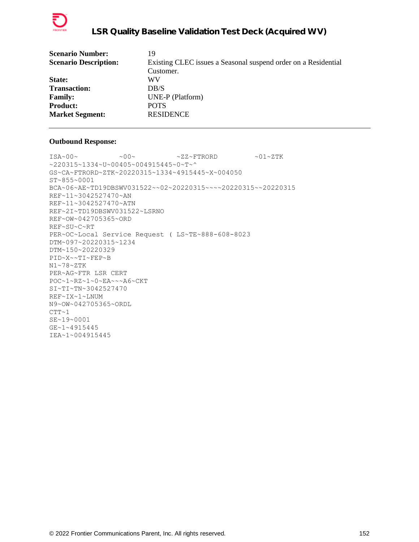

| 19                                                             |
|----------------------------------------------------------------|
| Existing CLEC issues a Seasonal suspend order on a Residential |
| Customer.                                                      |
| WV                                                             |
| DR/S                                                           |
| UNE-P (Platform)                                               |
| <b>POTS</b>                                                    |
| <b>RESIDENCE</b>                                               |
|                                                                |

 $ISA~00~\sim$   $~00~\sim$   $~00~\sim$   $~2Z~\sim$  FTRORD  $~01~\sim$  ZTK ~220315~1334~U~00405~004915445~0~T~^ GS~CA~FTRORD~ZTK~20220315~1334~4915445~X~004050 ST~855~0001 BCA~06~AE~TD19DBSWV031522~~02~20220315~~~~20220315~~20220315 REF~11~3042527470~AN REF~11~3042527470~ATN REF~2I~TD19DBSWV031522~LSRNO REF~OW~042705365~ORD REF~SU~C~RT PER~OC~Local Service Request ( LS~TE~888-608-8023 DTM~097~20220315~1234 DTM~150~20220329 PID~X~~TI~FEP~B N1~78~ZTK PER~AG~FTR LSR CERT POC~1~RZ~1~0~EA~~~A6~CKT SI~TI~TN~3042527470 REF~IX~1~LNUM N9~OW~042705365~ORDL  $CTT~1$ SE~19~0001 GE~1~4915445 IEA~1~004915445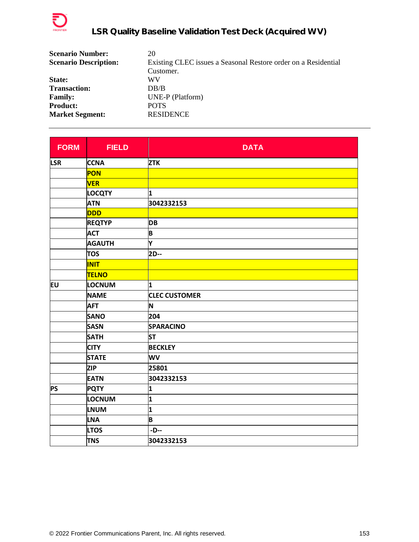

| <b>Scenario Number:</b>      | 20                                                             |
|------------------------------|----------------------------------------------------------------|
| <b>Scenario Description:</b> | Existing CLEC issues a Seasonal Restore order on a Residential |
|                              | Customer.                                                      |
| <b>State:</b>                | WV                                                             |
| <b>Transaction:</b>          | DB/B                                                           |
| <b>Family:</b>               | UNE-P (Platform)                                               |
| <b>Product:</b>              | <b>POTS</b>                                                    |
| <b>Market Segment:</b>       | <b>RESIDENCE</b>                                               |

| <b>FORM</b> | <b>FIELD</b>  | <b>DATA</b>          |
|-------------|---------------|----------------------|
| <b>LSR</b>  | <b>CCNA</b>   | <b>ZTK</b>           |
|             | PON           |                      |
|             | <b>VER</b>    |                      |
|             | <b>LOCQTY</b> | 1                    |
|             | <b>ATN</b>    | 3042332153           |
|             | <b>DDD</b>    |                      |
|             | <b>REQTYP</b> | <b>DB</b>            |
|             | <b>ACT</b>    | B                    |
|             | <b>AGAUTH</b> | Υ                    |
|             | <b>TOS</b>    | 2D--                 |
|             | <b>INIT</b>   |                      |
|             | <b>TELNO</b>  |                      |
| EU          | LOCNUM        | 1                    |
|             | <b>NAME</b>   | <b>CLEC CUSTOMER</b> |
|             | <b>AFT</b>    | N                    |
|             | <b>SANO</b>   | 204                  |
|             | <b>SASN</b>   | <b>SPARACINO</b>     |
|             | <b>SATH</b>   | <b>ST</b>            |
|             | <b>CITY</b>   | <b>BECKLEY</b>       |
|             | <b>STATE</b>  | WV                   |
|             | <b>ZIP</b>    | 25801                |
|             | <b>EATN</b>   | 3042332153           |
| <b>PS</b>   | <b>PQTY</b>   | 1                    |
|             | <b>LOCNUM</b> | 1                    |
|             | <b>LNUM</b>   | 1                    |
|             | <b>LNA</b>    | B                    |
|             | <b>LTOS</b>   | -D--                 |
|             | <b>TNS</b>    | 3042332153           |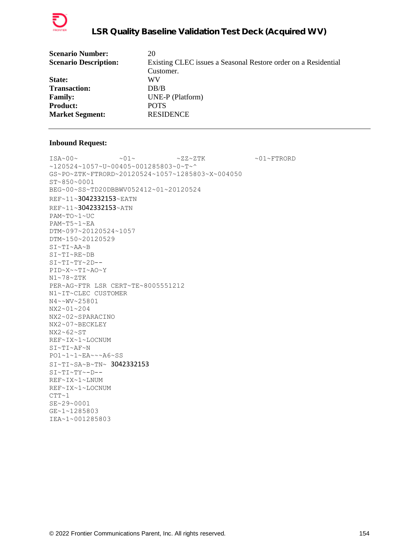

| 20                                                             |
|----------------------------------------------------------------|
| Existing CLEC issues a Seasonal Restore order on a Residential |
| Customer.                                                      |
| WV                                                             |
| DR/B                                                           |
| UNE-P (Platform)                                               |
| <b>POTS</b>                                                    |
| <b>RESIDENCE</b>                                               |
|                                                                |

 $\verb|ISA~00~|~\verb|V|~|~\verb|V|~|~\verb|V|~|~\verb|V|~|~\verb|V|~|~\verb|V|~|~\verb|V|~|~\verb|V|~|~\verb|V|~|~\verb|V|~|~\verb|V|~|~\verb|V|~|~\verb|V|~|~\verb|V|~|~\verb|V|~|~\verb|V|~|~\verb|V|~|~\verb|V|~|~\verb|V|~|~\verb|V|~|~\verb|V|~|~\verb|V|~|~\verb|V|~|~\verb|V|~|~\verb|V|~|~\verb|V|~|~\verb$ ~120524~1057~U~00405~001285803~0~T~^ GS~PO~ZTK~FTRORD~20120524~1057~1285803~X~004050 ST~850~0001 BEG~00~SS~TD20DBBWV052412~01~20120524 REF~11~3042332153~EATN REF~11~3042332153~ATN PAM~TO~1~UC PAM~T5~1~EA DTM~097~20120524~1057 DTM~150~20120529 SI~TI~AA~B SI~TI~RE~DB  $SI~TI~TY~2D--$ PID~X~~TI~AO~Y N1~78~ZTK PER~AG~FTR LSR CERT~TE~8005551212 N1~IT~CLEC CUSTOMER N4~~WV~25801 NX2~01~204 NX2~02~SPARACINO NX2~07~BECKLEY NX2~62~ST REF~IX~1~LOCNUM SI~TI~AF~N PO1~1~1~EA~~~A6~SS SI~TI~SA~B~TN~ 3042332153 SI~TI~TY~-D-- REF~IX~1~LNUM REF~IX~1~LOCNUM  $CTT~1$ SE~29~0001 GE~1~1285803 IEA~1~001285803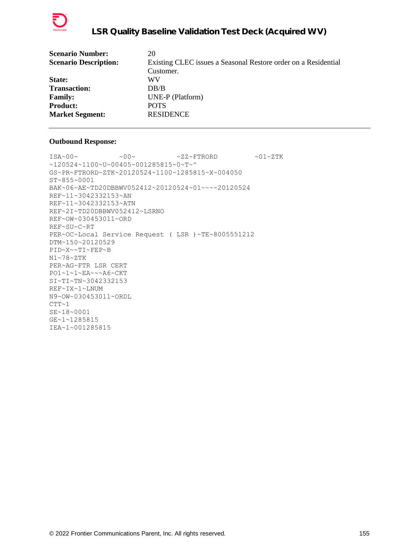

| 20                                                             |
|----------------------------------------------------------------|
| Existing CLEC issues a Seasonal Restore order on a Residential |
| Customer.                                                      |
| WV                                                             |
| DR/B                                                           |
| UNE-P (Platform)                                               |
| <b>POTS</b>                                                    |
| <b>RESIDENCE</b>                                               |
|                                                                |

 $ISA~00~\sim$   $~00~\sim$   $~00~\sim$   $~2Z~\sim$  FTRORD  $~01~\sim$  ZTK ~120524~1100~U~00405~001285815~0~T~^ GS~PR~FTRORD~ZTK~20120524~1100~1285815~X~004050 ST~855~0001 BAK~06~AE~TD20DBBWV052412~20120524~01~~~~20120524 REF~11~3042332153~AN REF~11~3042332153~ATN REF~2I~TD20DBBWV052412~LSRNO REF~OW~030453011~ORD REF~SU~C~RT PER~OC~Local Service Request ( LSR )~TE~8005551212 DTM~150~20120529 PID~X~~TI~FEP~B N1~78~ZTK PER~AG~FTR LSR CERT PO1~1~1~EA~~~A6~CKT SI~TI~TN~3042332153 REF~IX~1~LNUM N9~OW~030453011~ORDL  $CTT~1$ SE~18~0001 GE~1~1285815 IEA~1~001285815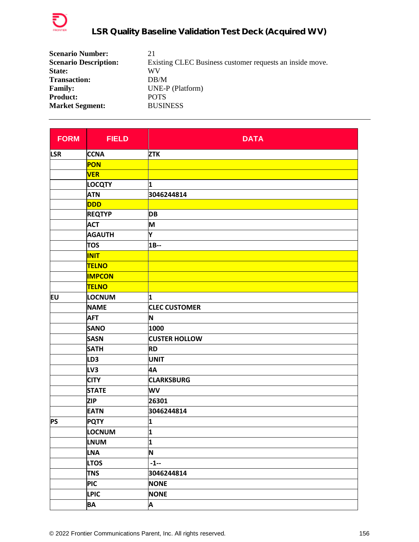

| <b>Scenario Number:</b>      | 21                                                       |
|------------------------------|----------------------------------------------------------|
| <b>Scenario Description:</b> | Existing CLEC Business customer requests an inside move. |
| State:                       | WV                                                       |
| <b>Transaction:</b>          | DB/M                                                     |
| <b>Family:</b>               | UNE-P (Platform)                                         |
| <b>Product:</b>              | <b>POTS</b>                                              |
| <b>Market Segment:</b>       | <b>BUSINESS</b>                                          |

| <b>FORM</b> | <b>FIELD</b>    | <b>DATA</b>          |
|-------------|-----------------|----------------------|
| <b>LSR</b>  | <b>CCNA</b>     | <b>ZTK</b>           |
|             | <b>PON</b>      |                      |
|             | <b>VER</b>      |                      |
|             | <b>LOCQTY</b>   | 1                    |
|             | <b>ATN</b>      | 3046244814           |
|             | <b>DDD</b>      |                      |
|             | <b>REQTYP</b>   | <b>DB</b>            |
|             | <b>ACT</b>      | M                    |
|             | <b>AGAUTH</b>   | Υ                    |
|             | <b>TOS</b>      | $1B-$                |
|             | <b>INIT</b>     |                      |
|             | <b>TELNO</b>    |                      |
|             | <b>IMPCON</b>   |                      |
|             | <b>TELNO</b>    |                      |
| EU          | <b>LOCNUM</b>   | 1                    |
|             | <b>NAME</b>     | <b>CLEC CUSTOMER</b> |
|             | <b>AFT</b>      | N                    |
|             | <b>SANO</b>     | 1000                 |
|             | <b>SASN</b>     | <b>CUSTER HOLLOW</b> |
|             | <b>SATH</b>     | <b>RD</b>            |
|             | LD <sub>3</sub> | <b>UNIT</b>          |
|             | LV3             | 4A                   |
|             | <b>CITY</b>     | <b>CLARKSBURG</b>    |
|             | <b>STATE</b>    | WV                   |
|             | <b>ZIP</b>      | 26301                |
|             | <b>EATN</b>     | 3046244814           |
| <b>PS</b>   | <b>PQTY</b>     | 1                    |
|             | LOCNUM          | 1                    |
|             | <b>LNUM</b>     | 1                    |
|             | <b>LNA</b>      | N                    |
|             | <b>LTOS</b>     | $-1-$                |
|             | <b>TNS</b>      | 3046244814           |
|             | <b>PIC</b>      | <b>NONE</b>          |
|             | <b>LPIC</b>     | <b>NONE</b>          |
|             | <b>BA</b>       | A                    |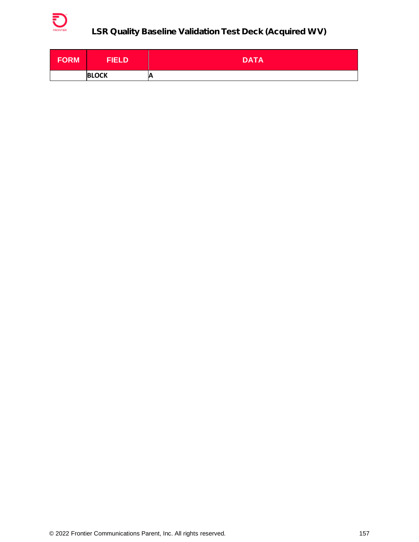

| FORM | <b>FIELD</b> | <b>DATA</b> |
|------|--------------|-------------|
|      | <b>BLOCK</b> | A           |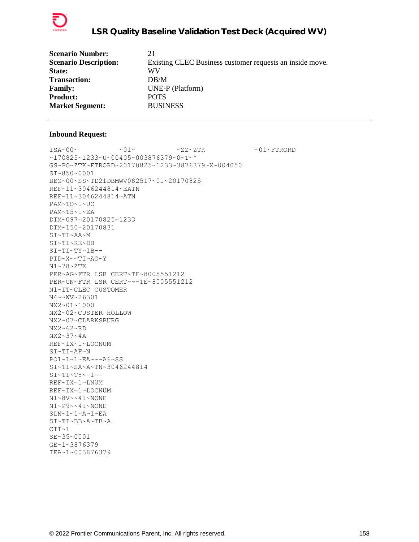

| 21                                                       |
|----------------------------------------------------------|
| Existing CLEC Business customer requests an inside move. |
| WV                                                       |
| DB/M                                                     |
| UNE-P (Platform)                                         |
| <b>POTS</b>                                              |
| <b>BUSINESS</b>                                          |
|                                                          |

 $ISA~00~\sim$   $~01~\sim$   $~01~\sim$   $~2Z~2TK$   $~01~\sim$   $~01~\sim$  FTRORD ~170825~1233~U~00405~003876379~0~T~^ GS~PO~ZTK~FTRORD~20170825~1233~3876379~X~004050 ST~850~0001 BEG~00~SS~TD21DBMWV082517~01~20170825 REF~11~3046244814~EATN REF~11~3046244814~ATN PAM~TO~1~UC PAM~T5~1~EA DTM~097~20170825~1233 DTM~150~20170831 SI~TI~AA~M SI~TI~RE~DB SI~TI~TY~1B-- PID~X~~TI~AO~Y N1~78~ZTK PER~AG~FTR LSR CERT~TE~8005551212 PER~CN~FTR LSR CERT~~~TE~8005551212 N1~IT~CLEC CUSTOMER N4~~WV~26301 NX2~01~1000 NX2~02~CUSTER HOLLOW NX2~07~CLARKSBURG NX2~62~RD NX2~37~4A REF~IX~1~LOCNUM SI~TI~AF~N PO1~1~1~EA~~~A6~SS SI~TI~SA~A~TN~3046244814  $SI~TI~TV~T$ REF~IX~1~LNUM REF~IX~1~LOCNUM N1~8V~~41~NONE N1~P9~~41~NONE SLN~1~1~A~1~EA SI~TI~BB~A~TB~A  $CTT~1$ SE~35~0001 GE~1~3876379 IEA~1~003876379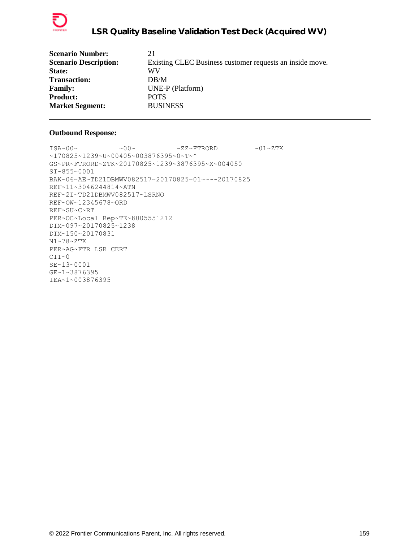

```
ISA~00~\sim ~00~\sim ~00~\sim ~2Z~\sim FTRORD ~01~\sim ZTK
~170825~1239~U~00405~003876395~0~T~^
GS~PR~FTRORD~ZTK~20170825~1239~3876395~X~004050
ST~855~0001
BAK~06~AE~TD21DBMWV082517~20170825~01~~~~20170825
REF~11~3046244814~ATN
REF~2I~TD21DBMWV082517~LSRNO
REF~OW~12345678~ORD
REF~SU~C~RT
PER~OC~Local Rep~TE~8005551212
DTM~097~20170825~1238
DTM~150~20170831
N1~78~ZTK
PER~AG~FTR LSR CERT
CTT~0SE~13~0001
GE~1~3876395
IEA~1~003876395
```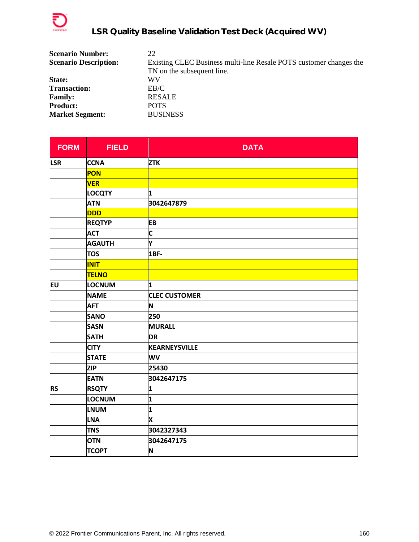

| <b>Scenario Number:</b>      | 22                                                                 |
|------------------------------|--------------------------------------------------------------------|
| <b>Scenario Description:</b> | Existing CLEC Business multi-line Resale POTS customer changes the |
|                              | TN on the subsequent line.                                         |
| State:                       | WV                                                                 |
| <b>Transaction:</b>          | EB/C                                                               |
| <b>Family:</b>               | <b>RESALE</b>                                                      |
| <b>Product:</b>              | <b>POTS</b>                                                        |
| <b>Market Segment:</b>       | <b>BUSINESS</b>                                                    |

| <b>FORM</b> | <b>FIELD</b>  | <b>DATA</b>          |
|-------------|---------------|----------------------|
| <b>LSR</b>  | <b>CCNA</b>   | <b>ZTK</b>           |
|             | PON           |                      |
|             | <b>VER</b>    |                      |
|             | <b>LOCQTY</b> | 1                    |
|             | <b>ATN</b>    | 3042647879           |
|             | DDD           |                      |
|             | <b>REQTYP</b> | <b>EB</b>            |
|             | <b>ACT</b>    | $\mathsf{C}$         |
|             | <b>AGAUTH</b> | Y                    |
|             | <b>TOS</b>    | 1BF-                 |
|             | <b>INIT</b>   |                      |
|             | <b>TELNO</b>  |                      |
| EU          | <b>LOCNUM</b> | 1                    |
|             | <b>NAME</b>   | <b>CLEC CUSTOMER</b> |
|             | <b>AFT</b>    | N                    |
|             | <b>SANO</b>   | 250                  |
|             | <b>SASN</b>   | <b>MURALL</b>        |
|             | <b>SATH</b>   | <b>DR</b>            |
|             | <b>CITY</b>   | KEARNEYSVILLE        |
|             | <b>STATE</b>  | WV                   |
|             | <b>ZIP</b>    | 25430                |
|             | <b>EATN</b>   | 3042647175           |
| <b>RS</b>   | <b>RSQTY</b>  | 1                    |
|             | LOCNUM        | 1                    |
|             | <b>LNUM</b>   | 1                    |
|             | <b>LNA</b>    | X                    |
|             | <b>TNS</b>    | 3042327343           |
|             | <b>OTN</b>    | 3042647175           |
|             | <b>TCOPT</b>  | N                    |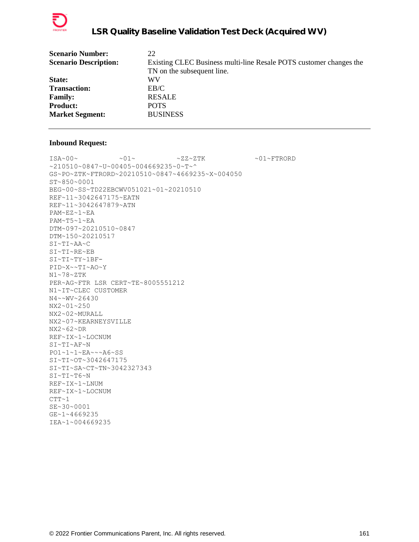

| <b>Scenario Number:</b>      | 22                                                                 |
|------------------------------|--------------------------------------------------------------------|
| <b>Scenario Description:</b> | Existing CLEC Business multi-line Resale POTS customer changes the |
|                              | TN on the subsequent line.                                         |
| State:                       | WV                                                                 |
| <b>Transaction:</b>          | EB/C                                                               |
| <b>Family:</b>               | <b>RESALE</b>                                                      |
| <b>Product:</b>              | <b>POTS</b>                                                        |
| <b>Market Segment:</b>       | <b>BUSINESS</b>                                                    |
|                              |                                                                    |

 $\verb|ISA~00~|~\verb|V|~|~\verb|V|~|~\verb|V|~|~\verb|V|~|~\verb|V|~|~\verb|V|~|~\verb|V|~|~\verb|V|~|~\verb|V|~|~\verb|V|~|~\verb|V|~|~\verb|V|~|~\verb|V|~|~\verb|V|~|~\verb|V|~|~\verb|V|~|~\verb|V|~|~\verb|V|~|~\verb|V|~|~\verb|V|~|~\verb|V|~|~\verb|V|~|~\verb|V|~|~\verb|V|~|~\verb|V|~|~\verb|V|~|~\verb$ ~210510~0847~U~00405~004669235~0~T~^ GS~PO~ZTK~FTRORD~20210510~0847~4669235~X~004050 ST~850~0001 BEG~00~SS~TD22EBCWV051021~01~20210510 REF~11~3042647175~EATN REF~11~3042647879~ATN PAM~EZ~1~EA PAM~T5~1~EA DTM~097~20210510~0847 DTM~150~20210517 SI~TI~AA~C SI~TI~RE~EB SI~TI~TY~1BF-PID~X~~TI~AO~Y N1~78~ZTK PER~AG~FTR LSR CERT~TE~8005551212 N1~IT~CLEC CUSTOMER N4~~WV~26430 NX2~01~250 NX2~02~MURALL NX2~07~KEARNEYSVILLE  $NX2~62~DR$ REF~IX~1~LOCNUM SI~TI~AF~N PO1~1~1~EA~~~A6~SS SI~TI~OT~3042647175 SI~TI~SA~CT~TN~3042327343 SI~TI~T6~N REF~IX~1~LNUM REF~IX~1~LOCNUM  $CTT~1$ SE~30~0001 GE~1~4669235 IEA~1~004669235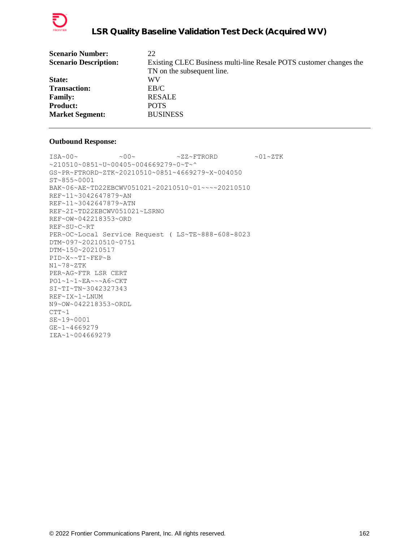

| <b>Scenario Number:</b>      | 22                                                                 |
|------------------------------|--------------------------------------------------------------------|
| <b>Scenario Description:</b> | Existing CLEC Business multi-line Resale POTS customer changes the |
|                              | TN on the subsequent line.                                         |
| State:                       | WV                                                                 |
| <b>Transaction:</b>          | EB/C                                                               |
| <b>Family:</b>               | <b>RESALE</b>                                                      |
| <b>Product:</b>              | <b>POTS</b>                                                        |
| <b>Market Segment:</b>       | <b>BUSINESS</b>                                                    |
|                              |                                                                    |

```
ISA~00~\sim ~00~\sim ~00~\sim ~2Z~\sim FTRORD ~01~\sim ZTK
~210510~0851~U~00405~004669279~0~T~^
GS~PR~FTRORD~ZTK~20210510~0851~4669279~X~004050
ST~855~0001
BAK~06~AE~TD22EBCWV051021~20210510~01~~~~20210510
REF~11~3042647879~AN
REF~11~3042647879~ATN
REF~2I~TD22EBCWV051021~LSRNO
REF~OW~042218353~ORD
REF~SU~C~RT
PER~OC~Local Service Request ( LS~TE~888-608-8023
DTM~097~20210510~0751
DTM~150~20210517
PID~X~~TI~FEP~B
N1~78~ZTK
PER~AG~FTR LSR CERT
PO1~1~1~EA~~~A6~CKT
SI~TI~TN~3042327343
REF~IX~1~LNUM
N9~OW~042218353~ORDL
CTT~1SE~19~0001
GE~1~4669279
IEA~1~004669279
```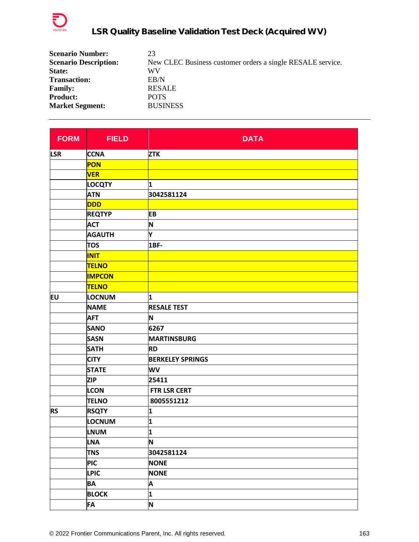

| <b>Scenario Number:</b>      | 23                                                         |
|------------------------------|------------------------------------------------------------|
| <b>Scenario Description:</b> | New CLEC Business customer orders a single RESALE service. |
| State:                       | WV                                                         |
| <b>Transaction:</b>          | ER/N                                                       |
| <b>Family:</b>               | <b>RESALE</b>                                              |
| <b>Product:</b>              | <b>POTS</b>                                                |
| <b>Market Segment:</b>       | <b>BUSINESS</b>                                            |

| <b>FORM</b> | <b>FIELD</b>  | <b>DATA</b>             |
|-------------|---------------|-------------------------|
| <b>LSR</b>  | <b>CCNA</b>   | <b>ZTK</b>              |
|             | <b>PON</b>    |                         |
|             | <b>VER</b>    |                         |
|             | <b>LOCQTY</b> | 1                       |
|             | <b>ATN</b>    | 3042581124              |
|             | <b>DDD</b>    |                         |
|             | <b>REQTYP</b> | EB                      |
|             | <b>ACT</b>    | N                       |
|             | <b>AGAUTH</b> | Υ                       |
|             | <b>TOS</b>    | 1BF-                    |
|             | <b>INIT</b>   |                         |
|             | <b>TELNO</b>  |                         |
|             | <b>IMPCON</b> |                         |
|             | <b>TELNO</b>  |                         |
| EU          | <b>LOCNUM</b> | 1                       |
|             | <b>NAME</b>   | <b>RESALE TEST</b>      |
|             | <b>AFT</b>    | N                       |
|             | <b>SANO</b>   | 6267                    |
|             | <b>SASN</b>   | <b>MARTINSBURG</b>      |
|             | <b>SATH</b>   | <b>RD</b>               |
|             | <b>CITY</b>   | <b>BERKELEY SPRINGS</b> |
|             | <b>STATE</b>  | <b>WV</b>               |
|             | <b>ZIP</b>    | 25411                   |
|             | <b>LCON</b>   | FTR LSR CERT            |
|             | <b>TELNO</b>  | 8005551212              |
| <b>RS</b>   | <b>RSQTY</b>  | 1                       |
|             | <b>LOCNUM</b> | 1                       |
|             | <b>LNUM</b>   | 1                       |
|             | <b>LNA</b>    | N                       |
|             | <b>TNS</b>    | 3042581124              |
|             | <b>PIC</b>    | <b>NONE</b>             |
|             | <b>LPIC</b>   | <b>NONE</b>             |
|             | <b>BA</b>     | A                       |
|             | <b>BLOCK</b>  | 1                       |
|             | FA            | N                       |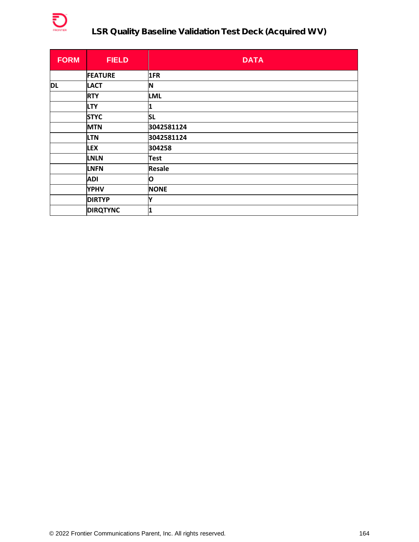

# **LSR Quality Baseline Validation Test Deck (Acquired WV)**

| <b>FORM</b> | <b>FIELD</b>    | <b>DATA</b>   |
|-------------|-----------------|---------------|
|             | <b>FEATURE</b>  | 1FR           |
| <b>DL</b>   | <b>LACT</b>     | N             |
|             | <b>RTY</b>      | <b>LML</b>    |
|             | <b>LTY</b>      | 1             |
|             | <b>STYC</b>     | <b>SL</b>     |
|             | <b>MTN</b>      | 3042581124    |
|             | <b>LTN</b>      | 3042581124    |
|             | <b>LEX</b>      | 304258        |
|             | <b>LNLN</b>     | <b>Test</b>   |
|             | <b>LNFN</b>     | <b>Resale</b> |
|             | <b>ADI</b>      | O             |
|             | <b>YPHV</b>     | <b>NONE</b>   |
|             | <b>DIRTYP</b>   | Y             |
|             | <b>DIRQTYNC</b> | 1             |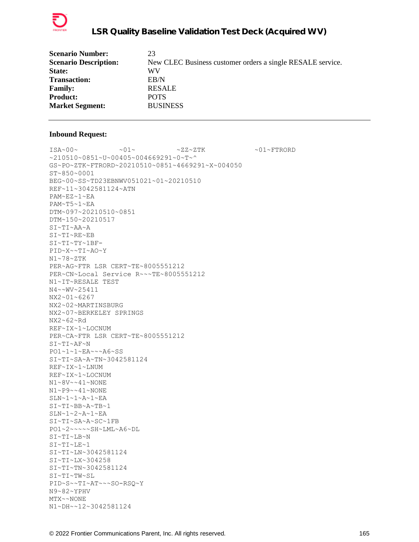

| <b>Scenario Number:</b>      | 23                                                         |
|------------------------------|------------------------------------------------------------|
| <b>Scenario Description:</b> | New CLEC Business customer orders a single RESALE service. |
| State:                       | WV                                                         |
| <b>Transaction:</b>          | $E$ B/N                                                    |
| <b>Family:</b>               | <b>RESALE</b>                                              |
| <b>Product:</b>              | <b>POTS</b>                                                |
| <b>Market Segment:</b>       | <b>BUSINESS</b>                                            |

 $ISA~00~\sim$   $~01~\sim$   $~01~\sim$   $~2Z~2TK$   $~01~\sim$   $~01~\sim$  FTRORD ~210510~0851~U~00405~004669291~0~T~^ GS~PO~ZTK~FTRORD~20210510~0851~4669291~X~004050 ST~850~0001 BEG~00~SS~TD23EBNWV051021~01~20210510 REF~11~3042581124~ATN PAM~EZ~1~EA PAM~T5~1~EA DTM~097~20210510~0851 DTM~150~20210517 SI~TI~AA~A SI~TI~RE~EB SI~TI~TY~1BF-PID~X~~TI~AO~Y N1~78~ZTK PER~AG~FTR LSR CERT~TE~8005551212 PER~CN~Local Service R~~~TE~8005551212 N1~IT~RESALE TEST N4~~WV~25411 NX2~01~6267 NX2~02~MARTINSBURG NX2~07~BERKELEY SPRINGS NX2~62~Rd REF~IX~1~LOCNUM PER~CA~FTR LSR CERT~TE~8005551212 SI~TI~AF~N PO1~1~1~EA~~~A6~SS SI~TI~SA~A~TN~3042581124 REF~IX~1~LNUM REF~IX~1~LOCNUM N1~8V~~41~NONE N1~P9~~41~NONE SLN~1~1~A~1~EA SI~TI~BB~A~TB~1 SLN~1~2~A~1~EA SI~TI~SA~A~SC~1FB PO1~2~~~~~SH~LML~A6~DL SI~TI~LB~N SI~TI~LE~1 SI~TI~LN~3042581124 SI~TI~LX~304258 SI~TI~TN~3042581124 SI~TI~TW~SL PID~S~~TI~AT~~~SO-RSQ~Y N9~82~YPHV MTX~~NONE N1~DH~~12~3042581124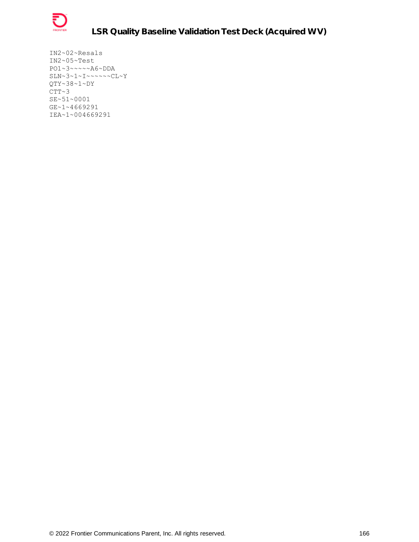

IN2~02~Resals IN2~05~Test PO1~3~~~~~A6~DDA SLN~3~1~I~~~~~~CL~Y QTY~38~1~DY  $CTT~3$ SE~51~0001 GE~1~4669291 IEA~1~004669291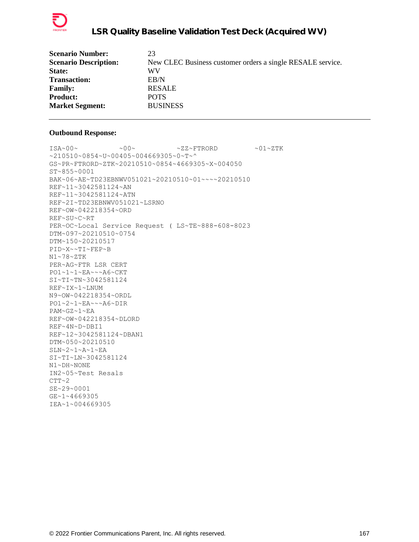

| 23                                                         |
|------------------------------------------------------------|
| New CLEC Business customer orders a single RESALE service. |
| WV                                                         |
| ER/N                                                       |
| <b>RESALE</b>                                              |
| <b>POTS</b>                                                |
| <b>BUSINESS</b>                                            |
|                                                            |

 $ISA~00~\sim$   $~0.00~\sim$   $~0.00~\sim$   $~0.00~\sim$   $~0.00~\sim$   $~0.00~\sim$   $~0.00~\sim$   $~0.00~\sim$   $~0.00~\sim$   $~0.00~\sim$   $~0.00~\sim$   $~0.00~\sim$   $~0.00~\sim$   $~0.00~\sim$   $~0.00~\sim$   $~0.00~\sim$   $~0.00~\sim$   $~0.00~\sim$   $~0.00~\sim$   $~0.00~\sim$  ~210510~0854~U~00405~004669305~0~T~^ GS~PR~FTRORD~ZTK~20210510~0854~4669305~X~004050 ST~855~0001 BAK~06~AE~TD23EBNWV051021~20210510~01~~~~20210510 REF~11~3042581124~AN REF~11~3042581124~ATN REF~2I~TD23EBNWV051021~LSRNO REF~OW~042218354~ORD REF~SU~C~RT PER~OC~Local Service Request ( LS~TE~888-608-8023 DTM~097~20210510~0754 DTM~150~20210517 PID~X~~TI~FEP~B N1~78~ZTK PER~AG~FTR LSR CERT PO1~1~1~EA~~~A6~CKT SI~TI~TN~3042581124 REF~IX~1~LNUM N9~OW~042218354~ORDL PO1~2~1~EA~~~A6~DIR PAM~GZ~1~EA REF~OW~042218354~DLORD REF~4N~D~DBI1 REF~12~3042581124~DBAN1 DTM~050~20210510 SLN~2~1~A~1~EA SI~TI~LN~3042581124 N1~DH~NONE IN2~05~Test Resals  $CTT~2$ SE~29~0001 GE~1~4669305 IEA~1~004669305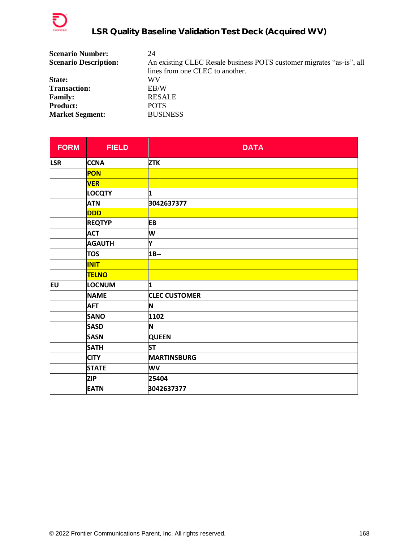

| <b>Scenario Number:</b>      | 24                                                                   |
|------------------------------|----------------------------------------------------------------------|
| <b>Scenario Description:</b> | An existing CLEC Resale business POTS customer migrates "as-is", all |
|                              | lines from one CLEC to another.                                      |
| State:                       | WV                                                                   |
| <b>Transaction:</b>          | EB/W                                                                 |
| <b>Family:</b>               | <b>RESALE</b>                                                        |
| <b>Product:</b>              | <b>POTS</b>                                                          |
| <b>Market Segment:</b>       | <b>BUSINESS</b>                                                      |

| <b>FORM</b> | <b>FIELD</b>  | <b>DATA</b>          |
|-------------|---------------|----------------------|
| <b>LSR</b>  | <b>CCNA</b>   | <b>ZTK</b>           |
|             | PON           |                      |
|             | <b>VER</b>    |                      |
|             | <b>LOCQTY</b> | 1                    |
|             | <b>ATN</b>    | 3042637377           |
|             | <b>DDD</b>    |                      |
|             | <b>REQTYP</b> | EB                   |
|             | <b>ACT</b>    | W                    |
|             | <b>AGAUTH</b> | Y                    |
|             | <b>TOS</b>    | 1B--                 |
|             | <b>INIT</b>   |                      |
|             | <b>TELNO</b>  |                      |
| lΕU         | <b>LOCNUM</b> | 1                    |
|             | <b>NAME</b>   | <b>CLEC CUSTOMER</b> |
|             | <b>AFT</b>    | N                    |
|             | <b>SANO</b>   | 1102                 |
|             | <b>SASD</b>   | N                    |
|             | <b>SASN</b>   | <b>QUEEN</b>         |
|             | <b>SATH</b>   | <b>ST</b>            |
|             | <b>CITY</b>   | <b>MARTINSBURG</b>   |
|             | <b>STATE</b>  | <b>WV</b>            |
|             | <b>ZIP</b>    | 25404                |
|             | <b>EATN</b>   | 3042637377           |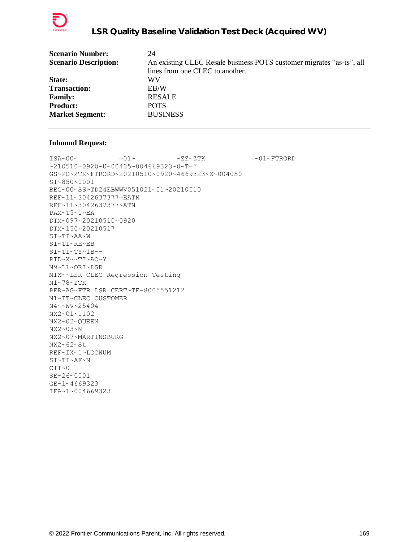

| <b>Scenario Number:</b>      | 24                                                                   |
|------------------------------|----------------------------------------------------------------------|
| <b>Scenario Description:</b> | An existing CLEC Resale business POTS customer migrates "as-is", all |
|                              | lines from one CLEC to another.                                      |
| <b>State:</b>                | WV                                                                   |
| <b>Transaction:</b>          | EB/W                                                                 |
| <b>Family:</b>               | <b>RESALE</b>                                                        |
| <b>Product:</b>              | <b>POTS</b>                                                          |
| <b>Market Segment:</b>       | <b>BUSINESS</b>                                                      |
|                              |                                                                      |

 $\verb|ISA~00~|~\verb|V|~|~\verb|V|~|~\verb|V|~|~\verb|V|~|~\verb|V|~|~\verb|V|~|~\verb|V|~|~\verb|V|~|~\verb|V|~|~\verb|V|~|~\verb|V|~|~\verb|V|~|~\verb|V|~|~\verb|V|~|~\verb|V|~|~\verb|V|~|~\verb|V|~|~\verb|V|~|~\verb|V|~|~\verb|V|~|~\verb|V|~|~\verb|V|~|~\verb|V|~|~\verb|V|~|~\verb|V|~|~\verb|V|~|~\verb$ ~210510~0920~U~00405~004669323~0~T~^ GS~PO~ZTK~FTRORD~20210510~0920~4669323~X~004050 ST~850~0001 BEG~00~SS~TD24EBWWV051021~01~20210510 REF~11~3042637377~EATN REF~11~3042637377~ATN PAM~T5~1~EA DTM~097~20210510~0920 DTM~150~20210517 SI~TI~AA~W SI~TI~RE~EB SI~TI~TY~1B-- PID~X~~TI~AO~Y N9~L1~ORI~LSR MTX~~LSR CLEC Regression Testing N1~78~ZTK PER~AG~FTR LSR CERT~TE~8005551212 N1~IT~CLEC CUSTOMER N4~~WV~25404 NX2~01~1102 NX2~02~QUEEN NX2~03~N NX2~07~MARTINSBURG NX2~62~St REF~IX~1~LOCNUM SI~TI~AF~N  $CTT~0$ SE~26~0001 GE~1~4669323 IEA~1~004669323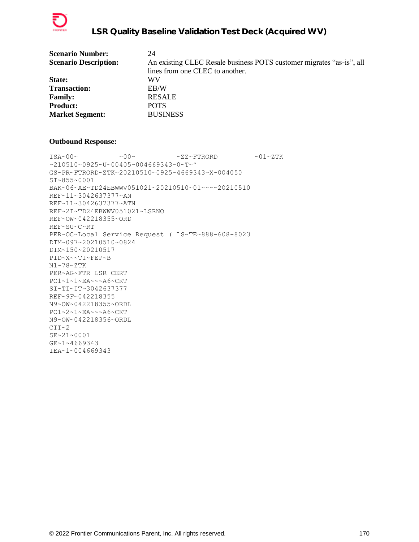

| <b>Scenario Number:</b>      | 24                                                                   |
|------------------------------|----------------------------------------------------------------------|
| <b>Scenario Description:</b> | An existing CLEC Resale business POTS customer migrates "as-is", all |
|                              | lines from one CLEC to another.                                      |
| State:                       | WV                                                                   |
| <b>Transaction:</b>          | EB/W                                                                 |
| <b>Family:</b>               | <b>RESALE</b>                                                        |
| <b>Product:</b>              | <b>POTS</b>                                                          |
| <b>Market Segment:</b>       | <b>BUSINESS</b>                                                      |
|                              |                                                                      |

```
\text{ISA}\sim00\sim \sim00\sim \sim ZZ~FTRORD \sim01\simZTK
~210510~0925~U~00405~004669343~0~T~^
GS~PR~FTRORD~ZTK~20210510~0925~4669343~X~004050
ST~855~0001
BAK~06~AE~TD24EBWWV051021~20210510~01~~~~20210510
REF~11~3042637377~AN
REF~11~3042637377~ATN
REF~2I~TD24EBWWV051021~LSRNO
REF~OW~042218355~ORD
REF~SU~C~RT
PER~OC~Local Service Request ( LS~TE~888-608-8023
DTM~097~20210510~0824
DTM~150~20210517
PID~X~~TI~FEP~B
N1~78~ZTK
PER~AG~FTR LSR CERT
PO1~1~1~EA~~~A6~CKT
SI~TI~IT~3042637377
REF~9F~042218355
N9~OW~042218355~ORDL
PO1~2~1~EA~~~A6~CKT
N9~OW~042218356~ORDL
CTT~2SE~21~0001
GE~1~4669343
IEA~1~004669343
```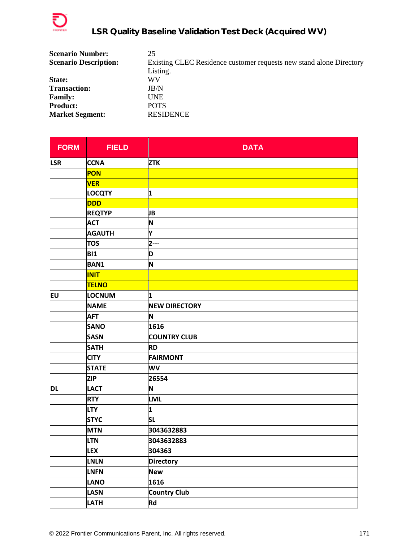

| <b>Scenario Number:</b>      | 25                                                                  |
|------------------------------|---------------------------------------------------------------------|
| <b>Scenario Description:</b> | Existing CLEC Residence customer requests new stand alone Directory |
|                              | Listing.                                                            |
| State:                       | WV                                                                  |
| <b>Transaction:</b>          | JB/N                                                                |
| <b>Family:</b>               | UNE                                                                 |
| <b>Product:</b>              | <b>POTS</b>                                                         |
| <b>Market Segment:</b>       | <b>RESIDENCE</b>                                                    |

| <b>FORM</b> | <b>FIELD</b>  | <b>DATA</b>          |
|-------------|---------------|----------------------|
| <b>LSR</b>  | <b>CCNA</b>   | <b>ZTK</b>           |
|             | PON           |                      |
|             | <b>VER</b>    |                      |
|             | <b>LOCQTY</b> | 1                    |
|             | <b>DDD</b>    |                      |
|             | <b>REQTYP</b> | JB                   |
|             | <b>ACT</b>    | N                    |
|             | <b>AGAUTH</b> | Y                    |
|             | <b>TOS</b>    | $2--$                |
|             | <b>BI1</b>    | D                    |
|             | <b>BAN1</b>   | N                    |
|             | <b>INIT</b>   |                      |
|             | <b>TELNO</b>  |                      |
| EU          | LOCNUM        | 1                    |
|             | <b>NAME</b>   | <b>NEW DIRECTORY</b> |
|             | <b>AFT</b>    | N                    |
|             | <b>SANO</b>   | 1616                 |
|             | <b>SASN</b>   | <b>COUNTRY CLUB</b>  |
|             | <b>SATH</b>   | <b>RD</b>            |
|             | <b>CITY</b>   | <b>FAIRMONT</b>      |
|             | <b>STATE</b>  | WV                   |
|             | <b>ZIP</b>    | 26554                |
| <b>DL</b>   | <b>LACT</b>   | N                    |
|             | <b>RTY</b>    | <b>LML</b>           |
|             | <b>LTY</b>    | 1                    |
|             | <b>STYC</b>   | <b>SL</b>            |
|             | <b>MTN</b>    | 3043632883           |
|             | <b>LTN</b>    | 3043632883           |
|             | <b>LEX</b>    | 304363               |
|             | <b>LNLN</b>   | <b>Directory</b>     |
|             | <b>LNFN</b>   | <b>New</b>           |
|             | <b>LANO</b>   | 1616                 |
|             | <b>LASN</b>   | <b>Country Club</b>  |
|             | LATH          | Rd                   |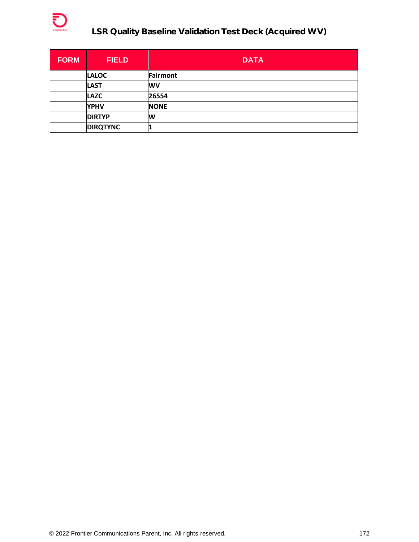

# **LSR Quality Baseline Validation Test Deck (Acquired WV)**

| <b>FORM</b> | <b>FIELD</b>    | <b>DATA</b> |
|-------------|-----------------|-------------|
|             | <b>LALOC</b>    | Fairmont    |
|             | <b>LAST</b>     | <b>WV</b>   |
|             | <b>LAZC</b>     | 26554       |
|             | <b>YPHV</b>     | <b>NONE</b> |
|             | <b>DIRTYP</b>   | W           |
|             | <b>DIRQTYNC</b> |             |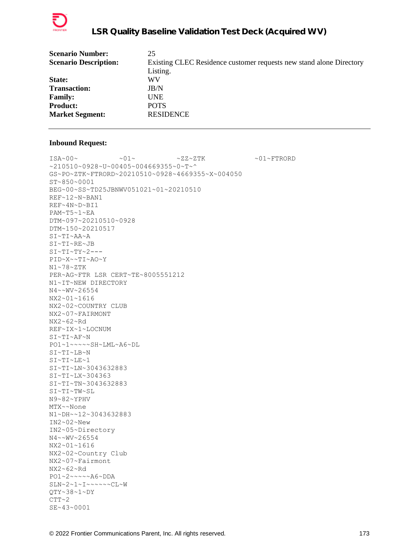

| <b>Scenario Number:</b>      | 25                                                                  |
|------------------------------|---------------------------------------------------------------------|
| <b>Scenario Description:</b> | Existing CLEC Residence customer requests new stand alone Directory |
|                              | Listing.                                                            |
| State:                       | WV                                                                  |
| <b>Transaction:</b>          | JB/N                                                                |
| <b>Family:</b>               | <b>UNE</b>                                                          |
| <b>Product:</b>              | <b>POTS</b>                                                         |
| <b>Market Segment:</b>       | <b>RESIDENCE</b>                                                    |
|                              |                                                                     |

 $\sim 01 \times 100 \times 100 \times 27 \times 27 \times 500 \times 100 \times 100 \times 100 \times 100 \times 100 \times 100 \times 100 \times 100 \times 100 \times 100 \times 100 \times 100 \times 100 \times 100 \times 100 \times 100 \times 100 \times 100 \times 100 \times 100 \times 100 \times 100 \times 100 \times 100 \times 100 \times 100 \times 100 \times 100 \times 100 \times 100 \times 100 \$ ~210510~0928~U~00405~004669355~0~T~^ GS~PO~ZTK~FTRORD~20210510~0928~4669355~X~004050 ST~850~0001 BEG~00~SS~TD25JBNWV051021~01~20210510 REF~12~N~BAN1 REF~4N~D~BI1 PAM~T5~1~EA DTM~097~20210510~0928 DTM~150~20210517 SI~TI~AA~A SI~TI~RE~JB  $SI~TI~TY~2--$ PID~X~~TI~AO~Y N1~78~ZTK PER~AG~FTR LSR CERT~TE~8005551212 N1~IT~NEW DIRECTORY N4~~WV~26554 NX2~01~1616 NX2~02~COUNTRY CLUB NX2~07~FAIRMONT NX2~62~Rd REF~IX~1~LOCNUM SI~TI~AF~N PO1~1~~~~~SH~LML~A6~DL SI~TI~LB~N SI~TI~LE~1 SI~TI~LN~3043632883 SI~TI~LX~304363 SI~TI~TN~3043632883 SI~TI~TW~SL N9~82~YPHV MTX~~None N1~DH~~12~3043632883 IN2~02~New IN2~05~Directory N4~~WV~26554 NX2~01~1616 NX2~02~Country Club NX2~07~Fairmont NX2~62~Rd PO1~2~~~~~A6~DDA SLN~2~1~I~~~~~~CL~W QTY~38~1~DY  $CTT~2$ SE~43~0001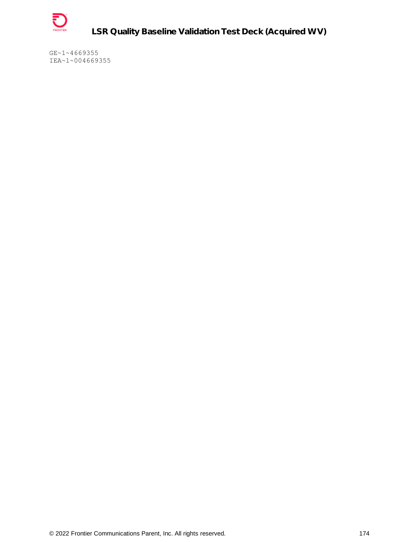

**LSR Quality Baseline Validation Test Deck (Acquired WV)**

GE~1~4669355 IEA~1~004669355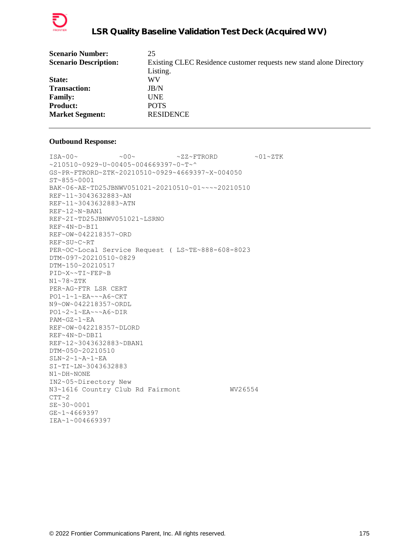

| <b>Scenario Number:</b>      | 25                                                                  |
|------------------------------|---------------------------------------------------------------------|
| <b>Scenario Description:</b> | Existing CLEC Residence customer requests new stand alone Directory |
|                              | Listing.                                                            |
| State:                       | WV                                                                  |
| <b>Transaction:</b>          | JB/N                                                                |
| <b>Family:</b>               | <b>UNE</b>                                                          |
| <b>Product:</b>              | <b>POTS</b>                                                         |
| <b>Market Segment:</b>       | <b>RESIDENCE</b>                                                    |
|                              |                                                                     |

 $\text{ISA}\sim00\sim$   $\sim00\sim$   $\sim$  ZZ~FTRORD  $\sim01\sim$ ZTK ~210510~0929~U~00405~004669397~0~T~^ GS~PR~FTRORD~ZTK~20210510~0929~4669397~X~004050 ST~855~0001 BAK~06~AE~TD25JBNWV051021~20210510~01~~~~20210510 REF~11~3043632883~AN REF~11~3043632883~ATN REF~12~N~BAN1 REF~2I~TD25JBNWV051021~LSRNO REF~4N~D~BI1 REF~OW~042218357~ORD REF~SU~C~RT PER~OC~Local Service Request ( LS~TE~888-608-8023 DTM~097~20210510~0829 DTM~150~20210517 PID~X~~TI~FEP~B N1~78~ZTK PER~AG~FTR LSR CERT PO1~1~1~EA~~~A6~CKT N9~OW~042218357~ORDL PO1~2~1~EA~~~A6~DIR PAM~GZ~1~EA REF~OW~042218357~DLORD REF~4N~D~DBI1 REF~12~3043632883~DBAN1 DTM~050~20210510 SLN~2~1~A~1~EA SI~TI~LN~3043632883 N1~DH~NONE IN2~05~Directory New N3~1616 Country Club Rd Fairmont WV26554 CTT~2 SE~30~0001 GE~1~4669397 IEA~1~004669397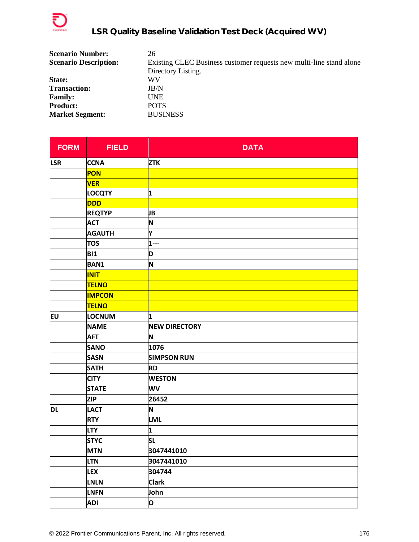

| <b>Scenario Number:</b>      | 26                                                                  |
|------------------------------|---------------------------------------------------------------------|
| <b>Scenario Description:</b> | Existing CLEC Business customer requests new multi-line stand alone |
|                              | Directory Listing.                                                  |
| State:                       | WV                                                                  |
| <b>Transaction:</b>          | JB/N                                                                |
| <b>Family:</b>               | <b>UNE</b>                                                          |
| <b>Product:</b>              | <b>POTS</b>                                                         |
| <b>Market Segment:</b>       | <b>BUSINESS</b>                                                     |

| <b>FORM</b> | <b>FIELD</b>  | <b>DATA</b>          |
|-------------|---------------|----------------------|
| <b>LSR</b>  | <b>CCNA</b>   | <b>ZTK</b>           |
|             | PON           |                      |
|             | <b>VER</b>    |                      |
|             | <b>LOCQTY</b> | 1                    |
|             | <b>DDD</b>    |                      |
|             | <b>REQTYP</b> | JB                   |
|             | <b>ACT</b>    | N                    |
|             | <b>AGAUTH</b> | Υ                    |
|             | <b>TOS</b>    | $1 - -$              |
|             | <b>BI1</b>    | D                    |
|             | <b>BAN1</b>   | N                    |
|             | <b>INIT</b>   |                      |
|             | TELNO         |                      |
|             | <b>IMPCON</b> |                      |
|             | <b>TELNO</b>  |                      |
| EU          | LOCNUM        | 1                    |
|             | <b>NAME</b>   | <b>NEW DIRECTORY</b> |
|             | <b>AFT</b>    | N                    |
|             | <b>SANO</b>   | 1076                 |
|             | <b>SASN</b>   | <b>SIMPSON RUN</b>   |
|             | <b>SATH</b>   | <b>RD</b>            |
|             | <b>CITY</b>   | <b>WESTON</b>        |
|             | <b>STATE</b>  | WV                   |
|             | <b>ZIP</b>    | 26452                |
| <b>DL</b>   | <b>LACT</b>   | N                    |
|             | <b>RTY</b>    | <b>LML</b>           |
|             | <b>LTY</b>    | 1                    |
|             | <b>STYC</b>   | <b>SL</b>            |
|             | <b>MTN</b>    | 3047441010           |
|             | <b>LTN</b>    | 3047441010           |
|             | <b>LEX</b>    | 304744               |
|             | <b>LNLN</b>   | <b>Clark</b>         |
|             | <b>LNFN</b>   | John                 |
|             | <b>ADI</b>    | $\mathsf{o}$         |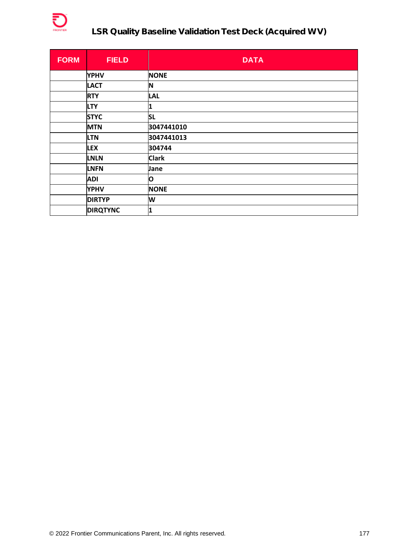

# **LSR Quality Baseline Validation Test Deck (Acquired WV)**

| <b>FORM</b> | <b>FIELD</b>    | <b>DATA</b>  |
|-------------|-----------------|--------------|
|             | <b>YPHV</b>     | <b>NONE</b>  |
|             | <b>LACT</b>     | N            |
|             | <b>RTY</b>      | <b>LAL</b>   |
|             | <b>LTY</b>      | 1            |
|             | <b>STYC</b>     | <b>SL</b>    |
|             | <b>MTN</b>      | 3047441010   |
|             | <b>LTN</b>      | 3047441013   |
|             | <b>LEX</b>      | 304744       |
|             | <b>LNLN</b>     | <b>Clark</b> |
|             | <b>LNFN</b>     | Jane         |
|             | <b>ADI</b>      | O            |
|             | <b>YPHV</b>     | <b>NONE</b>  |
|             | <b>DIRTYP</b>   | W            |
|             | <b>DIRQTYNC</b> | 1            |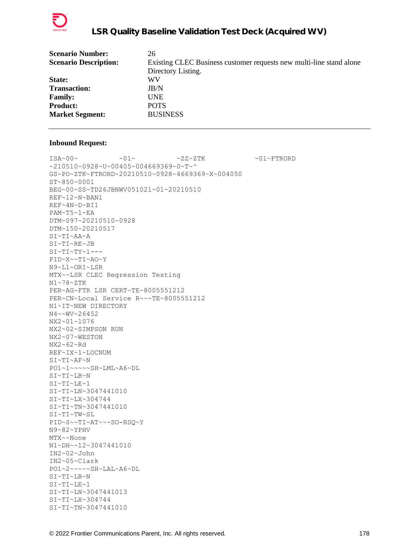

| <b>Scenario Number:</b>      | 26                                                                  |
|------------------------------|---------------------------------------------------------------------|
| <b>Scenario Description:</b> | Existing CLEC Business customer requests new multi-line stand alone |
|                              | Directory Listing.                                                  |
| <b>State:</b>                | WV                                                                  |
| <b>Transaction:</b>          | JB/N                                                                |
| <b>Family:</b>               | <b>UNE</b>                                                          |
| <b>Product:</b>              | <b>POTS</b>                                                         |
| <b>Market Segment:</b>       | <b>BUSINESS</b>                                                     |
|                              |                                                                     |

 $\sim 01 \times 100 \times 100 \times 27 \times 27 \times 500 \times 100 \times 27 \times 500 \times 100 \times 100 \times 100 \times 100 \times 100 \times 100 \times 100 \times 100 \times 100 \times 100 \times 100 \times 100 \times 100 \times 100 \times 100 \times 100 \times 100 \times 100 \times 100 \times 100 \times 100 \times 100 \times 100 \times 100 \times 100 \times 100 \times 100 \times 100 \times$ ~210510~0928~U~00405~004669369~0~T~^ GS~PO~ZTK~FTRORD~20210510~0928~4669369~X~004050 ST~850~0001 BEG~00~SS~TD26JBNWV051021~01~20210510 REF~12~N~BAN1 REF~4N~D~BI1 PAM~T5~1~EA DTM~097~20210510~0928 DTM~150~20210517 SI~TI~AA~A SI~TI~RE~JB  $SI~TI~TY~1--$ PID~X~~TI~AO~Y N9~L1~ORI~LSR MTX~~LSR CLEC Regression Testing N1~78~ZTK PER~AG~FTR LSR CERT~TE~8005551212 PER~CN~Local Service R~~~TE~8005551212 N1~IT~NEW DIRECTORY N4~~WV~26452 NX2~01~1076 NX2~02~SIMPSON RUN NX2~07~WESTON NX2~62~Rd REF~IX~1~LOCNUM SI~TI~AF~N PO1~1~~~~~SH~LML~A6~DL SI~TI~LB~N SI~TI~LE~1 SI~TI~LN~3047441010 SI~TI~LX~304744 SI~TI~TN~3047441010  $\texttt{SIN-TI}\sim\texttt{TW}\sim\texttt{SL}$ PID~S~~TI~AT~~~SO-RSQ~Y N9~82~YPHV MTX~~None N1~DH~~12~3047441010 IN2~02~John IN2~05~Clark PO1~2~~~~~SH~LAL~A6~DL SI~TI~LB~N SI~TI~LE~1 SI~TI~LN~3047441013 SI~TI~LX~304744 SI~TI~TN~3047441010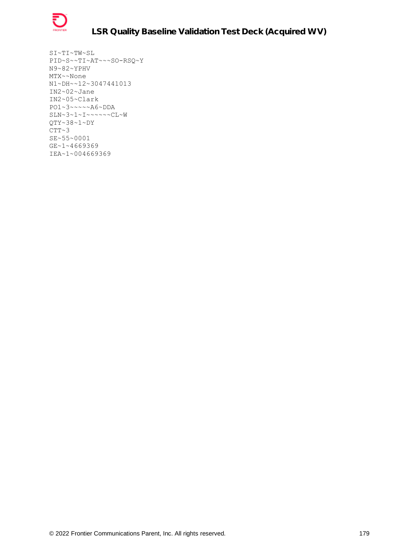

SI~TI~TW~SL PID~S~~TI~AT~~~SO-RSQ~Y N9~82~YPHV MTX~~None N1~DH~~12~3047441013 IN2~02~Jane IN2~05~Clark PO1~3~~~~~A6~DDA SLN~3~1~I~~~~~~CL~W QTY~38~1~DY  $CTT~3$ SE~55~0001 GE~1~4669369 IEA~1~004669369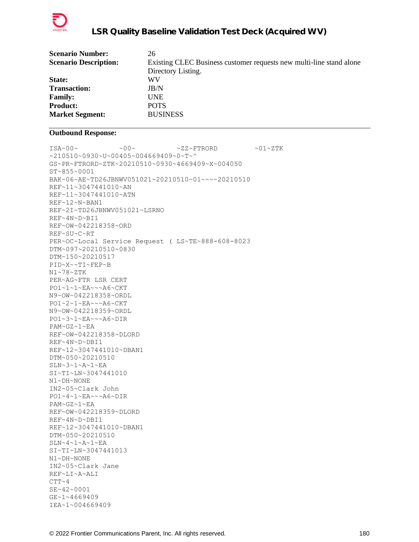

| <b>Scenario Number:</b>      | 26                                                                  |
|------------------------------|---------------------------------------------------------------------|
| <b>Scenario Description:</b> | Existing CLEC Business customer requests new multi-line stand alone |
|                              | Directory Listing.                                                  |
| <b>State:</b>                | WV                                                                  |
| <b>Transaction:</b>          | JB/N                                                                |
| <b>Family:</b>               | <b>UNE</b>                                                          |
| <b>Product:</b>              | <b>POTS</b>                                                         |
| <b>Market Segment:</b>       | <b>BUSINESS</b>                                                     |
|                              |                                                                     |

```
ISA~00~\sim ~0.00~\sim ~0.00~\sim ~0.00~\sim ~0.00~\sim ~0.00~\sim ~0.00~\sim ~0.00~\sim ~0.00~\sim ~0.00~\sim ~0.00~\sim ~0.00~\sim ~0.00~\sim ~0.00~\sim ~0.00~\sim ~0.00~\sim ~0.00~\sim ~0.00~\sim ~0.00~\sim ~0.00~\sim ~10510~0930~u~00405~004669409~0~T~^
GS~PR~FTRORD~ZTK~20210510~0930~4669409~X~004050
ST~855~0001
BAK~06~AE~TD26JBNWV051021~20210510~01~~~~20210510
REF~11~3047441010~AN
REF~11~3047441010~ATN
REF~12~N~BAN1
REF~2I~TD26JBNWV051021~LSRNO
REF~4N~D~BI1
REF~OW~042218358~ORD
REF~SU~C~RT
PER~OC~Local Service Request ( LS~TE~888-608-8023
DTM~097~20210510~0830
DTM~150~20210517
PID~X~~TI~FEP~B
N1~78~ZTK
PER~AG~FTR LSR CERT
PO1~1~1~EA~~~A6~CKT
N9~OW~042218358~ORDL
PO1~2~1~EA~~~A6~CKT
N9~OW~042218359~ORDL
PO1~3~1~EA~~~A6~DIR
PAM~GZ~1~EA
REF~OW~042218358~DLORD
REF~4N~D~DBI1
REF~12~3047441010~DBAN1
DTM~050~20210510
SLN~3~1~A~1~EA
SI~TI~LN~3047441010
N1~DH~NONE
IN2~05~Clark John
PO1~4~1~EA~~~A6~DIR
PAM~GZ~1~EA
REF~OW~042218359~DLORD
REF~4N~D~DBI1
REF~12~3047441010~DBAN1
DTM~050~20210510
SLN~4~1~A~1~EASI~TI~LN~3047441013
N1~DH~NONE
IN2~05~Clark Jane
REF~LI~A~ALI
CTT-4SE~42~0001
GE~1~4669409
IEA~1~004669409
```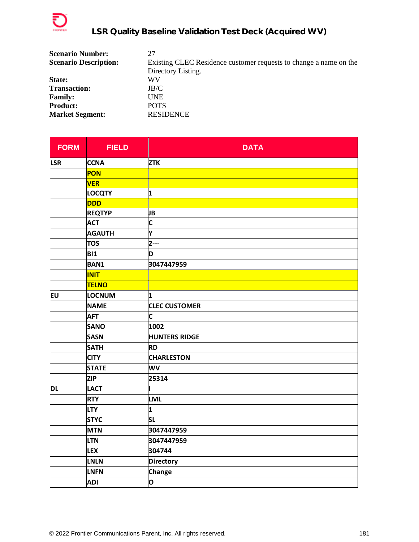

| <b>Scenario Number:</b>      | 27                                                                |
|------------------------------|-------------------------------------------------------------------|
| <b>Scenario Description:</b> | Existing CLEC Residence customer requests to change a name on the |
|                              | Directory Listing.                                                |
| State:                       | WV                                                                |
| <b>Transaction:</b>          | JB/C                                                              |
| <b>Family:</b>               | <b>UNE</b>                                                        |
| <b>Product:</b>              | <b>POTS</b>                                                       |
| <b>Market Segment:</b>       | <b>RESIDENCE</b>                                                  |

| <b>FORM</b> | <b>FIELD</b>  | <b>DATA</b>          |
|-------------|---------------|----------------------|
| <b>LSR</b>  | <b>CCNA</b>   | <b>ZTK</b>           |
|             | PON           |                      |
|             | <b>VER</b>    |                      |
|             | <b>LOCQTY</b> | 1                    |
|             | <b>DDD</b>    |                      |
|             | <b>REQTYP</b> | JВ                   |
|             | <b>ACT</b>    | C                    |
|             | <b>AGAUTH</b> | Υ                    |
|             | <b>TOS</b>    | $2--$                |
|             | <b>BI1</b>    | D                    |
|             | <b>BAN1</b>   | 3047447959           |
|             | <b>INIT</b>   |                      |
|             | <b>TELNO</b>  |                      |
| EU          | LOCNUM        | 1                    |
|             | <b>NAME</b>   | <b>CLEC CUSTOMER</b> |
|             | <b>AFT</b>    | C                    |
|             | <b>SANO</b>   | 1002                 |
|             | <b>SASN</b>   | <b>HUNTERS RIDGE</b> |
|             | <b>SATH</b>   | <b>RD</b>            |
|             | <b>CITY</b>   | <b>CHARLESTON</b>    |
|             | <b>STATE</b>  | WV                   |
|             | <b>ZIP</b>    | 25314                |
| DL          | <b>LACT</b>   |                      |
|             | <b>RTY</b>    | <b>LML</b>           |
|             | <b>LTY</b>    | 1                    |
|             | <b>STYC</b>   | <b>SL</b>            |
|             | <b>MTN</b>    | 3047447959           |
|             | <b>LTN</b>    | 3047447959           |
|             | <b>LEX</b>    | 304744               |
|             | LNLN          | <b>Directory</b>     |
|             | <b>LNFN</b>   | <b>Change</b>        |
|             | <b>ADI</b>    | O                    |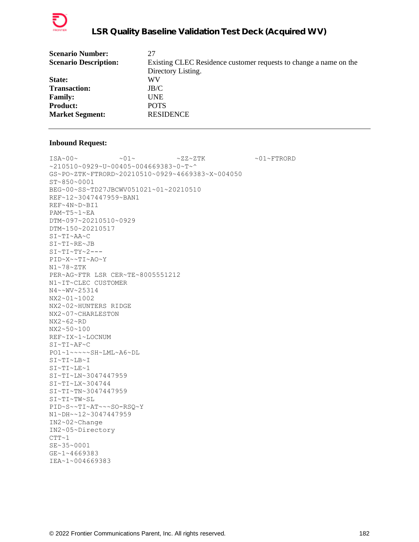

| <b>Scenario Number:</b>      | 27                                                                |
|------------------------------|-------------------------------------------------------------------|
| <b>Scenario Description:</b> | Existing CLEC Residence customer requests to change a name on the |
|                              | Directory Listing.                                                |
| State:                       | WV                                                                |
| <b>Transaction:</b>          | JB/C                                                              |
| <b>Family:</b>               | UNE                                                               |
| <b>Product:</b>              | <b>POTS</b>                                                       |
| <b>Market Segment:</b>       | <b>RESIDENCE</b>                                                  |
|                              |                                                                   |

 $\verb|ISA~00~|~\verb|V|~|~\verb|V|~|~\verb|V|~|~\verb|V|~|~\verb|V|~|~\verb|V|~|~\verb|V|~|~\verb|V|~|~\verb|V|~|~\verb|V|~|~\verb|V|~|~\verb|V|~|~\verb|V|~|~\verb|V|~|~\verb|V|~|~\verb|V|~|~\verb|V|~|~\verb|V|~|~\verb|V|~|~\verb|V|~|~\verb|V|~|~\verb|V|~|~\verb|V|~|~\verb|V|~|~\verb|V|~|~\verb|V|~|~\verb$ ~210510~0929~U~00405~004669383~0~T~^ GS~PO~ZTK~FTRORD~20210510~0929~4669383~X~004050 ST~850~0001 BEG~00~SS~TD27JBCWV051021~01~20210510 REF~12~3047447959~BAN1 REF~4N~D~BI1 PAM~T5~1~EA DTM~097~20210510~0929 DTM~150~20210517 SI~TI~AA~C SI~TI~RE~JB  $SI~TI~TY~2--$ PID~X~~TI~AO~Y N1~78~ZTK PER~AG~FTR LSR CER~TE~8005551212 N1~IT~CLEC CUSTOMER N4~~WV~25314 NX2~01~1002 NX2~02~HUNTERS RIDGE NX2~07~CHARLESTON NX2~62~RD NX2~50~100 REF~IX~1~LOCNUM SI~TI~AF~C PO1~1~~~~~SH~LML~A6~DL SI~TI~LB~I SI~TI~LE~1 SI~TI~LN~3047447959 SI~TI~LX~304744 SI~TI~TN~3047447959 SI~TI~TW~SL PID~S~~TI~AT~~~SO-RSQ~Y N1~DH~~12~3047447959 IN2~02~Change IN2~05~Directory  $CTT~1$ SE~35~0001 GE~1~4669383 IEA~1~004669383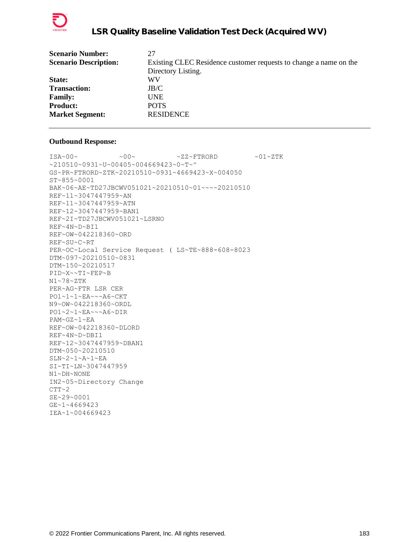

| <b>Scenario Number:</b>      | 27                                                                |
|------------------------------|-------------------------------------------------------------------|
| <b>Scenario Description:</b> | Existing CLEC Residence customer requests to change a name on the |
|                              | Directory Listing.                                                |
| State:                       | WV                                                                |
| <b>Transaction:</b>          | JB/C                                                              |
| <b>Family:</b>               | <b>UNE</b>                                                        |
| <b>Product:</b>              | <b>POTS</b>                                                       |
| <b>Market Segment:</b>       | <b>RESIDENCE</b>                                                  |
|                              |                                                                   |

 $\text{ISA}\sim00\sim$   $\sim00\sim$   $\sim$  ZZ~FTRORD  $\sim01\sim$ ZTK ~210510~0931~U~00405~004669423~0~T~^ GS~PR~FTRORD~ZTK~20210510~0931~4669423~X~004050 ST~855~0001 BAK~06~AE~TD27JBCWV051021~20210510~01~~~~20210510 REF~11~3047447959~AN REF~11~3047447959~ATN REF~12~3047447959~BAN1 REF~2I~TD27JBCWV051021~LSRNO REF~4N~D~BI1 REF~OW~042218360~ORD REF~SU~C~RT PER~OC~Local Service Request ( LS~TE~888-608-8023 DTM~097~20210510~0831 DTM~150~20210517 PID~X~~TI~FEP~B N1~78~ZTK PER~AG~FTR LSR CER PO1~1~1~EA~~~A6~CKT N9~OW~042218360~ORDL PO1~2~1~EA~~~A6~DIR PAM~GZ~1~EA REF~OW~042218360~DLORD REF~4N~D~DBI1 REF~12~3047447959~DBAN1 DTM~050~20210510 SLN~2~1~A~1~EA SI~TI~LN~3047447959 N1~DH~NONE IN2~05~Directory Change  $CTT~2$ SE~29~0001 GE~1~4669423 IEA~1~004669423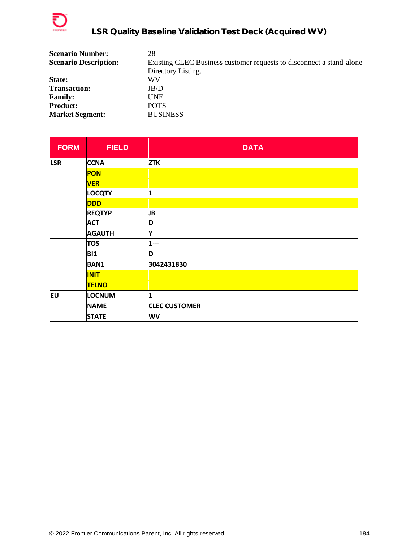

| <b>Scenario Number:</b>      | 28                                                                   |
|------------------------------|----------------------------------------------------------------------|
| <b>Scenario Description:</b> | Existing CLEC Business customer requests to disconnect a stand-alone |
|                              | Directory Listing.                                                   |
| State:                       | WV                                                                   |
| <b>Transaction:</b>          | JB/D                                                                 |
| <b>Family:</b>               | <b>UNE</b>                                                           |
| <b>Product:</b>              | <b>POTS</b>                                                          |
| <b>Market Segment:</b>       | <b>BUSINESS</b>                                                      |

| <b>FORM</b> | <b>FIELD</b>  | <b>DATA</b>          |
|-------------|---------------|----------------------|
| <b>LSR</b>  | <b>CCNA</b>   | <b>ZTK</b>           |
|             | PON           |                      |
|             | <b>VER</b>    |                      |
|             | LOCQTY        | 1                    |
|             | <b>DDD</b>    |                      |
|             | <b>REQTYP</b> | JB                   |
|             | <b>ACT</b>    | D                    |
|             | <b>AGAUTH</b> | Y                    |
|             | <b>TOS</b>    | 1---                 |
|             | <b>BI1</b>    | D                    |
|             | <b>BAN1</b>   | 3042431830           |
|             | <b>INIT</b>   |                      |
|             | <b>TELNO</b>  |                      |
| EU          | LOCNUM        | 1                    |
|             | <b>NAME</b>   | <b>CLEC CUSTOMER</b> |
|             | <b>STATE</b>  | WV                   |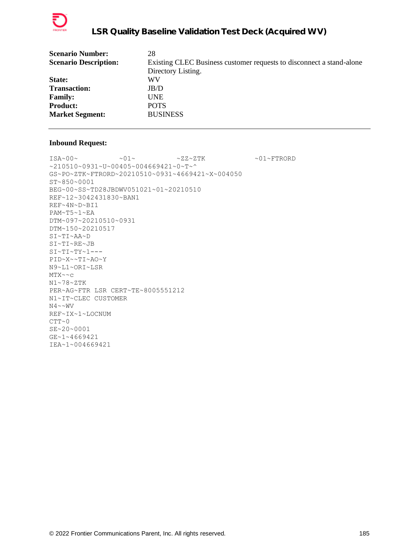

| <b>Scenario Number:</b>      | 28                                                                   |
|------------------------------|----------------------------------------------------------------------|
| <b>Scenario Description:</b> | Existing CLEC Business customer requests to disconnect a stand-alone |
|                              | Directory Listing.                                                   |
| State:                       | WV                                                                   |
| <b>Transaction:</b>          | JB/D                                                                 |
| <b>Family:</b>               | <b>UNE</b>                                                           |
| <b>Product:</b>              | <b>POTS</b>                                                          |
| <b>Market Segment:</b>       | <b>BUSINESS</b>                                                      |
|                              |                                                                      |

 $\verb|ISA~00~|~\verb|<01~|~\verb|<01~|~\verb|<01~|~\verb|<01~|~\verb|<01~|~\verb|=TRORD|$ ~210510~0931~U~00405~004669421~0~T~^ GS~PO~ZTK~FTRORD~20210510~0931~4669421~X~004050 ST~850~0001 BEG~00~SS~TD28JBDWV051021~01~20210510 REF~12~3042431830~BAN1 REF~4N~D~BI1 PAM~T5~1~EA DTM~097~20210510~0931 DTM~150~20210517 SI~TI~AA~D SI~TI~RE~JB  $SI~TI~TY~1--$ PID~X~~TI~AO~Y N9~L1~ORI~LSR MTX~~c N1~78~ZTK PER~AG~FTR LSR CERT~TE~8005551212 N1~IT~CLEC CUSTOMER  $N4 \sim WV$ REF~IX~1~LOCNUM  $CTT~0$ SE~20~0001 GE~1~4669421 IEA~1~004669421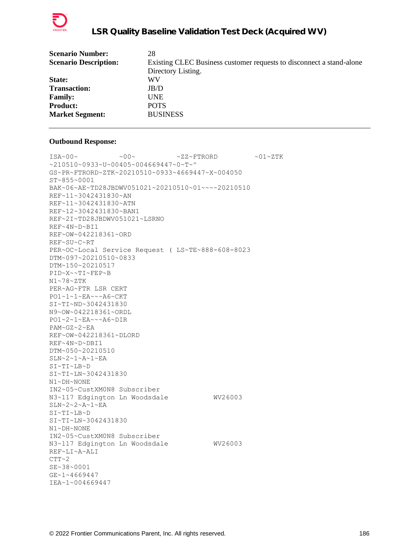

| <b>Scenario Number:</b>      | 28                                                                   |
|------------------------------|----------------------------------------------------------------------|
| <b>Scenario Description:</b> | Existing CLEC Business customer requests to disconnect a stand-alone |
|                              | Directory Listing.                                                   |
| <b>State:</b>                | WV                                                                   |
| <b>Transaction:</b>          | JB/D                                                                 |
| <b>Family:</b>               | <b>UNE</b>                                                           |
| <b>Product:</b>              | <b>POTS</b>                                                          |
| <b>Market Segment:</b>       | <b>BUSINESS</b>                                                      |
|                              |                                                                      |

 $\texttt{ISA~00~}\sim$   $\sim$   $\texttt{00~}\sim$   $\sim$   $\texttt{02~}\sim$   $\texttt{FFRORD}$   $\sim$   $\texttt{01~}\sim$   $\texttt{2TK}$  $~10510~0933~$ V $~00405~004669447~$ GS~PR~FTRORD~ZTK~20210510~0933~4669447~X~004050 ST~855~0001 BAK~06~AE~TD28JBDWV051021~20210510~01~~~~20210510 REF~11~3042431830~AN REF~11~3042431830~ATN REF~12~3042431830~BAN1 REF~2I~TD28JBDWV051021~LSRNO REF~4N~D~BI1 REF~OW~042218361~ORD REF~SU~C~RT PER~OC~Local Service Request ( LS~TE~888-608-8023 DTM~097~20210510~0833 DTM~150~20210517 PID~X~~TI~FEP~B N1~78~ZTK PER~AG~FTR LSR CERT PO1~1~1~EA~~~A6~CKT SI~TI~ND~3042431830 N9~OW~042218361~ORDL PO1~2~1~EA~~~A6~DIR PAM~GZ~2~EA REF~OW~042218361~DLORD REF~4N~D~DBI1 DTM~050~20210510 SLN~2~1~A~1~EA SI~TI~LB~D SI~TI~LN~3042431830 N1~DH~NONE IN2~05~CustXM0N8 Subscriber N3~117 Edgington Ln Woodsdale WV26003  $SLN~2~2~2~$ A~1~EA SI~TI~LB~D SI~TI~LN~3042431830 N1~DH~NONE IN2~05~CustXM0N8 Subscriber N3~117 Edgington Ln Woodsdale WV26003 REF~LI~A~ALI  $CTT~2$ SE~38~0001 GE~1~4669447 IEA~1~004669447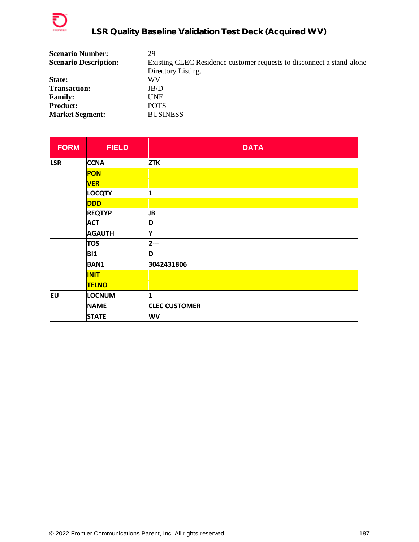

| 29                                                                    |
|-----------------------------------------------------------------------|
| Existing CLEC Residence customer requests to disconnect a stand-alone |
| Directory Listing.                                                    |
| WV                                                                    |
| JB/D                                                                  |
| UNE                                                                   |
| <b>POTS</b>                                                           |
| <b>BUSINESS</b>                                                       |
|                                                                       |

| <b>FORM</b> | <b>FIELD</b>  | <b>DATA</b>          |
|-------------|---------------|----------------------|
| <b>LSR</b>  | <b>CCNA</b>   | <b>ZTK</b>           |
|             | PON           |                      |
|             | <b>VER</b>    |                      |
|             | LOCQTY        | 1                    |
|             | <b>DDD</b>    |                      |
|             | <b>REQTYP</b> | JB                   |
|             | <b>ACT</b>    | D                    |
|             | <b>AGAUTH</b> | Y                    |
|             | <b>TOS</b>    | $2--$                |
|             | <b>BI1</b>    | D                    |
|             | <b>BAN1</b>   | 3042431806           |
|             | <b>INIT</b>   |                      |
|             | <b>TELNO</b>  |                      |
| EU          | LOCNUM        | 1                    |
|             | <b>NAME</b>   | <b>CLEC CUSTOMER</b> |
|             | <b>STATE</b>  | WV                   |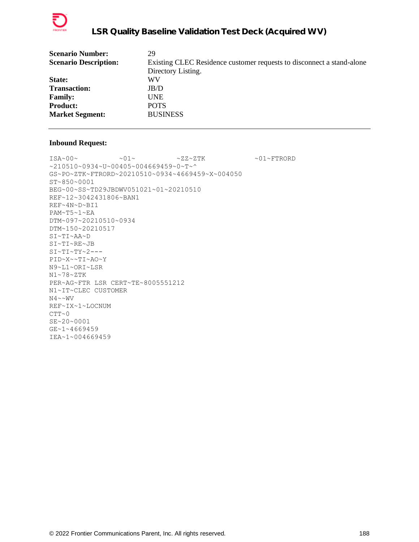

| <b>Scenario Number:</b>      | 29                                                                    |
|------------------------------|-----------------------------------------------------------------------|
| <b>Scenario Description:</b> | Existing CLEC Residence customer requests to disconnect a stand-alone |
|                              | Directory Listing.                                                    |
| <b>State:</b>                | WV                                                                    |
| <b>Transaction:</b>          | JB/D                                                                  |
| <b>Family:</b>               | UNE.                                                                  |
| <b>Product:</b>              | <b>POTS</b>                                                           |
| <b>Market Segment:</b>       | <b>BUSINESS</b>                                                       |
|                              |                                                                       |

 $\verb+ISA+00+~\verb++01+~\verb+\++22+2TK+~\verb+\++01+$ \verb+\++10+~\verb+\++11+~\verb+\++12+~\verb+\++12+~\verb+\++12+~\verb+\++12+~\verb+\++12+~\verb+\++12+~\verb+\++12+~\verb+\++12+~\verb+\++12+~\verb+\++12+~\verb+\++12+~\verb+\++12+~\verb+\++12+~\verb+\++12+~\verb+\++12+~\verb+\++12+~\verb+\++12+~\verb+\++12+~\verb$ ~210510~0934~U~00405~004669459~0~T~^ GS~PO~ZTK~FTRORD~20210510~0934~4669459~X~004050 ST~850~0001 BEG~00~SS~TD29JBDWV051021~01~20210510 REF~12~3042431806~BAN1 REF~4N~D~BI1 PAM~T5~1~EA DTM~097~20210510~0934 DTM~150~20210517 SI~TI~AA~D SI~TI~RE~JB  $SI~TI~TY~2--$ PID~X~~TI~AO~Y N9~L1~ORI~LSR N1~78~ZTK PER~AG~FTR LSR CERT~TE~8005551212 N1~IT~CLEC CUSTOMER  $N4 \sim WV$ REF~IX~1~LOCNUM  $CTT~0$ SE~20~0001 GE~1~4669459 IEA~1~004669459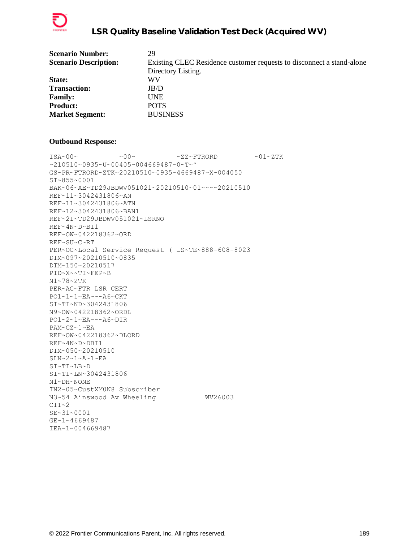

| <b>Scenario Number:</b>      | 29                                                                    |
|------------------------------|-----------------------------------------------------------------------|
| <b>Scenario Description:</b> | Existing CLEC Residence customer requests to disconnect a stand-alone |
|                              | Directory Listing.                                                    |
| State:                       | WV                                                                    |
| <b>Transaction:</b>          | JB/D                                                                  |
| <b>Family:</b>               | UNE                                                                   |
| <b>Product:</b>              | <b>POTS</b>                                                           |
| <b>Market Segment:</b>       | <b>BUSINESS</b>                                                       |
|                              |                                                                       |

 $\text{ISA}\sim00\sim$   $\sim00\sim$   $\sim$  ZZ~FTRORD  $\sim01\sim$ ZTK ~210510~0935~U~00405~004669487~0~T~^ GS~PR~FTRORD~ZTK~20210510~0935~4669487~X~004050 ST~855~0001 BAK~06~AE~TD29JBDWV051021~20210510~01~~~~20210510 REF~11~3042431806~AN REF~11~3042431806~ATN REF~12~3042431806~BAN1 REF~2I~TD29JBDWV051021~LSRNO REF~4N~D~BI1 REF~OW~042218362~ORD REF~SU~C~RT PER~OC~Local Service Request ( LS~TE~888-608-8023 DTM~097~20210510~0835 DTM~150~20210517 PID~X~~TI~FEP~B N1~78~ZTK PER~AG~FTR LSR CERT PO1~1~1~EA~~~A6~CKT SI~TI~ND~3042431806 N9~OW~042218362~ORDL PO1~2~1~EA~~~A6~DIR PAM~GZ~1~EA REF~OW~042218362~DLORD REF~4N~D~DBI1 DTM~050~20210510 SLN~2~1~A~1~EA SI~TI~LB~D SI~TI~LN~3042431806 N1~DH~NONE IN2~05~CustXM0N8 Subscriber N3~54 Ainswood Av Wheeling WV26003  $CTT~2$ SE~31~0001 GE~1~4669487 IEA~1~004669487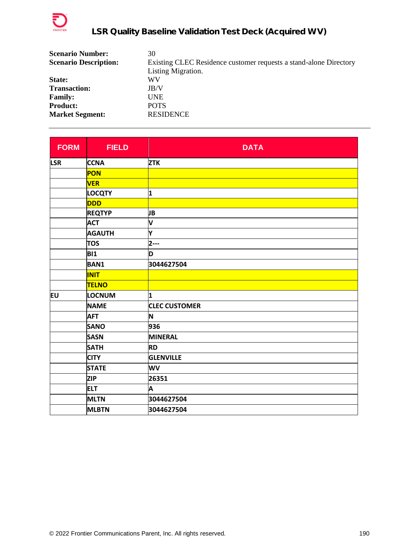

| <b>Scenario Number:</b>      | 30                                                                |
|------------------------------|-------------------------------------------------------------------|
| <b>Scenario Description:</b> | Existing CLEC Residence customer requests a stand-alone Directory |
|                              | Listing Migration.                                                |
| State:                       | WV                                                                |
| <b>Transaction:</b>          | JB/V                                                              |
| <b>Family:</b>               | <b>UNE</b>                                                        |
| <b>Product:</b>              | <b>POTS</b>                                                       |
| <b>Market Segment:</b>       | <b>RESIDENCE</b>                                                  |

| <b>FORM</b> | <b>FIELD</b>  | <b>DATA</b>          |
|-------------|---------------|----------------------|
| <b>LSR</b>  | <b>CCNA</b>   | <b>ZTK</b>           |
|             | PON           |                      |
|             | <b>VER</b>    |                      |
|             | <b>LOCQTY</b> | 1                    |
|             | <b>DDD</b>    |                      |
|             | <b>REQTYP</b> | JB                   |
|             | <b>ACT</b>    | V                    |
|             | <b>AGAUTH</b> | Y                    |
|             | <b>TOS</b>    | $2--$                |
|             | <b>BI1</b>    | D                    |
|             | <b>BAN1</b>   | 3044627504           |
|             | <b>INIT</b>   |                      |
|             | <b>TELNO</b>  |                      |
| EU          | LOCNUM        | 1                    |
|             | <b>NAME</b>   | <b>CLEC CUSTOMER</b> |
|             | <b>AFT</b>    | N                    |
|             | <b>SANO</b>   | 936                  |
|             | <b>SASN</b>   | <b>MINERAL</b>       |
|             | <b>SATH</b>   | <b>RD</b>            |
|             | <b>CITY</b>   | <b>GLENVILLE</b>     |
|             | <b>STATE</b>  | WV                   |
|             | <b>ZIP</b>    | 26351                |
|             | <b>ELT</b>    | A                    |
|             | <b>MLTN</b>   | 3044627504           |
|             | <b>MLBTN</b>  | 3044627504           |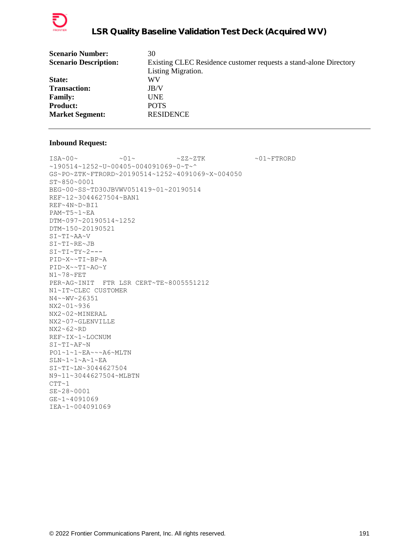

| <b>Scenario Number:</b>      | 30                                                                |
|------------------------------|-------------------------------------------------------------------|
| <b>Scenario Description:</b> | Existing CLEC Residence customer requests a stand-alone Directory |
|                              | Listing Migration.                                                |
| State:                       | WV                                                                |
| <b>Transaction:</b>          | JB/V                                                              |
| <b>Family:</b>               | UNE                                                               |
| <b>Product:</b>              | <b>POTS</b>                                                       |
| <b>Market Segment:</b>       | <b>RESIDENCE</b>                                                  |
|                              |                                                                   |

 $\verb|ISA~00~|~\verb|V|~|~\verb|V|~|~\verb|V|~|~\verb|V|~|~\verb|V|~|~\verb|V|~|~\verb|V|~|~\verb|V|~|~\verb|V|~|~\verb|V|~|~\verb|V|~|~\verb|V|~|~\verb|V|~|~\verb|V|~|~\verb|V|~|~\verb|V|~|~\verb|V|~|~\verb|V|~|~\verb|V|~|~\verb|V|~|~\verb|V|~|~\verb|V|~|~\verb|V|~|~\verb|V|~|~\verb|V|~|~\verb|V|~|~\verb$ ~190514~1252~U~00405~004091069~0~T~^ GS~PO~ZTK~FTRORD~20190514~1252~4091069~X~004050 ST~850~0001 BEG~00~SS~TD30JBVWV051419~01~20190514 REF~12~3044627504~BAN1 REF~4N~D~BI1 PAM~T5~1~EA DTM~097~20190514~1252 DTM~150~20190521 SI~TI~AA~V SI~TI~RE~JB  $SI~TI~TY~2--$ PID~X~~TI~BP~A PID~X~~TI~AO~Y N1~78~FET PER~AG~INIT FTR LSR CERT~TE~8005551212 N1~IT~CLEC CUSTOMER N4~~WV~26351 NX2~01~936 NX2~02~MINERAL NX2~07~GLENVILLE NX2~62~RD REF~IX~1~LOCNUM SI~TI~AF~N PO1~1~1~EA~~~A6~MLTN  $SLN~1~1~$ A~1~EA SI~TI~LN~3044627504 N9~11~3044627504~MLBTN  $CTT~1$ SE~28~0001 GE~1~4091069 IEA~1~004091069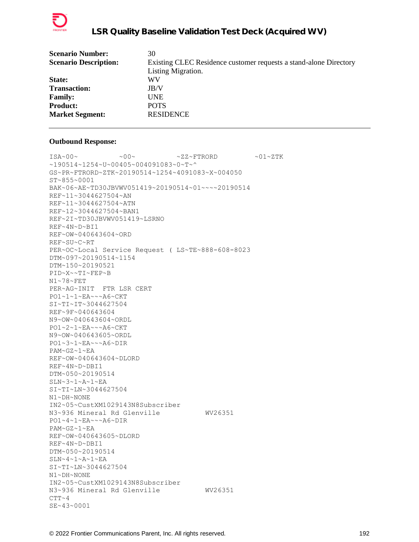

| <b>Scenario Number:</b>      | 30                                                                |
|------------------------------|-------------------------------------------------------------------|
| <b>Scenario Description:</b> | Existing CLEC Residence customer requests a stand-alone Directory |
|                              | Listing Migration.                                                |
| State:                       | WV                                                                |
| <b>Transaction:</b>          | JB/V                                                              |
| <b>Family:</b>               | <b>UNE</b>                                                        |
| <b>Product:</b>              | <b>POTS</b>                                                       |
| <b>Market Segment:</b>       | <b>RESIDENCE</b>                                                  |
|                              |                                                                   |

 $\texttt{ISA~00~}\sim$   $\sim$   $\texttt{00~}\sim$   $\sim$   $\texttt{02~}\sim$   $\texttt{FFRORD}$   $\sim$   $\texttt{01~}\sim$   $\texttt{2TK}$  $~190514~1254~$ v $~00405~$ v $004091083~$ v $~0$ ~T~^ GS~PR~FTRORD~ZTK~20190514~1254~4091083~X~004050 ST~855~0001 BAK~06~AE~TD30JBVWV051419~20190514~01~~~~20190514 REF~11~3044627504~AN REF~11~3044627504~ATN REF~12~3044627504~BAN1 REF~2I~TD30JBVWV051419~LSRNO REF~4N~D~BI1 REF~OW~040643604~ORD REF~SU~C~RT PER~OC~Local Service Request ( LS~TE~888-608-8023 DTM~097~20190514~1154 DTM~150~20190521 PID~X~~TI~FEP~B N1~78~FET PER~AG~INIT FTR LSR CERT PO1~1~1~EA~~~A6~CKT SI~TI~IT~3044627504 REF~9F~040643604 N9~OW~040643604~ORDL PO1~2~1~EA~~~A6~CKT N9~OW~040643605~ORDL PO1~3~1~EA~~~A6~DIR PAM~GZ~1~EA REF~OW~040643604~DLORD REF~4N~D~DBI1 DTM~050~20190514 SLN~3~1~A~1~EA SI~TI~LN~3044627504 N1~DH~NONE IN2~05~CustXM1029143N8Subscriber N3~936 Mineral Rd Glenville WV26351 PO1~4~1~EA~~~A6~DIR PAM~GZ~1~EA REF~OW~040643605~DLORD REF~4N~D~DBI1 DTM~050~20190514 SLN~4~1~A~1~EA SI~TI~LN~3044627504 N1~DH~NONE IN2~05~CustXM1029143N8Subscriber N3~936 Mineral Rd Glenville WV26351  $CTT~ 4$ SE~43~0001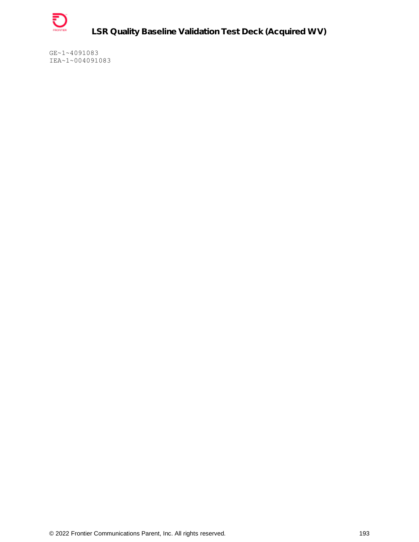

**LSR Quality Baseline Validation Test Deck (Acquired WV)**

GE~1~4091083 IEA~1~004091083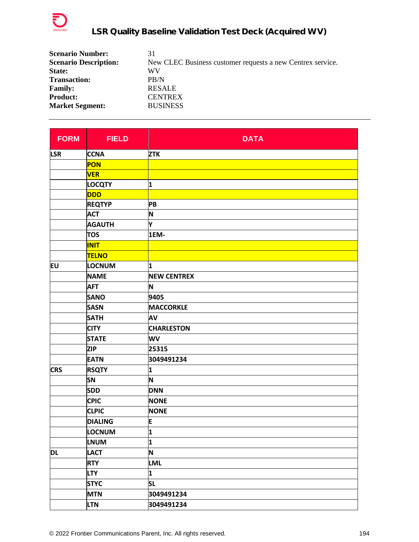

| 31                                                         |
|------------------------------------------------------------|
| New CLEC Business customer requests a new Centrex service. |
| WV                                                         |
| PB/N                                                       |
| <b>RESALE</b>                                              |
| <b>CENTREX</b>                                             |
| <b>BUSINESS</b>                                            |
|                                                            |

| <b>FORM</b> | <b>FIELD</b>   | <b>DATA</b>        |
|-------------|----------------|--------------------|
| <b>LSR</b>  | <b>CCNA</b>    | <b>ZTK</b>         |
|             | <b>PON</b>     |                    |
|             | <b>VER</b>     |                    |
|             | <b>LOCQTY</b>  | 1                  |
|             | <b>DDD</b>     |                    |
|             | <b>REQTYP</b>  | PB                 |
|             | <b>ACT</b>     | N                  |
|             | <b>AGAUTH</b>  | Y                  |
|             | <b>TOS</b>     | 1EM-               |
|             | <b>INIT</b>    |                    |
|             | <b>TELNO</b>   |                    |
| EU          | LOCNUM         | 1                  |
|             | <b>NAME</b>    | <b>NEW CENTREX</b> |
|             | <b>AFT</b>     | N                  |
|             | <b>SANO</b>    | 9405               |
|             | <b>SASN</b>    | <b>MACCORKLE</b>   |
|             | <b>SATH</b>    | AV                 |
|             | <b>CITY</b>    | <b>CHARLESTON</b>  |
|             | <b>STATE</b>   | WV                 |
|             | <b>ZIP</b>     | 25315              |
|             | <b>EATN</b>    | 3049491234         |
| <b>CRS</b>  | <b>RSQTY</b>   | 1                  |
|             | <b>SN</b>      | N                  |
|             | <b>SDD</b>     | <b>DNN</b>         |
|             | <b>CPIC</b>    | <b>NONE</b>        |
|             | <b>CLPIC</b>   | <b>NONE</b>        |
|             | <b>DIALING</b> | E                  |
|             | <b>LOCNUM</b>  | 1                  |
|             | <b>LNUM</b>    | 1                  |
| <b>DL</b>   | <b>LACT</b>    | N                  |
|             | <b>RTY</b>     | <b>LML</b>         |
|             | <b>LTY</b>     | 1                  |
|             | <b>STYC</b>    | <b>SL</b>          |
|             | <b>MTN</b>     | 3049491234         |
|             | <b>LTN</b>     | 3049491234         |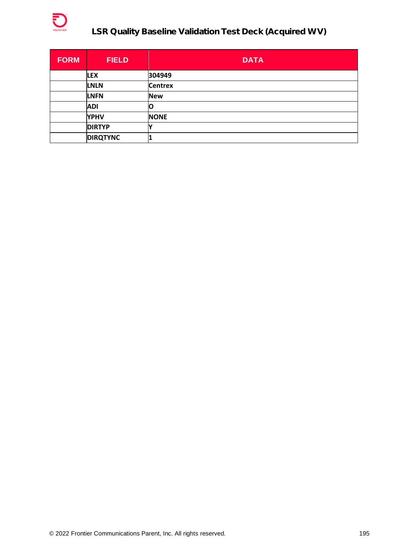

# **LSR Quality Baseline Validation Test Deck (Acquired WV)**

| <b>FORM</b> | <b>FIELD</b>    | <b>DATA</b>    |
|-------------|-----------------|----------------|
|             | <b>LEX</b>      | 304949         |
|             | <b>LNLN</b>     | <b>Centrex</b> |
|             | <b>LNFN</b>     | <b>New</b>     |
|             | <b>ADI</b>      | O              |
|             | <b>YPHV</b>     | <b>NONE</b>    |
|             | <b>DIRTYP</b>   |                |
|             | <b>DIRQTYNC</b> |                |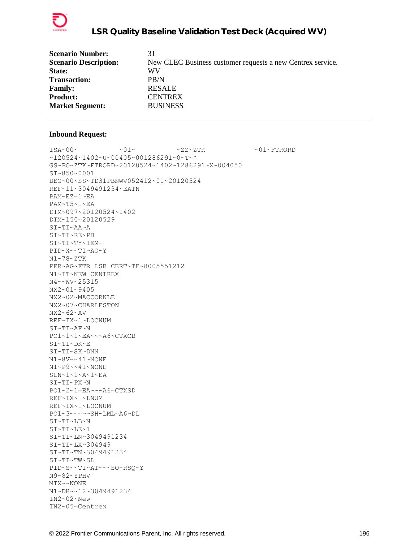

| 31                                                         |
|------------------------------------------------------------|
| New CLEC Business customer requests a new Centrex service. |
| WV                                                         |
| PB/N                                                       |
| <b>RESALE</b>                                              |
| <b>CENTREX</b>                                             |
| <b>BUSINESS</b>                                            |
|                                                            |

 $ISA~00~\sim$   $~01~\sim$   $~01~\sim$   $~2Z~2TK$   $~01~\sim$   $~01~\sim$  FTRORD ~120524~1402~U~00405~001286291~0~T~^ GS~PO~ZTK~FTRORD~20120524~1402~1286291~X~004050 ST~850~0001 BEG~00~SS~TD31PBNWV052412~01~20120524 REF~11~3049491234~EATN PAM~EZ~1~EA PAM~T5~1~EA DTM~097~20120524~1402 DTM~150~20120529 SI~TI~AA~A SI~TI~RE~PB SI~TI~TY~1EM-PID~X~~TI~AO~Y N1~78~ZTK PER~AG~FTR LSR CERT~TE~8005551212 N1~IT~NEW CENTREX N4~~WV~25315 NX2~01~9405 NX2~02~MACCORKLE NX2~07~CHARLESTON NX2~62~AV REF~IX~1~LOCNUM SI~TI~AF~N PO1~1~1~EA~~~A6~CTXCB SI~TI~DK~E SI~TI~SK~DNN N1~8V~~41~NONE N1~P9~~41~NONE SLN~1~1~A~1~EA SI~TI~PX~N PO1~2~1~EA~~~A6~CTXSD REF~IX~1~LNUM REF~IX~1~LOCNUM PO1~3~~~~~SH~LML~A6~DL SI~TI~LB~N SI~TI~LE~1 SI~TI~LN~3049491234 SI~TI~LX~304949 SI~TI~TN~3049491234 SI~TI~TW~SL PID~S~~TI~AT~~~SO-RSQ~Y N9~82~YPHV MTX~~NONE N1~DH~~12~3049491234 IN2~02~New IN2~05~Centrex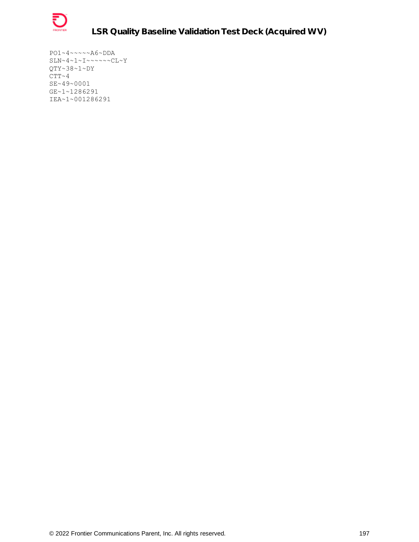

PO1~4~~~~~A6~DDA  $SLN~4~1~1~...~1~...~0~1~1~$ QTY~38~1~DY  $CTT~ 4$ SE~49~0001 GE~1~1286291 IEA~1~001286291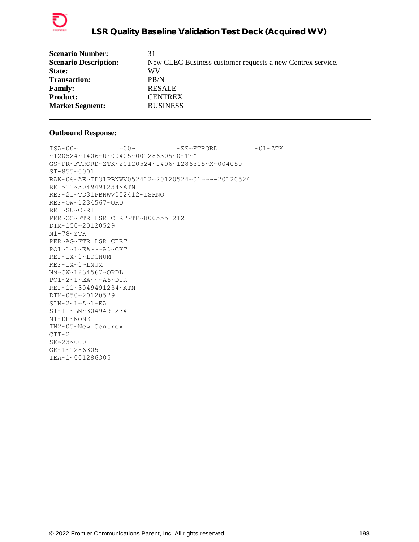

| <b>Scenario Number:</b>      | 31                                                         |
|------------------------------|------------------------------------------------------------|
| <b>Scenario Description:</b> | New CLEC Business customer requests a new Centrex service. |
| State:                       | WV                                                         |
| <b>Transaction:</b>          | PB/N                                                       |
| <b>Family:</b>               | <b>RESALE</b>                                              |
| <b>Product:</b>              | <b>CENTREX</b>                                             |
| <b>Market Segment:</b>       | <b>BUSINESS</b>                                            |
|                              |                                                            |

 $ISA~00~\sim$   $~0.00~\sim$   $~0.00~\sim$   $~0.00~\sim$   $~0.00~\sim$   $~0.00~\sim$   $~0.00~\sim$   $~0.00~\sim$   $~0.00~\sim$   $~0.00~\sim$   $~0.00~\sim$   $~0.00~\sim$   $~0.00~\sim$   $~0.00~\sim$   $~0.00~\sim$   $~0.00~\sim$   $~0.00~\sim$   $~0.00~\sim$   $~0.00~\sim$   $~0.00~\sim$  ~120524~1406~U~00405~001286305~0~T~^ GS~PR~FTRORD~ZTK~20120524~1406~1286305~X~004050 ST~855~0001 BAK~06~AE~TD31PBNWV052412~20120524~01~~~~20120524 REF~11~3049491234~ATN REF~2I~TD31PBNWV052412~LSRNO REF~OW~1234567~ORD REF~SU~C~RT PER~OC~FTR LSR CERT~TE~8005551212 DTM~150~20120529 N1~78~ZTK PER~AG~FTR LSR CERT PO1~1~1~EA~~~A6~CKT REF~IX~1~LOCNUM REF~IX~1~LNUM N9~OW~1234567~ORDL PO1~2~1~EA~~~A6~DIR REF~11~3049491234~ATN DTM~050~20120529 SLN~2~1~A~1~EA SI~TI~LN~3049491234 N1~DH~NONE IN2~05~New Centrex CTT~2 SE~23~0001 GE~1~1286305 IEA~1~001286305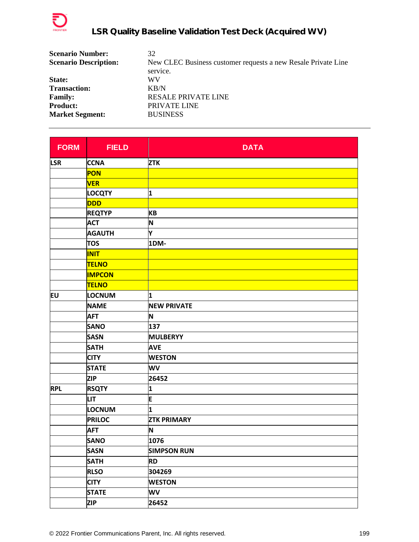

| 32                                                            |
|---------------------------------------------------------------|
| New CLEC Business customer requests a new Resale Private Line |
| service.                                                      |
| WV                                                            |
| $K$ B/N                                                       |
| <b>RESALE PRIVATE LINE</b>                                    |
| PRIVATE LINE                                                  |
| <b>BUSINESS</b>                                               |
|                                                               |

| <b>FORM</b> | <b>FIELD</b>  | <b>DATA</b>             |
|-------------|---------------|-------------------------|
| <b>LSR</b>  | <b>CCNA</b>   | <b>ZTK</b>              |
|             | <b>PON</b>    |                         |
|             | <b>VER</b>    |                         |
|             | <b>LOCQTY</b> | 1                       |
|             | <b>DDD</b>    |                         |
|             | <b>REQTYP</b> | <b>KB</b>               |
|             | <b>ACT</b>    | N                       |
|             | <b>AGAUTH</b> | Υ                       |
|             | <b>TOS</b>    | 1DM-                    |
|             | <b>INIT</b>   |                         |
|             | <b>TELNO</b>  |                         |
|             | <b>IMPCON</b> |                         |
|             | <b>TELNO</b>  |                         |
| EU          | <b>LOCNUM</b> | 1                       |
|             | <b>NAME</b>   | <b>NEW PRIVATE</b>      |
|             | <b>AFT</b>    | N                       |
|             | <b>SANO</b>   | 137                     |
|             | <b>SASN</b>   | <b>MULBERYY</b>         |
|             | <b>SATH</b>   | <b>AVE</b>              |
|             | <b>CITY</b>   | <b>WESTON</b>           |
|             | <b>STATE</b>  | WV                      |
|             | <b>ZIP</b>    | 26452                   |
| <b>RPL</b>  | <b>RSQTY</b>  | 1                       |
|             | <b>LIT</b>    | E                       |
|             | LOCNUM        | $\overline{\mathbf{1}}$ |
|             | <b>PRILOC</b> | <b>ZTK PRIMARY</b>      |
|             | <b>AFT</b>    | N                       |
|             | <b>SANO</b>   | 1076                    |
|             | <b>SASN</b>   | <b>SIMPSON RUN</b>      |
|             | <b>SATH</b>   | <b>RD</b>               |
|             | <b>RLSO</b>   | 304269                  |
|             | <b>CITY</b>   | <b>WESTON</b>           |
|             | <b>STATE</b>  | WV                      |
|             | <b>ZIP</b>    | 26452                   |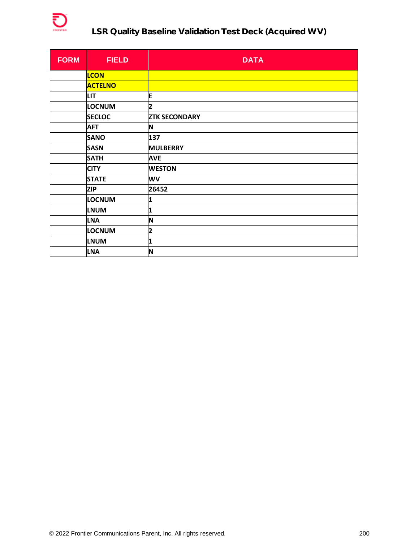

# **LSR Quality Baseline Validation Test Deck (Acquired WV)**

| <b>FORM</b> | <b>FIELD</b>   | <b>DATA</b>             |
|-------------|----------------|-------------------------|
|             | <b>LCON</b>    |                         |
|             | <b>ACTELNO</b> |                         |
|             | LIT.           | E                       |
|             | <b>LOCNUM</b>  | $\overline{\mathbf{c}}$ |
|             | <b>SECLOC</b>  | <b>ZTK SECONDARY</b>    |
|             | <b>AFT</b>     | N                       |
|             | <b>SANO</b>    | 137                     |
|             | <b>SASN</b>    | <b>MULBERRY</b>         |
|             | <b>SATH</b>    | <b>AVE</b>              |
|             | <b>CITY</b>    | <b>WESTON</b>           |
|             | <b>STATE</b>   | WV                      |
|             | <b>ZIP</b>     | 26452                   |
|             | LOCNUM         | 1                       |
|             | <b>LNUM</b>    | $\overline{\mathbf{1}}$ |
|             | <b>LNA</b>     | N                       |
|             | <b>LOCNUM</b>  | 2                       |
|             | <b>LNUM</b>    | 1                       |
|             | <b>LNA</b>     | N                       |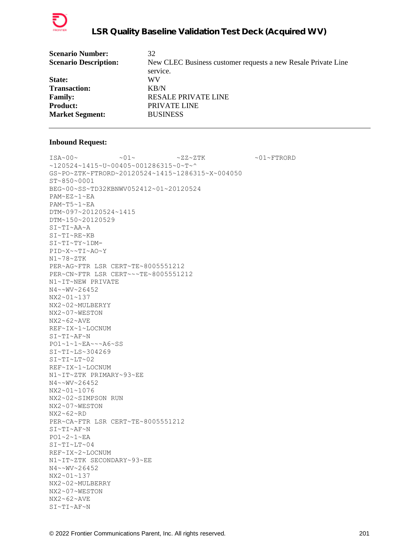

| <b>Scenario Number:</b>      | 32                                                            |
|------------------------------|---------------------------------------------------------------|
| <b>Scenario Description:</b> | New CLEC Business customer requests a new Resale Private Line |
|                              | service.                                                      |
| State:                       | WV                                                            |
| <b>Transaction:</b>          | KB/N                                                          |
| <b>Family:</b>               | <b>RESALE PRIVATE LINE</b>                                    |
| <b>Product:</b>              | PRIVATE LINE                                                  |
| <b>Market Segment:</b>       | <b>BUSINESS</b>                                               |
|                              |                                                               |

 $\sim 01 \sim \textrm{---} \sim 01 \sim \textrm{---} \sim 27 \sim 2 \, \textrm{---} \, \textrm{---} \, \sim 01 \sim \textrm{---} \, \textrm{---} \, \textrm{---} \, \textrm{---} \, \textrm{---} \, \textrm{---} \, \textrm{---} \, \textrm{---} \, \textrm{---} \, \, \textrm{---} \, \, \textrm{---} \, \, \textrm{---} \, \, \textrm{---} \, \, \textrm{---} \, \, \textrm{---} \, \, \textrm{---}$ ~120524~1415~U~00405~001286315~0~T~^ GS~PO~ZTK~FTRORD~20120524~1415~1286315~X~004050 ST~850~0001 BEG~00~SS~TD32KBNWV052412~01~20120524 PAM~EZ~1~EA PAM~T5~1~EA DTM~097~20120524~1415 DTM~150~20120529 SI~TI~AA~A SI~TI~RE~KB SI~TI~TY~1DM-PID~X~~TI~AO~Y N1~78~ZTK PER~AG~FTR LSR CERT~TE~8005551212 PER~CN~FTR LSR CERT~~~TE~8005551212 N1~IT~NEW PRIVATE N4~~WV~26452 NX2~01~137 NX2~02~MULBERYY NX2~07~WESTON NX2~62~AVE REF~IX~1~LOCNUM SI~TI~AF~N PO1~1~1~EA~~~A6~SS SI~TI~LS~304269 SI~TI~LT~02 REF~IX~1~LOCNUM N1~IT~ZTK PRIMARY~93~EE N4~~WV~26452 NX2~01~1076 NX2~02~SIMPSON RUN NX2~07~WESTON NX2~62~RD PER~CA~FTR LSR CERT~TE~8005551212 SI~TI~AF~N PO1~2~1~EA SI~TI~LT~04 REF~IX~2~LOCNUM N1~IT~ZTK SECONDARY~93~EE N4~~WV~26452 NX2~01~137 NX2~02~MULBERRY NX2~07~WESTON NX2~62~AVE SI~TI~AF~N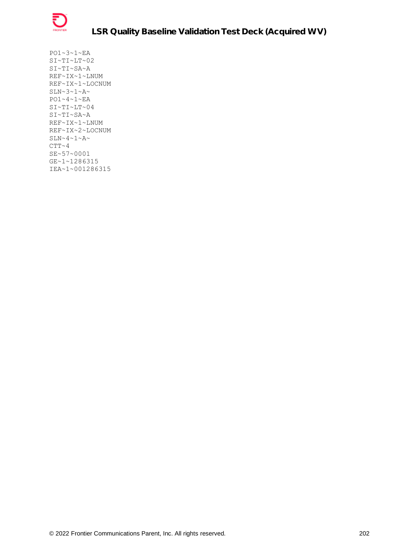

PO1~3~1~EA SI~TI~LT~02 SI~TI~SA~A REF~IX~1~LNUM REF~IX~1~LOCNUM  $SLN~2~1~A~$ PO1~4~1~EA  $S$ I~TI~LT~04 SI~TI~SA~A REF~IX~1~LNUM REF~IX~2~LOCNUM  $SLN~4~1~A~$  $CTT~ 4$ SE~57~0001 GE~1~1286315 IEA~1~001286315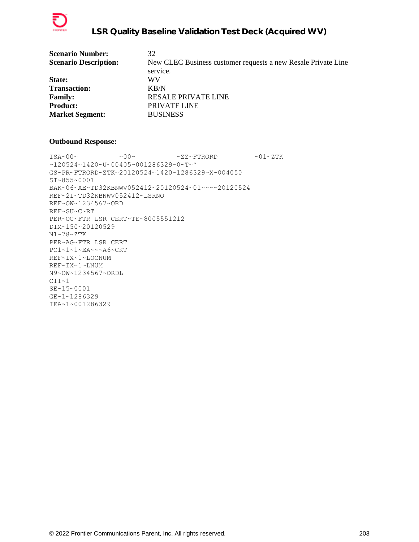

| <b>Scenario Number:</b>      | 32                                                            |
|------------------------------|---------------------------------------------------------------|
| <b>Scenario Description:</b> | New CLEC Business customer requests a new Resale Private Line |
|                              | service.                                                      |
| State:                       | WV                                                            |
| <b>Transaction:</b>          | $K$ B/N                                                       |
| <b>Family:</b>               | <b>RESALE PRIVATE LINE</b>                                    |
| <b>Product:</b>              | PRIVATE LINE                                                  |
| <b>Market Segment:</b>       | <b>BUSINESS</b>                                               |
|                              |                                                               |

 $ISA~00~\sim$   $~00~\sim$   $~00~\sim$   $~2Z~\sim$  FTRORD  $~01~\sim$  ZTK ~120524~1420~U~00405~001286329~0~T~^ GS~PR~FTRORD~ZTK~20120524~1420~1286329~X~004050 ST~855~0001 BAK~06~AE~TD32KBNWV052412~20120524~01~~~~20120524 REF~2I~TD32KBNWV052412~LSRNO REF~OW~1234567~ORD REF~SU~C~RT PER~OC~FTR LSR CERT~TE~8005551212 DTM~150~20120529 N1~78~ZTK PER~AG~FTR LSR CERT PO1~1~1~EA~~~A6~CKT REF~IX~1~LOCNUM REF~IX~1~LNUM N9~OW~1234567~ORDL  $CTT~1$ SE~15~0001 GE~1~1286329 IEA~1~001286329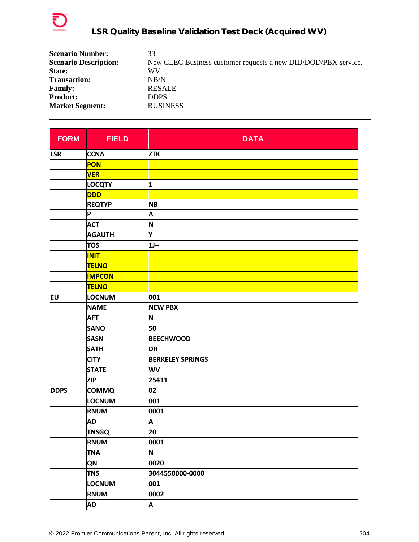

| <b>Scenario Number:</b>      | 33                                                             |
|------------------------------|----------------------------------------------------------------|
| <b>Scenario Description:</b> | New CLEC Business customer requests a new DID/DOD/PBX service. |
| State:                       | WV                                                             |
| <b>Transaction:</b>          | NB/N                                                           |
| <b>Family:</b>               | <b>RESALE</b>                                                  |
| <b>Product:</b>              | <b>DDPS</b>                                                    |
| <b>Market Segment:</b>       | <b>BUSINESS</b>                                                |

| <b>FORM</b> | <b>FIELD</b>  | <b>DATA</b>             |
|-------------|---------------|-------------------------|
| <b>LSR</b>  | <b>CCNA</b>   | <b>ZTK</b>              |
|             | PON           |                         |
|             | <b>VER</b>    |                         |
|             | <b>LOCQTY</b> | 1                       |
|             | <b>DDD</b>    |                         |
|             | <b>REQTYP</b> | <b>NB</b>               |
|             | P             | Α                       |
|             | <b>ACT</b>    | N                       |
|             | <b>AGAUTH</b> | Y                       |
|             | <b>TOS</b>    | $1J -$                  |
|             | <b>INIT</b>   |                         |
|             | <b>TELNO</b>  |                         |
|             | <b>IMPCON</b> |                         |
|             | <b>TELNO</b>  |                         |
| EU          | <b>LOCNUM</b> | 001                     |
|             | <b>NAME</b>   | <b>NEW PBX</b>          |
|             | <b>AFT</b>    | N                       |
|             | <b>SANO</b>   | 50                      |
|             | <b>SASN</b>   | <b>BEECHWOOD</b>        |
|             | <b>SATH</b>   | <b>DR</b>               |
|             | <b>CITY</b>   | <b>BERKELEY SPRINGS</b> |
|             | <b>STATE</b>  | <b>WV</b>               |
|             | <b>ZIP</b>    | 25411                   |
| <b>DDPS</b> | <b>COMMQ</b>  | 02                      |
|             | LOCNUM        | 001                     |
|             | <b>RNUM</b>   | 0001                    |
|             | <b>AD</b>     | A                       |
|             | <b>TNSGQ</b>  | 20                      |
|             | <b>RNUM</b>   | 0001                    |
|             | <b>TNA</b>    | N                       |
|             | QN            | 0020                    |
|             | <b>TNS</b>    | 3044550000-0000         |
|             | LOCNUM        | 001                     |
|             | <b>RNUM</b>   | 0002                    |
|             | <b>AD</b>     | Α                       |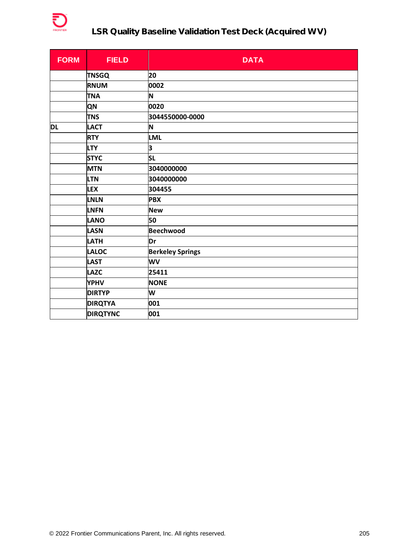

## **LSR Quality Baseline Validation Test Deck (Acquired WV)**

| <b>FORM</b> | <b>FIELD</b>    | <b>DATA</b>             |
|-------------|-----------------|-------------------------|
|             | <b>TNSGQ</b>    | 20                      |
|             | <b>RNUM</b>     | 0002                    |
|             | <b>TNA</b>      | N                       |
|             | <b>QN</b>       | 0020                    |
|             | <b>TNS</b>      | 3044550000-0000         |
| DL          | <b>LACT</b>     | N                       |
|             | <b>RTY</b>      | <b>LML</b>              |
|             | <b>LTY</b>      | 3                       |
|             | <b>STYC</b>     | <b>SL</b>               |
|             | <b>MTN</b>      | 3040000000              |
|             | <b>LTN</b>      | 3040000000              |
|             | <b>LEX</b>      | 304455                  |
|             | <b>LNLN</b>     | <b>PBX</b>              |
|             | <b>LNFN</b>     | <b>New</b>              |
|             | <b>LANO</b>     | 50                      |
|             | <b>LASN</b>     | <b>Beechwood</b>        |
|             | <b>LATH</b>     | Dr                      |
|             | <b>LALOC</b>    | <b>Berkeley Springs</b> |
|             | <b>LAST</b>     | WV                      |
|             | <b>LAZC</b>     | 25411                   |
|             | <b>YPHV</b>     | <b>NONE</b>             |
|             | <b>DIRTYP</b>   | W                       |
|             | <b>DIRQTYA</b>  | 001                     |
|             | <b>DIRQTYNC</b> | 001                     |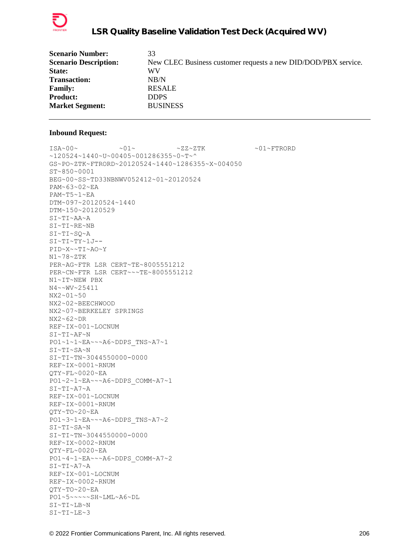

| 33                                                             |
|----------------------------------------------------------------|
| New CLEC Business customer requests a new DID/DOD/PBX service. |
| WV                                                             |
| NB/N                                                           |
| <b>RESALE</b>                                                  |
| <b>DDPS</b>                                                    |
| <b>BUSINESS</b>                                                |
|                                                                |

ISA~00~ ~01~ ~ZZ~ZTK ~01~FTRORD  $~120524~1440~$ v $~00405~$ v $001286355~$ v $0~$ GS~PO~ZTK~FTRORD~20120524~1440~1286355~X~004050 ST~850~0001 BEG~00~SS~TD33NBNWV052412~01~20120524 PAM~63~02~EA PAM~T5~1~EA DTM~097~20120524~1440 DTM~150~20120529 SI~TI~AA~A SI~TI~RE~NB SI~TI~SQ~A SI~TI~TY~1J-- PID~X~~TI~AO~Y N1~78~ZTK PER~AG~FTR LSR CERT~TE~8005551212 PER~CN~FTR LSR CERT~~~TE~8005551212 N1~IT~NEW PBX N4~~WV~25411 NX2~01~50 NX2~02~BEECHWOOD NX2~07~BERKELEY SPRINGS NX2~62~DR REF~IX~001~LOCNUM  $S$ I~TI~A $F~N$ PO1~1~1~EA~~~A6~DDPS\_TNS~A7~1 SI~TI~SA~N SI~TI~TN~3044550000-0000 REF~IX~0001~RNUM QTY~FL~0020~EA PO1~2~1~EA~~~A6~DDPS\_COMM~A7~1 SI~TI~A7~A REF~IX~001~LOCNUM REF~IX~0001~RNUM QTY~TO~20~EA PO1~3~1~EA~~~A6~DDPS\_TNS~A7~2 SI~TI~SA~N SI~TI~TN~3044550000-0000 REF~IX~0002~RNUM QTY~FL~0020~EA PO1~4~1~EA~~~A6~DDPS\_COMM~A7~2 SI~TI~A7~A REF~IX~001~LOCNUM REF~IX~0002~RNUM QTY~TO~20~EA PO1~5~~~~~SH~LML~A6~DL SI~TI~LB~N SI~TI~LE~3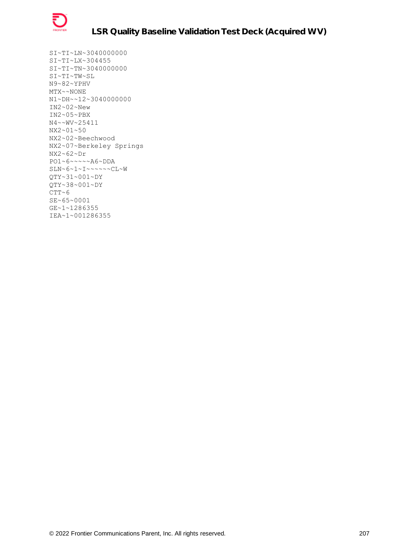

SI~TI~LN~3040000000 SI~TI~LX~304455 SI~TI~TN~3040000000 SI~TI~TW~SL N9~82~YPHV MTX~~NONE N1~DH~~12~3040000000 IN2~02~New IN2~05~PBX N4~~WV~25411 NX2~01~50 NX2~02~Beechwood NX2~07~Berkeley Springs NX2~62~Dr PO1~6~~~~~A6~DDA SLN~6~1~I~~~~~~CL~W QTY~31~001~DY QTY~38~001~DY  $CTT~6$ SE~65~0001 GE~1~1286355 IEA~1~001286355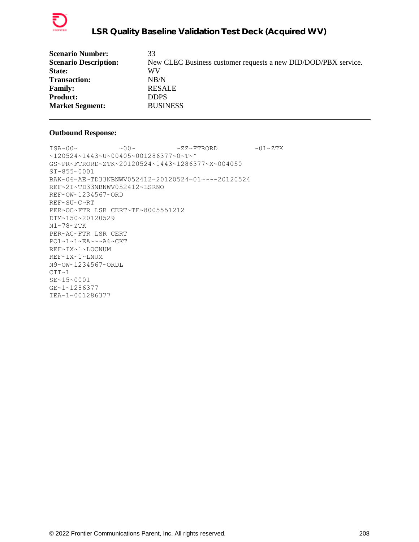

| <b>Scenario Number:</b>      | 33                                                             |
|------------------------------|----------------------------------------------------------------|
| <b>Scenario Description:</b> | New CLEC Business customer requests a new DID/DOD/PBX service. |
| State:                       | WV                                                             |
| <b>Transaction:</b>          | NB/N                                                           |
| <b>Family:</b>               | <b>RESALE</b>                                                  |
| <b>Product:</b>              | <b>DDPS</b>                                                    |
| <b>Market Segment:</b>       | <b>BUSINESS</b>                                                |
|                              |                                                                |

 $ISA~00~\sim$   $~00~\sim$   $~00~\sim$   $~2Z~\sim$  FTRORD  $~01~\sim$  ZTK ~120524~1443~U~00405~001286377~0~T~^ GS~PR~FTRORD~ZTK~20120524~1443~1286377~X~004050 ST~855~0001 BAK~06~AE~TD33NBNWV052412~20120524~01~~~~20120524 REF~2I~TD33NBNWV052412~LSRNO REF~OW~1234567~ORD REF~SU~C~RT PER~OC~FTR LSR CERT~TE~8005551212 DTM~150~20120529 N1~78~ZTK PER~AG~FTR LSR CERT PO1~1~1~EA~~~A6~CKT REF~IX~1~LOCNUM REF~IX~1~LNUM N9~OW~1234567~ORDL  $CTT~1$ SE~15~0001 GE~1~1286377 IEA~1~001286377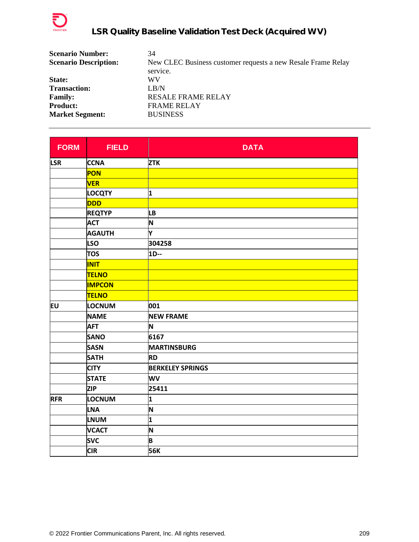

| <b>Scenario Number:</b>      | 34                                                           |
|------------------------------|--------------------------------------------------------------|
| <b>Scenario Description:</b> | New CLEC Business customer requests a new Resale Frame Relay |
|                              | service.                                                     |
| State:                       | WV                                                           |
| <b>Transaction:</b>          | LR/N                                                         |
| <b>Family:</b>               | <b>RESALE FRAME RELAY</b>                                    |
| <b>Product:</b>              | <b>FRAME RELAY</b>                                           |
| <b>Market Segment:</b>       | <b>BUSINESS</b>                                              |

| <b>FORM</b> | <b>FIELD</b>  | <b>DATA</b>             |
|-------------|---------------|-------------------------|
| <b>LSR</b>  | <b>CCNA</b>   | <b>ZTK</b>              |
|             | PON           |                         |
|             | <b>VER</b>    |                         |
|             | <b>LOCQTY</b> | 1                       |
|             | <b>DDD</b>    |                         |
|             | <b>REQTYP</b> | <b>LB</b>               |
|             | <b>ACT</b>    | N                       |
|             | <b>AGAUTH</b> | Y                       |
|             | <b>LSO</b>    | 304258                  |
|             | <b>TOS</b>    | 1D--                    |
|             | <b>INIT</b>   |                         |
|             | <b>TELNO</b>  |                         |
|             | <b>IMPCON</b> |                         |
|             | <b>TELNO</b>  |                         |
| EU          | <b>LOCNUM</b> | 001                     |
|             | <b>NAME</b>   | <b>NEW FRAME</b>        |
|             | <b>AFT</b>    | N                       |
|             | <b>SANO</b>   | 6167                    |
|             | <b>SASN</b>   | <b>MARTINSBURG</b>      |
|             | <b>SATH</b>   | <b>RD</b>               |
|             | <b>CITY</b>   | <b>BERKELEY SPRINGS</b> |
|             | <b>STATE</b>  | <b>WV</b>               |
|             | <b>ZIP</b>    | 25411                   |
| <b>RFR</b>  | LOCNUM        | 1                       |
|             | <b>LNA</b>    | N                       |
|             | <b>LNUM</b>   | $\overline{\mathbf{1}}$ |
|             | <b>VCACT</b>  | N                       |
|             | <b>SVC</b>    | B                       |
|             | <b>CIR</b>    | <b>56K</b>              |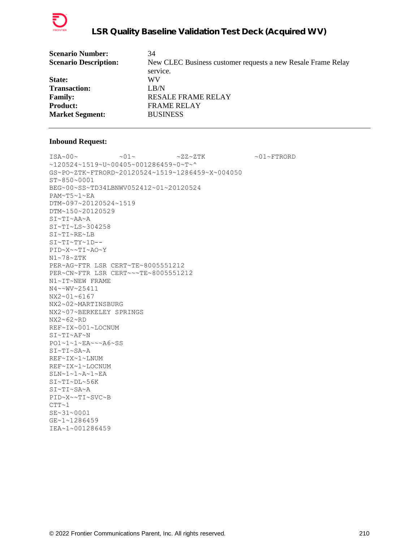

| <b>Scenario Number:</b>      | 34                                                           |
|------------------------------|--------------------------------------------------------------|
| <b>Scenario Description:</b> | New CLEC Business customer requests a new Resale Frame Relay |
|                              | service.                                                     |
| <b>State:</b>                | WV                                                           |
| <b>Transaction:</b>          | LB/N                                                         |
| <b>Family:</b>               | <b>RESALE FRAME RELAY</b>                                    |
| <b>Product:</b>              | <b>FRAME RELAY</b>                                           |
| <b>Market Segment:</b>       | <b>BUSINESS</b>                                              |
|                              |                                                              |

 $\sim 01 \sim \textrm{N} \times 01 \sim \textrm{N} \times 01 \sim \textrm{N} \times 01 \sim \textrm{N} \times 01 \sim \textrm{N} \times 01 \sim \textrm{N} \times 01 \sim \textrm{N} \times 01 \sim \textrm{N} \times 01 \sim \textrm{N} \times 01 \sim \textrm{N} \times 01 \sim \textrm{N} \times 01 \sim \textrm{N} \times 01 \sim \textrm{N} \times 01 \sim \textrm{N} \times 01 \sim \textrm{N} \times 01 \sim \textr$ ~120524~1519~U~00405~001286459~0~T~^ GS~PO~ZTK~FTRORD~20120524~1519~1286459~X~004050 ST~850~0001 BEG~00~SS~TD34LBNWV052412~01~20120524 PAM~T5~1~EA DTM~097~20120524~1519 DTM~150~20120529 SI~TI~AA~A SI~TI~LS~304258 SI~TI~RE~LB SI~TI~TY~1D-- PID~X~~TI~AO~Y N1~78~ZTK PER~AG~FTR LSR CERT~TE~8005551212 PER~CN~FTR LSR CERT~~~TE~8005551212 N1~IT~NEW FRAME N4~~WV~25411 NX2~01~6167 NX2~02~MARTINSBURG NX2~07~BERKELEY SPRINGS NX2~62~RD REF~IX~001~LOCNUM SI~TI~AF~N PO1~1~1~EA~~~A6~SS SI~TI~SA~A REF~IX~1~LNUM REF~IX~1~LOCNUM SLN~1~1~A~1~EA SI~TI~DL~56K SI~TI~SA~A PID~X~~TI~SVC~B  $CTT~1$ SE~31~0001 GE~1~1286459 IEA~1~001286459